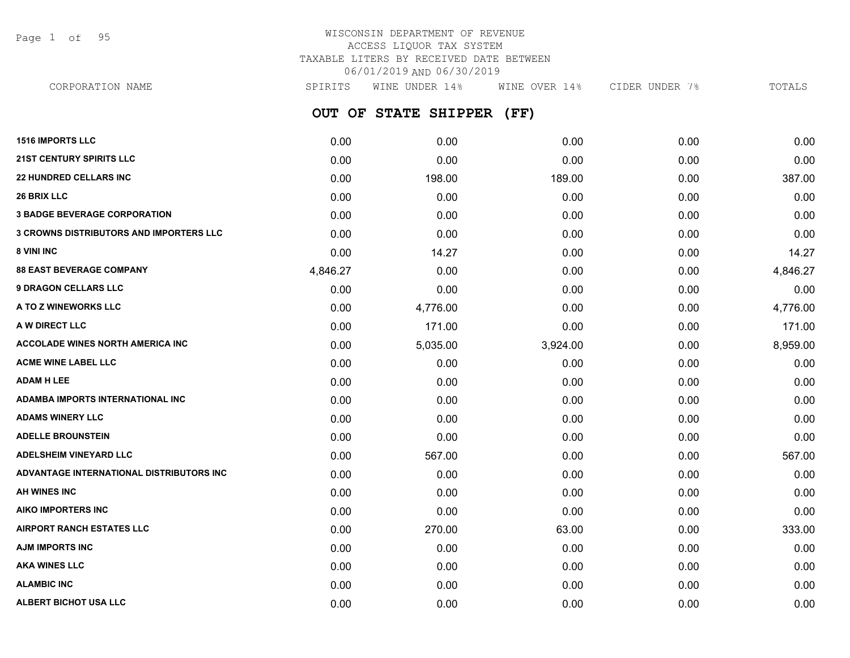Page 1 of 95

## WISCONSIN DEPARTMENT OF REVENUE ACCESS LIQUOR TAX SYSTEM TAXABLE LITERS BY RECEIVED DATE BETWEEN 06/01/2019 AND 06/30/2019

**OUT OF STATE SHIPPER (FF) 1516 IMPORTS LLC** 0.00 0.00 0.00 0.00 0.00 **21ST CENTURY SPIRITS LLC** 0.00 0.00 0.00 0.00 0.00 **22 HUNDRED CELLARS INC** 0.00 198.00 189.00 0.00 387.00 **26 BRIX LLC** 0.00 0.00 0.00 0.00 0.00 **3 BADGE BEVERAGE CORPORATION** 0.00 0.00 0.00 0.00 0.00 **3 CROWNS DISTRIBUTORS AND IMPORTERS LLC** 0.00 0.00 0.00 0.00 0.00 **8 VINI INC** 0.00 14.27 0.00 0.00 14.27 **88 EAST BEVERAGE COMPANY** 4,846.27 0.00 0.00 0.00 4,846.27 **9 DRAGON CELLARS LLC** 0.00 0.00 0.00 0.00 0.00 **A TO Z WINEWORKS LLC** 0.00 4,776.00 0.00 0.00 4,776.00 **A W DIRECT LLC** 0.00 171.00 0.00 0.00 171.00 **ACCOLADE WINES NORTH AMERICA INC**  $0.00$   $0.00$   $5.035.00$   $3.924.00$   $0.00$   $8.959.00$ **ACME WINE LABEL LLC** 0.00 0.00 0.00 0.00 0.00 **ADAM H LEE** 0.00 0.00 0.00 0.00 0.00 **ADAMBA IMPORTS INTERNATIONAL INC** 0.00 0.00 0.00 0.00 0.00 **ADAMS WINERY LLC** 0.00 0.00 0.00 0.00 0.00 **ADELLE BROUNSTEIN** 0.00 0.00 0.00 0.00 0.00 **ADELSHEIM VINEYARD LLC** 0.00 567.00 0.00 0.00 567.00 **ADVANTAGE INTERNATIONAL DISTRIBUTORS INC** 0.00 0.00 0.00 0.00 0.00 **AH WINES INC** 0.00 0.00 0.00 0.00 0.00 **AIKO IMPORTERS INC** 0.00 0.00 0.00 0.00 0.00 **AIRPORT RANCH ESTATES LLC** 0.00 270.00 63.00 0.00 333.00 CORPORATION NAME SPIRITS WINE UNDER 14% WINE OVER 14% CIDER UNDER 7% TOTALS

**AJM IMPORTS INC** 0.00 0.00 0.00 0.00 0.00 **AKA WINES LLC** 0.00 0.00 0.00 0.00 0.00 **ALAMBIC INC** 0.00 0.00 0.00 0.00 0.00 **ALBERT BICHOT USA LLC** 0.00 0.00 0.00 0.00 0.00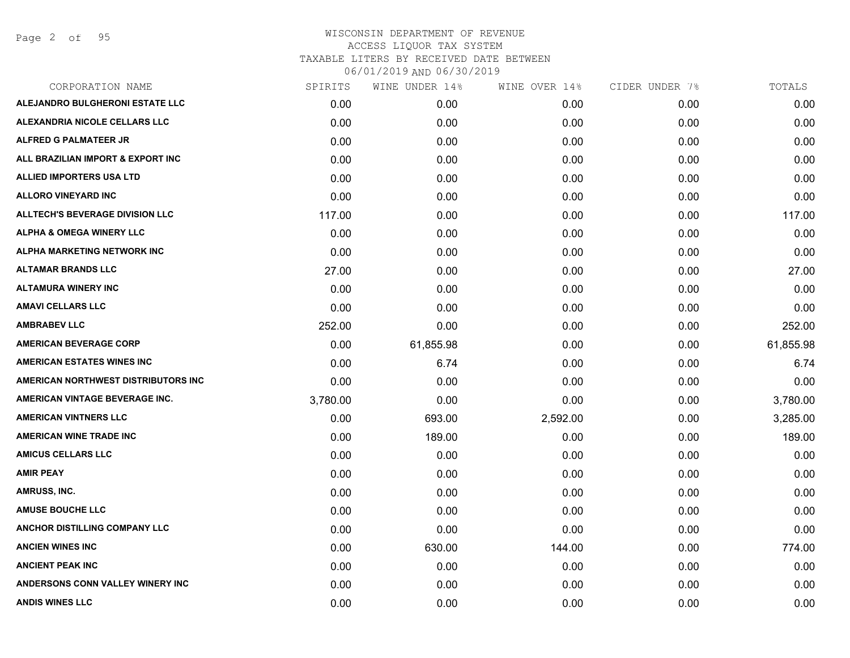Page 2 of 95

| CORPORATION NAME                       | SPIRITS  | WINE UNDER 14% | WINE OVER 14% | CIDER UNDER 7% | TOTALS    |
|----------------------------------------|----------|----------------|---------------|----------------|-----------|
| <b>ALEJANDRO BULGHERONI ESTATE LLC</b> | 0.00     | 0.00           | 0.00          | 0.00           | 0.00      |
| ALEXANDRIA NICOLE CELLARS LLC          | 0.00     | 0.00           | 0.00          | 0.00           | 0.00      |
| <b>ALFRED G PALMATEER JR</b>           | 0.00     | 0.00           | 0.00          | 0.00           | 0.00      |
| ALL BRAZILIAN IMPORT & EXPORT INC      | 0.00     | 0.00           | 0.00          | 0.00           | 0.00      |
| <b>ALLIED IMPORTERS USA LTD</b>        | 0.00     | 0.00           | 0.00          | 0.00           | 0.00      |
| <b>ALLORO VINEYARD INC</b>             | 0.00     | 0.00           | 0.00          | 0.00           | 0.00      |
| <b>ALLTECH'S BEVERAGE DIVISION LLC</b> | 117.00   | 0.00           | 0.00          | 0.00           | 117.00    |
| <b>ALPHA &amp; OMEGA WINERY LLC</b>    | 0.00     | 0.00           | 0.00          | 0.00           | 0.00      |
| ALPHA MARKETING NETWORK INC            | 0.00     | 0.00           | 0.00          | 0.00           | 0.00      |
| <b>ALTAMAR BRANDS LLC</b>              | 27.00    | 0.00           | 0.00          | 0.00           | 27.00     |
| <b>ALTAMURA WINERY INC</b>             | 0.00     | 0.00           | 0.00          | 0.00           | 0.00      |
| <b>AMAVI CELLARS LLC</b>               | 0.00     | 0.00           | 0.00          | 0.00           | 0.00      |
| <b>AMBRABEV LLC</b>                    | 252.00   | 0.00           | 0.00          | 0.00           | 252.00    |
| <b>AMERICAN BEVERAGE CORP</b>          | 0.00     | 61,855.98      | 0.00          | 0.00           | 61,855.98 |
| <b>AMERICAN ESTATES WINES INC</b>      | 0.00     | 6.74           | 0.00          | 0.00           | 6.74      |
| AMERICAN NORTHWEST DISTRIBUTORS INC    | 0.00     | 0.00           | 0.00          | 0.00           | 0.00      |
| AMERICAN VINTAGE BEVERAGE INC.         | 3,780.00 | 0.00           | 0.00          | 0.00           | 3,780.00  |
| <b>AMERICAN VINTNERS LLC</b>           | 0.00     | 693.00         | 2,592.00      | 0.00           | 3,285.00  |
| <b>AMERICAN WINE TRADE INC</b>         | 0.00     | 189.00         | 0.00          | 0.00           | 189.00    |
| <b>AMICUS CELLARS LLC</b>              | 0.00     | 0.00           | 0.00          | 0.00           | 0.00      |
| <b>AMIR PEAY</b>                       | 0.00     | 0.00           | 0.00          | 0.00           | 0.00      |
| AMRUSS, INC.                           | 0.00     | 0.00           | 0.00          | 0.00           | 0.00      |
| <b>AMUSE BOUCHE LLC</b>                | 0.00     | 0.00           | 0.00          | 0.00           | 0.00      |
| ANCHOR DISTILLING COMPANY LLC          | 0.00     | 0.00           | 0.00          | 0.00           | 0.00      |
| <b>ANCIEN WINES INC</b>                | 0.00     | 630.00         | 144.00        | 0.00           | 774.00    |
| <b>ANCIENT PEAK INC</b>                | 0.00     | 0.00           | 0.00          | 0.00           | 0.00      |
| ANDERSONS CONN VALLEY WINERY INC       | 0.00     | 0.00           | 0.00          | 0.00           | 0.00      |
| <b>ANDIS WINES LLC</b>                 | 0.00     | 0.00           | 0.00          | 0.00           | 0.00      |
|                                        |          |                |               |                |           |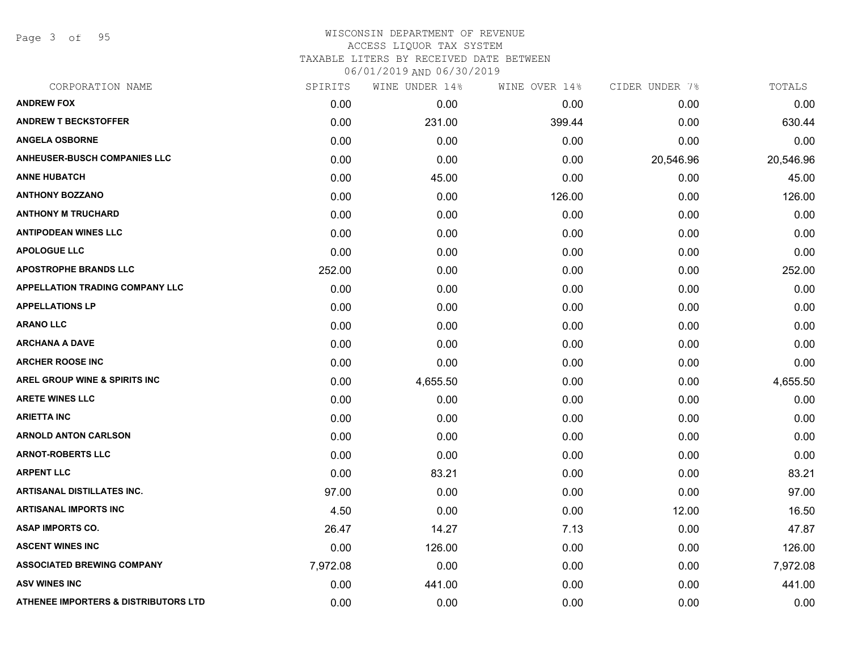Page 3 of 95

| CORPORATION NAME                                | SPIRITS  | WINE UNDER 14% | WINE OVER 14% | CIDER UNDER 7% | TOTALS    |
|-------------------------------------------------|----------|----------------|---------------|----------------|-----------|
| <b>ANDREW FOX</b>                               | 0.00     | 0.00           | 0.00          | 0.00           | 0.00      |
| <b>ANDREW T BECKSTOFFER</b>                     | 0.00     | 231.00         | 399.44        | 0.00           | 630.44    |
| <b>ANGELA OSBORNE</b>                           | 0.00     | 0.00           | 0.00          | 0.00           | 0.00      |
| <b>ANHEUSER-BUSCH COMPANIES LLC</b>             | 0.00     | 0.00           | 0.00          | 20,546.96      | 20,546.96 |
| <b>ANNE HUBATCH</b>                             | 0.00     | 45.00          | 0.00          | 0.00           | 45.00     |
| <b>ANTHONY BOZZANO</b>                          | 0.00     | 0.00           | 126.00        | 0.00           | 126.00    |
| <b>ANTHONY M TRUCHARD</b>                       | 0.00     | 0.00           | 0.00          | 0.00           | 0.00      |
| <b>ANTIPODEAN WINES LLC</b>                     | 0.00     | 0.00           | 0.00          | 0.00           | 0.00      |
| <b>APOLOGUE LLC</b>                             | 0.00     | 0.00           | 0.00          | 0.00           | 0.00      |
| <b>APOSTROPHE BRANDS LLC</b>                    | 252.00   | 0.00           | 0.00          | 0.00           | 252.00    |
| APPELLATION TRADING COMPANY LLC                 | 0.00     | 0.00           | 0.00          | 0.00           | 0.00      |
| <b>APPELLATIONS LP</b>                          | 0.00     | 0.00           | 0.00          | 0.00           | 0.00      |
| <b>ARANO LLC</b>                                | 0.00     | 0.00           | 0.00          | 0.00           | 0.00      |
| <b>ARCHANA A DAVE</b>                           | 0.00     | 0.00           | 0.00          | 0.00           | 0.00      |
| <b>ARCHER ROOSE INC</b>                         | 0.00     | 0.00           | 0.00          | 0.00           | 0.00      |
| <b>AREL GROUP WINE &amp; SPIRITS INC</b>        | 0.00     | 4,655.50       | 0.00          | 0.00           | 4,655.50  |
| <b>ARETE WINES LLC</b>                          | 0.00     | 0.00           | 0.00          | 0.00           | 0.00      |
| <b>ARIETTA INC</b>                              | 0.00     | 0.00           | 0.00          | 0.00           | 0.00      |
| <b>ARNOLD ANTON CARLSON</b>                     | 0.00     | 0.00           | 0.00          | 0.00           | 0.00      |
| <b>ARNOT-ROBERTS LLC</b>                        | 0.00     | 0.00           | 0.00          | 0.00           | 0.00      |
| <b>ARPENT LLC</b>                               | 0.00     | 83.21          | 0.00          | 0.00           | 83.21     |
| <b>ARTISANAL DISTILLATES INC.</b>               | 97.00    | 0.00           | 0.00          | 0.00           | 97.00     |
| <b>ARTISANAL IMPORTS INC</b>                    | 4.50     | 0.00           | 0.00          | 12.00          | 16.50     |
| <b>ASAP IMPORTS CO.</b>                         | 26.47    | 14.27          | 7.13          | 0.00           | 47.87     |
| <b>ASCENT WINES INC</b>                         | 0.00     | 126.00         | 0.00          | 0.00           | 126.00    |
| <b>ASSOCIATED BREWING COMPANY</b>               | 7,972.08 | 0.00           | 0.00          | 0.00           | 7,972.08  |
| <b>ASV WINES INC</b>                            | 0.00     | 441.00         | 0.00          | 0.00           | 441.00    |
| <b>ATHENEE IMPORTERS &amp; DISTRIBUTORS LTD</b> | 0.00     | 0.00           | 0.00          | 0.00           | 0.00      |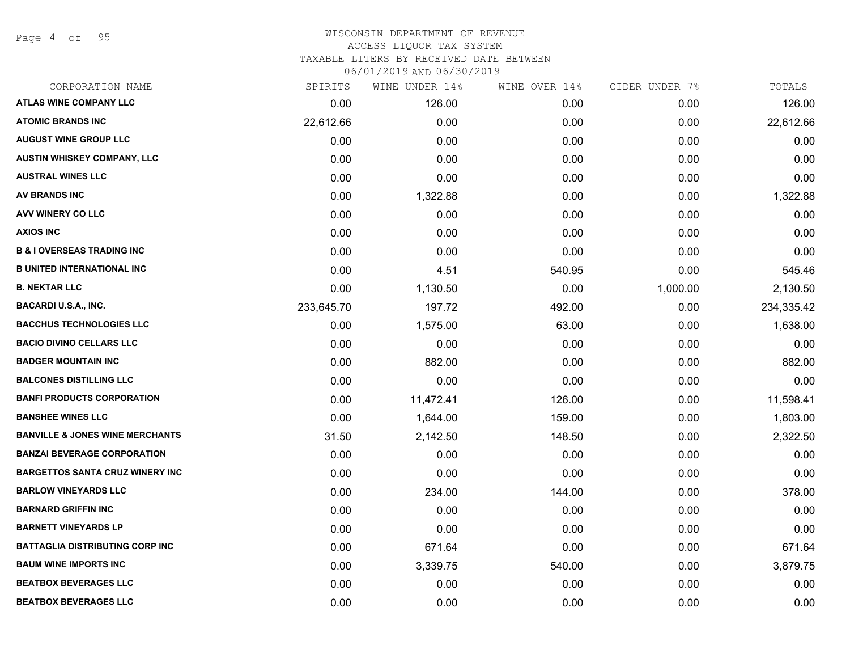Page 4 of 95

# WISCONSIN DEPARTMENT OF REVENUE ACCESS LIQUOR TAX SYSTEM

TAXABLE LITERS BY RECEIVED DATE BETWEEN

| CORPORATION NAME                           | SPIRITS    | WINE UNDER 14% | WINE OVER 14% | CIDER UNDER 7% | TOTALS     |
|--------------------------------------------|------------|----------------|---------------|----------------|------------|
| <b>ATLAS WINE COMPANY LLC</b>              | 0.00       | 126.00         | 0.00          | 0.00           | 126.00     |
| <b>ATOMIC BRANDS INC</b>                   | 22,612.66  | 0.00           | 0.00          | 0.00           | 22,612.66  |
| <b>AUGUST WINE GROUP LLC</b>               | 0.00       | 0.00           | 0.00          | 0.00           | 0.00       |
| <b>AUSTIN WHISKEY COMPANY, LLC</b>         | 0.00       | 0.00           | 0.00          | 0.00           | 0.00       |
| <b>AUSTRAL WINES LLC</b>                   | 0.00       | 0.00           | 0.00          | 0.00           | 0.00       |
| AV BRANDS INC                              | 0.00       | 1,322.88       | 0.00          | 0.00           | 1,322.88   |
| <b>AVV WINERY CO LLC</b>                   | 0.00       | 0.00           | 0.00          | 0.00           | 0.00       |
| <b>AXIOS INC</b>                           | 0.00       | 0.00           | 0.00          | 0.00           | 0.00       |
| <b>B &amp; I OVERSEAS TRADING INC</b>      | 0.00       | 0.00           | 0.00          | 0.00           | 0.00       |
| <b>B UNITED INTERNATIONAL INC</b>          | 0.00       | 4.51           | 540.95        | 0.00           | 545.46     |
| <b>B. NEKTAR LLC</b>                       | 0.00       | 1,130.50       | 0.00          | 1,000.00       | 2,130.50   |
| <b>BACARDI U.S.A., INC.</b>                | 233,645.70 | 197.72         | 492.00        | 0.00           | 234,335.42 |
| <b>BACCHUS TECHNOLOGIES LLC</b>            | 0.00       | 1,575.00       | 63.00         | 0.00           | 1,638.00   |
| <b>BACIO DIVINO CELLARS LLC</b>            | 0.00       | 0.00           | 0.00          | 0.00           | 0.00       |
| <b>BADGER MOUNTAIN INC</b>                 | 0.00       | 882.00         | 0.00          | 0.00           | 882.00     |
| <b>BALCONES DISTILLING LLC</b>             | 0.00       | 0.00           | 0.00          | 0.00           | 0.00       |
| <b>BANFI PRODUCTS CORPORATION</b>          | 0.00       | 11,472.41      | 126.00        | 0.00           | 11,598.41  |
| <b>BANSHEE WINES LLC</b>                   | 0.00       | 1,644.00       | 159.00        | 0.00           | 1,803.00   |
| <b>BANVILLE &amp; JONES WINE MERCHANTS</b> | 31.50      | 2,142.50       | 148.50        | 0.00           | 2,322.50   |
| <b>BANZAI BEVERAGE CORPORATION</b>         | 0.00       | 0.00           | 0.00          | 0.00           | 0.00       |
| <b>BARGETTOS SANTA CRUZ WINERY INC</b>     | 0.00       | 0.00           | 0.00          | 0.00           | 0.00       |
| <b>BARLOW VINEYARDS LLC</b>                | 0.00       | 234.00         | 144.00        | 0.00           | 378.00     |
| <b>BARNARD GRIFFIN INC</b>                 | 0.00       | 0.00           | 0.00          | 0.00           | 0.00       |
| <b>BARNETT VINEYARDS LP</b>                | 0.00       | 0.00           | 0.00          | 0.00           | 0.00       |
| <b>BATTAGLIA DISTRIBUTING CORP INC</b>     | 0.00       | 671.64         | 0.00          | 0.00           | 671.64     |
| <b>BAUM WINE IMPORTS INC</b>               | 0.00       | 3,339.75       | 540.00        | 0.00           | 3,879.75   |
| <b>BEATBOX BEVERAGES LLC</b>               | 0.00       | 0.00           | 0.00          | 0.00           | 0.00       |
| <b>BEATBOX BEVERAGES LLC</b>               | 0.00       | 0.00           | 0.00          | 0.00           | 0.00       |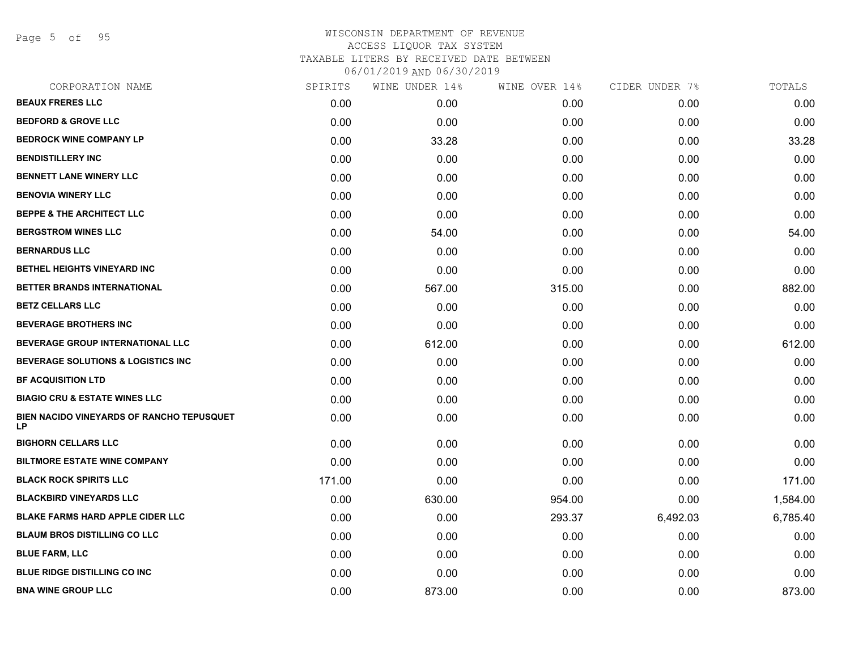Page 5 of 95

| CORPORATION NAME                                | SPIRITS | WINE UNDER 14% | WINE OVER 14% | CIDER UNDER 7% | TOTALS   |
|-------------------------------------------------|---------|----------------|---------------|----------------|----------|
| <b>BEAUX FRERES LLC</b>                         | 0.00    | 0.00           | 0.00          | 0.00           | 0.00     |
| <b>BEDFORD &amp; GROVE LLC</b>                  | 0.00    | 0.00           | 0.00          | 0.00           | 0.00     |
| <b>BEDROCK WINE COMPANY LP</b>                  | 0.00    | 33.28          | 0.00          | 0.00           | 33.28    |
| <b>BENDISTILLERY INC</b>                        | 0.00    | 0.00           | 0.00          | 0.00           | 0.00     |
| <b>BENNETT LANE WINERY LLC</b>                  | 0.00    | 0.00           | 0.00          | 0.00           | 0.00     |
| <b>BENOVIA WINERY LLC</b>                       | 0.00    | 0.00           | 0.00          | 0.00           | 0.00     |
| <b>BEPPE &amp; THE ARCHITECT LLC</b>            | 0.00    | 0.00           | 0.00          | 0.00           | 0.00     |
| <b>BERGSTROM WINES LLC</b>                      | 0.00    | 54.00          | 0.00          | 0.00           | 54.00    |
| <b>BERNARDUS LLC</b>                            | 0.00    | 0.00           | 0.00          | 0.00           | 0.00     |
| BETHEL HEIGHTS VINEYARD INC                     | 0.00    | 0.00           | 0.00          | 0.00           | 0.00     |
| BETTER BRANDS INTERNATIONAL                     | 0.00    | 567.00         | 315.00        | 0.00           | 882.00   |
| <b>BETZ CELLARS LLC</b>                         | 0.00    | 0.00           | 0.00          | 0.00           | 0.00     |
| <b>BEVERAGE BROTHERS INC</b>                    | 0.00    | 0.00           | 0.00          | 0.00           | 0.00     |
| <b>BEVERAGE GROUP INTERNATIONAL LLC</b>         | 0.00    | 612.00         | 0.00          | 0.00           | 612.00   |
| <b>BEVERAGE SOLUTIONS &amp; LOGISTICS INC</b>   | 0.00    | 0.00           | 0.00          | 0.00           | 0.00     |
| <b>BF ACQUISITION LTD</b>                       | 0.00    | 0.00           | 0.00          | 0.00           | 0.00     |
| <b>BIAGIO CRU &amp; ESTATE WINES LLC</b>        | 0.00    | 0.00           | 0.00          | 0.00           | 0.00     |
| BIEN NACIDO VINEYARDS OF RANCHO TEPUSQUET<br>LP | 0.00    | 0.00           | 0.00          | 0.00           | 0.00     |
| <b>BIGHORN CELLARS LLC</b>                      | 0.00    | 0.00           | 0.00          | 0.00           | 0.00     |
| <b>BILTMORE ESTATE WINE COMPANY</b>             | 0.00    | 0.00           | 0.00          | 0.00           | 0.00     |
| <b>BLACK ROCK SPIRITS LLC</b>                   | 171.00  | 0.00           | 0.00          | 0.00           | 171.00   |
| <b>BLACKBIRD VINEYARDS LLC</b>                  | 0.00    | 630.00         | 954.00        | 0.00           | 1,584.00 |
| <b>BLAKE FARMS HARD APPLE CIDER LLC</b>         | 0.00    | 0.00           | 293.37        | 6,492.03       | 6,785.40 |
| <b>BLAUM BROS DISTILLING CO LLC</b>             | 0.00    | 0.00           | 0.00          | 0.00           | 0.00     |
| <b>BLUE FARM, LLC</b>                           | 0.00    | 0.00           | 0.00          | 0.00           | 0.00     |
| <b>BLUE RIDGE DISTILLING CO INC</b>             | 0.00    | 0.00           | 0.00          | 0.00           | 0.00     |
| <b>BNA WINE GROUP LLC</b>                       | 0.00    | 873.00         | 0.00          | 0.00           | 873.00   |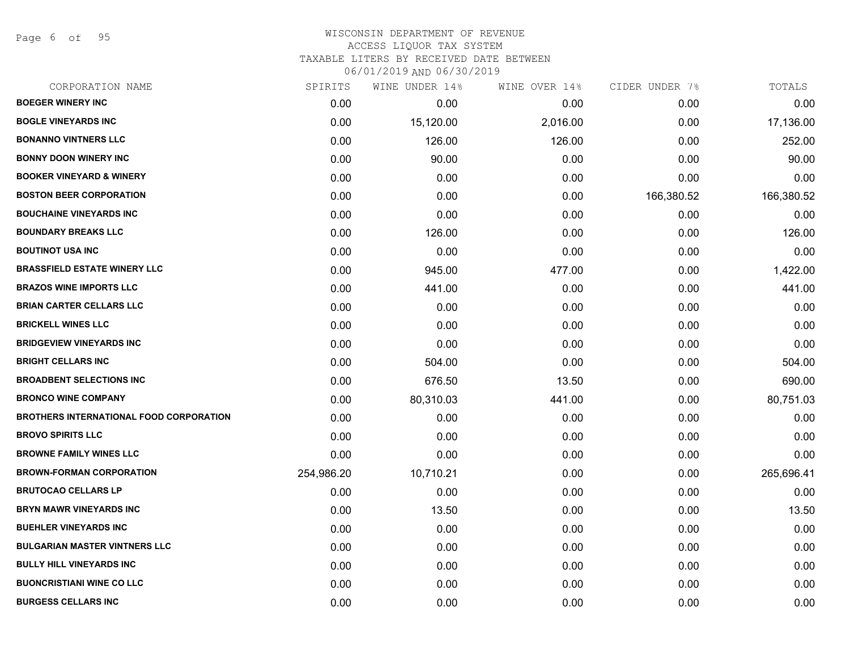Page 6 of 95

| CORPORATION NAME                               | SPIRITS    | WINE UNDER 14% | WINE OVER 14% | CIDER UNDER 7% | TOTALS     |
|------------------------------------------------|------------|----------------|---------------|----------------|------------|
| <b>BOEGER WINERY INC</b>                       | 0.00       | 0.00           | 0.00          | 0.00           | 0.00       |
| <b>BOGLE VINEYARDS INC</b>                     | 0.00       | 15,120.00      | 2,016.00      | 0.00           | 17,136.00  |
| <b>BONANNO VINTNERS LLC</b>                    | 0.00       | 126.00         | 126.00        | 0.00           | 252.00     |
| <b>BONNY DOON WINERY INC</b>                   | 0.00       | 90.00          | 0.00          | 0.00           | 90.00      |
| <b>BOOKER VINEYARD &amp; WINERY</b>            | 0.00       | 0.00           | 0.00          | 0.00           | 0.00       |
| <b>BOSTON BEER CORPORATION</b>                 | 0.00       | 0.00           | 0.00          | 166,380.52     | 166,380.52 |
| <b>BOUCHAINE VINEYARDS INC</b>                 | 0.00       | 0.00           | 0.00          | 0.00           | 0.00       |
| <b>BOUNDARY BREAKS LLC</b>                     | 0.00       | 126.00         | 0.00          | 0.00           | 126.00     |
| <b>BOUTINOT USA INC</b>                        | 0.00       | 0.00           | 0.00          | 0.00           | 0.00       |
| <b>BRASSFIELD ESTATE WINERY LLC</b>            | 0.00       | 945.00         | 477.00        | 0.00           | 1,422.00   |
| <b>BRAZOS WINE IMPORTS LLC</b>                 | 0.00       | 441.00         | 0.00          | 0.00           | 441.00     |
| <b>BRIAN CARTER CELLARS LLC</b>                | 0.00       | 0.00           | 0.00          | 0.00           | 0.00       |
| <b>BRICKELL WINES LLC</b>                      | 0.00       | 0.00           | 0.00          | 0.00           | 0.00       |
| <b>BRIDGEVIEW VINEYARDS INC</b>                | 0.00       | 0.00           | 0.00          | 0.00           | 0.00       |
| <b>BRIGHT CELLARS INC</b>                      | 0.00       | 504.00         | 0.00          | 0.00           | 504.00     |
| <b>BROADBENT SELECTIONS INC</b>                | 0.00       | 676.50         | 13.50         | 0.00           | 690.00     |
| <b>BRONCO WINE COMPANY</b>                     | 0.00       | 80,310.03      | 441.00        | 0.00           | 80,751.03  |
| <b>BROTHERS INTERNATIONAL FOOD CORPORATION</b> | 0.00       | 0.00           | 0.00          | 0.00           | 0.00       |
| <b>BROVO SPIRITS LLC</b>                       | 0.00       | 0.00           | 0.00          | 0.00           | 0.00       |
| <b>BROWNE FAMILY WINES LLC</b>                 | 0.00       | 0.00           | 0.00          | 0.00           | 0.00       |
| <b>BROWN-FORMAN CORPORATION</b>                | 254,986.20 | 10,710.21      | 0.00          | 0.00           | 265,696.41 |
| <b>BRUTOCAO CELLARS LP</b>                     | 0.00       | 0.00           | 0.00          | 0.00           | 0.00       |
| <b>BRYN MAWR VINEYARDS INC</b>                 | 0.00       | 13.50          | 0.00          | 0.00           | 13.50      |
| <b>BUEHLER VINEYARDS INC</b>                   | 0.00       | 0.00           | 0.00          | 0.00           | 0.00       |
| <b>BULGARIAN MASTER VINTNERS LLC</b>           | 0.00       | 0.00           | 0.00          | 0.00           | 0.00       |
| <b>BULLY HILL VINEYARDS INC</b>                | 0.00       | 0.00           | 0.00          | 0.00           | 0.00       |
| <b>BUONCRISTIANI WINE CO LLC</b>               | 0.00       | 0.00           | 0.00          | 0.00           | 0.00       |
| <b>BURGESS CELLARS INC</b>                     | 0.00       | 0.00           | 0.00          | 0.00           | 0.00       |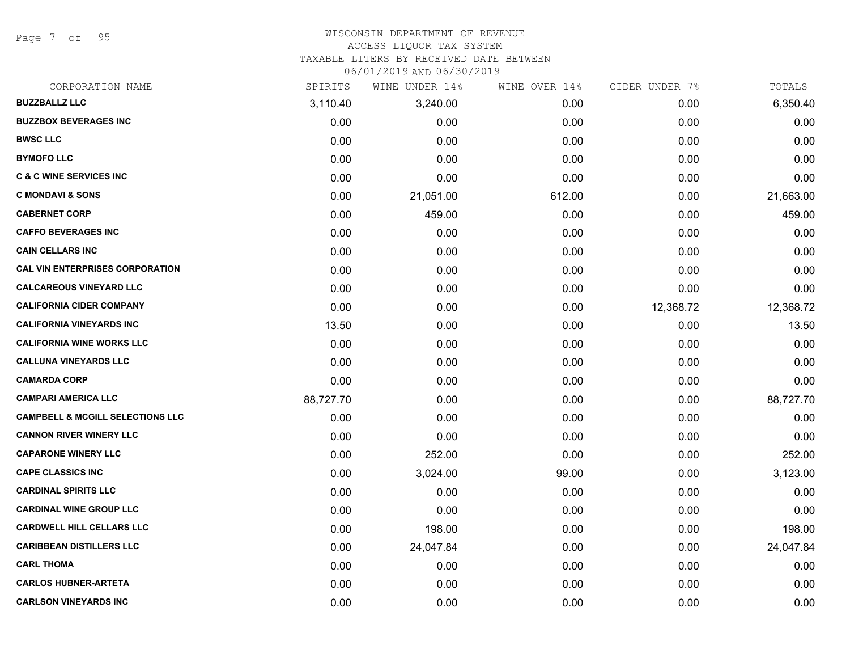Page 7 of 95

#### WISCONSIN DEPARTMENT OF REVENUE ACCESS LIQUOR TAX SYSTEM

TAXABLE LITERS BY RECEIVED DATE BETWEEN

| CORPORATION NAME                            | SPIRITS   | WINE UNDER 14% | WINE OVER 14% | CIDER UNDER 7% | TOTALS    |
|---------------------------------------------|-----------|----------------|---------------|----------------|-----------|
| <b>BUZZBALLZ LLC</b>                        | 3,110.40  | 3,240.00       | 0.00          | 0.00           | 6,350.40  |
| <b>BUZZBOX BEVERAGES INC</b>                | 0.00      | 0.00           | 0.00          | 0.00           | 0.00      |
| <b>BWSC LLC</b>                             | 0.00      | 0.00           | 0.00          | 0.00           | 0.00      |
| <b>BYMOFO LLC</b>                           | 0.00      | 0.00           | 0.00          | 0.00           | 0.00      |
| <b>C &amp; C WINE SERVICES INC</b>          | 0.00      | 0.00           | 0.00          | 0.00           | 0.00      |
| <b>C MONDAVI &amp; SONS</b>                 | 0.00      | 21,051.00      | 612.00        | 0.00           | 21,663.00 |
| <b>CABERNET CORP</b>                        | 0.00      | 459.00         | 0.00          | 0.00           | 459.00    |
| <b>CAFFO BEVERAGES INC</b>                  | 0.00      | 0.00           | 0.00          | 0.00           | 0.00      |
| <b>CAIN CELLARS INC</b>                     | 0.00      | 0.00           | 0.00          | 0.00           | 0.00      |
| <b>CAL VIN ENTERPRISES CORPORATION</b>      | 0.00      | 0.00           | 0.00          | 0.00           | 0.00      |
| <b>CALCAREOUS VINEYARD LLC</b>              | 0.00      | 0.00           | 0.00          | 0.00           | 0.00      |
| <b>CALIFORNIA CIDER COMPANY</b>             | 0.00      | 0.00           | 0.00          | 12,368.72      | 12,368.72 |
| <b>CALIFORNIA VINEYARDS INC</b>             | 13.50     | 0.00           | 0.00          | 0.00           | 13.50     |
| <b>CALIFORNIA WINE WORKS LLC</b>            | 0.00      | 0.00           | 0.00          | 0.00           | 0.00      |
| <b>CALLUNA VINEYARDS LLC</b>                | 0.00      | 0.00           | 0.00          | 0.00           | 0.00      |
| <b>CAMARDA CORP</b>                         | 0.00      | 0.00           | 0.00          | 0.00           | 0.00      |
| <b>CAMPARI AMERICA LLC</b>                  | 88,727.70 | 0.00           | 0.00          | 0.00           | 88,727.70 |
| <b>CAMPBELL &amp; MCGILL SELECTIONS LLC</b> | 0.00      | 0.00           | 0.00          | 0.00           | 0.00      |
| <b>CANNON RIVER WINERY LLC</b>              | 0.00      | 0.00           | 0.00          | 0.00           | 0.00      |
| <b>CAPARONE WINERY LLC</b>                  | 0.00      | 252.00         | 0.00          | 0.00           | 252.00    |
| <b>CAPE CLASSICS INC</b>                    | 0.00      | 3,024.00       | 99.00         | 0.00           | 3,123.00  |
| <b>CARDINAL SPIRITS LLC</b>                 | 0.00      | 0.00           | 0.00          | 0.00           | 0.00      |
| <b>CARDINAL WINE GROUP LLC</b>              | 0.00      | 0.00           | 0.00          | 0.00           | 0.00      |
| <b>CARDWELL HILL CELLARS LLC</b>            | 0.00      | 198.00         | 0.00          | 0.00           | 198.00    |
| <b>CARIBBEAN DISTILLERS LLC</b>             | 0.00      | 24,047.84      | 0.00          | 0.00           | 24,047.84 |
| <b>CARL THOMA</b>                           | 0.00      | 0.00           | 0.00          | 0.00           | 0.00      |
| <b>CARLOS HUBNER-ARTETA</b>                 | 0.00      | 0.00           | 0.00          | 0.00           | 0.00      |
| <b>CARLSON VINEYARDS INC</b>                | 0.00      | 0.00           | 0.00          | 0.00           | 0.00      |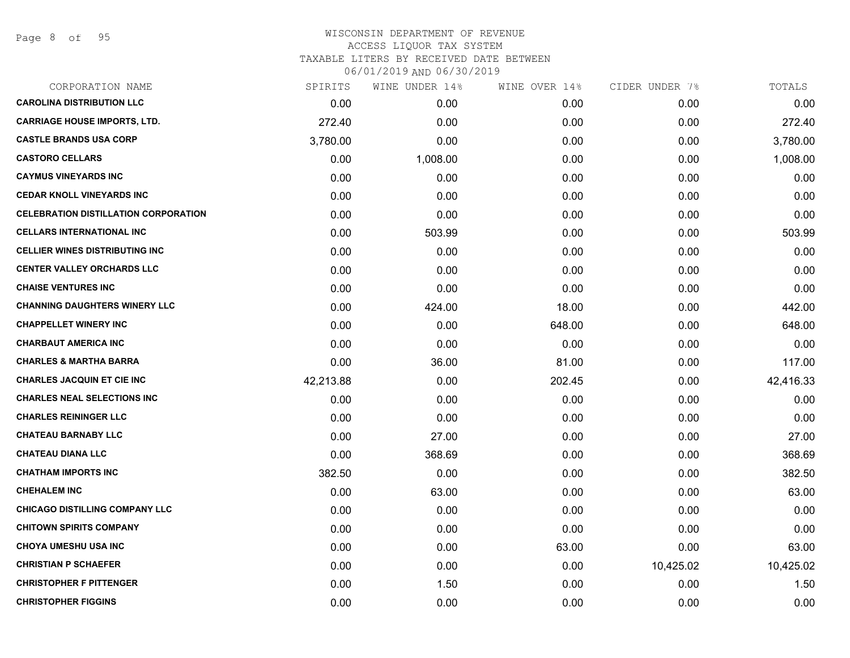## WISCONSIN DEPARTMENT OF REVENUE ACCESS LIQUOR TAX SYSTEM TAXABLE LITERS BY RECEIVED DATE BETWEEN

| CORPORATION NAME                            | SPIRITS   | WINE UNDER 14% | WINE OVER 14% | CIDER UNDER 7% | TOTALS    |
|---------------------------------------------|-----------|----------------|---------------|----------------|-----------|
| <b>CAROLINA DISTRIBUTION LLC</b>            | 0.00      | 0.00           | 0.00          | 0.00           | 0.00      |
| <b>CARRIAGE HOUSE IMPORTS, LTD.</b>         | 272.40    | 0.00           | 0.00          | 0.00           | 272.40    |
| <b>CASTLE BRANDS USA CORP</b>               | 3,780.00  | 0.00           | 0.00          | 0.00           | 3,780.00  |
| <b>CASTORO CELLARS</b>                      | 0.00      | 1,008.00       | 0.00          | 0.00           | 1,008.00  |
| <b>CAYMUS VINEYARDS INC</b>                 | 0.00      | 0.00           | 0.00          | 0.00           | 0.00      |
| <b>CEDAR KNOLL VINEYARDS INC</b>            | 0.00      | 0.00           | 0.00          | 0.00           | 0.00      |
| <b>CELEBRATION DISTILLATION CORPORATION</b> | 0.00      | 0.00           | 0.00          | 0.00           | 0.00      |
| <b>CELLARS INTERNATIONAL INC</b>            | 0.00      | 503.99         | 0.00          | 0.00           | 503.99    |
| <b>CELLIER WINES DISTRIBUTING INC</b>       | 0.00      | 0.00           | 0.00          | 0.00           | 0.00      |
| <b>CENTER VALLEY ORCHARDS LLC</b>           | 0.00      | 0.00           | 0.00          | 0.00           | 0.00      |
| <b>CHAISE VENTURES INC</b>                  | 0.00      | 0.00           | 0.00          | 0.00           | 0.00      |
| <b>CHANNING DAUGHTERS WINERY LLC</b>        | 0.00      | 424.00         | 18.00         | 0.00           | 442.00    |
| <b>CHAPPELLET WINERY INC</b>                | 0.00      | 0.00           | 648.00        | 0.00           | 648.00    |
| <b>CHARBAUT AMERICA INC</b>                 | 0.00      | 0.00           | 0.00          | 0.00           | 0.00      |
| <b>CHARLES &amp; MARTHA BARRA</b>           | 0.00      | 36.00          | 81.00         | 0.00           | 117.00    |
| <b>CHARLES JACQUIN ET CIE INC</b>           | 42,213.88 | 0.00           | 202.45        | 0.00           | 42,416.33 |
| <b>CHARLES NEAL SELECTIONS INC</b>          | 0.00      | 0.00           | 0.00          | 0.00           | 0.00      |
| <b>CHARLES REININGER LLC</b>                | 0.00      | 0.00           | 0.00          | 0.00           | 0.00      |
| <b>CHATEAU BARNABY LLC</b>                  | 0.00      | 27.00          | 0.00          | 0.00           | 27.00     |
| <b>CHATEAU DIANA LLC</b>                    | 0.00      | 368.69         | 0.00          | 0.00           | 368.69    |
| <b>CHATHAM IMPORTS INC</b>                  | 382.50    | 0.00           | 0.00          | 0.00           | 382.50    |
| <b>CHEHALEM INC</b>                         | 0.00      | 63.00          | 0.00          | 0.00           | 63.00     |
| <b>CHICAGO DISTILLING COMPANY LLC</b>       | 0.00      | 0.00           | 0.00          | 0.00           | 0.00      |
| <b>CHITOWN SPIRITS COMPANY</b>              | 0.00      | 0.00           | 0.00          | 0.00           | 0.00      |
| <b>CHOYA UMESHU USA INC</b>                 | 0.00      | 0.00           | 63.00         | 0.00           | 63.00     |
| <b>CHRISTIAN P SCHAEFER</b>                 | 0.00      | 0.00           | 0.00          | 10,425.02      | 10,425.02 |
| <b>CHRISTOPHER F PITTENGER</b>              | 0.00      | 1.50           | 0.00          | 0.00           | 1.50      |
| <b>CHRISTOPHER FIGGINS</b>                  | 0.00      | 0.00           | 0.00          | 0.00           | 0.00      |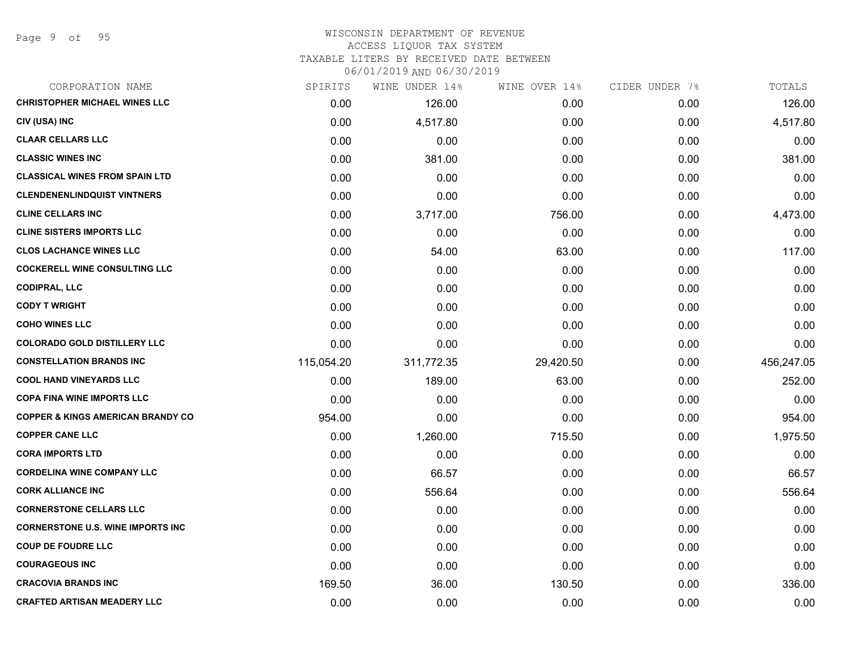#### WISCONSIN DEPARTMENT OF REVENUE ACCESS LIQUOR TAX SYSTEM TAXABLE LITERS BY RECEIVED DATE BETWEEN

| CORPORATION NAME                             | SPIRITS    | WINE UNDER 14% | WINE OVER 14% | CIDER UNDER 7% | TOTALS     |
|----------------------------------------------|------------|----------------|---------------|----------------|------------|
| <b>CHRISTOPHER MICHAEL WINES LLC</b>         | 0.00       | 126.00         | 0.00          | 0.00           | 126.00     |
| CIV (USA) INC                                | 0.00       | 4,517.80       | 0.00          | 0.00           | 4,517.80   |
| <b>CLAAR CELLARS LLC</b>                     | 0.00       | 0.00           | 0.00          | 0.00           | 0.00       |
| <b>CLASSIC WINES INC</b>                     | 0.00       | 381.00         | 0.00          | 0.00           | 381.00     |
| <b>CLASSICAL WINES FROM SPAIN LTD</b>        | 0.00       | 0.00           | 0.00          | 0.00           | 0.00       |
| <b>CLENDENENLINDQUIST VINTNERS</b>           | 0.00       | 0.00           | 0.00          | 0.00           | 0.00       |
| <b>CLINE CELLARS INC</b>                     | 0.00       | 3,717.00       | 756.00        | 0.00           | 4,473.00   |
| <b>CLINE SISTERS IMPORTS LLC</b>             | 0.00       | 0.00           | 0.00          | 0.00           | 0.00       |
| <b>CLOS LACHANCE WINES LLC</b>               | 0.00       | 54.00          | 63.00         | 0.00           | 117.00     |
| <b>COCKERELL WINE CONSULTING LLC</b>         | 0.00       | 0.00           | 0.00          | 0.00           | 0.00       |
| <b>CODIPRAL, LLC</b>                         | 0.00       | 0.00           | 0.00          | 0.00           | 0.00       |
| <b>CODY T WRIGHT</b>                         | 0.00       | 0.00           | 0.00          | 0.00           | 0.00       |
| <b>COHO WINES LLC</b>                        | 0.00       | 0.00           | 0.00          | 0.00           | 0.00       |
| <b>COLORADO GOLD DISTILLERY LLC</b>          | 0.00       | 0.00           | 0.00          | 0.00           | 0.00       |
| <b>CONSTELLATION BRANDS INC</b>              | 115,054.20 | 311,772.35     | 29,420.50     | 0.00           | 456,247.05 |
| <b>COOL HAND VINEYARDS LLC</b>               | 0.00       | 189.00         | 63.00         | 0.00           | 252.00     |
| <b>COPA FINA WINE IMPORTS LLC</b>            | 0.00       | 0.00           | 0.00          | 0.00           | 0.00       |
| <b>COPPER &amp; KINGS AMERICAN BRANDY CO</b> | 954.00     | 0.00           | 0.00          | 0.00           | 954.00     |
| <b>COPPER CANE LLC</b>                       | 0.00       | 1,260.00       | 715.50        | 0.00           | 1,975.50   |
| <b>CORA IMPORTS LTD</b>                      | 0.00       | 0.00           | 0.00          | 0.00           | 0.00       |
| <b>CORDELINA WINE COMPANY LLC</b>            | 0.00       | 66.57          | 0.00          | 0.00           | 66.57      |
| <b>CORK ALLIANCE INC</b>                     | 0.00       | 556.64         | 0.00          | 0.00           | 556.64     |
| <b>CORNERSTONE CELLARS LLC</b>               | 0.00       | 0.00           | 0.00          | 0.00           | 0.00       |
| <b>CORNERSTONE U.S. WINE IMPORTS INC.</b>    | 0.00       | 0.00           | 0.00          | 0.00           | 0.00       |
| <b>COUP DE FOUDRE LLC</b>                    | 0.00       | 0.00           | 0.00          | 0.00           | 0.00       |
| <b>COURAGEOUS INC</b>                        | 0.00       | 0.00           | 0.00          | 0.00           | 0.00       |
| <b>CRACOVIA BRANDS INC</b>                   | 169.50     | 36.00          | 130.50        | 0.00           | 336.00     |
| <b>CRAFTED ARTISAN MEADERY LLC</b>           | 0.00       | 0.00           | 0.00          | 0.00           | 0.00       |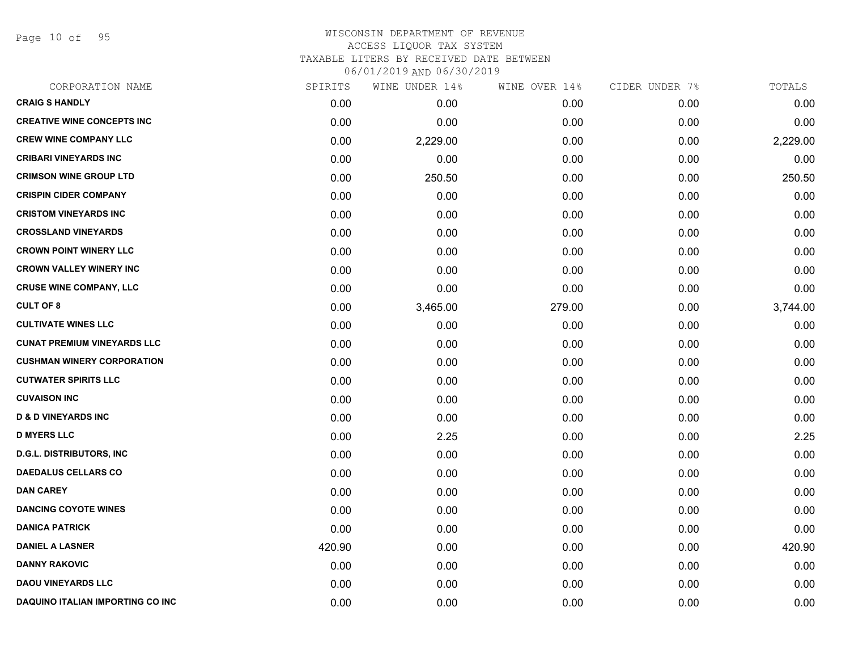Page 10 of 95

|        | WINE UNDER 14% |        | CIDER UNDER 7% | TOTALS   |
|--------|----------------|--------|----------------|----------|
| 0.00   | 0.00           | 0.00   | 0.00           | 0.00     |
| 0.00   | 0.00           | 0.00   | 0.00           | 0.00     |
| 0.00   | 2,229.00       | 0.00   | 0.00           | 2,229.00 |
| 0.00   | 0.00           | 0.00   | 0.00           | 0.00     |
| 0.00   | 250.50         | 0.00   | 0.00           | 250.50   |
| 0.00   | 0.00           | 0.00   | 0.00           | 0.00     |
| 0.00   | 0.00           | 0.00   | 0.00           | 0.00     |
| 0.00   | 0.00           | 0.00   | 0.00           | 0.00     |
| 0.00   | 0.00           | 0.00   | 0.00           | 0.00     |
| 0.00   | 0.00           | 0.00   | 0.00           | 0.00     |
| 0.00   | 0.00           | 0.00   | 0.00           | 0.00     |
| 0.00   | 3,465.00       | 279.00 | 0.00           | 3,744.00 |
| 0.00   | 0.00           | 0.00   | 0.00           | 0.00     |
| 0.00   | 0.00           | 0.00   | 0.00           | 0.00     |
| 0.00   | 0.00           | 0.00   | 0.00           | 0.00     |
| 0.00   | 0.00           | 0.00   | 0.00           | 0.00     |
| 0.00   | 0.00           | 0.00   | 0.00           | 0.00     |
| 0.00   | 0.00           | 0.00   | 0.00           | 0.00     |
| 0.00   | 2.25           | 0.00   | 0.00           | 2.25     |
| 0.00   | 0.00           | 0.00   | 0.00           | 0.00     |
| 0.00   | 0.00           | 0.00   | 0.00           | 0.00     |
| 0.00   | 0.00           | 0.00   | 0.00           | 0.00     |
| 0.00   | 0.00           | 0.00   | 0.00           | 0.00     |
| 0.00   | 0.00           | 0.00   | 0.00           | 0.00     |
| 420.90 | 0.00           | 0.00   | 0.00           | 420.90   |
| 0.00   | 0.00           | 0.00   | 0.00           | 0.00     |
| 0.00   | 0.00           | 0.00   | 0.00           | 0.00     |
| 0.00   | 0.00           | 0.00   | 0.00           | 0.00     |
|        | SPIRITS        |        | WINE OVER 14%  |          |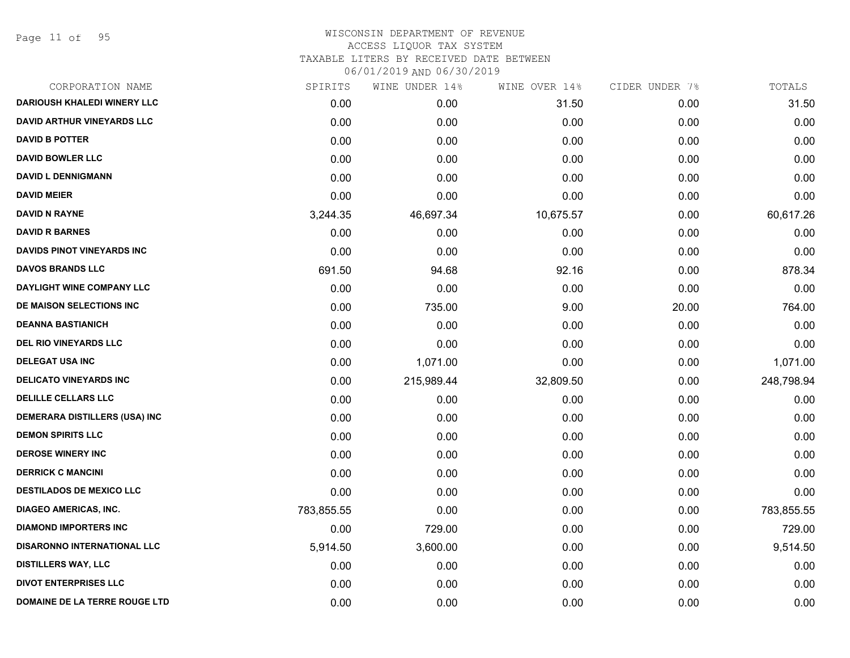Page 11 of 95

| CORPORATION NAME                   | SPIRITS    | WINE UNDER 14% | WINE OVER 14% | CIDER UNDER 7% | TOTALS     |
|------------------------------------|------------|----------------|---------------|----------------|------------|
| <b>DARIOUSH KHALEDI WINERY LLC</b> | 0.00       | 0.00           | 31.50         | 0.00           | 31.50      |
| <b>DAVID ARTHUR VINEYARDS LLC</b>  | 0.00       | 0.00           | 0.00          | 0.00           | 0.00       |
| <b>DAVID B POTTER</b>              | 0.00       | 0.00           | 0.00          | 0.00           | 0.00       |
| <b>DAVID BOWLER LLC</b>            | 0.00       | 0.00           | 0.00          | 0.00           | 0.00       |
| <b>DAVID L DENNIGMANN</b>          | 0.00       | 0.00           | 0.00          | 0.00           | 0.00       |
| <b>DAVID MEIER</b>                 | 0.00       | 0.00           | 0.00          | 0.00           | 0.00       |
| <b>DAVID N RAYNE</b>               | 3,244.35   | 46,697.34      | 10,675.57     | 0.00           | 60,617.26  |
| <b>DAVID R BARNES</b>              | 0.00       | 0.00           | 0.00          | 0.00           | 0.00       |
| <b>DAVIDS PINOT VINEYARDS INC</b>  | 0.00       | 0.00           | 0.00          | 0.00           | 0.00       |
| <b>DAVOS BRANDS LLC</b>            | 691.50     | 94.68          | 92.16         | 0.00           | 878.34     |
| DAYLIGHT WINE COMPANY LLC          | 0.00       | 0.00           | 0.00          | 0.00           | 0.00       |
| DE MAISON SELECTIONS INC           | 0.00       | 735.00         | 9.00          | 20.00          | 764.00     |
| <b>DEANNA BASTIANICH</b>           | 0.00       | 0.00           | 0.00          | 0.00           | 0.00       |
| <b>DEL RIO VINEYARDS LLC</b>       | 0.00       | 0.00           | 0.00          | 0.00           | 0.00       |
| <b>DELEGAT USA INC</b>             | 0.00       | 1,071.00       | 0.00          | 0.00           | 1,071.00   |
| <b>DELICATO VINEYARDS INC</b>      | 0.00       | 215,989.44     | 32,809.50     | 0.00           | 248,798.94 |
| <b>DELILLE CELLARS LLC</b>         | 0.00       | 0.00           | 0.00          | 0.00           | 0.00       |
| DEMERARA DISTILLERS (USA) INC      | 0.00       | 0.00           | 0.00          | 0.00           | 0.00       |
| <b>DEMON SPIRITS LLC</b>           | 0.00       | 0.00           | 0.00          | 0.00           | 0.00       |
| <b>DEROSE WINERY INC</b>           | 0.00       | 0.00           | 0.00          | 0.00           | 0.00       |
| <b>DERRICK C MANCINI</b>           | 0.00       | 0.00           | 0.00          | 0.00           | 0.00       |
| <b>DESTILADOS DE MEXICO LLC</b>    | 0.00       | 0.00           | 0.00          | 0.00           | 0.00       |
| <b>DIAGEO AMERICAS, INC.</b>       | 783,855.55 | 0.00           | 0.00          | 0.00           | 783,855.55 |
| <b>DIAMOND IMPORTERS INC</b>       | 0.00       | 729.00         | 0.00          | 0.00           | 729.00     |
| <b>DISARONNO INTERNATIONAL LLC</b> | 5,914.50   | 3,600.00       | 0.00          | 0.00           | 9,514.50   |
| <b>DISTILLERS WAY, LLC</b>         | 0.00       | 0.00           | 0.00          | 0.00           | 0.00       |
| <b>DIVOT ENTERPRISES LLC</b>       | 0.00       | 0.00           | 0.00          | 0.00           | 0.00       |
| DOMAINE DE LA TERRE ROUGE LTD      | 0.00       | 0.00           | 0.00          | 0.00           | 0.00       |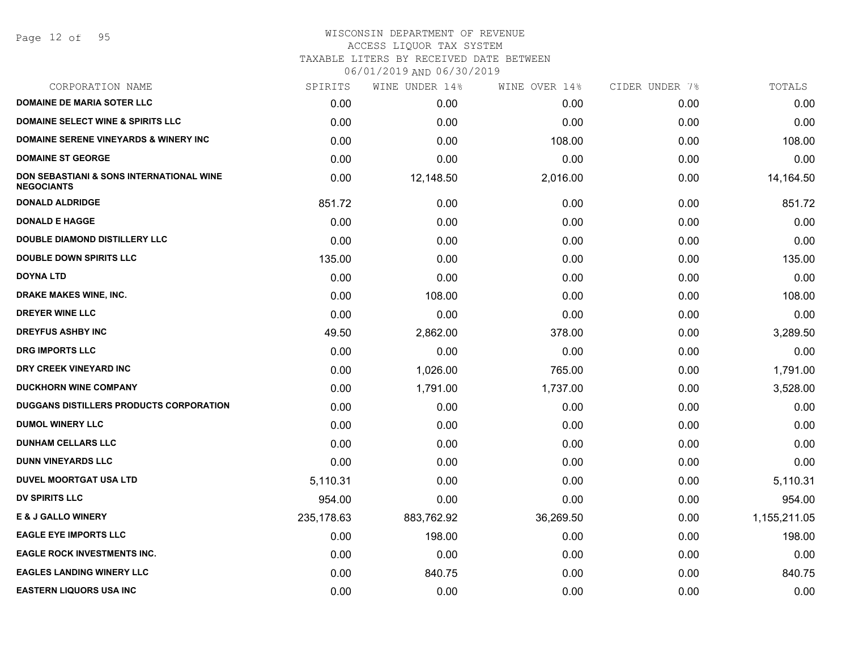Page 12 of 95

#### WISCONSIN DEPARTMENT OF REVENUE ACCESS LIQUOR TAX SYSTEM

TAXABLE LITERS BY RECEIVED DATE BETWEEN

| CORPORATION NAME                                                         | SPIRITS    | WINE UNDER 14% | WINE OVER 14% | CIDER UNDER 7% | TOTALS       |
|--------------------------------------------------------------------------|------------|----------------|---------------|----------------|--------------|
| <b>DOMAINE DE MARIA SOTER LLC</b>                                        | 0.00       | 0.00           | 0.00          | 0.00           | 0.00         |
| <b>DOMAINE SELECT WINE &amp; SPIRITS LLC</b>                             | 0.00       | 0.00           | 0.00          | 0.00           | 0.00         |
| <b>DOMAINE SERENE VINEYARDS &amp; WINERY INC</b>                         | 0.00       | 0.00           | 108.00        | 0.00           | 108.00       |
| <b>DOMAINE ST GEORGE</b>                                                 | 0.00       | 0.00           | 0.00          | 0.00           | 0.00         |
| <b>DON SEBASTIANI &amp; SONS INTERNATIONAL WINE</b><br><b>NEGOCIANTS</b> | 0.00       | 12,148.50      | 2,016.00      | 0.00           | 14,164.50    |
| <b>DONALD ALDRIDGE</b>                                                   | 851.72     | 0.00           | 0.00          | 0.00           | 851.72       |
| <b>DONALD E HAGGE</b>                                                    | 0.00       | 0.00           | 0.00          | 0.00           | 0.00         |
| <b>DOUBLE DIAMOND DISTILLERY LLC</b>                                     | 0.00       | 0.00           | 0.00          | 0.00           | 0.00         |
| <b>DOUBLE DOWN SPIRITS LLC</b>                                           | 135.00     | 0.00           | 0.00          | 0.00           | 135.00       |
| <b>DOYNA LTD</b>                                                         | 0.00       | 0.00           | 0.00          | 0.00           | 0.00         |
| DRAKE MAKES WINE, INC.                                                   | 0.00       | 108.00         | 0.00          | 0.00           | 108.00       |
| <b>DREYER WINE LLC</b>                                                   | 0.00       | 0.00           | 0.00          | 0.00           | 0.00         |
| <b>DREYFUS ASHBY INC</b>                                                 | 49.50      | 2,862.00       | 378.00        | 0.00           | 3,289.50     |
| <b>DRG IMPORTS LLC</b>                                                   | 0.00       | 0.00           | 0.00          | 0.00           | 0.00         |
| DRY CREEK VINEYARD INC                                                   | 0.00       | 1,026.00       | 765.00        | 0.00           | 1,791.00     |
| <b>DUCKHORN WINE COMPANY</b>                                             | 0.00       | 1,791.00       | 1,737.00      | 0.00           | 3,528.00     |
| DUGGANS DISTILLERS PRODUCTS CORPORATION                                  | 0.00       | 0.00           | 0.00          | 0.00           | 0.00         |
| <b>DUMOL WINERY LLC</b>                                                  | 0.00       | 0.00           | 0.00          | 0.00           | 0.00         |
| <b>DUNHAM CELLARS LLC</b>                                                | 0.00       | 0.00           | 0.00          | 0.00           | 0.00         |
| <b>DUNN VINEYARDS LLC</b>                                                | 0.00       | 0.00           | 0.00          | 0.00           | 0.00         |
| <b>DUVEL MOORTGAT USA LTD</b>                                            | 5,110.31   | 0.00           | 0.00          | 0.00           | 5,110.31     |
| <b>DV SPIRITS LLC</b>                                                    | 954.00     | 0.00           | 0.00          | 0.00           | 954.00       |
| <b>E &amp; J GALLO WINERY</b>                                            | 235,178.63 | 883,762.92     | 36,269.50     | 0.00           | 1,155,211.05 |
| <b>EAGLE EYE IMPORTS LLC</b>                                             | 0.00       | 198.00         | 0.00          | 0.00           | 198.00       |
| <b>EAGLE ROCK INVESTMENTS INC.</b>                                       | 0.00       | 0.00           | 0.00          | 0.00           | 0.00         |
| <b>EAGLES LANDING WINERY LLC</b>                                         | 0.00       | 840.75         | 0.00          | 0.00           | 840.75       |
| <b>EASTERN LIQUORS USA INC</b>                                           | 0.00       | 0.00           | 0.00          | 0.00           | 0.00         |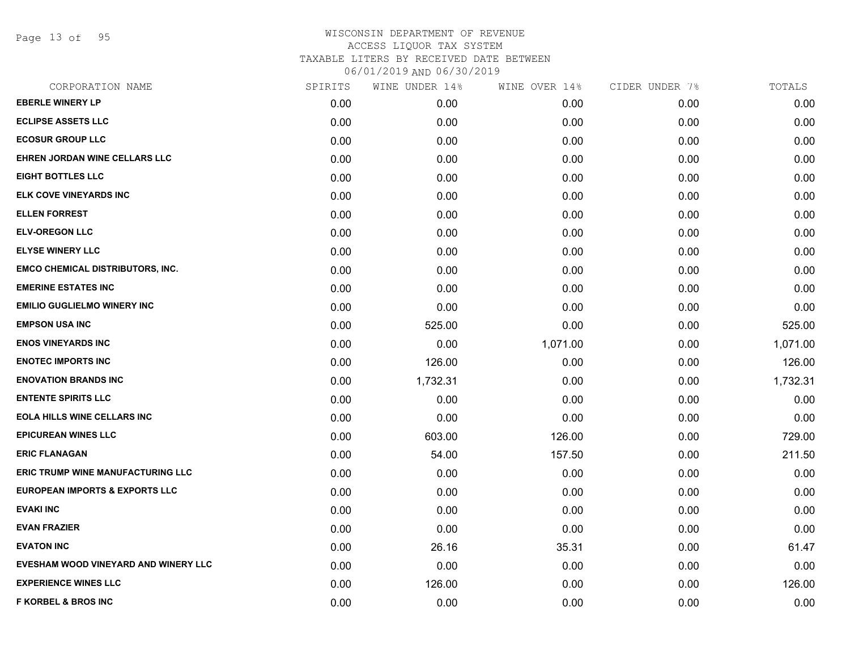Page 13 of 95

| CORPORATION NAME                          | SPIRITS | WINE UNDER 14% | WINE OVER 14% | CIDER UNDER 7% | TOTALS   |
|-------------------------------------------|---------|----------------|---------------|----------------|----------|
| <b>EBERLE WINERY LP</b>                   | 0.00    | 0.00           | 0.00          | 0.00           | 0.00     |
| <b>ECLIPSE ASSETS LLC</b>                 | 0.00    | 0.00           | 0.00          | 0.00           | 0.00     |
| <b>ECOSUR GROUP LLC</b>                   | 0.00    | 0.00           | 0.00          | 0.00           | 0.00     |
| EHREN JORDAN WINE CELLARS LLC             | 0.00    | 0.00           | 0.00          | 0.00           | 0.00     |
| <b>EIGHT BOTTLES LLC</b>                  | 0.00    | 0.00           | 0.00          | 0.00           | 0.00     |
| ELK COVE VINEYARDS INC                    | 0.00    | 0.00           | 0.00          | 0.00           | 0.00     |
| <b>ELLEN FORREST</b>                      | 0.00    | 0.00           | 0.00          | 0.00           | 0.00     |
| <b>ELV-OREGON LLC</b>                     | 0.00    | 0.00           | 0.00          | 0.00           | 0.00     |
| <b>ELYSE WINERY LLC</b>                   | 0.00    | 0.00           | 0.00          | 0.00           | 0.00     |
| <b>EMCO CHEMICAL DISTRIBUTORS, INC.</b>   | 0.00    | 0.00           | 0.00          | 0.00           | 0.00     |
| <b>EMERINE ESTATES INC</b>                | 0.00    | 0.00           | 0.00          | 0.00           | 0.00     |
| <b>EMILIO GUGLIELMO WINERY INC</b>        | 0.00    | 0.00           | 0.00          | 0.00           | 0.00     |
| <b>EMPSON USA INC</b>                     | 0.00    | 525.00         | 0.00          | 0.00           | 525.00   |
| <b>ENOS VINEYARDS INC</b>                 | 0.00    | 0.00           | 1,071.00      | 0.00           | 1,071.00 |
| <b>ENOTEC IMPORTS INC</b>                 | 0.00    | 126.00         | 0.00          | 0.00           | 126.00   |
| <b>ENOVATION BRANDS INC</b>               | 0.00    | 1,732.31       | 0.00          | 0.00           | 1,732.31 |
| <b>ENTENTE SPIRITS LLC</b>                | 0.00    | 0.00           | 0.00          | 0.00           | 0.00     |
| EOLA HILLS WINE CELLARS INC               | 0.00    | 0.00           | 0.00          | 0.00           | 0.00     |
| <b>EPICUREAN WINES LLC</b>                | 0.00    | 603.00         | 126.00        | 0.00           | 729.00   |
| <b>ERIC FLANAGAN</b>                      | 0.00    | 54.00          | 157.50        | 0.00           | 211.50   |
| <b>ERIC TRUMP WINE MANUFACTURING LLC</b>  | 0.00    | 0.00           | 0.00          | 0.00           | 0.00     |
| <b>EUROPEAN IMPORTS &amp; EXPORTS LLC</b> | 0.00    | 0.00           | 0.00          | 0.00           | 0.00     |
| <b>EVAKI INC</b>                          | 0.00    | 0.00           | 0.00          | 0.00           | 0.00     |
| <b>EVAN FRAZIER</b>                       | 0.00    | 0.00           | 0.00          | 0.00           | 0.00     |
| <b>EVATON INC</b>                         | 0.00    | 26.16          | 35.31         | 0.00           | 61.47    |
| EVESHAM WOOD VINEYARD AND WINERY LLC      | 0.00    | 0.00           | 0.00          | 0.00           | 0.00     |
| <b>EXPERIENCE WINES LLC</b>               | 0.00    | 126.00         | 0.00          | 0.00           | 126.00   |
| <b>F KORBEL &amp; BROS INC</b>            | 0.00    | 0.00           | 0.00          | 0.00           | 0.00     |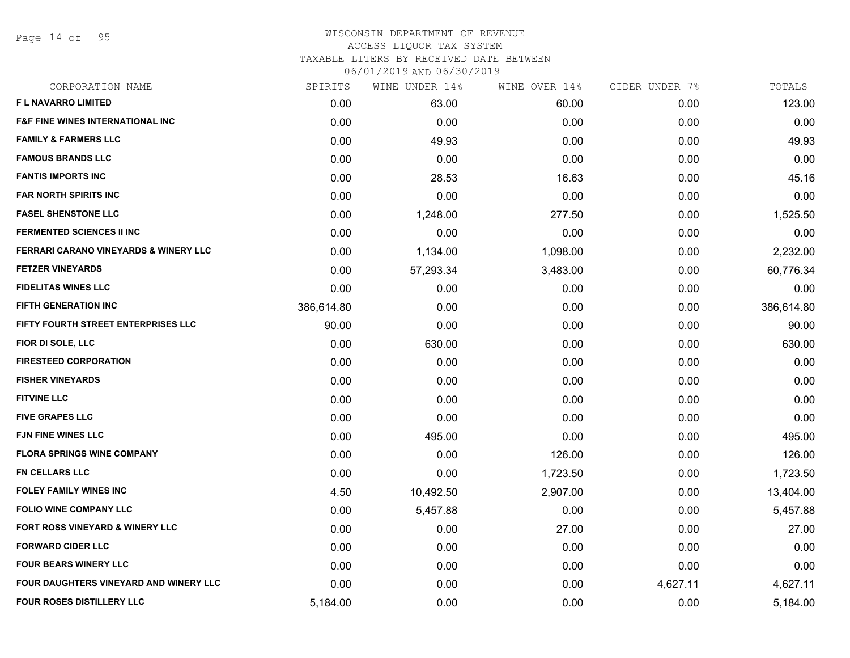Page 14 of 95

## WISCONSIN DEPARTMENT OF REVENUE ACCESS LIQUOR TAX SYSTEM TAXABLE LITERS BY RECEIVED DATE BETWEEN

| CORPORATION NAME                                 | SPIRITS    | WINE UNDER 14% | WINE OVER 14% | CIDER UNDER 7% | TOTALS     |
|--------------------------------------------------|------------|----------------|---------------|----------------|------------|
| F L NAVARRO LIMITED                              | 0.00       | 63.00          | 60.00         | 0.00           | 123.00     |
| <b>F&amp;F FINE WINES INTERNATIONAL INC.</b>     | 0.00       | 0.00           | 0.00          | 0.00           | 0.00       |
| <b>FAMILY &amp; FARMERS LLC</b>                  | 0.00       | 49.93          | 0.00          | 0.00           | 49.93      |
| <b>FAMOUS BRANDS LLC</b>                         | 0.00       | 0.00           | 0.00          | 0.00           | 0.00       |
| <b>FANTIS IMPORTS INC</b>                        | 0.00       | 28.53          | 16.63         | 0.00           | 45.16      |
| <b>FAR NORTH SPIRITS INC</b>                     | 0.00       | 0.00           | 0.00          | 0.00           | 0.00       |
| <b>FASEL SHENSTONE LLC</b>                       | 0.00       | 1,248.00       | 277.50        | 0.00           | 1,525.50   |
| <b>FERMENTED SCIENCES II INC</b>                 | 0.00       | 0.00           | 0.00          | 0.00           | 0.00       |
| <b>FERRARI CARANO VINEYARDS &amp; WINERY LLC</b> | 0.00       | 1,134.00       | 1,098.00      | 0.00           | 2,232.00   |
| <b>FETZER VINEYARDS</b>                          | 0.00       | 57,293.34      | 3,483.00      | 0.00           | 60,776.34  |
| <b>FIDELITAS WINES LLC</b>                       | 0.00       | 0.00           | 0.00          | 0.00           | 0.00       |
| <b>FIFTH GENERATION INC</b>                      | 386,614.80 | 0.00           | 0.00          | 0.00           | 386,614.80 |
| FIFTY FOURTH STREET ENTERPRISES LLC              | 90.00      | 0.00           | 0.00          | 0.00           | 90.00      |
| FIOR DI SOLE, LLC                                | 0.00       | 630.00         | 0.00          | 0.00           | 630.00     |
| <b>FIRESTEED CORPORATION</b>                     | 0.00       | 0.00           | 0.00          | 0.00           | 0.00       |
| <b>FISHER VINEYARDS</b>                          | 0.00       | 0.00           | 0.00          | 0.00           | 0.00       |
| <b>FITVINE LLC</b>                               | 0.00       | 0.00           | 0.00          | 0.00           | 0.00       |
| <b>FIVE GRAPES LLC</b>                           | 0.00       | 0.00           | 0.00          | 0.00           | 0.00       |
| <b>FJN FINE WINES LLC</b>                        | 0.00       | 495.00         | 0.00          | 0.00           | 495.00     |
| <b>FLORA SPRINGS WINE COMPANY</b>                | 0.00       | 0.00           | 126.00        | 0.00           | 126.00     |
| <b>FN CELLARS LLC</b>                            | 0.00       | 0.00           | 1,723.50      | 0.00           | 1,723.50   |
| <b>FOLEY FAMILY WINES INC</b>                    | 4.50       | 10,492.50      | 2,907.00      | 0.00           | 13,404.00  |
| <b>FOLIO WINE COMPANY LLC</b>                    | 0.00       | 5,457.88       | 0.00          | 0.00           | 5,457.88   |
| FORT ROSS VINEYARD & WINERY LLC                  | 0.00       | 0.00           | 27.00         | 0.00           | 27.00      |
| <b>FORWARD CIDER LLC</b>                         | 0.00       | 0.00           | 0.00          | 0.00           | 0.00       |
| <b>FOUR BEARS WINERY LLC</b>                     | 0.00       | 0.00           | 0.00          | 0.00           | 0.00       |
| FOUR DAUGHTERS VINEYARD AND WINERY LLC           | 0.00       | 0.00           | 0.00          | 4,627.11       | 4,627.11   |
| <b>FOUR ROSES DISTILLERY LLC</b>                 | 5,184.00   | 0.00           | 0.00          | 0.00           | 5,184.00   |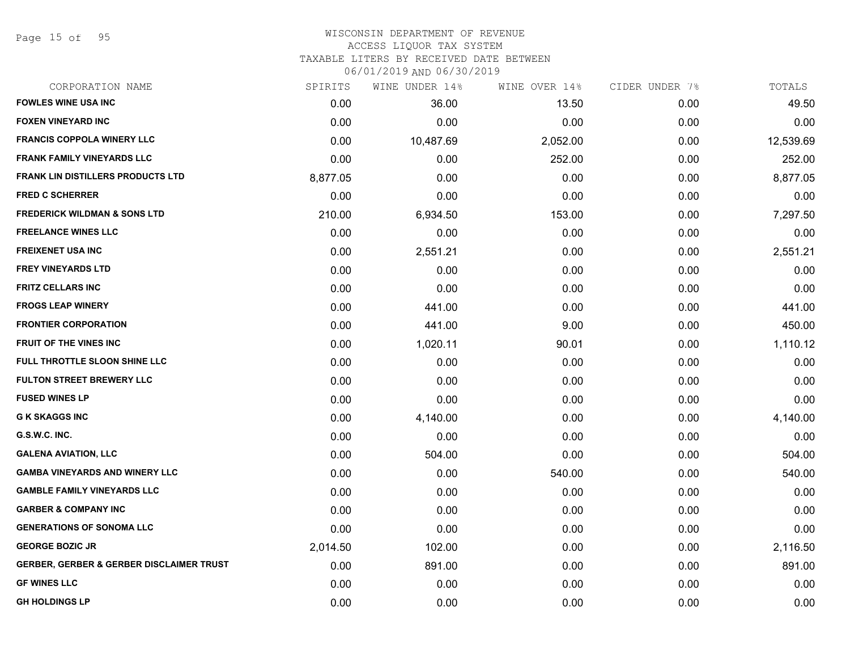Page 15 of 95

### WISCONSIN DEPARTMENT OF REVENUE ACCESS LIQUOR TAX SYSTEM TAXABLE LITERS BY RECEIVED DATE BETWEEN

06/01/2019 AND 06/30/2019

| CORPORATION NAME                                    | SPIRITS  | WINE UNDER 14% | WINE OVER 14% | CIDER UNDER 7% | TOTALS    |
|-----------------------------------------------------|----------|----------------|---------------|----------------|-----------|
| <b>FOWLES WINE USA INC</b>                          | 0.00     | 36.00          | 13.50         | 0.00           | 49.50     |
| <b>FOXEN VINEYARD INC</b>                           | 0.00     | 0.00           | 0.00          | 0.00           | 0.00      |
| <b>FRANCIS COPPOLA WINERY LLC</b>                   | 0.00     | 10,487.69      | 2,052.00      | 0.00           | 12,539.69 |
| FRANK FAMILY VINEYARDS LLC                          | 0.00     | 0.00           | 252.00        | 0.00           | 252.00    |
| FRANK LIN DISTILLERS PRODUCTS LTD                   | 8,877.05 | 0.00           | 0.00          | 0.00           | 8,877.05  |
| <b>FRED C SCHERRER</b>                              | 0.00     | 0.00           | 0.00          | 0.00           | 0.00      |
| FREDERICK WILDMAN & SONS LTD                        | 210.00   | 6,934.50       | 153.00        | 0.00           | 7,297.50  |
| <b>FREELANCE WINES LLC</b>                          | 0.00     | 0.00           | 0.00          | 0.00           | 0.00      |
| FREIXENET USA INC                                   | 0.00     | 2,551.21       | 0.00          | 0.00           | 2,551.21  |
| <b>FREY VINEYARDS LTD</b>                           | 0.00     | 0.00           | 0.00          | 0.00           | 0.00      |
| FRITZ CELLARS INC                                   | 0.00     | 0.00           | 0.00          | 0.00           | 0.00      |
| FROGS LEAP WINERY                                   | 0.00     | 441.00         | 0.00          | 0.00           | 441.00    |
| FRONTIER CORPORATION                                | 0.00     | 441.00         | 9.00          | 0.00           | 450.00    |
| <b>FRUIT OF THE VINES INC</b>                       | 0.00     | 1,020.11       | 90.01         | 0.00           | 1,110.12  |
| <b>FULL THROTTLE SLOON SHINE LLC</b>                | 0.00     | 0.00           | 0.00          | 0.00           | 0.00      |
| <b>FULTON STREET BREWERY LLC</b>                    | 0.00     | 0.00           | 0.00          | 0.00           | 0.00      |
| <b>FUSED WINES LP</b>                               | 0.00     | 0.00           | 0.00          | 0.00           | 0.00      |
| G K SKAGGS INC                                      | 0.00     | 4,140.00       | 0.00          | 0.00           | 4,140.00  |
| G.S.W.C. INC.                                       | 0.00     | 0.00           | 0.00          | 0.00           | 0.00      |
| GALENA AVIATION, LLC                                | 0.00     | 504.00         | 0.00          | 0.00           | 504.00    |
| GAMBA VINEYARDS AND WINERY LLC                      | 0.00     | 0.00           | 540.00        | 0.00           | 540.00    |
| GAMBLE FAMILY VINEYARDS LLC                         | 0.00     | 0.00           | 0.00          | 0.00           | 0.00      |
| <b>GARBER &amp; COMPANY INC</b>                     | 0.00     | 0.00           | 0.00          | 0.00           | 0.00      |
| <b>GENERATIONS OF SONOMA LLC</b>                    | 0.00     | 0.00           | 0.00          | 0.00           | 0.00      |
| GEORGE BOZIC JR                                     | 2,014.50 | 102.00         | 0.00          | 0.00           | 2,116.50  |
| <b>GERBER, GERBER &amp; GERBER DISCLAIMER TRUST</b> | 0.00     | 891.00         | 0.00          | 0.00           | 891.00    |
| <b>GF WINES LLC</b>                                 | 0.00     | 0.00           | 0.00          | 0.00           | 0.00      |

**GH HOLDINGS LP** 0.00 0.00 0.00 0.00 0.00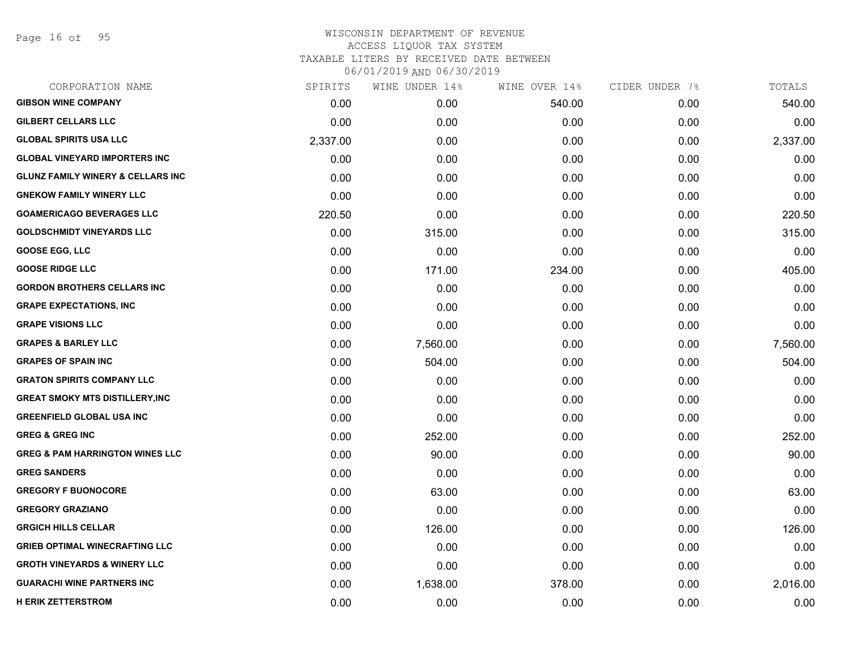Page 16 of 95

| SPIRITS  | WINE UNDER 14% | WINE OVER 14% | CIDER UNDER 7% | TOTALS   |
|----------|----------------|---------------|----------------|----------|
| 0.00     | 0.00           | 540.00        | 0.00           | 540.00   |
| 0.00     | 0.00           | 0.00          | 0.00           | 0.00     |
| 2,337.00 | 0.00           | 0.00          | 0.00           | 2,337.00 |
| 0.00     | 0.00           | 0.00          | 0.00           | 0.00     |
| 0.00     | 0.00           | 0.00          | 0.00           | 0.00     |
| 0.00     | 0.00           | 0.00          | 0.00           | 0.00     |
| 220.50   | 0.00           | 0.00          | 0.00           | 220.50   |
| 0.00     | 315.00         | 0.00          | 0.00           | 315.00   |
| 0.00     | 0.00           | 0.00          | 0.00           | 0.00     |
| 0.00     | 171.00         | 234.00        | 0.00           | 405.00   |
| 0.00     | 0.00           | 0.00          | 0.00           | 0.00     |
| 0.00     | 0.00           | 0.00          | 0.00           | 0.00     |
| 0.00     | 0.00           | 0.00          | 0.00           | 0.00     |
| 0.00     | 7,560.00       | 0.00          | 0.00           | 7,560.00 |
| 0.00     | 504.00         | 0.00          | 0.00           | 504.00   |
| 0.00     | 0.00           | 0.00          | 0.00           | 0.00     |
| 0.00     | 0.00           | 0.00          | 0.00           | 0.00     |
| 0.00     | 0.00           | 0.00          | 0.00           | 0.00     |
| 0.00     | 252.00         | 0.00          | 0.00           | 252.00   |
| 0.00     | 90.00          | 0.00          | 0.00           | 90.00    |
| 0.00     | 0.00           | 0.00          | 0.00           | 0.00     |
| 0.00     | 63.00          | 0.00          | 0.00           | 63.00    |
| 0.00     | 0.00           | 0.00          | 0.00           | 0.00     |
| 0.00     | 126.00         | 0.00          | 0.00           | 126.00   |
| 0.00     | 0.00           | 0.00          | 0.00           | 0.00     |
| 0.00     | 0.00           | 0.00          | 0.00           | 0.00     |
| 0.00     | 1,638.00       | 378.00        | 0.00           | 2,016.00 |
| 0.00     | 0.00           | 0.00          | 0.00           | 0.00     |
|          |                |               |                |          |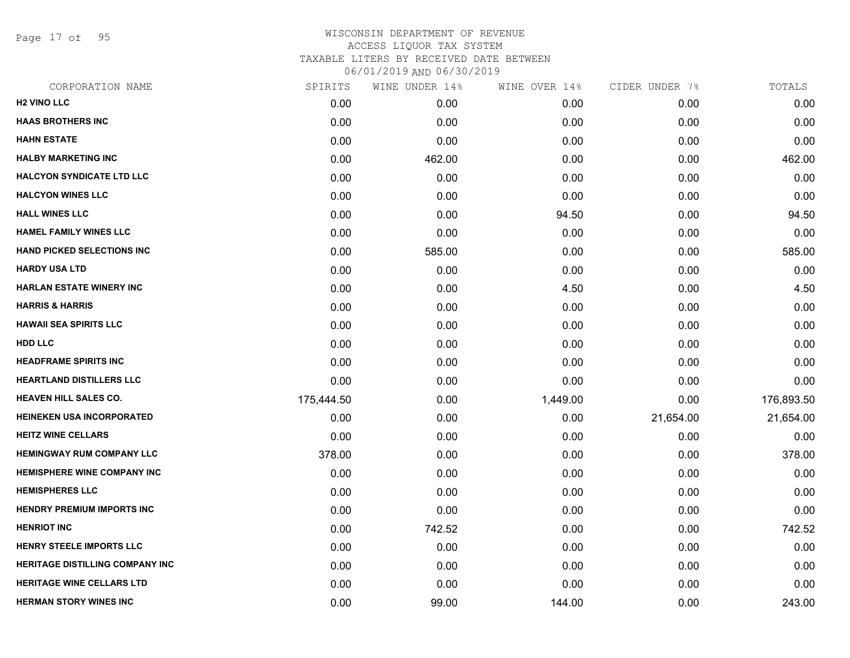Page 17 of 95

| CORPORATION NAME                   | SPIRITS    | WINE UNDER 14% | WINE OVER 14% | CIDER UNDER 7% | TOTALS     |
|------------------------------------|------------|----------------|---------------|----------------|------------|
| <b>H2 VINO LLC</b>                 | 0.00       | 0.00           | 0.00          | 0.00           | 0.00       |
| <b>HAAS BROTHERS INC</b>           | 0.00       | 0.00           | 0.00          | 0.00           | 0.00       |
| <b>HAHN ESTATE</b>                 | 0.00       | 0.00           | 0.00          | 0.00           | 0.00       |
| <b>HALBY MARKETING INC</b>         | 0.00       | 462.00         | 0.00          | 0.00           | 462.00     |
| <b>HALCYON SYNDICATE LTD LLC</b>   | 0.00       | 0.00           | 0.00          | 0.00           | 0.00       |
| <b>HALCYON WINES LLC</b>           | 0.00       | 0.00           | 0.00          | 0.00           | 0.00       |
| <b>HALL WINES LLC</b>              | 0.00       | 0.00           | 94.50         | 0.00           | 94.50      |
| <b>HAMEL FAMILY WINES LLC</b>      | 0.00       | 0.00           | 0.00          | 0.00           | 0.00       |
| <b>HAND PICKED SELECTIONS INC</b>  | 0.00       | 585.00         | 0.00          | 0.00           | 585.00     |
| <b>HARDY USA LTD</b>               | 0.00       | 0.00           | 0.00          | 0.00           | 0.00       |
| <b>HARLAN ESTATE WINERY INC</b>    | 0.00       | 0.00           | 4.50          | 0.00           | 4.50       |
| <b>HARRIS &amp; HARRIS</b>         | 0.00       | 0.00           | 0.00          | 0.00           | 0.00       |
| <b>HAWAII SEA SPIRITS LLC</b>      | 0.00       | 0.00           | 0.00          | 0.00           | 0.00       |
| <b>HDD LLC</b>                     | 0.00       | 0.00           | 0.00          | 0.00           | 0.00       |
| <b>HEADFRAME SPIRITS INC</b>       | 0.00       | 0.00           | 0.00          | 0.00           | 0.00       |
| <b>HEARTLAND DISTILLERS LLC</b>    | 0.00       | 0.00           | 0.00          | 0.00           | 0.00       |
| <b>HEAVEN HILL SALES CO.</b>       | 175,444.50 | 0.00           | 1,449.00      | 0.00           | 176,893.50 |
| <b>HEINEKEN USA INCORPORATED</b>   | 0.00       | 0.00           | 0.00          | 21,654.00      | 21,654.00  |
| <b>HEITZ WINE CELLARS</b>          | 0.00       | 0.00           | 0.00          | 0.00           | 0.00       |
| <b>HEMINGWAY RUM COMPANY LLC</b>   | 378.00     | 0.00           | 0.00          | 0.00           | 378.00     |
| <b>HEMISPHERE WINE COMPANY INC</b> | 0.00       | 0.00           | 0.00          | 0.00           | 0.00       |
| <b>HEMISPHERES LLC</b>             | 0.00       | 0.00           | 0.00          | 0.00           | 0.00       |
| <b>HENDRY PREMIUM IMPORTS INC</b>  | 0.00       | 0.00           | 0.00          | 0.00           | 0.00       |
| <b>HENRIOT INC</b>                 | 0.00       | 742.52         | 0.00          | 0.00           | 742.52     |
| HENRY STEELE IMPORTS LLC           | 0.00       | 0.00           | 0.00          | 0.00           | 0.00       |
| HERITAGE DISTILLING COMPANY INC    | 0.00       | 0.00           | 0.00          | 0.00           | 0.00       |
| <b>HERITAGE WINE CELLARS LTD</b>   | 0.00       | 0.00           | 0.00          | 0.00           | 0.00       |
| <b>HERMAN STORY WINES INC</b>      | 0.00       | 99.00          | 144.00        | 0.00           | 243.00     |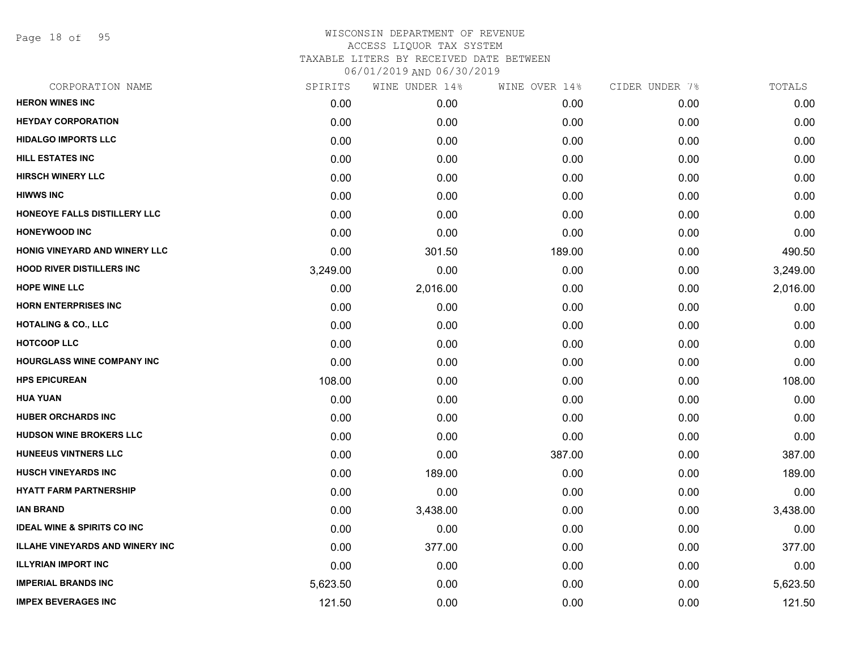Page 18 of 95

| CORPORATION NAME                       | SPIRITS  | WINE UNDER 14% | WINE OVER 14% | CIDER UNDER 7% | TOTALS   |
|----------------------------------------|----------|----------------|---------------|----------------|----------|
| <b>HERON WINES INC</b>                 | 0.00     | 0.00           | 0.00          | 0.00           | 0.00     |
| <b>HEYDAY CORPORATION</b>              | 0.00     | 0.00           | 0.00          | 0.00           | 0.00     |
| <b>HIDALGO IMPORTS LLC</b>             | 0.00     | 0.00           | 0.00          | 0.00           | 0.00     |
| <b>HILL ESTATES INC</b>                | 0.00     | 0.00           | 0.00          | 0.00           | 0.00     |
| <b>HIRSCH WINERY LLC</b>               | 0.00     | 0.00           | 0.00          | 0.00           | 0.00     |
| <b>HIWWS INC</b>                       | 0.00     | 0.00           | 0.00          | 0.00           | 0.00     |
| HONEOYE FALLS DISTILLERY LLC           | 0.00     | 0.00           | 0.00          | 0.00           | 0.00     |
| <b>HONEYWOOD INC</b>                   | 0.00     | 0.00           | 0.00          | 0.00           | 0.00     |
| <b>HONIG VINEYARD AND WINERY LLC</b>   | 0.00     | 301.50         | 189.00        | 0.00           | 490.50   |
| <b>HOOD RIVER DISTILLERS INC</b>       | 3,249.00 | 0.00           | 0.00          | 0.00           | 3,249.00 |
| <b>HOPE WINE LLC</b>                   | 0.00     | 2,016.00       | 0.00          | 0.00           | 2,016.00 |
| <b>HORN ENTERPRISES INC</b>            | 0.00     | 0.00           | 0.00          | 0.00           | 0.00     |
| <b>HOTALING &amp; CO., LLC</b>         | 0.00     | 0.00           | 0.00          | 0.00           | 0.00     |
| <b>HOTCOOP LLC</b>                     | 0.00     | 0.00           | 0.00          | 0.00           | 0.00     |
| <b>HOURGLASS WINE COMPANY INC</b>      | 0.00     | 0.00           | 0.00          | 0.00           | 0.00     |
| <b>HPS EPICUREAN</b>                   | 108.00   | 0.00           | 0.00          | 0.00           | 108.00   |
| <b>HUA YUAN</b>                        | 0.00     | 0.00           | 0.00          | 0.00           | 0.00     |
| <b>HUBER ORCHARDS INC</b>              | 0.00     | 0.00           | 0.00          | 0.00           | 0.00     |
| <b>HUDSON WINE BROKERS LLC</b>         | 0.00     | 0.00           | 0.00          | 0.00           | 0.00     |
| <b>HUNEEUS VINTNERS LLC</b>            | 0.00     | 0.00           | 387.00        | 0.00           | 387.00   |
| <b>HUSCH VINEYARDS INC</b>             | 0.00     | 189.00         | 0.00          | 0.00           | 189.00   |
| <b>HYATT FARM PARTNERSHIP</b>          | 0.00     | 0.00           | 0.00          | 0.00           | 0.00     |
| <b>IAN BRAND</b>                       | 0.00     | 3,438.00       | 0.00          | 0.00           | 3,438.00 |
| <b>IDEAL WINE &amp; SPIRITS CO INC</b> | 0.00     | 0.00           | 0.00          | 0.00           | 0.00     |
| <b>ILLAHE VINEYARDS AND WINERY INC</b> | 0.00     | 377.00         | 0.00          | 0.00           | 377.00   |
| <b>ILLYRIAN IMPORT INC</b>             | 0.00     | 0.00           | 0.00          | 0.00           | 0.00     |
| <b>IMPERIAL BRANDS INC</b>             | 5,623.50 | 0.00           | 0.00          | 0.00           | 5,623.50 |
| <b>IMPEX BEVERAGES INC</b>             | 121.50   | 0.00           | 0.00          | 0.00           | 121.50   |
|                                        |          |                |               |                |          |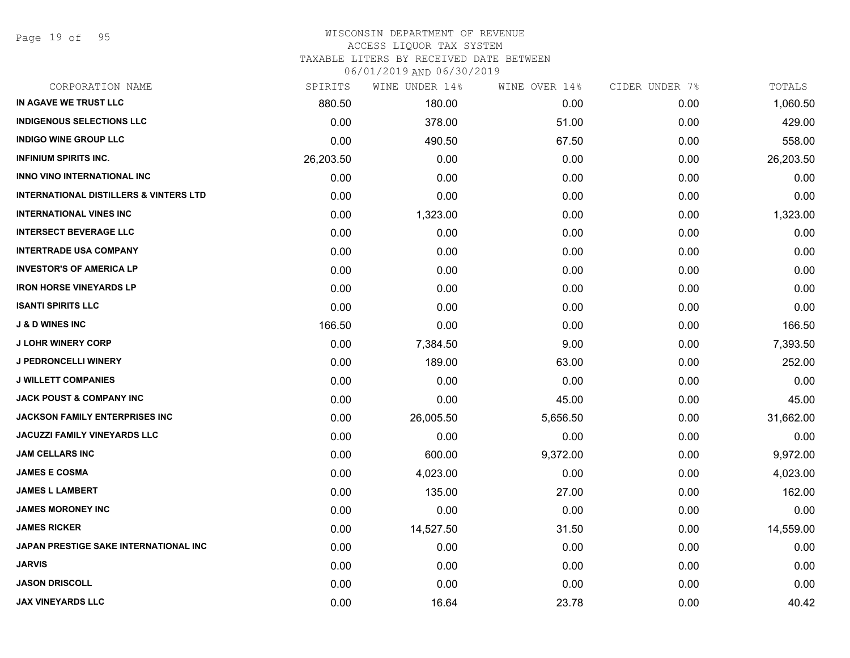Page 19 of 95

#### WISCONSIN DEPARTMENT OF REVENUE ACCESS LIQUOR TAX SYSTEM

TAXABLE LITERS BY RECEIVED DATE BETWEEN

| CORPORATION NAME                                  | SPIRITS   | WINE UNDER 14% | WINE OVER 14% | CIDER UNDER 7% | TOTALS    |
|---------------------------------------------------|-----------|----------------|---------------|----------------|-----------|
| IN AGAVE WE TRUST LLC                             | 880.50    | 180.00         | 0.00          | 0.00           | 1,060.50  |
| <b>INDIGENOUS SELECTIONS LLC</b>                  | 0.00      | 378.00         | 51.00         | 0.00           | 429.00    |
| <b>INDIGO WINE GROUP LLC</b>                      | 0.00      | 490.50         | 67.50         | 0.00           | 558.00    |
| <b>INFINIUM SPIRITS INC.</b>                      | 26,203.50 | 0.00           | 0.00          | 0.00           | 26,203.50 |
| <b>INNO VINO INTERNATIONAL INC</b>                | 0.00      | 0.00           | 0.00          | 0.00           | 0.00      |
| <b>INTERNATIONAL DISTILLERS &amp; VINTERS LTD</b> | 0.00      | 0.00           | 0.00          | 0.00           | 0.00      |
| <b>INTERNATIONAL VINES INC</b>                    | 0.00      | 1,323.00       | 0.00          | 0.00           | 1,323.00  |
| <b>INTERSECT BEVERAGE LLC</b>                     | 0.00      | 0.00           | 0.00          | 0.00           | 0.00      |
| <b>INTERTRADE USA COMPANY</b>                     | 0.00      | 0.00           | 0.00          | 0.00           | 0.00      |
| <b>INVESTOR'S OF AMERICA LP</b>                   | 0.00      | 0.00           | 0.00          | 0.00           | 0.00      |
| <b>IRON HORSE VINEYARDS LP</b>                    | 0.00      | 0.00           | 0.00          | 0.00           | 0.00      |
| <b>ISANTI SPIRITS LLC</b>                         | 0.00      | 0.00           | 0.00          | 0.00           | 0.00      |
| <b>J &amp; D WINES INC</b>                        | 166.50    | 0.00           | 0.00          | 0.00           | 166.50    |
| <b>J LOHR WINERY CORP</b>                         | 0.00      | 7,384.50       | 9.00          | 0.00           | 7,393.50  |
| J PEDRONCELLI WINERY                              | 0.00      | 189.00         | 63.00         | 0.00           | 252.00    |
| <b>J WILLETT COMPANIES</b>                        | 0.00      | 0.00           | 0.00          | 0.00           | 0.00      |
| <b>JACK POUST &amp; COMPANY INC</b>               | 0.00      | 0.00           | 45.00         | 0.00           | 45.00     |
| <b>JACKSON FAMILY ENTERPRISES INC</b>             | 0.00      | 26,005.50      | 5,656.50      | 0.00           | 31,662.00 |
| <b>JACUZZI FAMILY VINEYARDS LLC</b>               | 0.00      | 0.00           | 0.00          | 0.00           | 0.00      |
| <b>JAM CELLARS INC</b>                            | 0.00      | 600.00         | 9,372.00      | 0.00           | 9,972.00  |
| <b>JAMES E COSMA</b>                              | 0.00      | 4,023.00       | 0.00          | 0.00           | 4,023.00  |
| <b>JAMES L LAMBERT</b>                            | 0.00      | 135.00         | 27.00         | 0.00           | 162.00    |
| <b>JAMES MORONEY INC</b>                          | 0.00      | 0.00           | 0.00          | 0.00           | 0.00      |
| <b>JAMES RICKER</b>                               | 0.00      | 14,527.50      | 31.50         | 0.00           | 14,559.00 |
| JAPAN PRESTIGE SAKE INTERNATIONAL INC             | 0.00      | 0.00           | 0.00          | 0.00           | 0.00      |
| <b>JARVIS</b>                                     | 0.00      | 0.00           | 0.00          | 0.00           | 0.00      |
| <b>JASON DRISCOLL</b>                             | 0.00      | 0.00           | 0.00          | 0.00           | 0.00      |
| <b>JAX VINEYARDS LLC</b>                          | 0.00      | 16.64          | 23.78         | 0.00           | 40.42     |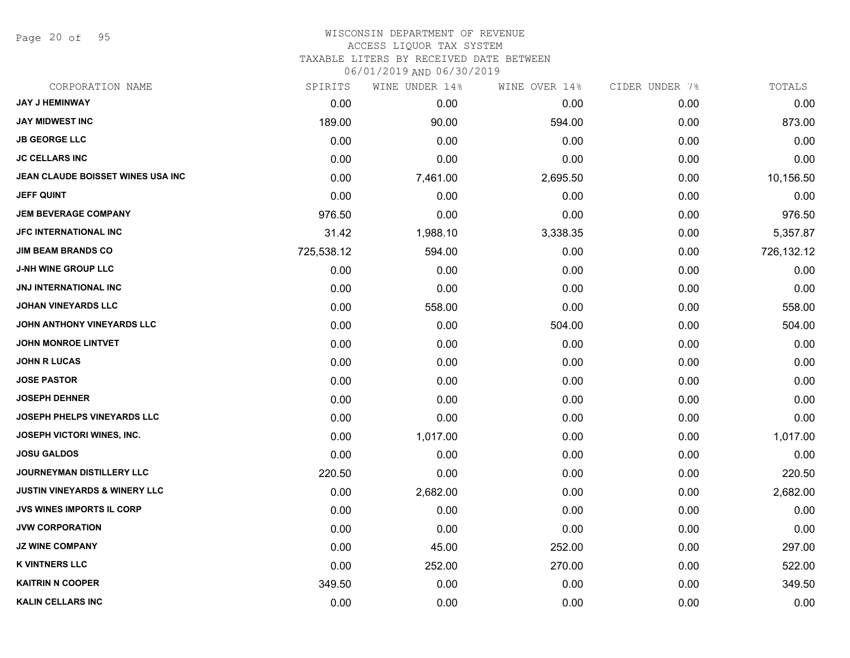Page 20 of 95

#### WISCONSIN DEPARTMENT OF REVENUE ACCESS LIQUOR TAX SYSTEM

TAXABLE LITERS BY RECEIVED DATE BETWEEN

| CORPORATION NAME                         | SPIRITS    | WINE UNDER 14% | WINE OVER 14% | CIDER UNDER 7% | TOTALS     |
|------------------------------------------|------------|----------------|---------------|----------------|------------|
| <b>JAY J HEMINWAY</b>                    | 0.00       | 0.00           | 0.00          | 0.00           | 0.00       |
| <b>JAY MIDWEST INC</b>                   | 189.00     | 90.00          | 594.00        | 0.00           | 873.00     |
| <b>JB GEORGE LLC</b>                     | 0.00       | 0.00           | 0.00          | 0.00           | 0.00       |
| <b>JC CELLARS INC</b>                    | 0.00       | 0.00           | 0.00          | 0.00           | 0.00       |
| JEAN CLAUDE BOISSET WINES USA INC        | 0.00       | 7,461.00       | 2,695.50      | 0.00           | 10,156.50  |
| <b>JEFF QUINT</b>                        | 0.00       | 0.00           | 0.00          | 0.00           | 0.00       |
| <b>JEM BEVERAGE COMPANY</b>              | 976.50     | 0.00           | 0.00          | 0.00           | 976.50     |
| <b>JFC INTERNATIONAL INC</b>             | 31.42      | 1,988.10       | 3,338.35      | 0.00           | 5,357.87   |
| <b>JIM BEAM BRANDS CO</b>                | 725,538.12 | 594.00         | 0.00          | 0.00           | 726,132.12 |
| <b>J-NH WINE GROUP LLC</b>               | 0.00       | 0.00           | 0.00          | 0.00           | 0.00       |
| JNJ INTERNATIONAL INC                    | 0.00       | 0.00           | 0.00          | 0.00           | 0.00       |
| <b>JOHAN VINEYARDS LLC</b>               | 0.00       | 558.00         | 0.00          | 0.00           | 558.00     |
| JOHN ANTHONY VINEYARDS LLC               | 0.00       | 0.00           | 504.00        | 0.00           | 504.00     |
| <b>JOHN MONROE LINTVET</b>               | 0.00       | 0.00           | 0.00          | 0.00           | 0.00       |
| <b>JOHN R LUCAS</b>                      | 0.00       | 0.00           | 0.00          | 0.00           | 0.00       |
| <b>JOSE PASTOR</b>                       | 0.00       | 0.00           | 0.00          | 0.00           | 0.00       |
| <b>JOSEPH DEHNER</b>                     | 0.00       | 0.00           | 0.00          | 0.00           | 0.00       |
| JOSEPH PHELPS VINEYARDS LLC              | 0.00       | 0.00           | 0.00          | 0.00           | 0.00       |
| JOSEPH VICTORI WINES, INC.               | 0.00       | 1,017.00       | 0.00          | 0.00           | 1,017.00   |
| <b>JOSU GALDOS</b>                       | 0.00       | 0.00           | 0.00          | 0.00           | 0.00       |
| <b>JOURNEYMAN DISTILLERY LLC</b>         | 220.50     | 0.00           | 0.00          | 0.00           | 220.50     |
| <b>JUSTIN VINEYARDS &amp; WINERY LLC</b> | 0.00       | 2,682.00       | 0.00          | 0.00           | 2,682.00   |
| <b>JVS WINES IMPORTS IL CORP</b>         | 0.00       | 0.00           | 0.00          | 0.00           | 0.00       |
| <b>JVW CORPORATION</b>                   | 0.00       | 0.00           | 0.00          | 0.00           | 0.00       |
| <b>JZ WINE COMPANY</b>                   | 0.00       | 45.00          | 252.00        | 0.00           | 297.00     |
| <b>K VINTNERS LLC</b>                    | 0.00       | 252.00         | 270.00        | 0.00           | 522.00     |
| <b>KAITRIN N COOPER</b>                  | 349.50     | 0.00           | 0.00          | 0.00           | 349.50     |
| <b>KALIN CELLARS INC</b>                 | 0.00       | 0.00           | 0.00          | 0.00           | 0.00       |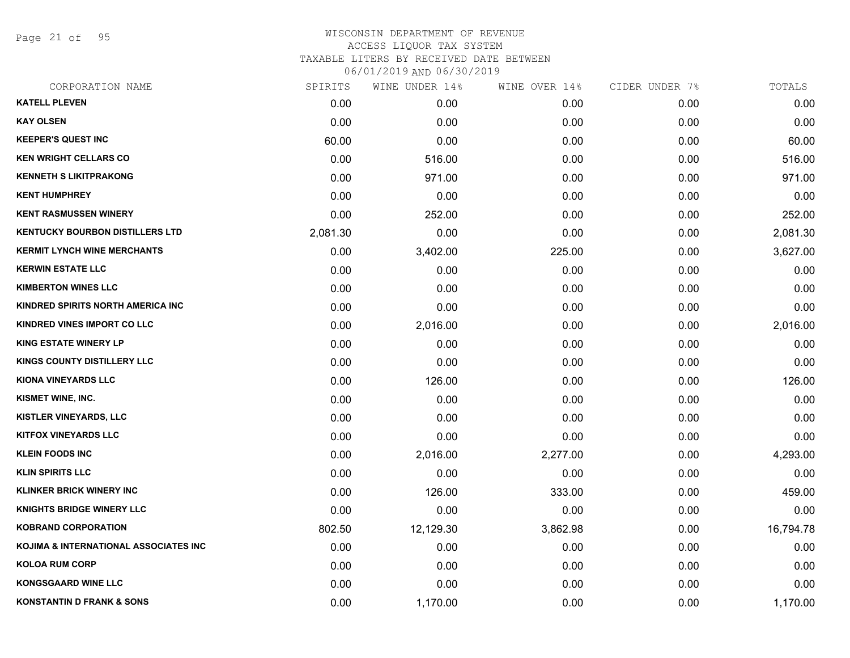Page 21 of 95

| CORPORATION NAME                       | SPIRITS  | WINE UNDER 14% | WINE OVER 14% | CIDER UNDER 7% | TOTALS    |
|----------------------------------------|----------|----------------|---------------|----------------|-----------|
| <b>KATELL PLEVEN</b>                   | 0.00     | 0.00           | 0.00          | 0.00           | 0.00      |
| <b>KAY OLSEN</b>                       | 0.00     | 0.00           | 0.00          | 0.00           | 0.00      |
| <b>KEEPER'S QUEST INC</b>              | 60.00    | 0.00           | 0.00          | 0.00           | 60.00     |
| <b>KEN WRIGHT CELLARS CO</b>           | 0.00     | 516.00         | 0.00          | 0.00           | 516.00    |
| <b>KENNETH S LIKITPRAKONG</b>          | 0.00     | 971.00         | 0.00          | 0.00           | 971.00    |
| <b>KENT HUMPHREY</b>                   | 0.00     | 0.00           | 0.00          | 0.00           | 0.00      |
| <b>KENT RASMUSSEN WINERY</b>           | 0.00     | 252.00         | 0.00          | 0.00           | 252.00    |
| <b>KENTUCKY BOURBON DISTILLERS LTD</b> | 2,081.30 | 0.00           | 0.00          | 0.00           | 2,081.30  |
| <b>KERMIT LYNCH WINE MERCHANTS</b>     | 0.00     | 3,402.00       | 225.00        | 0.00           | 3,627.00  |
| <b>KERWIN ESTATE LLC</b>               | 0.00     | 0.00           | 0.00          | 0.00           | 0.00      |
| <b>KIMBERTON WINES LLC</b>             | 0.00     | 0.00           | 0.00          | 0.00           | 0.00      |
| KINDRED SPIRITS NORTH AMERICA INC      | 0.00     | 0.00           | 0.00          | 0.00           | 0.00      |
| KINDRED VINES IMPORT CO LLC            | 0.00     | 2,016.00       | 0.00          | 0.00           | 2,016.00  |
| <b>KING ESTATE WINERY LP</b>           | 0.00     | 0.00           | 0.00          | 0.00           | 0.00      |
| <b>KINGS COUNTY DISTILLERY LLC</b>     | 0.00     | 0.00           | 0.00          | 0.00           | 0.00      |
| <b>KIONA VINEYARDS LLC</b>             | 0.00     | 126.00         | 0.00          | 0.00           | 126.00    |
| KISMET WINE, INC.                      | 0.00     | 0.00           | 0.00          | 0.00           | 0.00      |
| <b>KISTLER VINEYARDS, LLC</b>          | 0.00     | 0.00           | 0.00          | 0.00           | 0.00      |
| <b>KITFOX VINEYARDS LLC</b>            | 0.00     | 0.00           | 0.00          | 0.00           | 0.00      |
| <b>KLEIN FOODS INC</b>                 | 0.00     | 2,016.00       | 2,277.00      | 0.00           | 4,293.00  |
| <b>KLIN SPIRITS LLC</b>                | 0.00     | 0.00           | 0.00          | 0.00           | 0.00      |
| <b>KLINKER BRICK WINERY INC</b>        | 0.00     | 126.00         | 333.00        | 0.00           | 459.00    |
| <b>KNIGHTS BRIDGE WINERY LLC</b>       | 0.00     | 0.00           | 0.00          | 0.00           | 0.00      |
| <b>KOBRAND CORPORATION</b>             | 802.50   | 12,129.30      | 3,862.98      | 0.00           | 16,794.78 |
| KOJIMA & INTERNATIONAL ASSOCIATES INC  | 0.00     | 0.00           | 0.00          | 0.00           | 0.00      |
| <b>KOLOA RUM CORP</b>                  | 0.00     | 0.00           | 0.00          | 0.00           | 0.00      |
| <b>KONGSGAARD WINE LLC</b>             | 0.00     | 0.00           | 0.00          | 0.00           | 0.00      |
| <b>KONSTANTIN D FRANK &amp; SONS</b>   | 0.00     | 1,170.00       | 0.00          | 0.00           | 1,170.00  |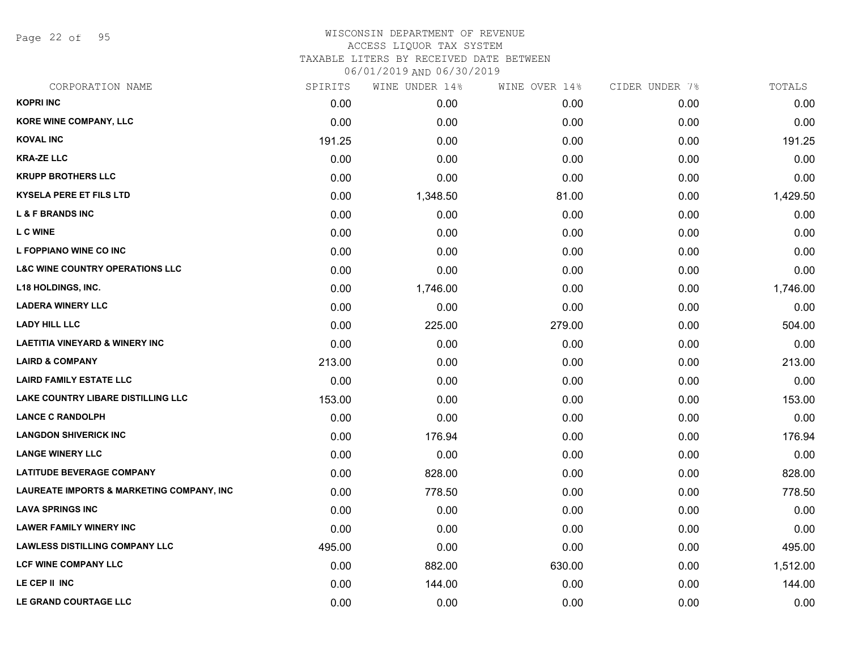Page 22 of 95

## WISCONSIN DEPARTMENT OF REVENUE ACCESS LIQUOR TAX SYSTEM TAXABLE LITERS BY RECEIVED DATE BETWEEN

| CORPORATION NAME                                     | SPIRITS | WINE UNDER 14% | WINE OVER 14% | CIDER UNDER 7% | TOTALS   |
|------------------------------------------------------|---------|----------------|---------------|----------------|----------|
| <b>KOPRI INC</b>                                     | 0.00    | 0.00           | 0.00          | 0.00           | 0.00     |
| KORE WINE COMPANY, LLC                               | 0.00    | 0.00           | 0.00          | 0.00           | 0.00     |
| <b>KOVAL INC</b>                                     | 191.25  | 0.00           | 0.00          | 0.00           | 191.25   |
| <b>KRA-ZE LLC</b>                                    | 0.00    | 0.00           | 0.00          | 0.00           | 0.00     |
| <b>KRUPP BROTHERS LLC</b>                            | 0.00    | 0.00           | 0.00          | 0.00           | 0.00     |
| <b>KYSELA PERE ET FILS LTD</b>                       | 0.00    | 1,348.50       | 81.00         | 0.00           | 1,429.50 |
| <b>L &amp; F BRANDS INC</b>                          | 0.00    | 0.00           | 0.00          | 0.00           | 0.00     |
| <b>L C WINE</b>                                      | 0.00    | 0.00           | 0.00          | 0.00           | 0.00     |
| L FOPPIANO WINE CO INC                               | 0.00    | 0.00           | 0.00          | 0.00           | 0.00     |
| <b>L&amp;C WINE COUNTRY OPERATIONS LLC</b>           | 0.00    | 0.00           | 0.00          | 0.00           | 0.00     |
| <b>L18 HOLDINGS, INC.</b>                            | 0.00    | 1,746.00       | 0.00          | 0.00           | 1,746.00 |
| <b>LADERA WINERY LLC</b>                             | 0.00    | 0.00           | 0.00          | 0.00           | 0.00     |
| <b>LADY HILL LLC</b>                                 | 0.00    | 225.00         | 279.00        | 0.00           | 504.00   |
| <b>LAETITIA VINEYARD &amp; WINERY INC</b>            | 0.00    | 0.00           | 0.00          | 0.00           | 0.00     |
| <b>LAIRD &amp; COMPANY</b>                           | 213.00  | 0.00           | 0.00          | 0.00           | 213.00   |
| <b>LAIRD FAMILY ESTATE LLC</b>                       | 0.00    | 0.00           | 0.00          | 0.00           | 0.00     |
| <b>LAKE COUNTRY LIBARE DISTILLING LLC</b>            | 153.00  | 0.00           | 0.00          | 0.00           | 153.00   |
| <b>LANCE C RANDOLPH</b>                              | 0.00    | 0.00           | 0.00          | 0.00           | 0.00     |
| <b>LANGDON SHIVERICK INC</b>                         | 0.00    | 176.94         | 0.00          | 0.00           | 176.94   |
| <b>LANGE WINERY LLC</b>                              | 0.00    | 0.00           | 0.00          | 0.00           | 0.00     |
| <b>LATITUDE BEVERAGE COMPANY</b>                     | 0.00    | 828.00         | 0.00          | 0.00           | 828.00   |
| <b>LAUREATE IMPORTS &amp; MARKETING COMPANY, INC</b> | 0.00    | 778.50         | 0.00          | 0.00           | 778.50   |
| <b>LAVA SPRINGS INC</b>                              | 0.00    | 0.00           | 0.00          | 0.00           | 0.00     |
| <b>LAWER FAMILY WINERY INC</b>                       | 0.00    | 0.00           | 0.00          | 0.00           | 0.00     |
| <b>LAWLESS DISTILLING COMPANY LLC</b>                | 495.00  | 0.00           | 0.00          | 0.00           | 495.00   |
| <b>LCF WINE COMPANY LLC</b>                          | 0.00    | 882.00         | 630.00        | 0.00           | 1,512.00 |
| LE CEP II INC                                        | 0.00    | 144.00         | 0.00          | 0.00           | 144.00   |
| LE GRAND COURTAGE LLC                                | 0.00    | 0.00           | 0.00          | 0.00           | 0.00     |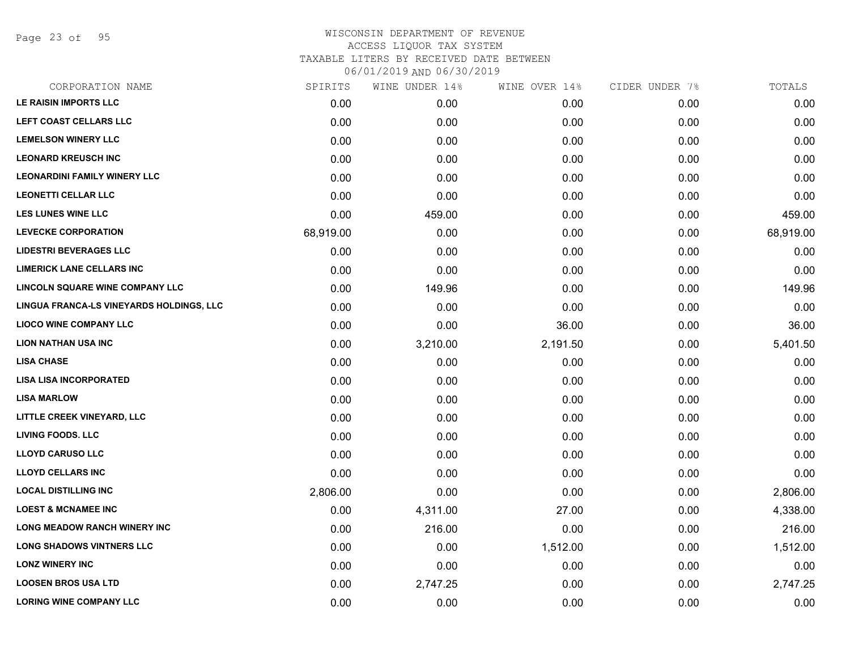Page 23 of 95

| CORPORATION NAME                         | SPIRITS   | WINE UNDER 14% | WINE OVER 14% | CIDER UNDER 7% | TOTALS    |
|------------------------------------------|-----------|----------------|---------------|----------------|-----------|
| LE RAISIN IMPORTS LLC                    | 0.00      | 0.00           | 0.00          | 0.00           | 0.00      |
| LEFT COAST CELLARS LLC                   | 0.00      | 0.00           | 0.00          | 0.00           | 0.00      |
| <b>LEMELSON WINERY LLC</b>               | 0.00      | 0.00           | 0.00          | 0.00           | 0.00      |
| <b>LEONARD KREUSCH INC</b>               | 0.00      | 0.00           | 0.00          | 0.00           | 0.00      |
| <b>LEONARDINI FAMILY WINERY LLC</b>      | 0.00      | 0.00           | 0.00          | 0.00           | 0.00      |
| <b>LEONETTI CELLAR LLC</b>               | 0.00      | 0.00           | 0.00          | 0.00           | 0.00      |
| <b>LES LUNES WINE LLC</b>                | 0.00      | 459.00         | 0.00          | 0.00           | 459.00    |
| <b>LEVECKE CORPORATION</b>               | 68,919.00 | 0.00           | 0.00          | 0.00           | 68,919.00 |
| <b>LIDESTRI BEVERAGES LLC</b>            | 0.00      | 0.00           | 0.00          | 0.00           | 0.00      |
| <b>LIMERICK LANE CELLARS INC</b>         | 0.00      | 0.00           | 0.00          | 0.00           | 0.00      |
| LINCOLN SQUARE WINE COMPANY LLC          | 0.00      | 149.96         | 0.00          | 0.00           | 149.96    |
| LINGUA FRANCA-LS VINEYARDS HOLDINGS, LLC | 0.00      | 0.00           | 0.00          | 0.00           | 0.00      |
| <b>LIOCO WINE COMPANY LLC</b>            | 0.00      | 0.00           | 36.00         | 0.00           | 36.00     |
| <b>LION NATHAN USA INC</b>               | 0.00      | 3,210.00       | 2,191.50      | 0.00           | 5,401.50  |
| <b>LISA CHASE</b>                        | 0.00      | 0.00           | 0.00          | 0.00           | 0.00      |
| <b>LISA LISA INCORPORATED</b>            | 0.00      | 0.00           | 0.00          | 0.00           | 0.00      |
| <b>LISA MARLOW</b>                       | 0.00      | 0.00           | 0.00          | 0.00           | 0.00      |
| LITTLE CREEK VINEYARD, LLC               | 0.00      | 0.00           | 0.00          | 0.00           | 0.00      |
| <b>LIVING FOODS. LLC</b>                 | 0.00      | 0.00           | 0.00          | 0.00           | 0.00      |
| <b>LLOYD CARUSO LLC</b>                  | 0.00      | 0.00           | 0.00          | 0.00           | 0.00      |
| <b>LLOYD CELLARS INC</b>                 | 0.00      | 0.00           | 0.00          | 0.00           | 0.00      |
| <b>LOCAL DISTILLING INC</b>              | 2,806.00  | 0.00           | 0.00          | 0.00           | 2,806.00  |
| <b>LOEST &amp; MCNAMEE INC</b>           | 0.00      | 4,311.00       | 27.00         | 0.00           | 4,338.00  |
| <b>LONG MEADOW RANCH WINERY INC</b>      | 0.00      | 216.00         | 0.00          | 0.00           | 216.00    |
| <b>LONG SHADOWS VINTNERS LLC</b>         | 0.00      | 0.00           | 1,512.00      | 0.00           | 1,512.00  |
| <b>LONZ WINERY INC</b>                   | 0.00      | 0.00           | 0.00          | 0.00           | 0.00      |
| <b>LOOSEN BROS USA LTD</b>               | 0.00      | 2,747.25       | 0.00          | 0.00           | 2,747.25  |
| <b>LORING WINE COMPANY LLC</b>           | 0.00      | 0.00           | 0.00          | 0.00           | 0.00      |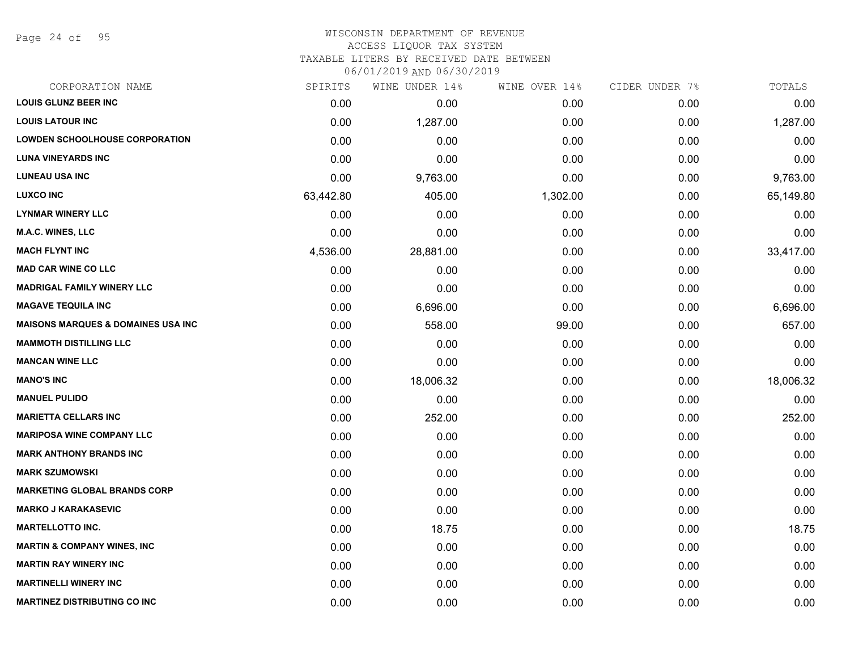Page 24 of 95

## WISCONSIN DEPARTMENT OF REVENUE ACCESS LIQUOR TAX SYSTEM

TAXABLE LITERS BY RECEIVED DATE BETWEEN

| CORPORATION NAME                               | SPIRITS   | WINE UNDER 14% | WINE OVER 14% | CIDER UNDER 7% | TOTALS    |
|------------------------------------------------|-----------|----------------|---------------|----------------|-----------|
| <b>LOUIS GLUNZ BEER INC</b>                    | 0.00      | 0.00           | 0.00          | 0.00           | 0.00      |
| <b>LOUIS LATOUR INC</b>                        | 0.00      | 1,287.00       | 0.00          | 0.00           | 1,287.00  |
| <b>LOWDEN SCHOOLHOUSE CORPORATION</b>          | 0.00      | 0.00           | 0.00          | 0.00           | 0.00      |
| <b>LUNA VINEYARDS INC</b>                      | 0.00      | 0.00           | 0.00          | 0.00           | 0.00      |
| <b>LUNEAU USA INC</b>                          | 0.00      | 9,763.00       | 0.00          | 0.00           | 9,763.00  |
| <b>LUXCO INC</b>                               | 63,442.80 | 405.00         | 1,302.00      | 0.00           | 65,149.80 |
| <b>LYNMAR WINERY LLC</b>                       | 0.00      | 0.00           | 0.00          | 0.00           | 0.00      |
| <b>M.A.C. WINES, LLC</b>                       | 0.00      | 0.00           | 0.00          | 0.00           | 0.00      |
| <b>MACH FLYNT INC</b>                          | 4,536.00  | 28,881.00      | 0.00          | 0.00           | 33,417.00 |
| <b>MAD CAR WINE CO LLC</b>                     | 0.00      | 0.00           | 0.00          | 0.00           | 0.00      |
| <b>MADRIGAL FAMILY WINERY LLC</b>              | 0.00      | 0.00           | 0.00          | 0.00           | 0.00      |
| <b>MAGAVE TEQUILA INC</b>                      | 0.00      | 6,696.00       | 0.00          | 0.00           | 6,696.00  |
| <b>MAISONS MARQUES &amp; DOMAINES USA INC.</b> | 0.00      | 558.00         | 99.00         | 0.00           | 657.00    |
| <b>MAMMOTH DISTILLING LLC</b>                  | 0.00      | 0.00           | 0.00          | 0.00           | 0.00      |
| <b>MANCAN WINE LLC</b>                         | 0.00      | 0.00           | 0.00          | 0.00           | 0.00      |
| <b>MANO'S INC</b>                              | 0.00      | 18,006.32      | 0.00          | 0.00           | 18,006.32 |
| <b>MANUEL PULIDO</b>                           | 0.00      | 0.00           | 0.00          | 0.00           | 0.00      |
| <b>MARIETTA CELLARS INC</b>                    | 0.00      | 252.00         | 0.00          | 0.00           | 252.00    |
| <b>MARIPOSA WINE COMPANY LLC</b>               | 0.00      | 0.00           | 0.00          | 0.00           | 0.00      |
| <b>MARK ANTHONY BRANDS INC</b>                 | 0.00      | 0.00           | 0.00          | 0.00           | 0.00      |
| <b>MARK SZUMOWSKI</b>                          | 0.00      | 0.00           | 0.00          | 0.00           | 0.00      |
| <b>MARKETING GLOBAL BRANDS CORP</b>            | 0.00      | 0.00           | 0.00          | 0.00           | 0.00      |
| <b>MARKO J KARAKASEVIC</b>                     | 0.00      | 0.00           | 0.00          | 0.00           | 0.00      |
| <b>MARTELLOTTO INC.</b>                        | 0.00      | 18.75          | 0.00          | 0.00           | 18.75     |
| <b>MARTIN &amp; COMPANY WINES, INC</b>         | 0.00      | 0.00           | 0.00          | 0.00           | 0.00      |
| <b>MARTIN RAY WINERY INC</b>                   | 0.00      | 0.00           | 0.00          | 0.00           | 0.00      |
| <b>MARTINELLI WINERY INC</b>                   | 0.00      | 0.00           | 0.00          | 0.00           | 0.00      |
| <b>MARTINEZ DISTRIBUTING CO INC</b>            | 0.00      | 0.00           | 0.00          | 0.00           | 0.00      |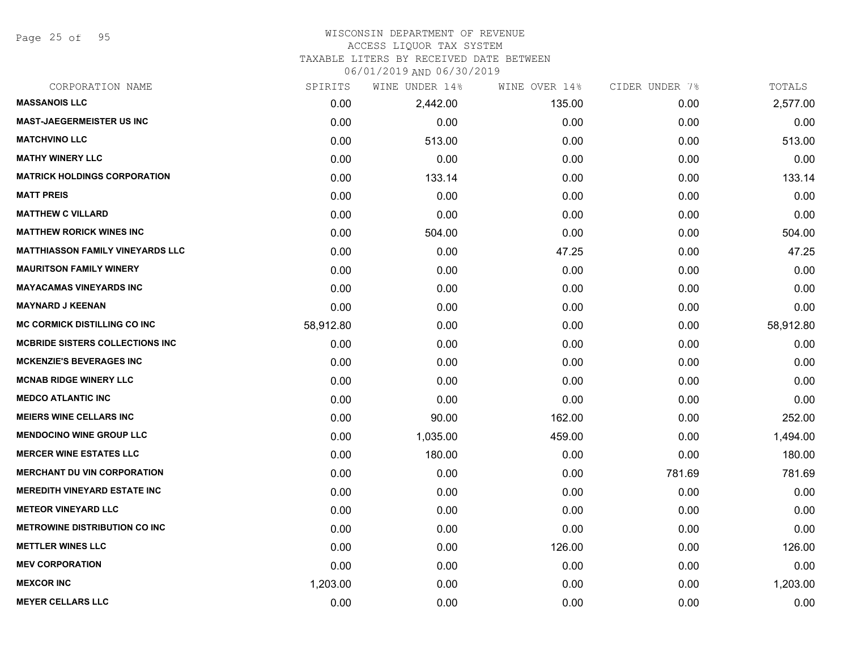Page 25 of 95

#### WISCONSIN DEPARTMENT OF REVENUE ACCESS LIQUOR TAX SYSTEM

# TAXABLE LITERS BY RECEIVED DATE BETWEEN

| CORPORATION NAME                        | SPIRITS   | WINE UNDER 14% | WINE OVER 14% | CIDER UNDER 7% | TOTALS    |
|-----------------------------------------|-----------|----------------|---------------|----------------|-----------|
| <b>MASSANOIS LLC</b>                    | 0.00      | 2,442.00       | 135.00        | 0.00           | 2,577.00  |
| <b>MAST-JAEGERMEISTER US INC</b>        | 0.00      | 0.00           | 0.00          | 0.00           | 0.00      |
| <b>MATCHVINO LLC</b>                    | 0.00      | 513.00         | 0.00          | 0.00           | 513.00    |
| <b>MATHY WINERY LLC</b>                 | 0.00      | 0.00           | 0.00          | 0.00           | 0.00      |
| <b>MATRICK HOLDINGS CORPORATION</b>     | 0.00      | 133.14         | 0.00          | 0.00           | 133.14    |
| <b>MATT PREIS</b>                       | 0.00      | 0.00           | 0.00          | 0.00           | 0.00      |
| <b>MATTHEW C VILLARD</b>                | 0.00      | 0.00           | 0.00          | 0.00           | 0.00      |
| <b>MATTHEW RORICK WINES INC</b>         | 0.00      | 504.00         | 0.00          | 0.00           | 504.00    |
| <b>MATTHIASSON FAMILY VINEYARDS LLC</b> | 0.00      | 0.00           | 47.25         | 0.00           | 47.25     |
| <b>MAURITSON FAMILY WINERY</b>          | 0.00      | 0.00           | 0.00          | 0.00           | 0.00      |
| <b>MAYACAMAS VINEYARDS INC</b>          | 0.00      | 0.00           | 0.00          | 0.00           | 0.00      |
| <b>MAYNARD J KEENAN</b>                 | 0.00      | 0.00           | 0.00          | 0.00           | 0.00      |
| <b>MC CORMICK DISTILLING CO INC</b>     | 58,912.80 | 0.00           | 0.00          | 0.00           | 58,912.80 |
| <b>MCBRIDE SISTERS COLLECTIONS INC</b>  | 0.00      | 0.00           | 0.00          | 0.00           | 0.00      |
| <b>MCKENZIE'S BEVERAGES INC</b>         | 0.00      | 0.00           | 0.00          | 0.00           | 0.00      |
| <b>MCNAB RIDGE WINERY LLC</b>           | 0.00      | 0.00           | 0.00          | 0.00           | 0.00      |
| <b>MEDCO ATLANTIC INC</b>               | 0.00      | 0.00           | 0.00          | 0.00           | 0.00      |
| <b>MEIERS WINE CELLARS INC</b>          | 0.00      | 90.00          | 162.00        | 0.00           | 252.00    |
| <b>MENDOCINO WINE GROUP LLC</b>         | 0.00      | 1,035.00       | 459.00        | 0.00           | 1,494.00  |
| <b>MERCER WINE ESTATES LLC</b>          | 0.00      | 180.00         | 0.00          | 0.00           | 180.00    |
| <b>MERCHANT DU VIN CORPORATION</b>      | 0.00      | 0.00           | 0.00          | 781.69         | 781.69    |
| <b>MEREDITH VINEYARD ESTATE INC</b>     | 0.00      | 0.00           | 0.00          | 0.00           | 0.00      |
| <b>METEOR VINEYARD LLC</b>              | 0.00      | 0.00           | 0.00          | 0.00           | 0.00      |
| <b>METROWINE DISTRIBUTION CO INC</b>    | 0.00      | 0.00           | 0.00          | 0.00           | 0.00      |
| <b>METTLER WINES LLC</b>                | 0.00      | 0.00           | 126.00        | 0.00           | 126.00    |
| <b>MEV CORPORATION</b>                  | 0.00      | 0.00           | 0.00          | 0.00           | 0.00      |
| <b>MEXCOR INC</b>                       | 1,203.00  | 0.00           | 0.00          | 0.00           | 1,203.00  |
| <b>MEYER CELLARS LLC</b>                | 0.00      | 0.00           | 0.00          | 0.00           | 0.00      |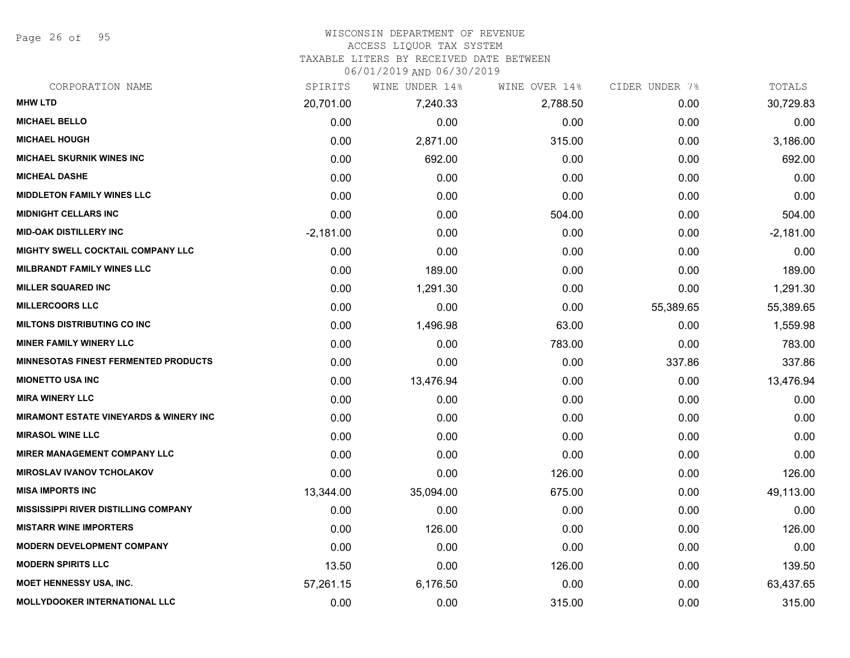Page 26 of 95

#### WISCONSIN DEPARTMENT OF REVENUE ACCESS LIQUOR TAX SYSTEM

TAXABLE LITERS BY RECEIVED DATE BETWEEN

| CORPORATION NAME                                  | SPIRITS     | WINE UNDER 14% | WINE OVER 14% | CIDER UNDER 7% | TOTALS      |
|---------------------------------------------------|-------------|----------------|---------------|----------------|-------------|
| <b>MHW LTD</b>                                    | 20,701.00   | 7,240.33       | 2,788.50      | 0.00           | 30,729.83   |
| <b>MICHAEL BELLO</b>                              | 0.00        | 0.00           | 0.00          | 0.00           | 0.00        |
| <b>MICHAEL HOUGH</b>                              | 0.00        | 2,871.00       | 315.00        | 0.00           | 3,186.00    |
| <b>MICHAEL SKURNIK WINES INC</b>                  | 0.00        | 692.00         | 0.00          | 0.00           | 692.00      |
| <b>MICHEAL DASHE</b>                              | 0.00        | 0.00           | 0.00          | 0.00           | 0.00        |
| <b>MIDDLETON FAMILY WINES LLC</b>                 | 0.00        | 0.00           | 0.00          | 0.00           | 0.00        |
| <b>MIDNIGHT CELLARS INC</b>                       | 0.00        | 0.00           | 504.00        | 0.00           | 504.00      |
| <b>MID-OAK DISTILLERY INC</b>                     | $-2,181.00$ | 0.00           | 0.00          | 0.00           | $-2,181.00$ |
| MIGHTY SWELL COCKTAIL COMPANY LLC                 | 0.00        | 0.00           | 0.00          | 0.00           | 0.00        |
| <b>MILBRANDT FAMILY WINES LLC</b>                 | 0.00        | 189.00         | 0.00          | 0.00           | 189.00      |
| <b>MILLER SQUARED INC</b>                         | 0.00        | 1,291.30       | 0.00          | 0.00           | 1,291.30    |
| <b>MILLERCOORS LLC</b>                            | 0.00        | 0.00           | 0.00          | 55,389.65      | 55,389.65   |
| <b>MILTONS DISTRIBUTING CO INC</b>                | 0.00        | 1,496.98       | 63.00         | 0.00           | 1,559.98    |
| <b>MINER FAMILY WINERY LLC</b>                    | 0.00        | 0.00           | 783.00        | 0.00           | 783.00      |
| MINNESOTAS FINEST FERMENTED PRODUCTS              | 0.00        | 0.00           | 0.00          | 337.86         | 337.86      |
| <b>MIONETTO USA INC</b>                           | 0.00        | 13,476.94      | 0.00          | 0.00           | 13,476.94   |
| <b>MIRA WINERY LLC</b>                            | 0.00        | 0.00           | 0.00          | 0.00           | 0.00        |
| <b>MIRAMONT ESTATE VINEYARDS &amp; WINERY INC</b> | 0.00        | 0.00           | 0.00          | 0.00           | 0.00        |
| <b>MIRASOL WINE LLC</b>                           | 0.00        | 0.00           | 0.00          | 0.00           | 0.00        |
| <b>MIRER MANAGEMENT COMPANY LLC</b>               | 0.00        | 0.00           | 0.00          | 0.00           | 0.00        |
| <b>MIROSLAV IVANOV TCHOLAKOV</b>                  | 0.00        | 0.00           | 126.00        | 0.00           | 126.00      |
| <b>MISA IMPORTS INC</b>                           | 13,344.00   | 35,094.00      | 675.00        | 0.00           | 49,113.00   |
| <b>MISSISSIPPI RIVER DISTILLING COMPANY</b>       | 0.00        | 0.00           | 0.00          | 0.00           | 0.00        |
| <b>MISTARR WINE IMPORTERS</b>                     | 0.00        | 126.00         | 0.00          | 0.00           | 126.00      |
| <b>MODERN DEVELOPMENT COMPANY</b>                 | 0.00        | 0.00           | 0.00          | 0.00           | 0.00        |
| <b>MODERN SPIRITS LLC</b>                         | 13.50       | 0.00           | 126.00        | 0.00           | 139.50      |
| <b>MOET HENNESSY USA, INC.</b>                    | 57,261.15   | 6,176.50       | 0.00          | 0.00           | 63,437.65   |
| <b>MOLLYDOOKER INTERNATIONAL LLC</b>              | 0.00        | 0.00           | 315.00        | 0.00           | 315.00      |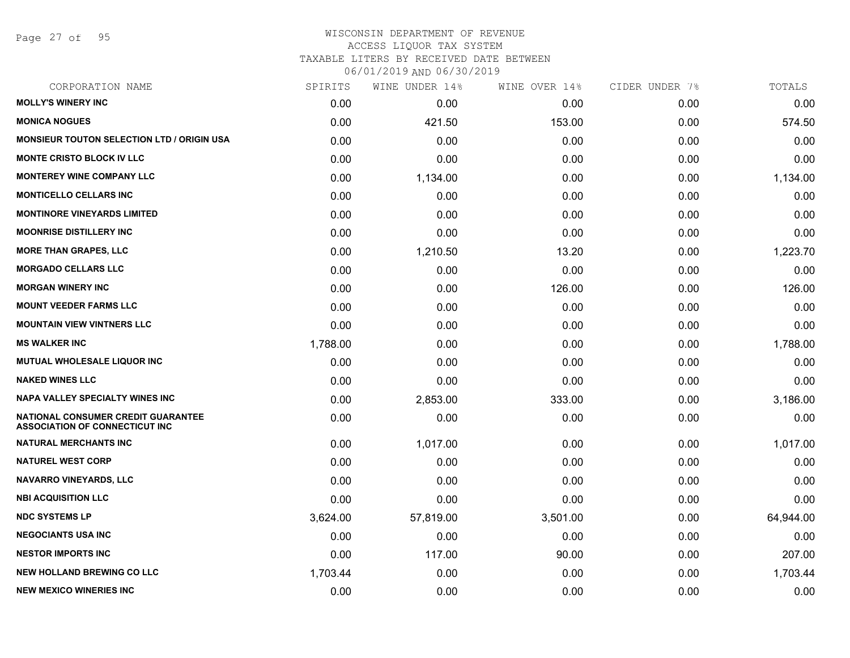Page 27 of 95

#### WISCONSIN DEPARTMENT OF REVENUE ACCESS LIQUOR TAX SYSTEM

TAXABLE LITERS BY RECEIVED DATE BETWEEN

| CORPORATION NAME                                                                   | SPIRITS  | WINE UNDER 14% | WINE OVER 14% | CIDER UNDER 7% | TOTALS    |
|------------------------------------------------------------------------------------|----------|----------------|---------------|----------------|-----------|
| <b>MOLLY'S WINERY INC</b>                                                          | 0.00     | 0.00           | 0.00          | 0.00           | 0.00      |
| <b>MONICA NOGUES</b>                                                               | 0.00     | 421.50         | 153.00        | 0.00           | 574.50    |
| <b>MONSIEUR TOUTON SELECTION LTD / ORIGIN USA</b>                                  | 0.00     | 0.00           | 0.00          | 0.00           | 0.00      |
| <b>MONTE CRISTO BLOCK IV LLC</b>                                                   | 0.00     | 0.00           | 0.00          | 0.00           | 0.00      |
| <b>MONTEREY WINE COMPANY LLC</b>                                                   | 0.00     | 1,134.00       | 0.00          | 0.00           | 1,134.00  |
| <b>MONTICELLO CELLARS INC</b>                                                      | 0.00     | 0.00           | 0.00          | 0.00           | 0.00      |
| <b>MONTINORE VINEYARDS LIMITED</b>                                                 | 0.00     | 0.00           | 0.00          | 0.00           | 0.00      |
| <b>MOONRISE DISTILLERY INC</b>                                                     | 0.00     | 0.00           | 0.00          | 0.00           | 0.00      |
| <b>MORE THAN GRAPES, LLC</b>                                                       | 0.00     | 1,210.50       | 13.20         | 0.00           | 1,223.70  |
| <b>MORGADO CELLARS LLC</b>                                                         | 0.00     | 0.00           | 0.00          | 0.00           | 0.00      |
| <b>MORGAN WINERY INC</b>                                                           | 0.00     | 0.00           | 126.00        | 0.00           | 126.00    |
| <b>MOUNT VEEDER FARMS LLC</b>                                                      | 0.00     | 0.00           | 0.00          | 0.00           | 0.00      |
| <b>MOUNTAIN VIEW VINTNERS LLC</b>                                                  | 0.00     | 0.00           | 0.00          | 0.00           | 0.00      |
| <b>MS WALKER INC</b>                                                               | 1,788.00 | 0.00           | 0.00          | 0.00           | 1,788.00  |
| MUTUAL WHOLESALE LIQUOR INC                                                        | 0.00     | 0.00           | 0.00          | 0.00           | 0.00      |
| <b>NAKED WINES LLC</b>                                                             | 0.00     | 0.00           | 0.00          | 0.00           | 0.00      |
| NAPA VALLEY SPECIALTY WINES INC                                                    | 0.00     | 2,853.00       | 333.00        | 0.00           | 3,186.00  |
| <b>NATIONAL CONSUMER CREDIT GUARANTEE</b><br><b>ASSOCIATION OF CONNECTICUT INC</b> | 0.00     | 0.00           | 0.00          | 0.00           | 0.00      |
| <b>NATURAL MERCHANTS INC</b>                                                       | 0.00     | 1,017.00       | 0.00          | 0.00           | 1,017.00  |
| <b>NATUREL WEST CORP</b>                                                           | 0.00     | 0.00           | 0.00          | 0.00           | 0.00      |
| <b>NAVARRO VINEYARDS, LLC</b>                                                      | 0.00     | 0.00           | 0.00          | 0.00           | 0.00      |
| <b>NBI ACQUISITION LLC</b>                                                         | 0.00     | 0.00           | 0.00          | 0.00           | 0.00      |
| <b>NDC SYSTEMS LP</b>                                                              | 3,624.00 | 57,819.00      | 3,501.00      | 0.00           | 64,944.00 |
| <b>NEGOCIANTS USA INC</b>                                                          | 0.00     | 0.00           | 0.00          | 0.00           | 0.00      |
| <b>NESTOR IMPORTS INC</b>                                                          | 0.00     | 117.00         | 90.00         | 0.00           | 207.00    |
| <b>NEW HOLLAND BREWING CO LLC</b>                                                  | 1,703.44 | 0.00           | 0.00          | 0.00           | 1,703.44  |
| <b>NEW MEXICO WINERIES INC</b>                                                     | 0.00     | 0.00           | 0.00          | 0.00           | 0.00      |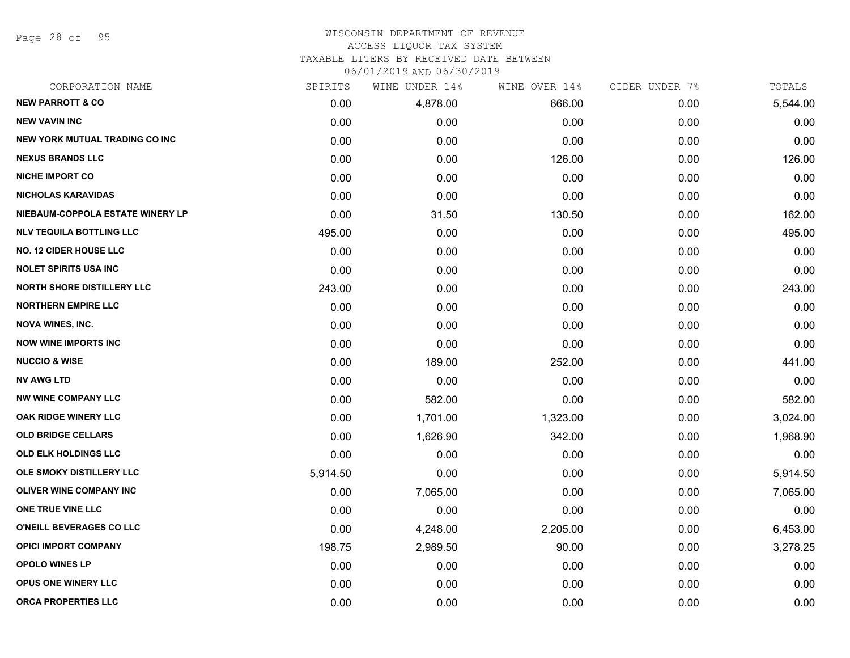Page 28 of 95

#### WISCONSIN DEPARTMENT OF REVENUE ACCESS LIQUOR TAX SYSTEM

TAXABLE LITERS BY RECEIVED DATE BETWEEN

| CORPORATION NAME                      | SPIRITS  | WINE UNDER 14% | WINE OVER 14% | CIDER UNDER 7% | TOTALS   |
|---------------------------------------|----------|----------------|---------------|----------------|----------|
| <b>NEW PARROTT &amp; CO</b>           | 0.00     | 4,878.00       | 666.00        | 0.00           | 5,544.00 |
| <b>NEW VAVIN INC</b>                  | 0.00     | 0.00           | 0.00          | 0.00           | 0.00     |
| <b>NEW YORK MUTUAL TRADING CO INC</b> | 0.00     | 0.00           | 0.00          | 0.00           | 0.00     |
| <b>NEXUS BRANDS LLC</b>               | 0.00     | 0.00           | 126.00        | 0.00           | 126.00   |
| <b>NICHE IMPORT CO</b>                | 0.00     | 0.00           | 0.00          | 0.00           | 0.00     |
| <b>NICHOLAS KARAVIDAS</b>             | 0.00     | 0.00           | 0.00          | 0.00           | 0.00     |
| NIEBAUM-COPPOLA ESTATE WINERY LP      | 0.00     | 31.50          | 130.50        | 0.00           | 162.00   |
| <b>NLV TEQUILA BOTTLING LLC</b>       | 495.00   | 0.00           | 0.00          | 0.00           | 495.00   |
| <b>NO. 12 CIDER HOUSE LLC</b>         | 0.00     | 0.00           | 0.00          | 0.00           | 0.00     |
| <b>NOLET SPIRITS USA INC</b>          | 0.00     | 0.00           | 0.00          | 0.00           | 0.00     |
| <b>NORTH SHORE DISTILLERY LLC</b>     | 243.00   | 0.00           | 0.00          | 0.00           | 243.00   |
| <b>NORTHERN EMPIRE LLC</b>            | 0.00     | 0.00           | 0.00          | 0.00           | 0.00     |
| <b>NOVA WINES, INC.</b>               | 0.00     | 0.00           | 0.00          | 0.00           | 0.00     |
| <b>NOW WINE IMPORTS INC</b>           | 0.00     | 0.00           | 0.00          | 0.00           | 0.00     |
| <b>NUCCIO &amp; WISE</b>              | 0.00     | 189.00         | 252.00        | 0.00           | 441.00   |
| <b>NV AWG LTD</b>                     | 0.00     | 0.00           | 0.00          | 0.00           | 0.00     |
| <b>NW WINE COMPANY LLC</b>            | 0.00     | 582.00         | 0.00          | 0.00           | 582.00   |
| OAK RIDGE WINERY LLC                  | 0.00     | 1,701.00       | 1,323.00      | 0.00           | 3,024.00 |
| <b>OLD BRIDGE CELLARS</b>             | 0.00     | 1,626.90       | 342.00        | 0.00           | 1,968.90 |
| <b>OLD ELK HOLDINGS LLC</b>           | 0.00     | 0.00           | 0.00          | 0.00           | 0.00     |
| OLE SMOKY DISTILLERY LLC              | 5,914.50 | 0.00           | 0.00          | 0.00           | 5,914.50 |
| <b>OLIVER WINE COMPANY INC</b>        | 0.00     | 7,065.00       | 0.00          | 0.00           | 7,065.00 |
| ONE TRUE VINE LLC                     | 0.00     | 0.00           | 0.00          | 0.00           | 0.00     |
| O'NEILL BEVERAGES CO LLC              | 0.00     | 4,248.00       | 2,205.00      | 0.00           | 6,453.00 |
| <b>OPICI IMPORT COMPANY</b>           | 198.75   | 2,989.50       | 90.00         | 0.00           | 3,278.25 |
| <b>OPOLO WINES LP</b>                 | 0.00     | 0.00           | 0.00          | 0.00           | 0.00     |
| <b>OPUS ONE WINERY LLC</b>            | 0.00     | 0.00           | 0.00          | 0.00           | 0.00     |
| <b>ORCA PROPERTIES LLC</b>            | 0.00     | 0.00           | 0.00          | 0.00           | 0.00     |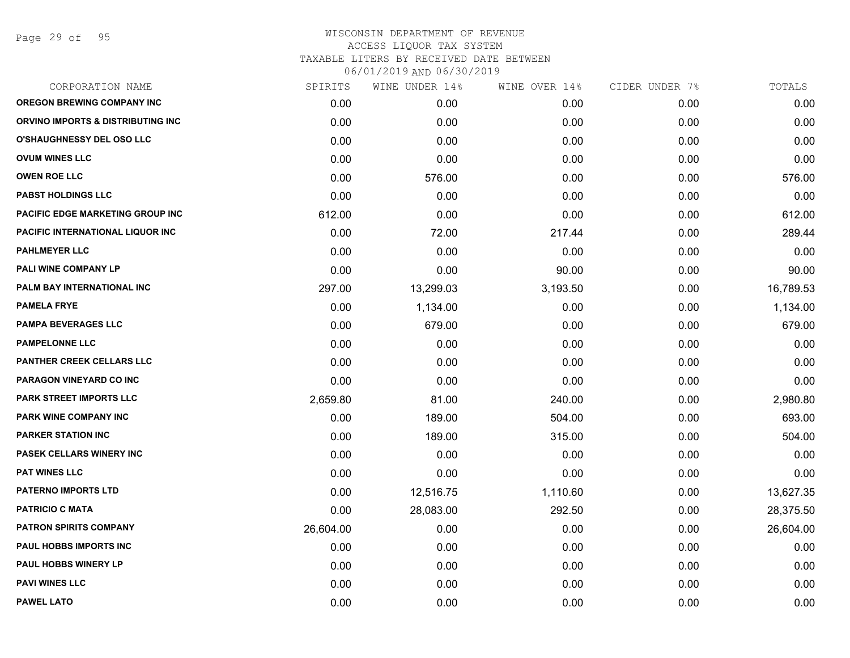Page 29 of 95

|           | WINE UNDER 14% |          |               | TOTALS         |
|-----------|----------------|----------|---------------|----------------|
| 0.00      | 0.00           | 0.00     | 0.00          | 0.00           |
| 0.00      | 0.00           | 0.00     | 0.00          | 0.00           |
| 0.00      | 0.00           | 0.00     | 0.00          | 0.00           |
| 0.00      | 0.00           | 0.00     | 0.00          | 0.00           |
| 0.00      | 576.00         | 0.00     | 0.00          | 576.00         |
| 0.00      | 0.00           | 0.00     | 0.00          | 0.00           |
| 612.00    | 0.00           | 0.00     | 0.00          | 612.00         |
| 0.00      | 72.00          | 217.44   | 0.00          | 289.44         |
| 0.00      | 0.00           | 0.00     | 0.00          | 0.00           |
| 0.00      | 0.00           | 90.00    | 0.00          | 90.00          |
| 297.00    | 13,299.03      | 3,193.50 | 0.00          | 16,789.53      |
| 0.00      | 1,134.00       | 0.00     | 0.00          | 1,134.00       |
| 0.00      | 679.00         | 0.00     | 0.00          | 679.00         |
| 0.00      | 0.00           | 0.00     | 0.00          | 0.00           |
| 0.00      | 0.00           | 0.00     | 0.00          | 0.00           |
| 0.00      | 0.00           | 0.00     | 0.00          | 0.00           |
| 2,659.80  | 81.00          | 240.00   | 0.00          | 2,980.80       |
| 0.00      | 189.00         | 504.00   | 0.00          | 693.00         |
| 0.00      | 189.00         | 315.00   | 0.00          | 504.00         |
| 0.00      | 0.00           | 0.00     | 0.00          | 0.00           |
| 0.00      | 0.00           | 0.00     | 0.00          | 0.00           |
| 0.00      | 12,516.75      | 1,110.60 | 0.00          | 13,627.35      |
| 0.00      | 28,083.00      | 292.50   | 0.00          | 28,375.50      |
| 26,604.00 | 0.00           | 0.00     | 0.00          | 26,604.00      |
| 0.00      | 0.00           | 0.00     | 0.00          | 0.00           |
| 0.00      | 0.00           | 0.00     | 0.00          | 0.00           |
| 0.00      | 0.00           | 0.00     | 0.00          | 0.00           |
| 0.00      | 0.00           | 0.00     | 0.00          | 0.00           |
|           |                | SPIRITS  | WINE OVER 14% | CIDER UNDER 7% |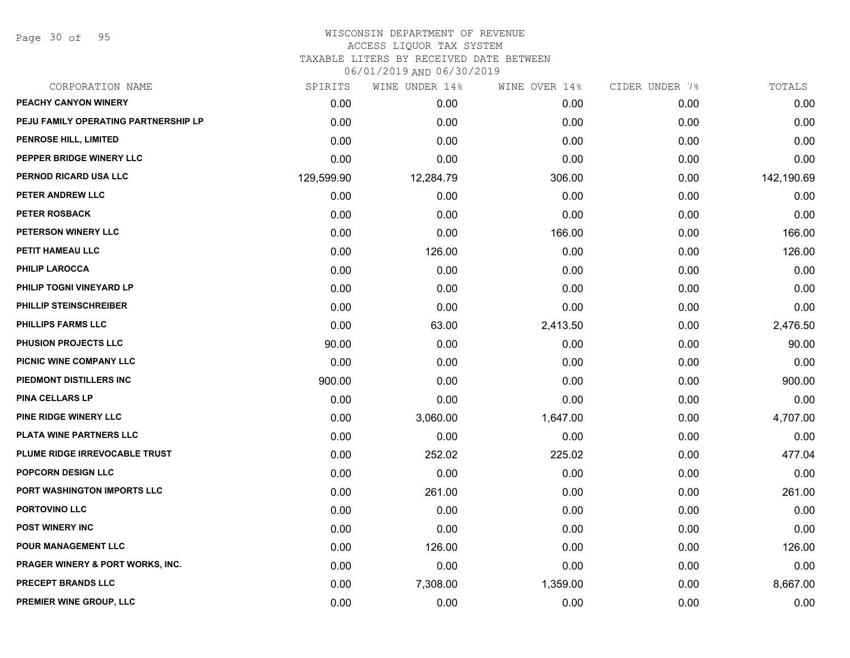Page 30 of 95

| CORPORATION NAME                            | SPIRITS    | WINE UNDER 14% | WINE OVER 14% | CIDER UNDER 7% | TOTALS     |
|---------------------------------------------|------------|----------------|---------------|----------------|------------|
| PEACHY CANYON WINERY                        | 0.00       | 0.00           | 0.00          | 0.00           | 0.00       |
| PEJU FAMILY OPERATING PARTNERSHIP LP        | 0.00       | 0.00           | 0.00          | 0.00           | 0.00       |
| PENROSE HILL, LIMITED                       | 0.00       | 0.00           | 0.00          | 0.00           | 0.00       |
| PEPPER BRIDGE WINERY LLC                    | 0.00       | 0.00           | 0.00          | 0.00           | 0.00       |
| PERNOD RICARD USA LLC                       | 129,599.90 | 12,284.79      | 306.00        | 0.00           | 142,190.69 |
| PETER ANDREW LLC                            | 0.00       | 0.00           | 0.00          | 0.00           | 0.00       |
| <b>PETER ROSBACK</b>                        | 0.00       | 0.00           | 0.00          | 0.00           | 0.00       |
| PETERSON WINERY LLC                         | 0.00       | 0.00           | 166.00        | 0.00           | 166.00     |
| PETIT HAMEAU LLC                            | 0.00       | 126.00         | 0.00          | 0.00           | 126.00     |
| <b>PHILIP LAROCCA</b>                       | 0.00       | 0.00           | 0.00          | 0.00           | 0.00       |
| PHILIP TOGNI VINEYARD LP                    | 0.00       | 0.00           | 0.00          | 0.00           | 0.00       |
| PHILLIP STEINSCHREIBER                      | 0.00       | 0.00           | 0.00          | 0.00           | 0.00       |
| PHILLIPS FARMS LLC                          | 0.00       | 63.00          | 2,413.50      | 0.00           | 2,476.50   |
| PHUSION PROJECTS LLC                        | 90.00      | 0.00           | 0.00          | 0.00           | 90.00      |
| PICNIC WINE COMPANY LLC                     | 0.00       | 0.00           | 0.00          | 0.00           | 0.00       |
| PIEDMONT DISTILLERS INC                     | 900.00     | 0.00           | 0.00          | 0.00           | 900.00     |
| <b>PINA CELLARS LP</b>                      | 0.00       | 0.00           | 0.00          | 0.00           | 0.00       |
| PINE RIDGE WINERY LLC                       | 0.00       | 3,060.00       | 1,647.00      | 0.00           | 4,707.00   |
| PLATA WINE PARTNERS LLC                     | 0.00       | 0.00           | 0.00          | 0.00           | 0.00       |
| PLUME RIDGE IRREVOCABLE TRUST               | 0.00       | 252.02         | 225.02        | 0.00           | 477.04     |
| POPCORN DESIGN LLC                          | 0.00       | 0.00           | 0.00          | 0.00           | 0.00       |
| PORT WASHINGTON IMPORTS LLC                 | 0.00       | 261.00         | 0.00          | 0.00           | 261.00     |
| PORTOVINO LLC                               | 0.00       | 0.00           | 0.00          | 0.00           | 0.00       |
| POST WINERY INC                             | 0.00       | 0.00           | 0.00          | 0.00           | 0.00       |
| POUR MANAGEMENT LLC                         | 0.00       | 126.00         | 0.00          | 0.00           | 126.00     |
| <b>PRAGER WINERY &amp; PORT WORKS, INC.</b> | 0.00       | 0.00           | 0.00          | 0.00           | 0.00       |
| <b>PRECEPT BRANDS LLC</b>                   | 0.00       | 7,308.00       | 1,359.00      | 0.00           | 8,667.00   |
| PREMIER WINE GROUP, LLC                     | 0.00       | 0.00           | 0.00          | 0.00           | 0.00       |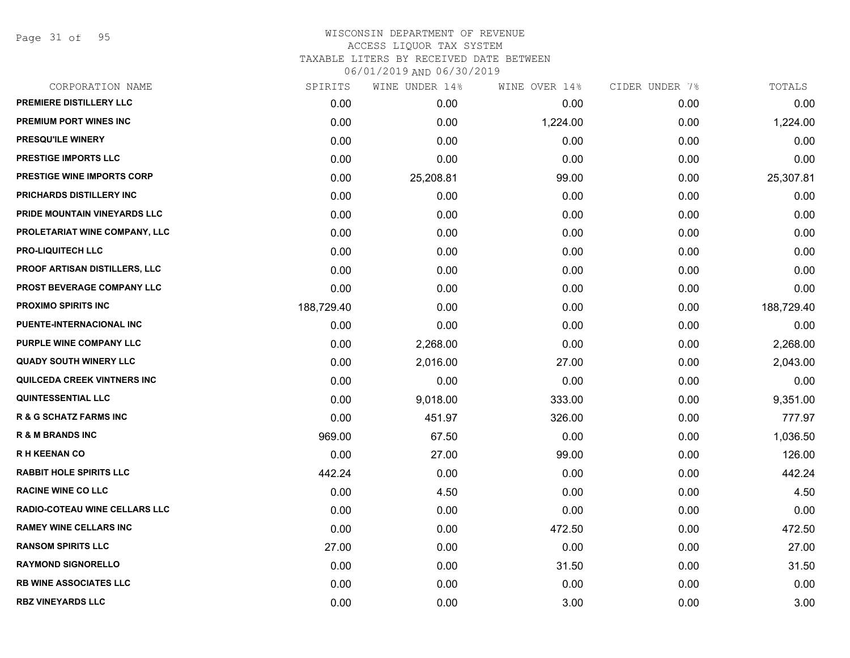Page 31 of 95

| SPIRITS    | WINE UNDER 14% | WINE OVER 14% | CIDER UNDER 7% | TOTALS     |
|------------|----------------|---------------|----------------|------------|
| 0.00       | 0.00           | 0.00          | 0.00           | 0.00       |
| 0.00       | 0.00           | 1,224.00      | 0.00           | 1,224.00   |
| 0.00       | 0.00           | 0.00          | 0.00           | 0.00       |
| 0.00       | 0.00           | 0.00          | 0.00           | 0.00       |
| 0.00       | 25,208.81      | 99.00         | 0.00           | 25,307.81  |
| 0.00       | 0.00           | 0.00          | 0.00           | 0.00       |
| 0.00       | 0.00           | 0.00          | 0.00           | 0.00       |
| 0.00       | 0.00           | 0.00          | 0.00           | 0.00       |
| 0.00       | 0.00           | 0.00          | 0.00           | 0.00       |
| 0.00       | 0.00           | 0.00          | 0.00           | 0.00       |
| 0.00       | 0.00           | 0.00          | 0.00           | 0.00       |
| 188,729.40 | 0.00           | 0.00          | 0.00           | 188,729.40 |
| 0.00       | 0.00           | 0.00          | 0.00           | 0.00       |
| 0.00       | 2,268.00       | 0.00          | 0.00           | 2,268.00   |
| 0.00       | 2,016.00       | 27.00         | 0.00           | 2,043.00   |
| 0.00       | 0.00           | 0.00          | 0.00           | 0.00       |
| 0.00       | 9,018.00       | 333.00        | 0.00           | 9,351.00   |
| 0.00       | 451.97         | 326.00        | 0.00           | 777.97     |
| 969.00     | 67.50          | 0.00          | 0.00           | 1,036.50   |
| 0.00       | 27.00          | 99.00         | 0.00           | 126.00     |
| 442.24     | 0.00           | 0.00          | 0.00           | 442.24     |
| 0.00       | 4.50           | 0.00          | 0.00           | 4.50       |
| 0.00       | 0.00           | 0.00          | 0.00           | 0.00       |
| 0.00       | 0.00           | 472.50        | 0.00           | 472.50     |
| 27.00      | 0.00           | 0.00          | 0.00           | 27.00      |
| 0.00       | 0.00           | 31.50         | 0.00           | 31.50      |
| 0.00       | 0.00           | 0.00          | 0.00           | 0.00       |
| 0.00       | 0.00           | 3.00          | 0.00           | 3.00       |
|            |                |               |                |            |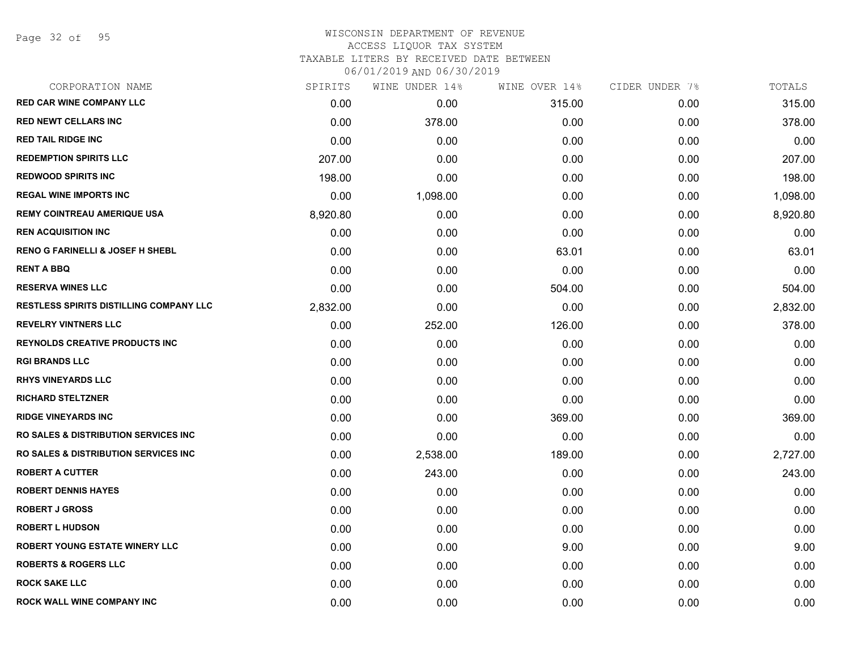| CORPORATION NAME                                | SPIRITS  | WINE UNDER 14% | WINE OVER 14% | CIDER UNDER 7% | TOTALS   |
|-------------------------------------------------|----------|----------------|---------------|----------------|----------|
| <b>RED CAR WINE COMPANY LLC</b>                 | 0.00     | 0.00           | 315.00        | 0.00           | 315.00   |
| <b>RED NEWT CELLARS INC</b>                     | 0.00     | 378.00         | 0.00          | 0.00           | 378.00   |
| <b>RED TAIL RIDGE INC</b>                       | 0.00     | 0.00           | 0.00          | 0.00           | 0.00     |
| <b>REDEMPTION SPIRITS LLC</b>                   | 207.00   | 0.00           | 0.00          | 0.00           | 207.00   |
| <b>REDWOOD SPIRITS INC</b>                      | 198.00   | 0.00           | 0.00          | 0.00           | 198.00   |
| <b>REGAL WINE IMPORTS INC</b>                   | 0.00     | 1,098.00       | 0.00          | 0.00           | 1,098.00 |
| <b>REMY COINTREAU AMERIQUE USA</b>              | 8,920.80 | 0.00           | 0.00          | 0.00           | 8,920.80 |
| <b>REN ACQUISITION INC</b>                      | 0.00     | 0.00           | 0.00          | 0.00           | 0.00     |
| <b>RENO G FARINELLI &amp; JOSEF H SHEBL</b>     | 0.00     | 0.00           | 63.01         | 0.00           | 63.01    |
| <b>RENT A BBQ</b>                               | 0.00     | 0.00           | 0.00          | 0.00           | 0.00     |
| <b>RESERVA WINES LLC</b>                        | 0.00     | 0.00           | 504.00        | 0.00           | 504.00   |
| <b>RESTLESS SPIRITS DISTILLING COMPANY LLC</b>  | 2,832.00 | 0.00           | 0.00          | 0.00           | 2,832.00 |
| <b>REVELRY VINTNERS LLC</b>                     | 0.00     | 252.00         | 126.00        | 0.00           | 378.00   |
| <b>REYNOLDS CREATIVE PRODUCTS INC</b>           | 0.00     | 0.00           | 0.00          | 0.00           | 0.00     |
| <b>RGI BRANDS LLC</b>                           | 0.00     | 0.00           | 0.00          | 0.00           | 0.00     |
| <b>RHYS VINEYARDS LLC</b>                       | 0.00     | 0.00           | 0.00          | 0.00           | 0.00     |
| <b>RICHARD STELTZNER</b>                        | 0.00     | 0.00           | 0.00          | 0.00           | 0.00     |
| <b>RIDGE VINEYARDS INC</b>                      | 0.00     | 0.00           | 369.00        | 0.00           | 369.00   |
| <b>RO SALES &amp; DISTRIBUTION SERVICES INC</b> | 0.00     | 0.00           | 0.00          | 0.00           | 0.00     |
| <b>RO SALES &amp; DISTRIBUTION SERVICES INC</b> | 0.00     | 2,538.00       | 189.00        | 0.00           | 2,727.00 |
| <b>ROBERT A CUTTER</b>                          | 0.00     | 243.00         | 0.00          | 0.00           | 243.00   |
| <b>ROBERT DENNIS HAYES</b>                      | 0.00     | 0.00           | 0.00          | 0.00           | 0.00     |
| <b>ROBERT J GROSS</b>                           | 0.00     | 0.00           | 0.00          | 0.00           | 0.00     |
| <b>ROBERT L HUDSON</b>                          | 0.00     | 0.00           | 0.00          | 0.00           | 0.00     |
| <b>ROBERT YOUNG ESTATE WINERY LLC</b>           | 0.00     | 0.00           | 9.00          | 0.00           | 9.00     |
| <b>ROBERTS &amp; ROGERS LLC</b>                 | 0.00     | 0.00           | 0.00          | 0.00           | 0.00     |
| <b>ROCK SAKE LLC</b>                            | 0.00     | 0.00           | 0.00          | 0.00           | 0.00     |
| ROCK WALL WINE COMPANY INC                      | 0.00     | 0.00           | 0.00          | 0.00           | 0.00     |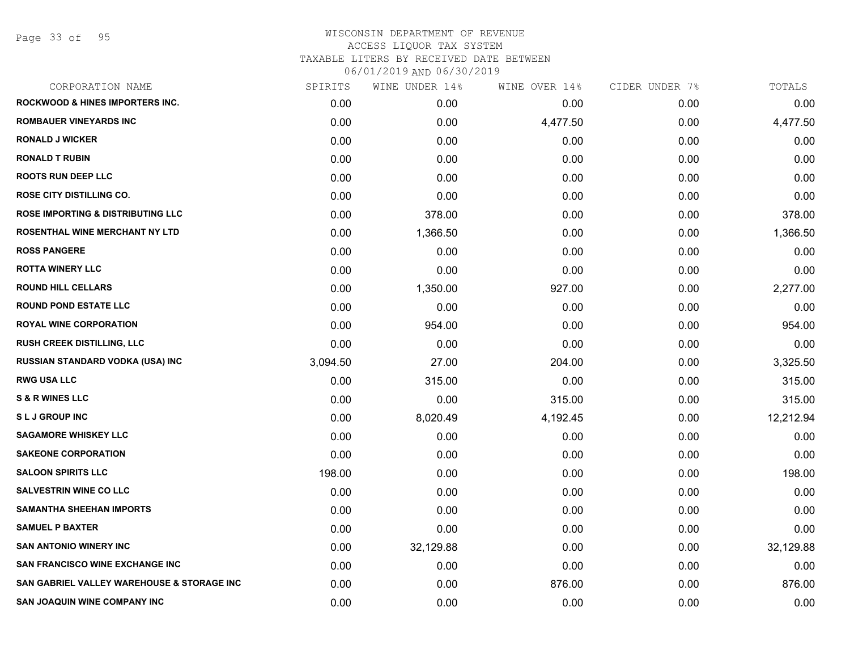Page 33 of 95

| SPIRITS  | WINE UNDER 14% |          | CIDER UNDER 7% | TOTALS    |
|----------|----------------|----------|----------------|-----------|
| 0.00     | 0.00           | 0.00     | 0.00           | 0.00      |
| 0.00     | 0.00           | 4,477.50 | 0.00           | 4,477.50  |
| 0.00     | 0.00           | 0.00     | 0.00           | 0.00      |
| 0.00     | 0.00           | 0.00     | 0.00           | 0.00      |
| 0.00     | 0.00           | 0.00     | 0.00           | 0.00      |
| 0.00     | 0.00           | 0.00     | 0.00           | 0.00      |
| 0.00     | 378.00         | 0.00     | 0.00           | 378.00    |
| 0.00     | 1,366.50       | 0.00     | 0.00           | 1,366.50  |
| 0.00     | 0.00           | 0.00     | 0.00           | 0.00      |
| 0.00     | 0.00           | 0.00     | 0.00           | 0.00      |
| 0.00     | 1,350.00       | 927.00   | 0.00           | 2,277.00  |
| 0.00     | 0.00           | 0.00     | 0.00           | 0.00      |
| 0.00     | 954.00         | 0.00     | 0.00           | 954.00    |
| 0.00     | 0.00           | 0.00     | 0.00           | 0.00      |
| 3,094.50 | 27.00          | 204.00   | 0.00           | 3,325.50  |
| 0.00     | 315.00         | 0.00     | 0.00           | 315.00    |
| 0.00     | 0.00           | 315.00   | 0.00           | 315.00    |
| 0.00     | 8,020.49       | 4,192.45 | 0.00           | 12,212.94 |
| 0.00     | 0.00           | 0.00     | 0.00           | 0.00      |
| 0.00     | 0.00           | 0.00     | 0.00           | 0.00      |
| 198.00   | 0.00           | 0.00     | 0.00           | 198.00    |
| 0.00     | 0.00           | 0.00     | 0.00           | 0.00      |
| 0.00     | 0.00           | 0.00     | 0.00           | 0.00      |
| 0.00     | 0.00           | 0.00     | 0.00           | 0.00      |
| 0.00     | 32,129.88      | 0.00     | 0.00           | 32,129.88 |
| 0.00     | 0.00           | 0.00     | 0.00           | 0.00      |
| 0.00     | 0.00           | 876.00   | 0.00           | 876.00    |
| 0.00     | 0.00           | 0.00     | 0.00           | 0.00      |
|          |                |          | WINE OVER 14%  |           |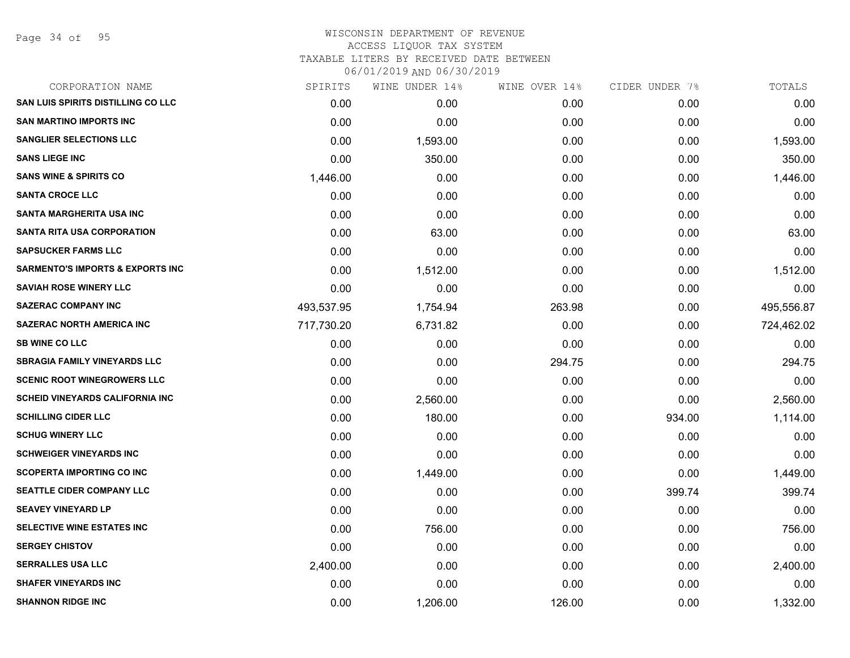Page 34 of 95

## WISCONSIN DEPARTMENT OF REVENUE ACCESS LIQUOR TAX SYSTEM TAXABLE LITERS BY RECEIVED DATE BETWEEN

| CORPORATION NAME                            | SPIRITS    | WINE UNDER 14% | WINE OVER 14% | CIDER UNDER 7% | TOTALS     |
|---------------------------------------------|------------|----------------|---------------|----------------|------------|
| <b>SAN LUIS SPIRITS DISTILLING CO LLC</b>   | 0.00       | 0.00           | 0.00          | 0.00           | 0.00       |
| <b>SAN MARTINO IMPORTS INC</b>              | 0.00       | 0.00           | 0.00          | 0.00           | 0.00       |
| <b>SANGLIER SELECTIONS LLC</b>              | 0.00       | 1,593.00       | 0.00          | 0.00           | 1,593.00   |
| <b>SANS LIEGE INC</b>                       | 0.00       | 350.00         | 0.00          | 0.00           | 350.00     |
| <b>SANS WINE &amp; SPIRITS CO</b>           | 1,446.00   | 0.00           | 0.00          | 0.00           | 1,446.00   |
| <b>SANTA CROCE LLC</b>                      | 0.00       | 0.00           | 0.00          | 0.00           | 0.00       |
| <b>SANTA MARGHERITA USA INC</b>             | 0.00       | 0.00           | 0.00          | 0.00           | 0.00       |
| <b>SANTA RITA USA CORPORATION</b>           | 0.00       | 63.00          | 0.00          | 0.00           | 63.00      |
| <b>SAPSUCKER FARMS LLC</b>                  | 0.00       | 0.00           | 0.00          | 0.00           | 0.00       |
| <b>SARMENTO'S IMPORTS &amp; EXPORTS INC</b> | 0.00       | 1,512.00       | 0.00          | 0.00           | 1,512.00   |
| <b>SAVIAH ROSE WINERY LLC</b>               | 0.00       | 0.00           | 0.00          | 0.00           | 0.00       |
| <b>SAZERAC COMPANY INC</b>                  | 493,537.95 | 1,754.94       | 263.98        | 0.00           | 495,556.87 |
| <b>SAZERAC NORTH AMERICA INC</b>            | 717,730.20 | 6,731.82       | 0.00          | 0.00           | 724,462.02 |
| <b>SB WINE CO LLC</b>                       | 0.00       | 0.00           | 0.00          | 0.00           | 0.00       |
| <b>SBRAGIA FAMILY VINEYARDS LLC</b>         | 0.00       | 0.00           | 294.75        | 0.00           | 294.75     |
| <b>SCENIC ROOT WINEGROWERS LLC</b>          | 0.00       | 0.00           | 0.00          | 0.00           | 0.00       |
| <b>SCHEID VINEYARDS CALIFORNIA INC</b>      | 0.00       | 2,560.00       | 0.00          | 0.00           | 2,560.00   |
| <b>SCHILLING CIDER LLC</b>                  | 0.00       | 180.00         | 0.00          | 934.00         | 1,114.00   |
| <b>SCHUG WINERY LLC</b>                     | 0.00       | 0.00           | 0.00          | 0.00           | 0.00       |
| <b>SCHWEIGER VINEYARDS INC</b>              | 0.00       | 0.00           | 0.00          | 0.00           | 0.00       |
| <b>SCOPERTA IMPORTING CO INC</b>            | 0.00       | 1,449.00       | 0.00          | 0.00           | 1,449.00   |
| <b>SEATTLE CIDER COMPANY LLC</b>            | 0.00       | 0.00           | 0.00          | 399.74         | 399.74     |
| <b>SEAVEY VINEYARD LP</b>                   | 0.00       | 0.00           | 0.00          | 0.00           | 0.00       |
| SELECTIVE WINE ESTATES INC                  | 0.00       | 756.00         | 0.00          | 0.00           | 756.00     |
| <b>SERGEY CHISTOV</b>                       | 0.00       | 0.00           | 0.00          | 0.00           | 0.00       |
| <b>SERRALLES USA LLC</b>                    | 2,400.00   | 0.00           | 0.00          | 0.00           | 2,400.00   |
| <b>SHAFER VINEYARDS INC</b>                 | 0.00       | 0.00           | 0.00          | 0.00           | 0.00       |
| <b>SHANNON RIDGE INC</b>                    | 0.00       | 1,206.00       | 126.00        | 0.00           | 1,332.00   |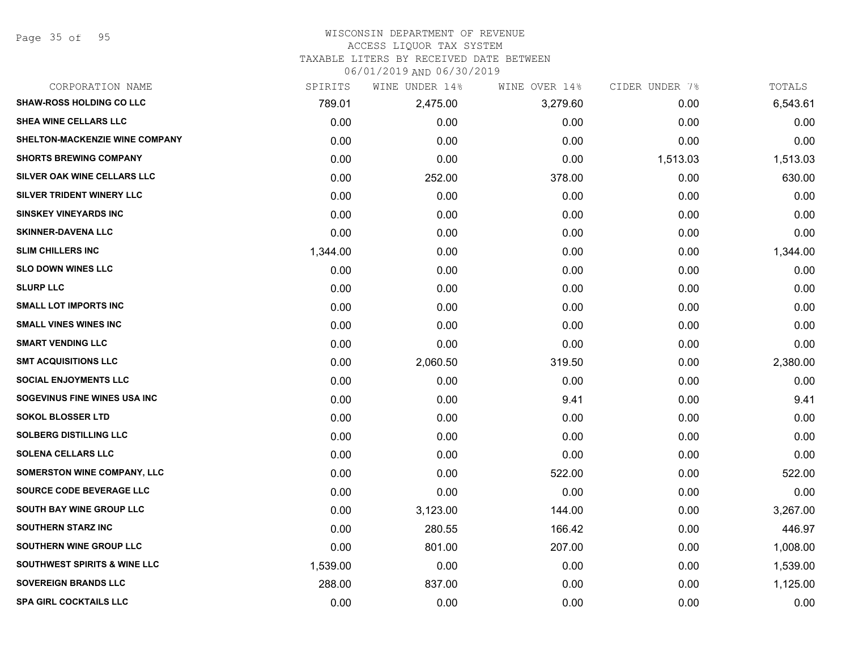#### WISCONSIN DEPARTMENT OF REVENUE ACCESS LIQUOR TAX SYSTEM TAXABLE LITERS BY RECEIVED DATE BETWEEN

| CORPORATION NAME                      | SPIRITS  | WINE UNDER 14% | WINE OVER 14% | CIDER UNDER 7% | TOTALS   |
|---------------------------------------|----------|----------------|---------------|----------------|----------|
| <b>SHAW-ROSS HOLDING CO LLC</b>       | 789.01   | 2,475.00       | 3,279.60      | 0.00           | 6,543.61 |
| SHEA WINE CELLARS LLC                 | 0.00     | 0.00           | 0.00          | 0.00           | 0.00     |
| <b>SHELTON-MACKENZIE WINE COMPANY</b> | 0.00     | 0.00           | 0.00          | 0.00           | 0.00     |
| <b>SHORTS BREWING COMPANY</b>         | 0.00     | 0.00           | 0.00          | 1,513.03       | 1,513.03 |
| SILVER OAK WINE CELLARS LLC           | 0.00     | 252.00         | 378.00        | 0.00           | 630.00   |
| SILVER TRIDENT WINERY LLC             | 0.00     | 0.00           | 0.00          | 0.00           | 0.00     |
| <b>SINSKEY VINEYARDS INC</b>          | 0.00     | 0.00           | 0.00          | 0.00           | 0.00     |
| <b>SKINNER-DAVENA LLC</b>             | 0.00     | 0.00           | 0.00          | 0.00           | 0.00     |
| <b>SLIM CHILLERS INC</b>              | 1,344.00 | 0.00           | 0.00          | 0.00           | 1,344.00 |
| <b>SLO DOWN WINES LLC</b>             | 0.00     | 0.00           | 0.00          | 0.00           | 0.00     |
| <b>SLURP LLC</b>                      | 0.00     | 0.00           | 0.00          | 0.00           | 0.00     |
| <b>SMALL LOT IMPORTS INC</b>          | 0.00     | 0.00           | 0.00          | 0.00           | 0.00     |
| <b>SMALL VINES WINES INC</b>          | 0.00     | 0.00           | 0.00          | 0.00           | 0.00     |
| <b>SMART VENDING LLC</b>              | 0.00     | 0.00           | 0.00          | 0.00           | 0.00     |
| <b>SMT ACQUISITIONS LLC</b>           | 0.00     | 2,060.50       | 319.50        | 0.00           | 2,380.00 |
| <b>SOCIAL ENJOYMENTS LLC</b>          | 0.00     | 0.00           | 0.00          | 0.00           | 0.00     |
| SOGEVINUS FINE WINES USA INC          | 0.00     | 0.00           | 9.41          | 0.00           | 9.41     |
| <b>SOKOL BLOSSER LTD</b>              | 0.00     | 0.00           | 0.00          | 0.00           | 0.00     |
| <b>SOLBERG DISTILLING LLC</b>         | 0.00     | 0.00           | 0.00          | 0.00           | 0.00     |
| <b>SOLENA CELLARS LLC</b>             | 0.00     | 0.00           | 0.00          | 0.00           | 0.00     |
| <b>SOMERSTON WINE COMPANY, LLC</b>    | 0.00     | 0.00           | 522.00        | 0.00           | 522.00   |
| SOURCE CODE BEVERAGE LLC              | 0.00     | 0.00           | 0.00          | 0.00           | 0.00     |
| SOUTH BAY WINE GROUP LLC              | 0.00     | 3,123.00       | 144.00        | 0.00           | 3,267.00 |
| <b>SOUTHERN STARZ INC</b>             | 0.00     | 280.55         | 166.42        | 0.00           | 446.97   |
| SOUTHERN WINE GROUP LLC               | 0.00     | 801.00         | 207.00        | 0.00           | 1,008.00 |
| SOUTHWEST SPIRITS & WINE LLC          | 1,539.00 | 0.00           | 0.00          | 0.00           | 1,539.00 |
| <b>SOVEREIGN BRANDS LLC</b>           | 288.00   | 837.00         | 0.00          | 0.00           | 1,125.00 |
| <b>SPA GIRL COCKTAILS LLC</b>         | 0.00     | 0.00           | 0.00          | 0.00           | 0.00     |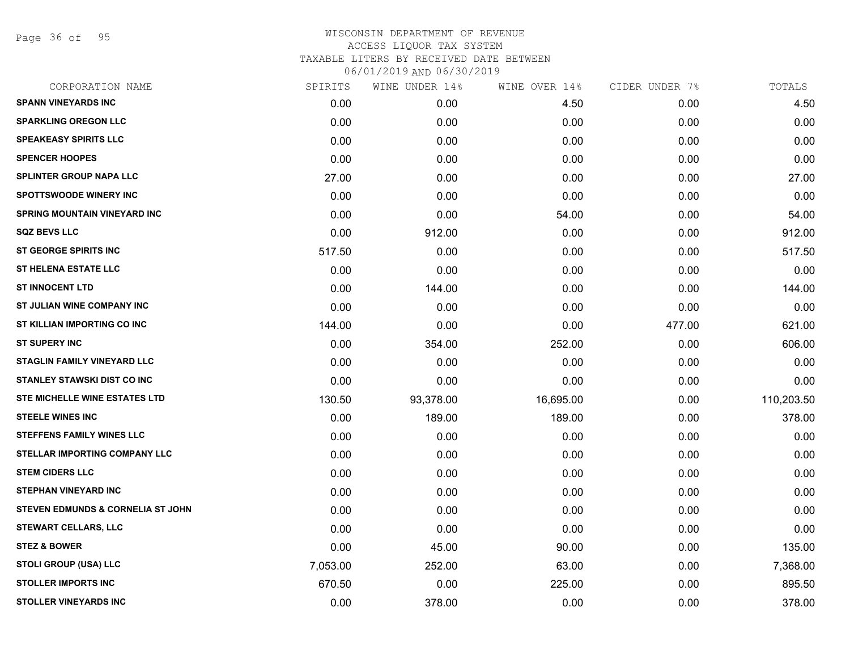Page 36 of 95

| CORPORATION NAME                             | SPIRITS  | WINE UNDER 14% | WINE OVER 14% | CIDER UNDER 7% | TOTALS     |
|----------------------------------------------|----------|----------------|---------------|----------------|------------|
| <b>SPANN VINEYARDS INC</b>                   | 0.00     | 0.00           | 4.50          | 0.00           | 4.50       |
| <b>SPARKLING OREGON LLC</b>                  | 0.00     | 0.00           | 0.00          | 0.00           | 0.00       |
| <b>SPEAKEASY SPIRITS LLC</b>                 | 0.00     | 0.00           | 0.00          | 0.00           | 0.00       |
| <b>SPENCER HOOPES</b>                        | 0.00     | 0.00           | 0.00          | 0.00           | 0.00       |
| <b>SPLINTER GROUP NAPA LLC</b>               | 27.00    | 0.00           | 0.00          | 0.00           | 27.00      |
| <b>SPOTTSWOODE WINERY INC</b>                | 0.00     | 0.00           | 0.00          | 0.00           | 0.00       |
| <b>SPRING MOUNTAIN VINEYARD INC</b>          | 0.00     | 0.00           | 54.00         | 0.00           | 54.00      |
| <b>SQZ BEVS LLC</b>                          | 0.00     | 912.00         | 0.00          | 0.00           | 912.00     |
| <b>ST GEORGE SPIRITS INC</b>                 | 517.50   | 0.00           | 0.00          | 0.00           | 517.50     |
| <b>ST HELENA ESTATE LLC</b>                  | 0.00     | 0.00           | 0.00          | 0.00           | 0.00       |
| <b>ST INNOCENT LTD</b>                       | 0.00     | 144.00         | 0.00          | 0.00           | 144.00     |
| ST JULIAN WINE COMPANY INC                   | 0.00     | 0.00           | 0.00          | 0.00           | 0.00       |
| ST KILLIAN IMPORTING CO INC                  | 144.00   | 0.00           | 0.00          | 477.00         | 621.00     |
| <b>ST SUPERY INC</b>                         | 0.00     | 354.00         | 252.00        | 0.00           | 606.00     |
| <b>STAGLIN FAMILY VINEYARD LLC</b>           | 0.00     | 0.00           | 0.00          | 0.00           | 0.00       |
| <b>STANLEY STAWSKI DIST CO INC</b>           | 0.00     | 0.00           | 0.00          | 0.00           | 0.00       |
| STE MICHELLE WINE ESTATES LTD                | 130.50   | 93,378.00      | 16,695.00     | 0.00           | 110,203.50 |
| <b>STEELE WINES INC</b>                      | 0.00     | 189.00         | 189.00        | 0.00           | 378.00     |
| <b>STEFFENS FAMILY WINES LLC</b>             | 0.00     | 0.00           | 0.00          | 0.00           | 0.00       |
| STELLAR IMPORTING COMPANY LLC                | 0.00     | 0.00           | 0.00          | 0.00           | 0.00       |
| <b>STEM CIDERS LLC</b>                       | 0.00     | 0.00           | 0.00          | 0.00           | 0.00       |
| <b>STEPHAN VINEYARD INC</b>                  | 0.00     | 0.00           | 0.00          | 0.00           | 0.00       |
| <b>STEVEN EDMUNDS &amp; CORNELIA ST JOHN</b> | 0.00     | 0.00           | 0.00          | 0.00           | 0.00       |
| <b>STEWART CELLARS, LLC</b>                  | 0.00     | 0.00           | 0.00          | 0.00           | 0.00       |
| <b>STEZ &amp; BOWER</b>                      | 0.00     | 45.00          | 90.00         | 0.00           | 135.00     |
| STOLI GROUP (USA) LLC                        | 7,053.00 | 252.00         | 63.00         | 0.00           | 7,368.00   |
| <b>STOLLER IMPORTS INC</b>                   | 670.50   | 0.00           | 225.00        | 0.00           | 895.50     |
| <b>STOLLER VINEYARDS INC</b>                 | 0.00     | 378.00         | 0.00          | 0.00           | 378.00     |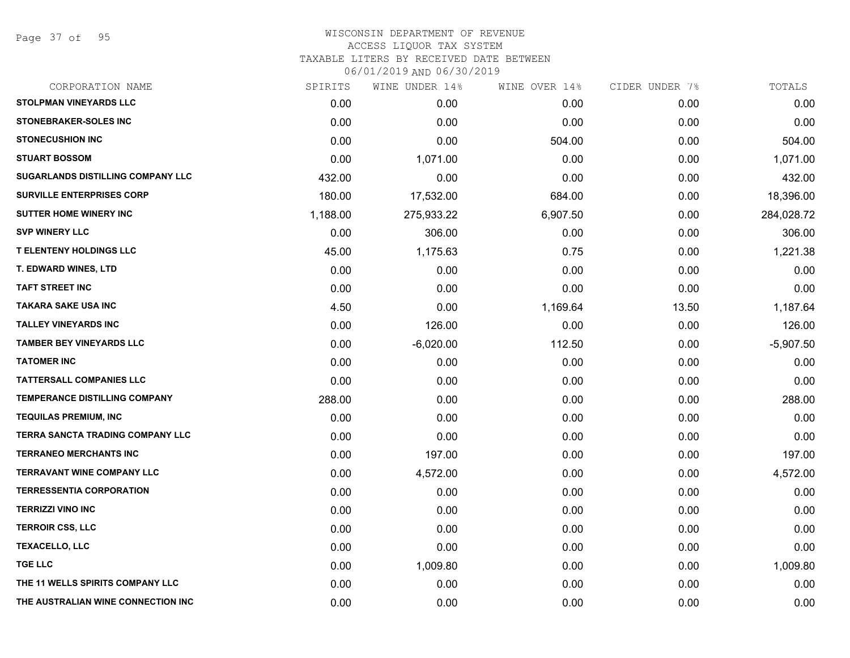Page 37 of 95

| CORPORATION NAME                        | SPIRITS  | WINE UNDER 14% | WINE OVER 14% | CIDER UNDER 7% | TOTALS      |
|-----------------------------------------|----------|----------------|---------------|----------------|-------------|
| <b>STOLPMAN VINEYARDS LLC</b>           | 0.00     | 0.00           | 0.00          | 0.00           | 0.00        |
| <b>STONEBRAKER-SOLES INC</b>            | 0.00     | 0.00           | 0.00          | 0.00           | 0.00        |
| <b>STONECUSHION INC</b>                 | 0.00     | 0.00           | 504.00        | 0.00           | 504.00      |
| <b>STUART BOSSOM</b>                    | 0.00     | 1,071.00       | 0.00          | 0.00           | 1,071.00    |
| SUGARLANDS DISTILLING COMPANY LLC       | 432.00   | 0.00           | 0.00          | 0.00           | 432.00      |
| SURVILLE ENTERPRISES CORP               | 180.00   | 17,532.00      | 684.00        | 0.00           | 18,396.00   |
| <b>SUTTER HOME WINERY INC</b>           | 1,188.00 | 275,933.22     | 6,907.50      | 0.00           | 284,028.72  |
| <b>SVP WINERY LLC</b>                   | 0.00     | 306.00         | 0.00          | 0.00           | 306.00      |
| <b>T ELENTENY HOLDINGS LLC</b>          | 45.00    | 1,175.63       | 0.75          | 0.00           | 1,221.38    |
| <b>T. EDWARD WINES, LTD</b>             | 0.00     | 0.00           | 0.00          | 0.00           | 0.00        |
| <b>TAFT STREET INC</b>                  | 0.00     | 0.00           | 0.00          | 0.00           | 0.00        |
| <b>TAKARA SAKE USA INC</b>              | 4.50     | 0.00           | 1,169.64      | 13.50          | 1,187.64    |
| <b>TALLEY VINEYARDS INC</b>             | 0.00     | 126.00         | 0.00          | 0.00           | 126.00      |
| <b>TAMBER BEY VINEYARDS LLC</b>         | 0.00     | $-6,020.00$    | 112.50        | 0.00           | $-5,907.50$ |
| <b>TATOMER INC</b>                      | 0.00     | 0.00           | 0.00          | 0.00           | 0.00        |
| <b>TATTERSALL COMPANIES LLC</b>         | 0.00     | 0.00           | 0.00          | 0.00           | 0.00        |
| <b>TEMPERANCE DISTILLING COMPANY</b>    | 288.00   | 0.00           | 0.00          | 0.00           | 288.00      |
| <b>TEQUILAS PREMIUM, INC</b>            | 0.00     | 0.00           | 0.00          | 0.00           | 0.00        |
| <b>TERRA SANCTA TRADING COMPANY LLC</b> | 0.00     | 0.00           | 0.00          | 0.00           | 0.00        |
| <b>TERRANEO MERCHANTS INC</b>           | 0.00     | 197.00         | 0.00          | 0.00           | 197.00      |
| <b>TERRAVANT WINE COMPANY LLC</b>       | 0.00     | 4,572.00       | 0.00          | 0.00           | 4,572.00    |
| <b>TERRESSENTIA CORPORATION</b>         | 0.00     | 0.00           | 0.00          | 0.00           | 0.00        |
| <b>TERRIZZI VINO INC</b>                | 0.00     | 0.00           | 0.00          | 0.00           | 0.00        |
| <b>TERROIR CSS, LLC</b>                 | 0.00     | 0.00           | 0.00          | 0.00           | 0.00        |
| <b>TEXACELLO, LLC</b>                   | 0.00     | 0.00           | 0.00          | 0.00           | 0.00        |
| <b>TGE LLC</b>                          | 0.00     | 1,009.80       | 0.00          | 0.00           | 1,009.80    |
| THE 11 WELLS SPIRITS COMPANY LLC        | 0.00     | 0.00           | 0.00          | 0.00           | 0.00        |
| THE AUSTRALIAN WINE CONNECTION INC      | 0.00     | 0.00           | 0.00          | 0.00           | 0.00        |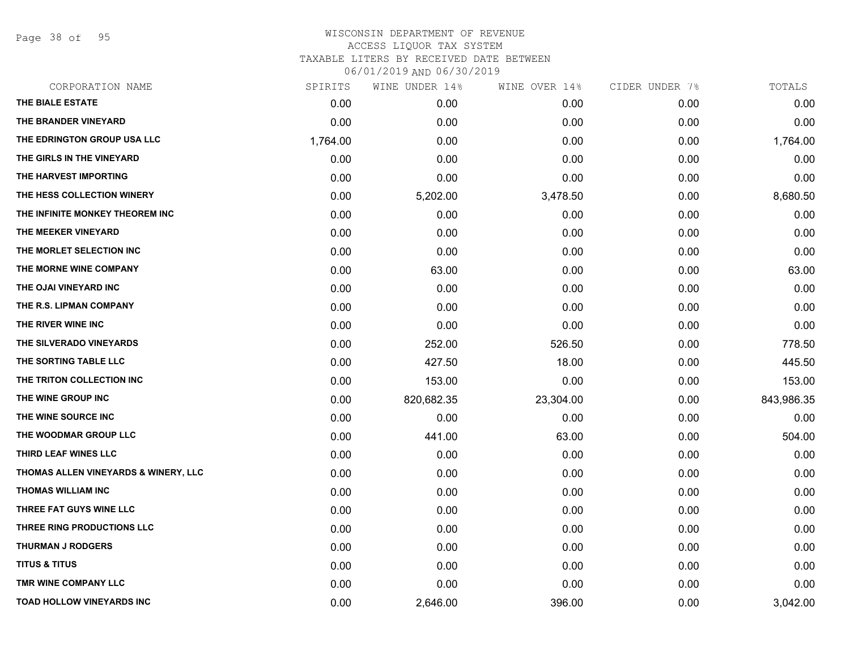Page 38 of 95

| CORPORATION NAME                     | SPIRITS  | WINE UNDER 14% | WINE OVER 14% | CIDER UNDER 7% | TOTALS     |
|--------------------------------------|----------|----------------|---------------|----------------|------------|
| THE BIALE ESTATE                     | 0.00     | 0.00           | 0.00          | 0.00           | 0.00       |
| THE BRANDER VINEYARD                 | 0.00     | 0.00           | 0.00          | 0.00           | 0.00       |
| THE EDRINGTON GROUP USA LLC          | 1,764.00 | 0.00           | 0.00          | 0.00           | 1,764.00   |
| THE GIRLS IN THE VINEYARD            | 0.00     | 0.00           | 0.00          | 0.00           | 0.00       |
| THE HARVEST IMPORTING                | 0.00     | 0.00           | 0.00          | 0.00           | 0.00       |
| THE HESS COLLECTION WINERY           | 0.00     | 5,202.00       | 3,478.50      | 0.00           | 8,680.50   |
| THE INFINITE MONKEY THEOREM INC      | 0.00     | 0.00           | 0.00          | 0.00           | 0.00       |
| THE MEEKER VINEYARD                  | 0.00     | 0.00           | 0.00          | 0.00           | 0.00       |
| THE MORLET SELECTION INC             | 0.00     | 0.00           | 0.00          | 0.00           | 0.00       |
| THE MORNE WINE COMPANY               | 0.00     | 63.00          | 0.00          | 0.00           | 63.00      |
| THE OJAI VINEYARD INC                | 0.00     | 0.00           | 0.00          | 0.00           | 0.00       |
| THE R.S. LIPMAN COMPANY              | 0.00     | 0.00           | 0.00          | 0.00           | 0.00       |
| THE RIVER WINE INC                   | 0.00     | 0.00           | 0.00          | 0.00           | 0.00       |
| THE SILVERADO VINEYARDS              | 0.00     | 252.00         | 526.50        | 0.00           | 778.50     |
| THE SORTING TABLE LLC                | 0.00     | 427.50         | 18.00         | 0.00           | 445.50     |
| THE TRITON COLLECTION INC            | 0.00     | 153.00         | 0.00          | 0.00           | 153.00     |
| THE WINE GROUP INC                   | 0.00     | 820,682.35     | 23,304.00     | 0.00           | 843,986.35 |
| THE WINE SOURCE INC                  | 0.00     | 0.00           | 0.00          | 0.00           | 0.00       |
| THE WOODMAR GROUP LLC                | 0.00     | 441.00         | 63.00         | 0.00           | 504.00     |
| THIRD LEAF WINES LLC                 | 0.00     | 0.00           | 0.00          | 0.00           | 0.00       |
| THOMAS ALLEN VINEYARDS & WINERY, LLC | 0.00     | 0.00           | 0.00          | 0.00           | 0.00       |
| <b>THOMAS WILLIAM INC</b>            | 0.00     | 0.00           | 0.00          | 0.00           | 0.00       |
| THREE FAT GUYS WINE LLC              | 0.00     | 0.00           | 0.00          | 0.00           | 0.00       |
| THREE RING PRODUCTIONS LLC           | 0.00     | 0.00           | 0.00          | 0.00           | 0.00       |
| <b>THURMAN J RODGERS</b>             | 0.00     | 0.00           | 0.00          | 0.00           | 0.00       |
| <b>TITUS &amp; TITUS</b>             | 0.00     | 0.00           | 0.00          | 0.00           | 0.00       |
| TMR WINE COMPANY LLC                 | 0.00     | 0.00           | 0.00          | 0.00           | 0.00       |
| <b>TOAD HOLLOW VINEYARDS INC</b>     | 0.00     | 2,646.00       | 396.00        | 0.00           | 3,042.00   |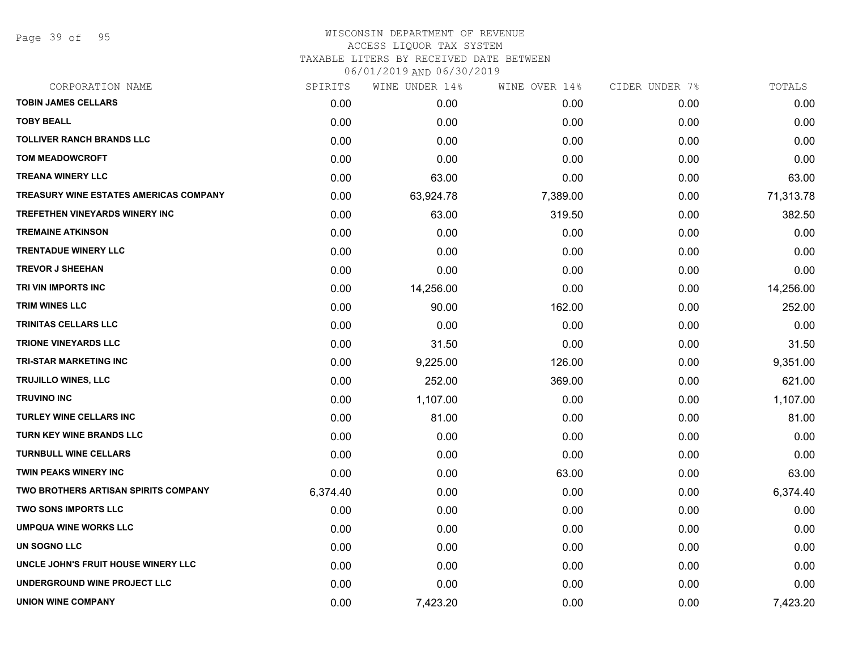Page 39 of 95

### WISCONSIN DEPARTMENT OF REVENUE ACCESS LIQUOR TAX SYSTEM TAXABLE LITERS BY RECEIVED DATE BETWEEN

| CORPORATION NAME                              | SPIRITS  | WINE UNDER 14% | WINE OVER 14% | CIDER UNDER 7% | TOTALS    |
|-----------------------------------------------|----------|----------------|---------------|----------------|-----------|
| <b>TOBIN JAMES CELLARS</b>                    | 0.00     | 0.00           | 0.00          | 0.00           | 0.00      |
| <b>TOBY BEALL</b>                             | 0.00     | 0.00           | 0.00          | 0.00           | 0.00      |
| <b>TOLLIVER RANCH BRANDS LLC</b>              | 0.00     | 0.00           | 0.00          | 0.00           | 0.00      |
| <b>TOM MEADOWCROFT</b>                        | 0.00     | 0.00           | 0.00          | 0.00           | 0.00      |
| <b>TREANA WINERY LLC</b>                      | 0.00     | 63.00          | 0.00          | 0.00           | 63.00     |
| <b>TREASURY WINE ESTATES AMERICAS COMPANY</b> | 0.00     | 63,924.78      | 7,389.00      | 0.00           | 71,313.78 |
| TREFETHEN VINEYARDS WINERY INC                | 0.00     | 63.00          | 319.50        | 0.00           | 382.50    |
| <b>TREMAINE ATKINSON</b>                      | 0.00     | 0.00           | 0.00          | 0.00           | 0.00      |
| <b>TRENTADUE WINERY LLC</b>                   | 0.00     | 0.00           | 0.00          | 0.00           | 0.00      |
| <b>TREVOR J SHEEHAN</b>                       | 0.00     | 0.00           | 0.00          | 0.00           | 0.00      |
| TRI VIN IMPORTS INC                           | 0.00     | 14,256.00      | 0.00          | 0.00           | 14,256.00 |
| <b>TRIM WINES LLC</b>                         | 0.00     | 90.00          | 162.00        | 0.00           | 252.00    |
| <b>TRINITAS CELLARS LLC</b>                   | 0.00     | 0.00           | 0.00          | 0.00           | 0.00      |
| <b>TRIONE VINEYARDS LLC</b>                   | 0.00     | 31.50          | 0.00          | 0.00           | 31.50     |
| <b>TRI-STAR MARKETING INC</b>                 | 0.00     | 9,225.00       | 126.00        | 0.00           | 9,351.00  |
| TRUJILLO WINES, LLC                           | 0.00     | 252.00         | 369.00        | 0.00           | 621.00    |
| <b>TRUVINO INC</b>                            | 0.00     | 1,107.00       | 0.00          | 0.00           | 1,107.00  |
| <b>TURLEY WINE CELLARS INC</b>                | 0.00     | 81.00          | 0.00          | 0.00           | 81.00     |
| <b>TURN KEY WINE BRANDS LLC</b>               | 0.00     | 0.00           | 0.00          | 0.00           | 0.00      |
| <b>TURNBULL WINE CELLARS</b>                  | 0.00     | 0.00           | 0.00          | 0.00           | 0.00      |
| TWIN PEAKS WINERY INC                         | 0.00     | 0.00           | 63.00         | 0.00           | 63.00     |
| <b>TWO BROTHERS ARTISAN SPIRITS COMPANY</b>   | 6,374.40 | 0.00           | 0.00          | 0.00           | 6,374.40  |
| <b>TWO SONS IMPORTS LLC</b>                   | 0.00     | 0.00           | 0.00          | 0.00           | 0.00      |
| <b>UMPQUA WINE WORKS LLC</b>                  | 0.00     | 0.00           | 0.00          | 0.00           | 0.00      |
| UN SOGNO LLC                                  | 0.00     | 0.00           | 0.00          | 0.00           | 0.00      |
| UNCLE JOHN'S FRUIT HOUSE WINERY LLC           | 0.00     | 0.00           | 0.00          | 0.00           | 0.00      |
| UNDERGROUND WINE PROJECT LLC                  | 0.00     | 0.00           | 0.00          | 0.00           | 0.00      |
| <b>UNION WINE COMPANY</b>                     | 0.00     | 7,423.20       | 0.00          | 0.00           | 7,423.20  |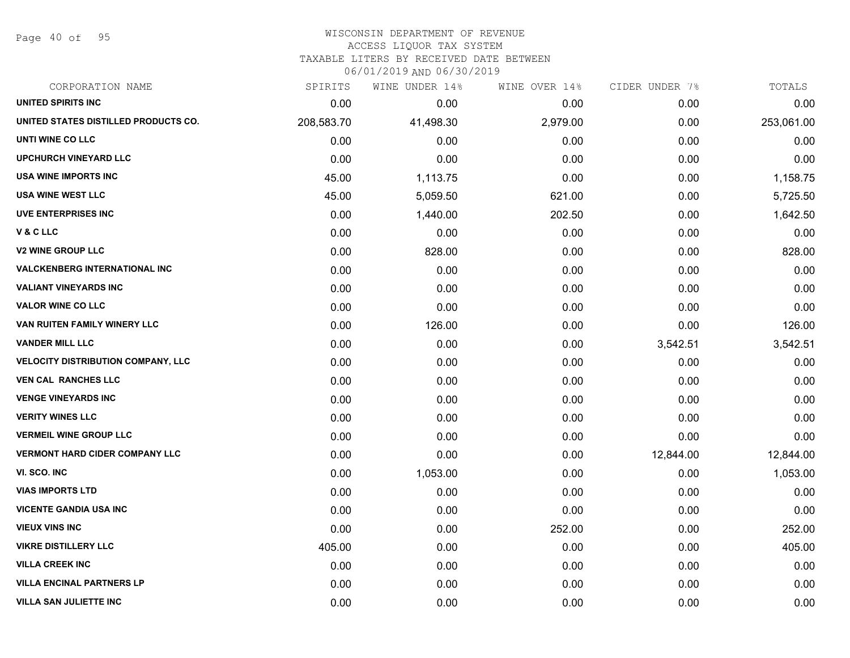Page 40 of 95

#### WISCONSIN DEPARTMENT OF REVENUE ACCESS LIQUOR TAX SYSTEM

TAXABLE LITERS BY RECEIVED DATE BETWEEN

| CORPORATION NAME                          | SPIRITS    | WINE UNDER 14% | WINE OVER 14% | CIDER UNDER 7% | TOTALS     |
|-------------------------------------------|------------|----------------|---------------|----------------|------------|
| UNITED SPIRITS INC                        | 0.00       | 0.00           | 0.00          | 0.00           | 0.00       |
| UNITED STATES DISTILLED PRODUCTS CO.      | 208,583.70 | 41,498.30      | 2,979.00      | 0.00           | 253,061.00 |
| UNTI WINE CO LLC                          | 0.00       | 0.00           | 0.00          | 0.00           | 0.00       |
| <b>UPCHURCH VINEYARD LLC</b>              | 0.00       | 0.00           | 0.00          | 0.00           | 0.00       |
| <b>USA WINE IMPORTS INC</b>               | 45.00      | 1,113.75       | 0.00          | 0.00           | 1,158.75   |
| <b>USA WINE WEST LLC</b>                  | 45.00      | 5,059.50       | 621.00        | 0.00           | 5,725.50   |
| UVE ENTERPRISES INC                       | 0.00       | 1,440.00       | 202.50        | 0.00           | 1,642.50   |
| V & C LLC                                 | 0.00       | 0.00           | 0.00          | 0.00           | 0.00       |
| <b>V2 WINE GROUP LLC</b>                  | 0.00       | 828.00         | 0.00          | 0.00           | 828.00     |
| <b>VALCKENBERG INTERNATIONAL INC</b>      | 0.00       | 0.00           | 0.00          | 0.00           | 0.00       |
| <b>VALIANT VINEYARDS INC</b>              | 0.00       | 0.00           | 0.00          | 0.00           | 0.00       |
| <b>VALOR WINE CO LLC</b>                  | 0.00       | 0.00           | 0.00          | 0.00           | 0.00       |
| VAN RUITEN FAMILY WINERY LLC              | 0.00       | 126.00         | 0.00          | 0.00           | 126.00     |
| <b>VANDER MILL LLC</b>                    | 0.00       | 0.00           | 0.00          | 3,542.51       | 3,542.51   |
| <b>VELOCITY DISTRIBUTION COMPANY, LLC</b> | 0.00       | 0.00           | 0.00          | 0.00           | 0.00       |
| <b>VEN CAL RANCHES LLC</b>                | 0.00       | 0.00           | 0.00          | 0.00           | 0.00       |
| <b>VENGE VINEYARDS INC</b>                | 0.00       | 0.00           | 0.00          | 0.00           | 0.00       |
| <b>VERITY WINES LLC</b>                   | 0.00       | 0.00           | 0.00          | 0.00           | 0.00       |
| <b>VERMEIL WINE GROUP LLC</b>             | 0.00       | 0.00           | 0.00          | 0.00           | 0.00       |
| <b>VERMONT HARD CIDER COMPANY LLC</b>     | 0.00       | 0.00           | 0.00          | 12,844.00      | 12,844.00  |
| VI. SCO. INC                              | 0.00       | 1,053.00       | 0.00          | 0.00           | 1,053.00   |
| <b>VIAS IMPORTS LTD</b>                   | 0.00       | 0.00           | 0.00          | 0.00           | 0.00       |
| <b>VICENTE GANDIA USA INC</b>             | 0.00       | 0.00           | 0.00          | 0.00           | 0.00       |
| <b>VIEUX VINS INC</b>                     | 0.00       | 0.00           | 252.00        | 0.00           | 252.00     |
| <b>VIKRE DISTILLERY LLC</b>               | 405.00     | 0.00           | 0.00          | 0.00           | 405.00     |
| <b>VILLA CREEK INC</b>                    | 0.00       | 0.00           | 0.00          | 0.00           | 0.00       |
| <b>VILLA ENCINAL PARTNERS LP</b>          | 0.00       | 0.00           | 0.00          | 0.00           | 0.00       |
| <b>VILLA SAN JULIETTE INC</b>             | 0.00       | 0.00           | 0.00          | 0.00           | 0.00       |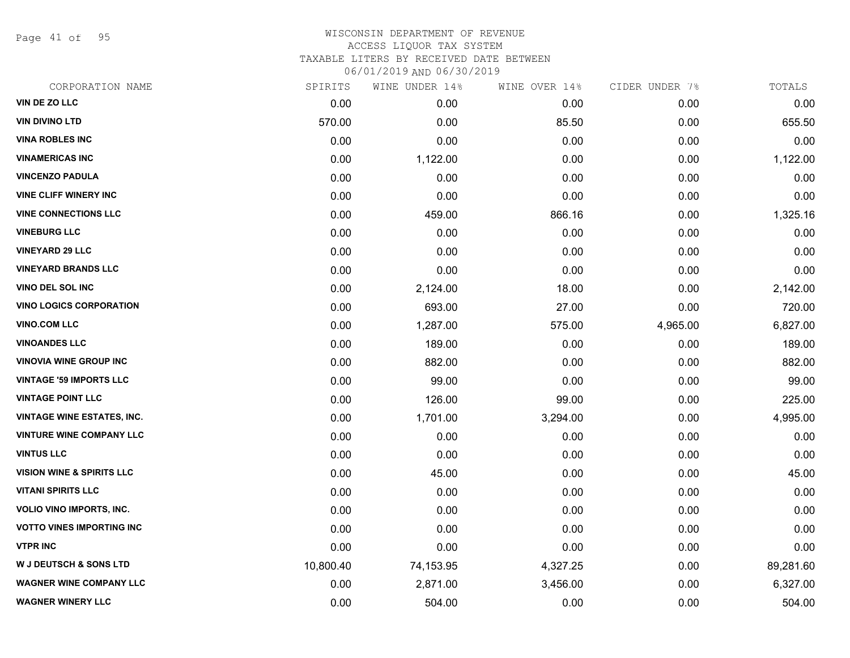Page 41 of 95

## WISCONSIN DEPARTMENT OF REVENUE ACCESS LIQUOR TAX SYSTEM TAXABLE LITERS BY RECEIVED DATE BETWEEN

| CORPORATION NAME                     | SPIRITS   | WINE UNDER 14% | WINE OVER 14% | CIDER UNDER 7% | TOTALS    |
|--------------------------------------|-----------|----------------|---------------|----------------|-----------|
| VIN DE ZO LLC                        | 0.00      | 0.00           | 0.00          | 0.00           | 0.00      |
| <b>VIN DIVINO LTD</b>                | 570.00    | 0.00           | 85.50         | 0.00           | 655.50    |
| <b>VINA ROBLES INC</b>               | 0.00      | 0.00           | 0.00          | 0.00           | 0.00      |
| <b>VINAMERICAS INC</b>               | 0.00      | 1,122.00       | 0.00          | 0.00           | 1,122.00  |
| <b>VINCENZO PADULA</b>               | 0.00      | 0.00           | 0.00          | 0.00           | 0.00      |
| <b>VINE CLIFF WINERY INC</b>         | 0.00      | 0.00           | 0.00          | 0.00           | 0.00      |
| <b>VINE CONNECTIONS LLC</b>          | 0.00      | 459.00         | 866.16        | 0.00           | 1,325.16  |
| <b>VINEBURG LLC</b>                  | 0.00      | 0.00           | 0.00          | 0.00           | 0.00      |
| <b>VINEYARD 29 LLC</b>               | 0.00      | 0.00           | 0.00          | 0.00           | 0.00      |
| <b>VINEYARD BRANDS LLC</b>           | 0.00      | 0.00           | 0.00          | 0.00           | 0.00      |
| VINO DEL SOL INC                     | 0.00      | 2,124.00       | 18.00         | 0.00           | 2,142.00  |
| <b>VINO LOGICS CORPORATION</b>       | 0.00      | 693.00         | 27.00         | 0.00           | 720.00    |
| <b>VINO.COM LLC</b>                  | 0.00      | 1,287.00       | 575.00        | 4,965.00       | 6,827.00  |
| <b>VINOANDES LLC</b>                 | 0.00      | 189.00         | 0.00          | 0.00           | 189.00    |
| <b>VINOVIA WINE GROUP INC</b>        | 0.00      | 882.00         | 0.00          | 0.00           | 882.00    |
| <b>VINTAGE '59 IMPORTS LLC</b>       | 0.00      | 99.00          | 0.00          | 0.00           | 99.00     |
| <b>VINTAGE POINT LLC</b>             | 0.00      | 126.00         | 99.00         | 0.00           | 225.00    |
| <b>VINTAGE WINE ESTATES, INC.</b>    | 0.00      | 1,701.00       | 3,294.00      | 0.00           | 4,995.00  |
| <b>VINTURE WINE COMPANY LLC</b>      | 0.00      | 0.00           | 0.00          | 0.00           | 0.00      |
| <b>VINTUS LLC</b>                    | 0.00      | 0.00           | 0.00          | 0.00           | 0.00      |
| <b>VISION WINE &amp; SPIRITS LLC</b> | 0.00      | 45.00          | 0.00          | 0.00           | 45.00     |
| <b>VITANI SPIRITS LLC</b>            | 0.00      | 0.00           | 0.00          | 0.00           | 0.00      |
| <b>VOLIO VINO IMPORTS, INC.</b>      | 0.00      | 0.00           | 0.00          | 0.00           | 0.00      |
| <b>VOTTO VINES IMPORTING INC</b>     | 0.00      | 0.00           | 0.00          | 0.00           | 0.00      |
| <b>VTPR INC</b>                      | 0.00      | 0.00           | 0.00          | 0.00           | 0.00      |
| <b>W J DEUTSCH &amp; SONS LTD</b>    | 10,800.40 | 74,153.95      | 4,327.25      | 0.00           | 89,281.60 |
| <b>WAGNER WINE COMPANY LLC</b>       | 0.00      | 2,871.00       | 3,456.00      | 0.00           | 6,327.00  |
| <b>WAGNER WINERY LLC</b>             | 0.00      | 504.00         | 0.00          | 0.00           | 504.00    |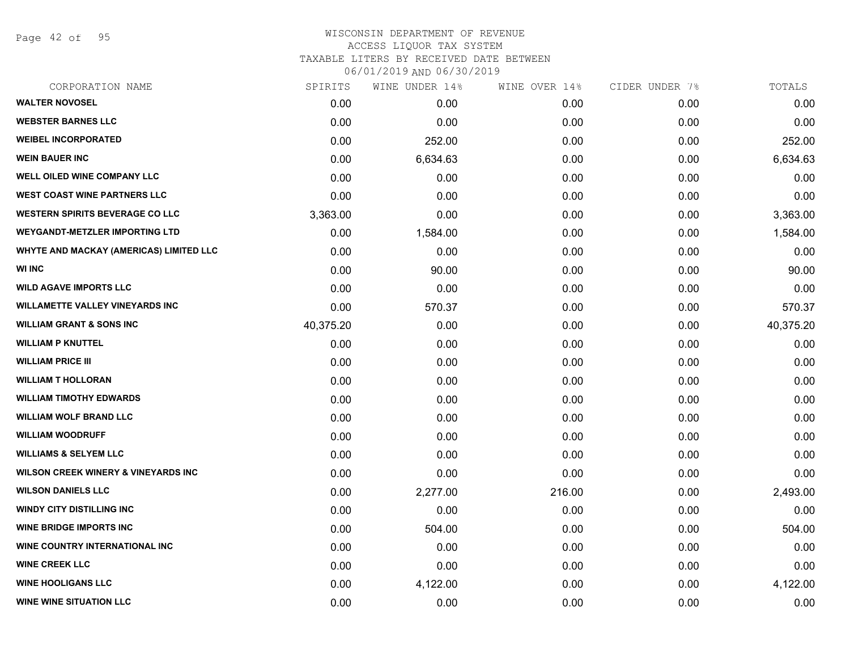Page 42 of 95

| CORPORATION NAME                        | SPIRITS   | WINE UNDER 14% | WINE OVER 14% | CIDER UNDER 7% | TOTALS    |
|-----------------------------------------|-----------|----------------|---------------|----------------|-----------|
| <b>WALTER NOVOSEL</b>                   | 0.00      | 0.00           | 0.00          | 0.00           | 0.00      |
| <b>WEBSTER BARNES LLC</b>               | 0.00      | 0.00           | 0.00          | 0.00           | 0.00      |
| <b>WEIBEL INCORPORATED</b>              | 0.00      | 252.00         | 0.00          | 0.00           | 252.00    |
| <b>WEIN BAUER INC</b>                   | 0.00      | 6,634.63       | 0.00          | 0.00           | 6,634.63  |
| WELL OILED WINE COMPANY LLC             | 0.00      | 0.00           | 0.00          | 0.00           | 0.00      |
| <b>WEST COAST WINE PARTNERS LLC</b>     | 0.00      | 0.00           | 0.00          | 0.00           | 0.00      |
| <b>WESTERN SPIRITS BEVERAGE CO LLC</b>  | 3,363.00  | 0.00           | 0.00          | 0.00           | 3,363.00  |
| <b>WEYGANDT-METZLER IMPORTING LTD</b>   | 0.00      | 1,584.00       | 0.00          | 0.00           | 1,584.00  |
| WHYTE AND MACKAY (AMERICAS) LIMITED LLC | 0.00      | 0.00           | 0.00          | 0.00           | 0.00      |
| <b>WI INC</b>                           | 0.00      | 90.00          | 0.00          | 0.00           | 90.00     |
| <b>WILD AGAVE IMPORTS LLC</b>           | 0.00      | 0.00           | 0.00          | 0.00           | 0.00      |
| <b>WILLAMETTE VALLEY VINEYARDS INC</b>  | 0.00      | 570.37         | 0.00          | 0.00           | 570.37    |
| <b>WILLIAM GRANT &amp; SONS INC</b>     | 40,375.20 | 0.00           | 0.00          | 0.00           | 40,375.20 |
| <b>WILLIAM P KNUTTEL</b>                | 0.00      | 0.00           | 0.00          | 0.00           | 0.00      |
| <b>WILLIAM PRICE III</b>                | 0.00      | 0.00           | 0.00          | 0.00           | 0.00      |
| <b>WILLIAM T HOLLORAN</b>               | 0.00      | 0.00           | 0.00          | 0.00           | 0.00      |
| <b>WILLIAM TIMOTHY EDWARDS</b>          | 0.00      | 0.00           | 0.00          | 0.00           | 0.00      |
| <b>WILLIAM WOLF BRAND LLC</b>           | 0.00      | 0.00           | 0.00          | 0.00           | 0.00      |
| <b>WILLIAM WOODRUFF</b>                 | 0.00      | 0.00           | 0.00          | 0.00           | 0.00      |
| <b>WILLIAMS &amp; SELYEM LLC</b>        | 0.00      | 0.00           | 0.00          | 0.00           | 0.00      |
| WILSON CREEK WINERY & VINEYARDS INC     | 0.00      | 0.00           | 0.00          | 0.00           | 0.00      |
| <b>WILSON DANIELS LLC</b>               | 0.00      | 2,277.00       | 216.00        | 0.00           | 2,493.00  |
| <b>WINDY CITY DISTILLING INC</b>        | 0.00      | 0.00           | 0.00          | 0.00           | 0.00      |
| <b>WINE BRIDGE IMPORTS INC</b>          | 0.00      | 504.00         | 0.00          | 0.00           | 504.00    |
| WINE COUNTRY INTERNATIONAL INC          | 0.00      | 0.00           | 0.00          | 0.00           | 0.00      |
| <b>WINE CREEK LLC</b>                   | 0.00      | 0.00           | 0.00          | 0.00           | 0.00      |
| <b>WINE HOOLIGANS LLC</b>               | 0.00      | 4,122.00       | 0.00          | 0.00           | 4,122.00  |
| <b>WINE WINE SITUATION LLC</b>          | 0.00      | 0.00           | 0.00          | 0.00           | 0.00      |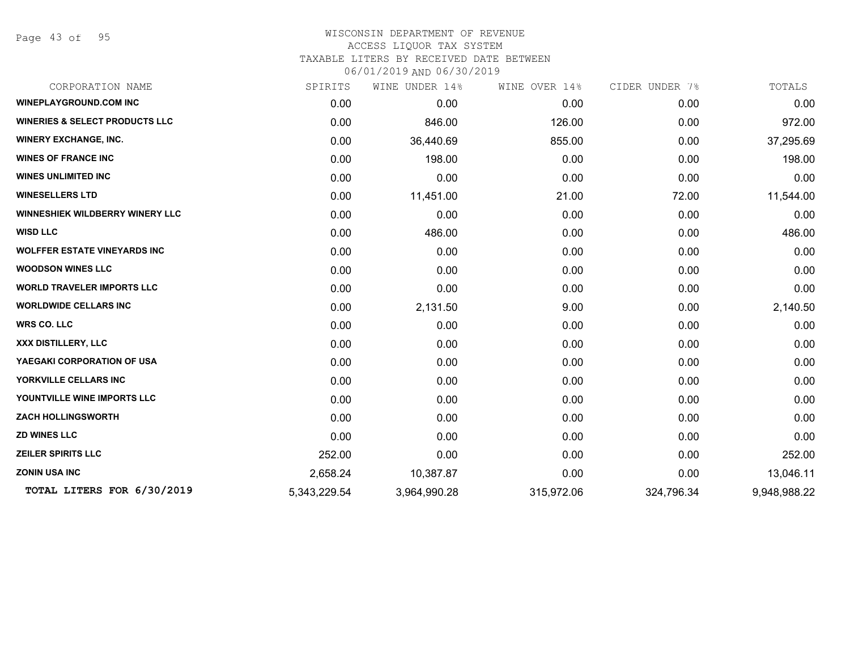Page 43 of 95

| CORPORATION NAME                          | SPIRITS      | WINE UNDER 14% | WINE OVER 14% | CIDER UNDER 7% | TOTALS       |
|-------------------------------------------|--------------|----------------|---------------|----------------|--------------|
| <b>WINEPLAYGROUND.COM INC</b>             | 0.00         | 0.00           | 0.00          | 0.00           | 0.00         |
| <b>WINERIES &amp; SELECT PRODUCTS LLC</b> | 0.00         | 846.00         | 126.00        | 0.00           | 972.00       |
| <b>WINERY EXCHANGE, INC.</b>              | 0.00         | 36,440.69      | 855.00        | 0.00           | 37,295.69    |
| <b>WINES OF FRANCE INC</b>                | 0.00         | 198.00         | 0.00          | 0.00           | 198.00       |
| <b>WINES UNLIMITED INC</b>                | 0.00         | 0.00           | 0.00          | 0.00           | 0.00         |
| <b>WINESELLERS LTD</b>                    | 0.00         | 11,451.00      | 21.00         | 72.00          | 11,544.00    |
| WINNESHIEK WILDBERRY WINERY LLC           | 0.00         | 0.00           | 0.00          | 0.00           | 0.00         |
| <b>WISD LLC</b>                           | 0.00         | 486.00         | 0.00          | 0.00           | 486.00       |
| <b>WOLFFER ESTATE VINEYARDS INC</b>       | 0.00         | 0.00           | 0.00          | 0.00           | 0.00         |
| <b>WOODSON WINES LLC</b>                  | 0.00         | 0.00           | 0.00          | 0.00           | 0.00         |
| <b>WORLD TRAVELER IMPORTS LLC</b>         | 0.00         | 0.00           | 0.00          | 0.00           | 0.00         |
| <b>WORLDWIDE CELLARS INC</b>              | 0.00         | 2,131.50       | 9.00          | 0.00           | 2,140.50     |
| <b>WRS CO. LLC</b>                        | 0.00         | 0.00           | 0.00          | 0.00           | 0.00         |
| XXX DISTILLERY, LLC                       | 0.00         | 0.00           | 0.00          | 0.00           | 0.00         |
| YAEGAKI CORPORATION OF USA                | 0.00         | 0.00           | 0.00          | 0.00           | 0.00         |
| YORKVILLE CELLARS INC                     | 0.00         | 0.00           | 0.00          | 0.00           | 0.00         |
| YOUNTVILLE WINE IMPORTS LLC               | 0.00         | 0.00           | 0.00          | 0.00           | 0.00         |
| <b>ZACH HOLLINGSWORTH</b>                 | 0.00         | 0.00           | 0.00          | 0.00           | 0.00         |
| <b>ZD WINES LLC</b>                       | 0.00         | 0.00           | 0.00          | 0.00           | 0.00         |
| <b>ZEILER SPIRITS LLC</b>                 | 252.00       | 0.00           | 0.00          | 0.00           | 252.00       |
| <b>ZONIN USA INC</b>                      | 2,658.24     | 10,387.87      | 0.00          | 0.00           | 13,046.11    |
| TOTAL LITERS FOR 6/30/2019                | 5,343,229.54 | 3,964,990.28   | 315,972.06    | 324,796.34     | 9,948,988.22 |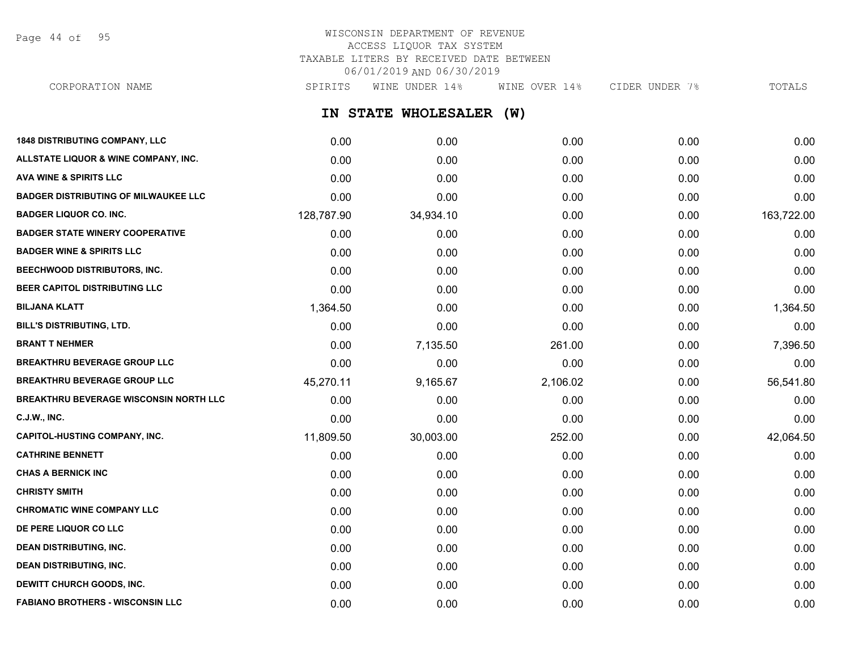Page 44 of 95

## WISCONSIN DEPARTMENT OF REVENUE ACCESS LIQUOR TAX SYSTEM TAXABLE LITERS BY RECEIVED DATE BETWEEN 06/01/2019 AND 06/30/2019

**IN STATE WHOLESALER (W) 1848 DISTRIBUTING COMPANY, LLC** 0.00 0.00 0.00 0.00 0.00 **ALLSTATE LIQUOR & WINE COMPANY, INC.** 0.00 0.00 0.00 0.00 0.00 **AVA WINE & SPIRITS LLC** 0.00 0.00 0.00 0.00 0.00 **BADGER DISTRIBUTING OF MILWAUKEE LLC** 0.00 0.00 0.00 0.00 0.00 **BADGER LIQUOR CO. INC.** 128,787.90 34,934.10 0.00 0.00 163,722.00 **BADGER STATE WINERY COOPERATIVE** 0.00 0.00 0.00 0.00 0.00 **BADGER WINE & SPIRITS LLC** 0.00 0.00 0.00 0.00 0.00 **BEECHWOOD DISTRIBUTORS, INC.** 0.00 0.00 0.00 0.00 0.00 CORPORATION NAME SPIRITS WINE UNDER 14% WINE OVER 14% CIDER UNDER 7% TOTALS

| טווא ונאט וואסואר איז דער האט די האט זיך איז די האט וואס איז די האט זיך איז די האט זיך די האט זיך די ה | <b>U.UU</b> | <b>U.UU</b> | <b>U.UU</b> | <b>U.UU</b> | <b>U.UU</b> |
|--------------------------------------------------------------------------------------------------------|-------------|-------------|-------------|-------------|-------------|
| BEER CAPITOL DISTRIBUTING LLC                                                                          | 0.00        | 0.00        | 0.00        | 0.00        | 0.00        |
| <b>BILJANA KLATT</b>                                                                                   | 1,364.50    | 0.00        | 0.00        | 0.00        | 1,364.50    |
| <b>BILL'S DISTRIBUTING, LTD.</b>                                                                       | 0.00        | 0.00        | 0.00        | 0.00        | 0.00        |
| <b>BRANT T NEHMER</b>                                                                                  | 0.00        | 7,135.50    | 261.00      | 0.00        | 7,396.50    |
| <b>BREAKTHRU BEVERAGE GROUP LLC</b>                                                                    | 0.00        | 0.00        | 0.00        | 0.00        | 0.00        |
| <b>BREAKTHRU BEVERAGE GROUP LLC</b>                                                                    | 45,270.11   | 9,165.67    | 2,106.02    | 0.00        | 56,541.80   |
| <b>BREAKTHRU BEVERAGE WISCONSIN NORTH LLC</b>                                                          | 0.00        | 0.00        | 0.00        | 0.00        | 0.00        |
| C.J.W., INC.                                                                                           | 0.00        | 0.00        | 0.00        | 0.00        | 0.00        |
| <b>CAPITOL-HUSTING COMPANY, INC.</b>                                                                   | 11,809.50   | 30,003.00   | 252.00      | 0.00        | 42,064.50   |
| <b>CATHRINE BENNETT</b>                                                                                | 0.00        | 0.00        | 0.00        | 0.00        | 0.00        |
| <b>CHAS A BERNICK INC</b>                                                                              | 0.00        | 0.00        | 0.00        | 0.00        | 0.00        |
| <b>CHRISTY SMITH</b>                                                                                   | 0.00        | 0.00        | 0.00        | 0.00        | 0.00        |
| <b>CHROMATIC WINE COMPANY LLC</b>                                                                      | 0.00        | 0.00        | 0.00        | 0.00        | 0.00        |
| DE PERE LIQUOR CO LLC                                                                                  | 0.00        | 0.00        | 0.00        | 0.00        | 0.00        |
| <b>DEAN DISTRIBUTING, INC.</b>                                                                         | 0.00        | 0.00        | 0.00        | 0.00        | 0.00        |
| <b>DEAN DISTRIBUTING, INC.</b>                                                                         | 0.00        | 0.00        | 0.00        | 0.00        | 0.00        |
| DEWITT CHURCH GOODS, INC.                                                                              | 0.00        | 0.00        | 0.00        | 0.00        | 0.00        |
| <b>FABIANO BROTHERS - WISCONSIN LLC</b>                                                                | 0.00        | 0.00        | 0.00        | 0.00        | 0.00        |
|                                                                                                        |             |             |             |             |             |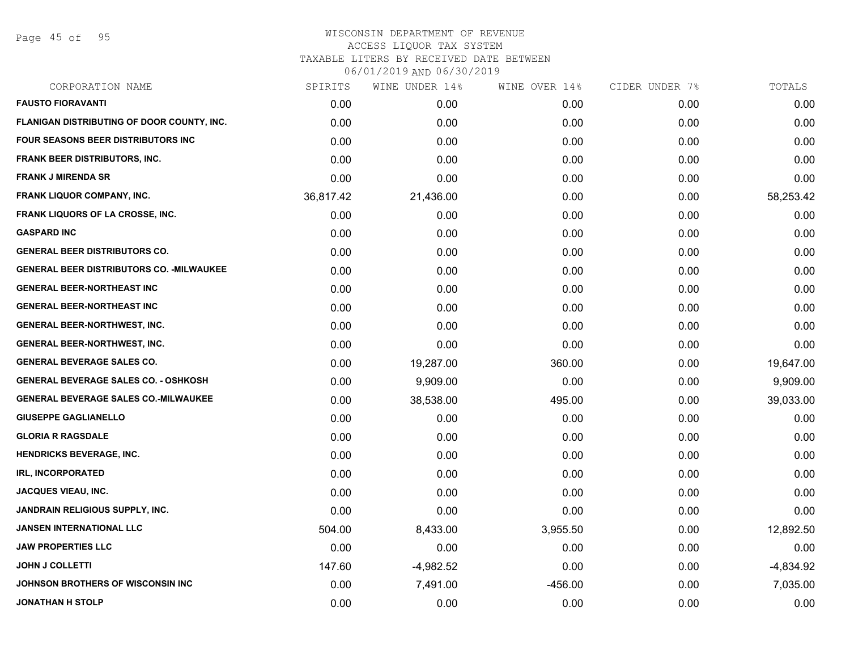Page 45 of 95

# WISCONSIN DEPARTMENT OF REVENUE ACCESS LIQUOR TAX SYSTEM TAXABLE LITERS BY RECEIVED DATE BETWEEN

| CORPORATION NAME                                 | SPIRITS   | WINE UNDER 14% | WINE OVER 14% | CIDER UNDER 7% | TOTALS      |
|--------------------------------------------------|-----------|----------------|---------------|----------------|-------------|
| <b>FAUSTO FIORAVANTI</b>                         | 0.00      | 0.00           | 0.00          | 0.00           | 0.00        |
| FLANIGAN DISTRIBUTING OF DOOR COUNTY, INC.       | 0.00      | 0.00           | 0.00          | 0.00           | 0.00        |
| FOUR SEASONS BEER DISTRIBUTORS INC               | 0.00      | 0.00           | 0.00          | 0.00           | 0.00        |
| <b>FRANK BEER DISTRIBUTORS, INC.</b>             | 0.00      | 0.00           | 0.00          | 0.00           | 0.00        |
| <b>FRANK J MIRENDA SR</b>                        | 0.00      | 0.00           | 0.00          | 0.00           | 0.00        |
| FRANK LIQUOR COMPANY, INC.                       | 36,817.42 | 21,436.00      | 0.00          | 0.00           | 58,253.42   |
| FRANK LIQUORS OF LA CROSSE, INC.                 | 0.00      | 0.00           | 0.00          | 0.00           | 0.00        |
| <b>GASPARD INC</b>                               | 0.00      | 0.00           | 0.00          | 0.00           | 0.00        |
| <b>GENERAL BEER DISTRIBUTORS CO.</b>             | 0.00      | 0.00           | 0.00          | 0.00           | 0.00        |
| <b>GENERAL BEER DISTRIBUTORS CO. - MILWAUKEE</b> | 0.00      | 0.00           | 0.00          | 0.00           | 0.00        |
| <b>GENERAL BEER-NORTHEAST INC</b>                | 0.00      | 0.00           | 0.00          | 0.00           | 0.00        |
| <b>GENERAL BEER-NORTHEAST INC</b>                | 0.00      | 0.00           | 0.00          | 0.00           | 0.00        |
| <b>GENERAL BEER-NORTHWEST, INC.</b>              | 0.00      | 0.00           | 0.00          | 0.00           | 0.00        |
| <b>GENERAL BEER-NORTHWEST, INC.</b>              | 0.00      | 0.00           | 0.00          | 0.00           | 0.00        |
| <b>GENERAL BEVERAGE SALES CO.</b>                | 0.00      | 19,287.00      | 360.00        | 0.00           | 19,647.00   |
| <b>GENERAL BEVERAGE SALES CO. - OSHKOSH</b>      | 0.00      | 9,909.00       | 0.00          | 0.00           | 9,909.00    |
| <b>GENERAL BEVERAGE SALES CO.-MILWAUKEE</b>      | 0.00      | 38,538.00      | 495.00        | 0.00           | 39,033.00   |
| <b>GIUSEPPE GAGLIANELLO</b>                      | 0.00      | 0.00           | 0.00          | 0.00           | 0.00        |
| <b>GLORIA R RAGSDALE</b>                         | 0.00      | 0.00           | 0.00          | 0.00           | 0.00        |
| <b>HENDRICKS BEVERAGE, INC.</b>                  | 0.00      | 0.00           | 0.00          | 0.00           | 0.00        |
| <b>IRL, INCORPORATED</b>                         | 0.00      | 0.00           | 0.00          | 0.00           | 0.00        |
| <b>JACQUES VIEAU, INC.</b>                       | 0.00      | 0.00           | 0.00          | 0.00           | 0.00        |
| JANDRAIN RELIGIOUS SUPPLY, INC.                  | 0.00      | 0.00           | 0.00          | 0.00           | 0.00        |
| <b>JANSEN INTERNATIONAL LLC</b>                  | 504.00    | 8,433.00       | 3,955.50      | 0.00           | 12,892.50   |
| <b>JAW PROPERTIES LLC</b>                        | 0.00      | 0.00           | 0.00          | 0.00           | 0.00        |
| <b>JOHN J COLLETTI</b>                           | 147.60    | $-4,982.52$    | 0.00          | 0.00           | $-4,834.92$ |
| JOHNSON BROTHERS OF WISCONSIN INC                | 0.00      | 7,491.00       | $-456.00$     | 0.00           | 7,035.00    |
| <b>JONATHAN H STOLP</b>                          | 0.00      | 0.00           | 0.00          | 0.00           | 0.00        |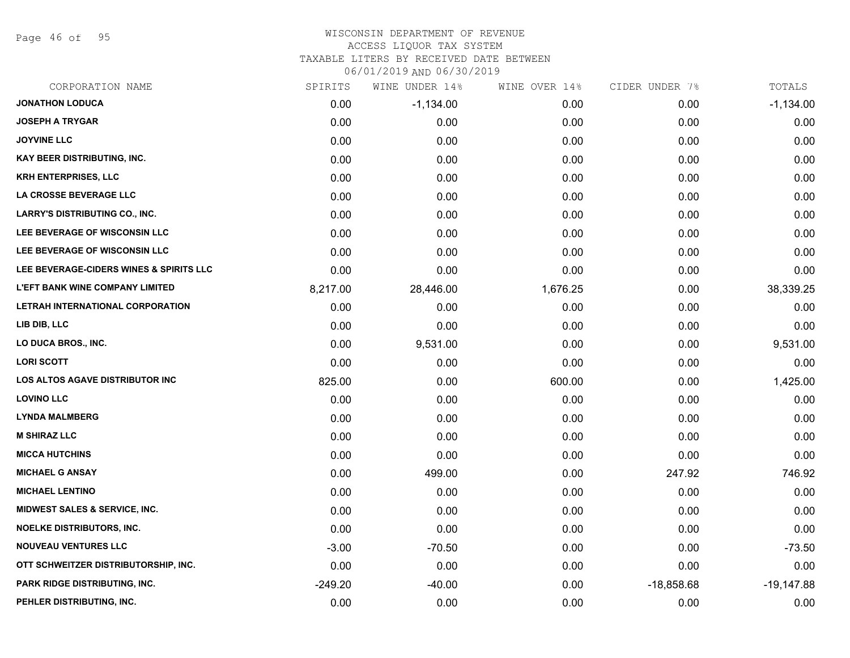Page 46 of 95

#### WISCONSIN DEPARTMENT OF REVENUE ACCESS LIQUOR TAX SYSTEM

TAXABLE LITERS BY RECEIVED DATE BETWEEN

| CORPORATION NAME                         | SPIRITS   | WINE UNDER 14% | WINE OVER 14% | CIDER UNDER 7% | TOTALS       |
|------------------------------------------|-----------|----------------|---------------|----------------|--------------|
| <b>JONATHON LODUCA</b>                   | 0.00      | $-1,134.00$    | 0.00          | 0.00           | $-1,134.00$  |
| <b>JOSEPH A TRYGAR</b>                   | 0.00      | 0.00           | 0.00          | 0.00           | 0.00         |
| <b>JOYVINE LLC</b>                       | 0.00      | 0.00           | 0.00          | 0.00           | 0.00         |
| <b>KAY BEER DISTRIBUTING, INC.</b>       | 0.00      | 0.00           | 0.00          | 0.00           | 0.00         |
| <b>KRH ENTERPRISES, LLC</b>              | 0.00      | 0.00           | 0.00          | 0.00           | 0.00         |
| LA CROSSE BEVERAGE LLC                   | 0.00      | 0.00           | 0.00          | 0.00           | 0.00         |
| <b>LARRY'S DISTRIBUTING CO., INC.</b>    | 0.00      | 0.00           | 0.00          | 0.00           | 0.00         |
| LEE BEVERAGE OF WISCONSIN LLC            | 0.00      | 0.00           | 0.00          | 0.00           | 0.00         |
| LEE BEVERAGE OF WISCONSIN LLC            | 0.00      | 0.00           | 0.00          | 0.00           | 0.00         |
| LEE BEVERAGE-CIDERS WINES & SPIRITS LLC  | 0.00      | 0.00           | 0.00          | 0.00           | 0.00         |
| <b>L'EFT BANK WINE COMPANY LIMITED</b>   | 8,217.00  | 28,446.00      | 1,676.25      | 0.00           | 38,339.25    |
| LETRAH INTERNATIONAL CORPORATION         | 0.00      | 0.00           | 0.00          | 0.00           | 0.00         |
| LIB DIB, LLC                             | 0.00      | 0.00           | 0.00          | 0.00           | 0.00         |
| LO DUCA BROS., INC.                      | 0.00      | 9,531.00       | 0.00          | 0.00           | 9,531.00     |
| <b>LORI SCOTT</b>                        | 0.00      | 0.00           | 0.00          | 0.00           | 0.00         |
| LOS ALTOS AGAVE DISTRIBUTOR INC          | 825.00    | 0.00           | 600.00        | 0.00           | 1,425.00     |
| <b>LOVINO LLC</b>                        | 0.00      | 0.00           | 0.00          | 0.00           | 0.00         |
| <b>LYNDA MALMBERG</b>                    | 0.00      | 0.00           | 0.00          | 0.00           | 0.00         |
| <b>M SHIRAZ LLC</b>                      | 0.00      | 0.00           | 0.00          | 0.00           | 0.00         |
| <b>MICCA HUTCHINS</b>                    | 0.00      | 0.00           | 0.00          | 0.00           | 0.00         |
| <b>MICHAEL G ANSAY</b>                   | 0.00      | 499.00         | 0.00          | 247.92         | 746.92       |
| <b>MICHAEL LENTINO</b>                   | 0.00      | 0.00           | 0.00          | 0.00           | 0.00         |
| <b>MIDWEST SALES &amp; SERVICE, INC.</b> | 0.00      | 0.00           | 0.00          | 0.00           | 0.00         |
| <b>NOELKE DISTRIBUTORS, INC.</b>         | 0.00      | 0.00           | 0.00          | 0.00           | 0.00         |
| <b>NOUVEAU VENTURES LLC</b>              | $-3.00$   | $-70.50$       | 0.00          | 0.00           | $-73.50$     |
| OTT SCHWEITZER DISTRIBUTORSHIP, INC.     | 0.00      | 0.00           | 0.00          | 0.00           | 0.00         |
| PARK RIDGE DISTRIBUTING, INC.            | $-249.20$ | $-40.00$       | 0.00          | $-18,858.68$   | $-19,147.88$ |
| PEHLER DISTRIBUTING, INC.                | 0.00      | 0.00           | 0.00          | 0.00           | 0.00         |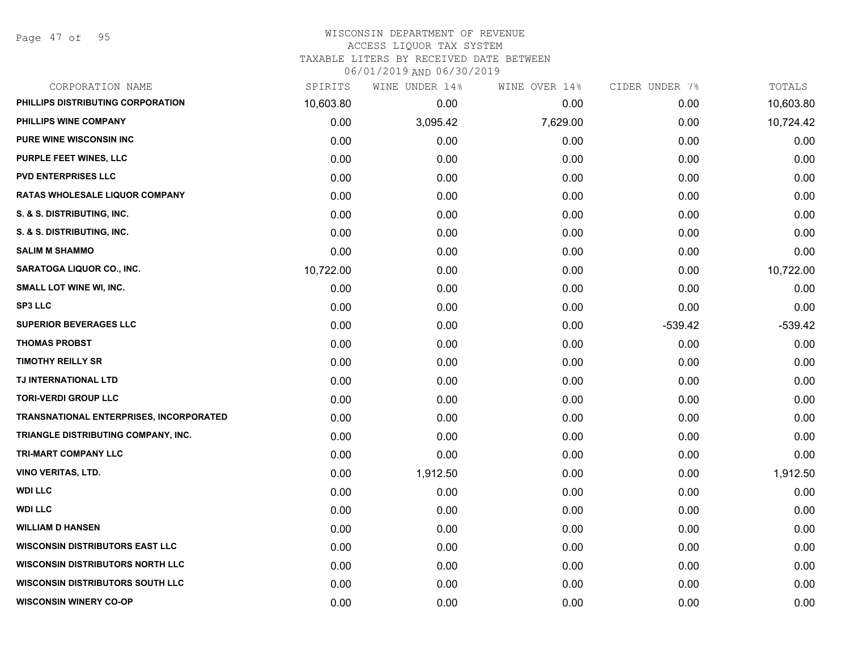Page 47 of 95

| CORPORATION NAME                               | SPIRITS   | WINE UNDER 14% | WINE OVER 14% | CIDER UNDER 7% | TOTALS    |
|------------------------------------------------|-----------|----------------|---------------|----------------|-----------|
| PHILLIPS DISTRIBUTING CORPORATION              | 10,603.80 | 0.00           | 0.00          | 0.00           | 10,603.80 |
| PHILLIPS WINE COMPANY                          | 0.00      | 3,095.42       | 7,629.00      | 0.00           | 10,724.42 |
| PURE WINE WISCONSIN INC                        | 0.00      | 0.00           | 0.00          | 0.00           | 0.00      |
| PURPLE FEET WINES, LLC                         | 0.00      | 0.00           | 0.00          | 0.00           | 0.00      |
| <b>PVD ENTERPRISES LLC</b>                     | 0.00      | 0.00           | 0.00          | 0.00           | 0.00      |
| RATAS WHOLESALE LIQUOR COMPANY                 | 0.00      | 0.00           | 0.00          | 0.00           | 0.00      |
| S. & S. DISTRIBUTING, INC.                     | 0.00      | 0.00           | 0.00          | 0.00           | 0.00      |
| S. & S. DISTRIBUTING, INC.                     | 0.00      | 0.00           | 0.00          | 0.00           | 0.00      |
| <b>SALIM M SHAMMO</b>                          | 0.00      | 0.00           | 0.00          | 0.00           | 0.00      |
| SARATOGA LIQUOR CO., INC.                      | 10,722.00 | 0.00           | 0.00          | 0.00           | 10,722.00 |
| SMALL LOT WINE WI, INC.                        | 0.00      | 0.00           | 0.00          | 0.00           | 0.00      |
| SP3 LLC                                        | 0.00      | 0.00           | 0.00          | 0.00           | 0.00      |
| <b>SUPERIOR BEVERAGES LLC</b>                  | 0.00      | 0.00           | 0.00          | $-539.42$      | $-539.42$ |
| <b>THOMAS PROBST</b>                           | 0.00      | 0.00           | 0.00          | 0.00           | 0.00      |
| <b>TIMOTHY REILLY SR</b>                       | 0.00      | 0.00           | 0.00          | 0.00           | 0.00      |
| TJ INTERNATIONAL LTD                           | 0.00      | 0.00           | 0.00          | 0.00           | 0.00      |
| <b>TORI-VERDI GROUP LLC</b>                    | 0.00      | 0.00           | 0.00          | 0.00           | 0.00      |
| <b>TRANSNATIONAL ENTERPRISES, INCORPORATED</b> | 0.00      | 0.00           | 0.00          | 0.00           | 0.00      |
| TRIANGLE DISTRIBUTING COMPANY, INC.            | 0.00      | 0.00           | 0.00          | 0.00           | 0.00      |
| <b>TRI-MART COMPANY LLC</b>                    | 0.00      | 0.00           | 0.00          | 0.00           | 0.00      |
| <b>VINO VERITAS, LTD.</b>                      | 0.00      | 1,912.50       | 0.00          | 0.00           | 1,912.50  |
| <b>WDI LLC</b>                                 | 0.00      | 0.00           | 0.00          | 0.00           | 0.00      |
| <b>WDI LLC</b>                                 | 0.00      | 0.00           | 0.00          | 0.00           | 0.00      |
| <b>WILLIAM D HANSEN</b>                        | 0.00      | 0.00           | 0.00          | 0.00           | 0.00      |
| <b>WISCONSIN DISTRIBUTORS EAST LLC</b>         | 0.00      | 0.00           | 0.00          | 0.00           | 0.00      |
| <b>WISCONSIN DISTRIBUTORS NORTH LLC</b>        | 0.00      | 0.00           | 0.00          | 0.00           | 0.00      |
| <b>WISCONSIN DISTRIBUTORS SOUTH LLC</b>        | 0.00      | 0.00           | 0.00          | 0.00           | 0.00      |
| <b>WISCONSIN WINERY CO-OP</b>                  | 0.00      | 0.00           | 0.00          | 0.00           | 0.00      |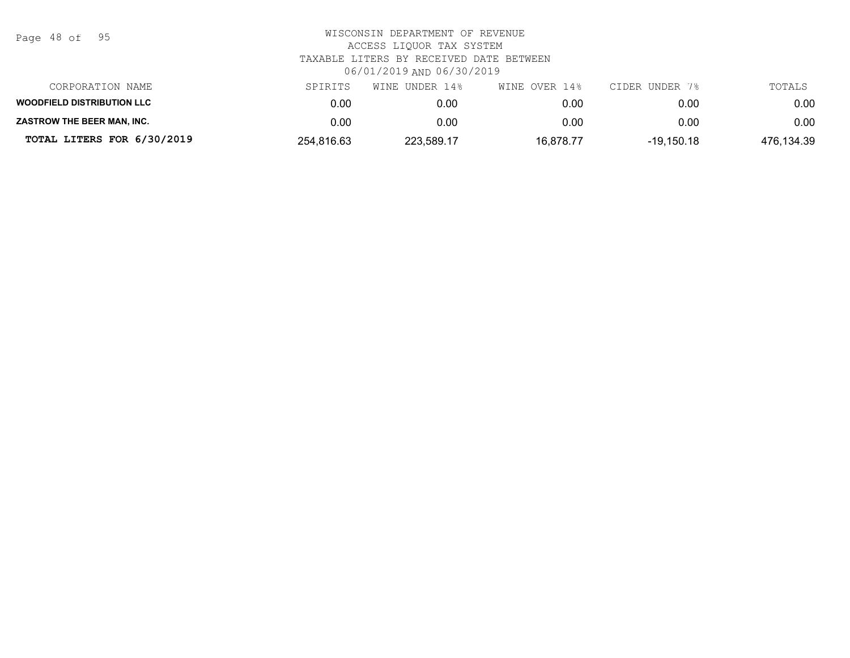| Page | 48 of |  | 95 |
|------|-------|--|----|
|------|-------|--|----|

| CORPORATION NAME                  | SPIRITS    | WINE UNDER 14% | WINE OVER 14% | CIDER UNDER 7% | TOTALS     |
|-----------------------------------|------------|----------------|---------------|----------------|------------|
| <b>WOODFIELD DISTRIBUTION LLC</b> | 0.00       | 0.00           | 0.00          | 0.00           | 0.00       |
| <b>ZASTROW THE BEER MAN. INC.</b> | 0.00       | 0.00           | 0.00          | 0.00           | 0.00       |
| TOTAL LITERS FOR 6/30/2019        | 254.816.63 | 223,589.17     | 16.878.77     | -19.150.18     | 476,134.39 |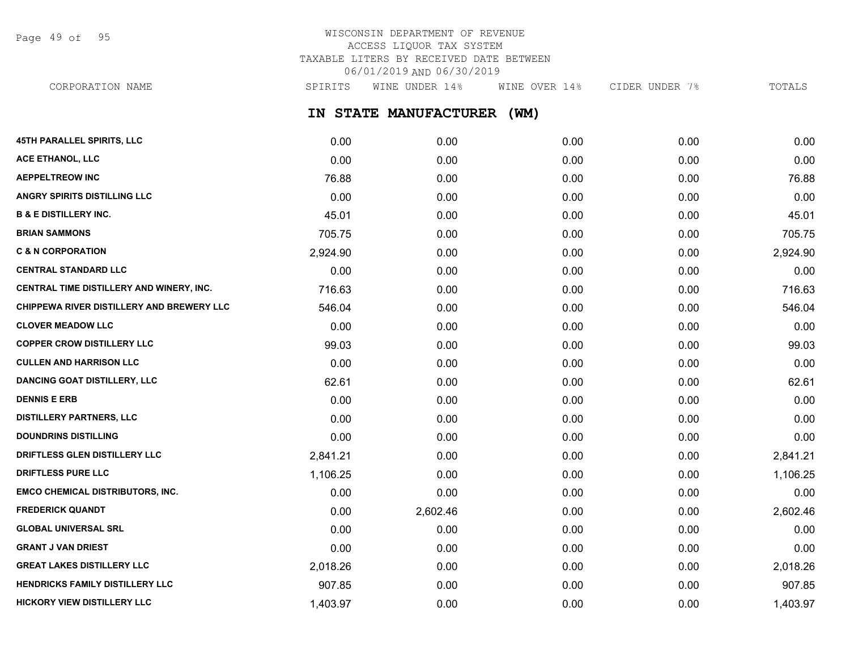Page 49 of 95

## WISCONSIN DEPARTMENT OF REVENUE ACCESS LIQUOR TAX SYSTEM TAXABLE LITERS BY RECEIVED DATE BETWEEN 06/01/2019 AND 06/30/2019

**IN STATE MANUFACTURER (WM) 45TH PARALLEL SPIRITS, LLC** 0.00 0.00 0.00 0.00 0.00 **ACE ETHANOL, LLC** 0.00 0.00 0.00 0.00 0.00 **AEPPELTREOW INC** 76.88 0.00 0.00 0.00 76.88 **ANGRY SPIRITS DISTILLING LLC** 0.00 0.00 0.00 0.00 0.00 **B & E DISTILLERY INC.** 45.01 0.00 0.00 0.00 45.01 **BRIAN SAMMONS** 705.75 0.00 0.00 0.00 705.75 **C & N CORPORATION** 2,924.90 0.00 0.00 0.00 2,924.90 **CENTRAL STANDARD LLC** 0.00 0.00 0.00 0.00 0.00 **CENTRAL TIME DISTILLERY AND WINERY, INC.**  $\begin{array}{ccc} 716.63 & 0.00 & 0.00 & 0.00 & 0.00 & 0.00 & 716.63 \end{array}$ **CHIPPEWA RIVER DISTILLERY AND BREWERY LLC**  $546.04$   $0.00$   $0.00$   $0.00$   $0.00$   $0.00$   $546.04$ **CLOVER MEADOW LLC** 0.00 0.00 0.00 0.00 0.00 **COPPER CROW DISTILLERY LLC** 99.03 0.00 0.00 0.00 99.03 **CULLEN AND HARRISON LLC** 0.00 0.00 0.00 0.00 0.00 **DANCING GOAT DISTILLERY, LLC** 62.61 62.61 62.61 0.00 0.00 0.00 0.00 0.00 0.00 0.00 62.61 **DENNIS E ERB** 0.00 0.00 0.00 0.00 0.00 **DISTILLERY PARTNERS, LLC** 0.00 0.00 0.00 0.00 0.00 **DOUNDRINS DISTILLING** 0.00 0.00 0.00 0.00 0.00 **DRIFTLESS GLEN DISTILLERY LLC** 2,841.21 0.00 0.00 0.00 2,841.21 **DRIFTLESS PURE LLC** 1,106.25 0.00 0.00 0.00 1,106.25 **EMCO CHEMICAL DISTRIBUTORS, INC.** 0.00 0.00 0.00 0.00 0.00 **FREDERICK QUANDT** 0.00 2,602.46 0.00 0.00 2,602.46 **GLOBAL UNIVERSAL SRL** 0.00 0.00 0.00 0.00 0.00 **GRANT J VAN DRIEST** 0.00 0.00 0.00 0.00 0.00 **GREAT LAKES DISTILLERY LLC** 2,018.26 0.00 0.00 0.00 2,018.26 **HENDRICKS FAMILY DISTILLERY LLC** 907.85 0.00 0.00 0.00 907.85 CORPORATION NAME SPIRITS WINE UNDER 14% WINE OVER 14% CIDER UNDER 7% TOTALS

**HICKORY VIEW DISTILLERY LLC** 1.403.97 1.403.97 0.00 0.00 0.00 0.00 0.00 0.00 0.00 1.403.97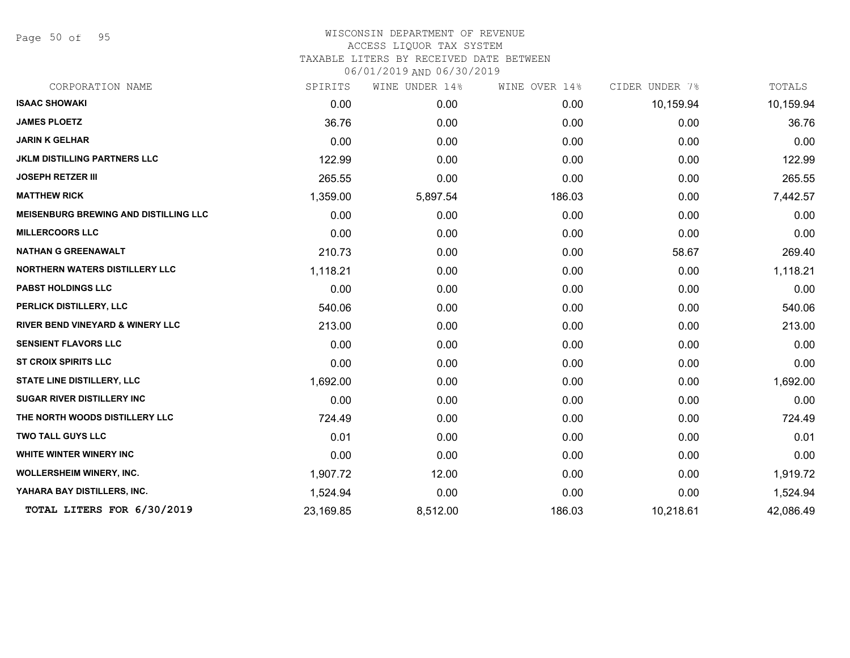Page 50 of 95

| CORPORATION NAME                             | SPIRITS   | WINE UNDER 14% | WINE OVER 14% | CIDER UNDER 7% | TOTALS    |
|----------------------------------------------|-----------|----------------|---------------|----------------|-----------|
| <b>ISAAC SHOWAKI</b>                         | 0.00      | 0.00           | 0.00          | 10,159.94      | 10,159.94 |
| <b>JAMES PLOETZ</b>                          | 36.76     | 0.00           | 0.00          | 0.00           | 36.76     |
| <b>JARIN K GELHAR</b>                        | 0.00      | 0.00           | 0.00          | 0.00           | 0.00      |
| <b>JKLM DISTILLING PARTNERS LLC</b>          | 122.99    | 0.00           | 0.00          | 0.00           | 122.99    |
| <b>JOSEPH RETZER III</b>                     | 265.55    | 0.00           | 0.00          | 0.00           | 265.55    |
| <b>MATTHEW RICK</b>                          | 1,359.00  | 5,897.54       | 186.03        | 0.00           | 7,442.57  |
| <b>MEISENBURG BREWING AND DISTILLING LLC</b> | 0.00      | 0.00           | 0.00          | 0.00           | 0.00      |
| <b>MILLERCOORS LLC</b>                       | 0.00      | 0.00           | 0.00          | 0.00           | 0.00      |
| <b>NATHAN G GREENAWALT</b>                   | 210.73    | 0.00           | 0.00          | 58.67          | 269.40    |
| <b>NORTHERN WATERS DISTILLERY LLC</b>        | 1,118.21  | 0.00           | 0.00          | 0.00           | 1,118.21  |
| <b>PABST HOLDINGS LLC</b>                    | 0.00      | 0.00           | 0.00          | 0.00           | 0.00      |
| PERLICK DISTILLERY, LLC                      | 540.06    | 0.00           | 0.00          | 0.00           | 540.06    |
| RIVER BEND VINEYARD & WINERY LLC             | 213.00    | 0.00           | 0.00          | 0.00           | 213.00    |
| <b>SENSIENT FLAVORS LLC</b>                  | 0.00      | 0.00           | 0.00          | 0.00           | 0.00      |
| <b>ST CROIX SPIRITS LLC</b>                  | 0.00      | 0.00           | 0.00          | 0.00           | 0.00      |
| <b>STATE LINE DISTILLERY, LLC</b>            | 1,692.00  | 0.00           | 0.00          | 0.00           | 1,692.00  |
| <b>SUGAR RIVER DISTILLERY INC</b>            | 0.00      | 0.00           | 0.00          | 0.00           | 0.00      |
| THE NORTH WOODS DISTILLERY LLC               | 724.49    | 0.00           | 0.00          | 0.00           | 724.49    |
| <b>TWO TALL GUYS LLC</b>                     | 0.01      | 0.00           | 0.00          | 0.00           | 0.01      |
| WHITE WINTER WINERY INC                      | 0.00      | 0.00           | 0.00          | 0.00           | 0.00      |
| <b>WOLLERSHEIM WINERY, INC.</b>              | 1,907.72  | 12.00          | 0.00          | 0.00           | 1,919.72  |
| YAHARA BAY DISTILLERS, INC.                  | 1,524.94  | 0.00           | 0.00          | 0.00           | 1,524.94  |
| TOTAL LITERS FOR 6/30/2019                   | 23,169.85 | 8,512.00       | 186.03        | 10,218.61      | 42,086.49 |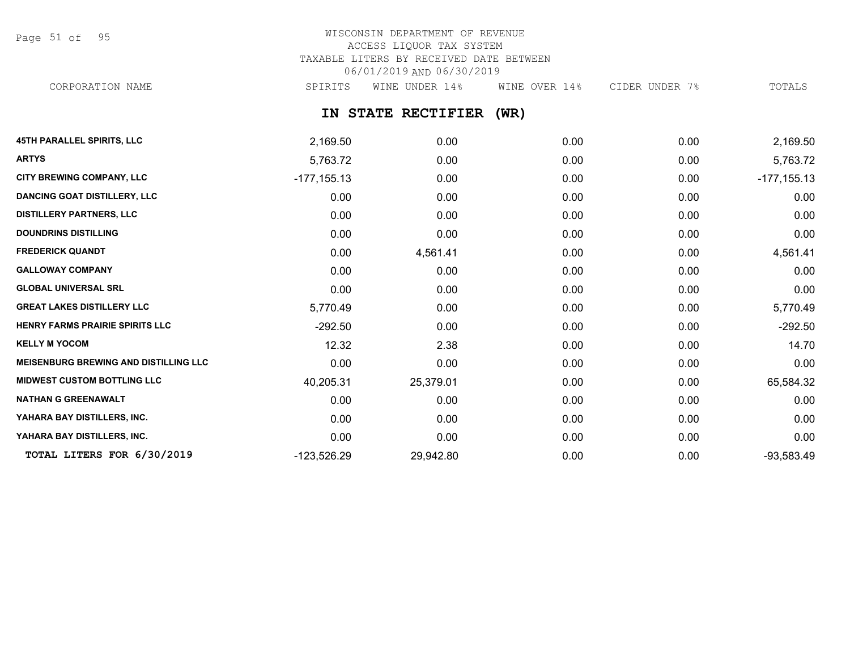Page 51 of 95

# WISCONSIN DEPARTMENT OF REVENUE ACCESS LIQUOR TAX SYSTEM TAXABLE LITERS BY RECEIVED DATE BETWEEN 06/01/2019 AND 06/30/2019

CORPORATION NAME SPIRITS WINE UNDER 14% WINE OVER 14% CIDER UNDER 7% TOTALS

**IN STATE RECTIFIER (WR)**

| <b>45TH PARALLEL SPIRITS, LLC</b>            | 2,169.50       | 0.00      | 0.00 | 0.00 | 2,169.50       |
|----------------------------------------------|----------------|-----------|------|------|----------------|
| <b>ARTYS</b>                                 | 5,763.72       | 0.00      | 0.00 | 0.00 | 5,763.72       |
| <b>CITY BREWING COMPANY, LLC</b>             | $-177, 155.13$ | 0.00      | 0.00 | 0.00 | $-177, 155.13$ |
| <b>DANCING GOAT DISTILLERY, LLC</b>          | 0.00           | 0.00      | 0.00 | 0.00 | 0.00           |
| <b>DISTILLERY PARTNERS, LLC</b>              | 0.00           | 0.00      | 0.00 | 0.00 | 0.00           |
| <b>DOUNDRINS DISTILLING</b>                  | 0.00           | 0.00      | 0.00 | 0.00 | 0.00           |
| <b>FREDERICK QUANDT</b>                      | 0.00           | 4,561.41  | 0.00 | 0.00 | 4,561.41       |
| <b>GALLOWAY COMPANY</b>                      | 0.00           | 0.00      | 0.00 | 0.00 | 0.00           |
| <b>GLOBAL UNIVERSAL SRL</b>                  | 0.00           | 0.00      | 0.00 | 0.00 | 0.00           |
| <b>GREAT LAKES DISTILLERY LLC</b>            | 5,770.49       | 0.00      | 0.00 | 0.00 | 5,770.49       |
| HENRY FARMS PRAIRIE SPIRITS LLC              | $-292.50$      | 0.00      | 0.00 | 0.00 | $-292.50$      |
| <b>KELLY M YOCOM</b>                         | 12.32          | 2.38      | 0.00 | 0.00 | 14.70          |
| <b>MEISENBURG BREWING AND DISTILLING LLC</b> | 0.00           | 0.00      | 0.00 | 0.00 | 0.00           |
| <b>MIDWEST CUSTOM BOTTLING LLC</b>           | 40,205.31      | 25,379.01 | 0.00 | 0.00 | 65,584.32      |
| <b>NATHAN G GREENAWALT</b>                   | 0.00           | 0.00      | 0.00 | 0.00 | 0.00           |
| YAHARA BAY DISTILLERS, INC.                  | 0.00           | 0.00      | 0.00 | 0.00 | 0.00           |
| YAHARA BAY DISTILLERS, INC.                  | 0.00           | 0.00      | 0.00 | 0.00 | 0.00           |
| TOTAL LITERS FOR 6/30/2019                   | -123,526.29    | 29,942.80 | 0.00 | 0.00 | $-93,583.49$   |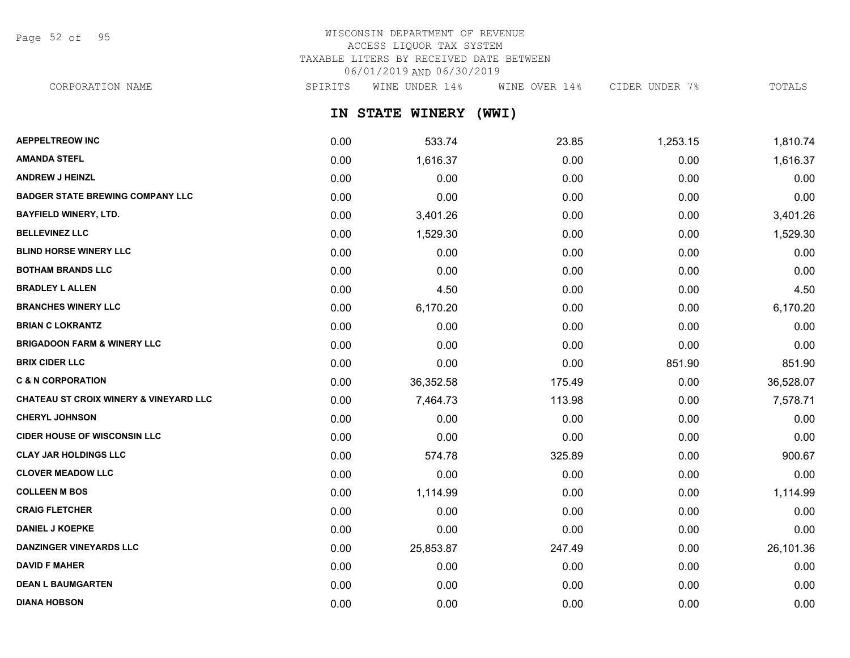Page 52 of 95

## WISCONSIN DEPARTMENT OF REVENUE ACCESS LIQUOR TAX SYSTEM TAXABLE LITERS BY RECEIVED DATE BETWEEN 06/01/2019 AND 06/30/2019

CORPORATION NAME SPIRITS WINE UNDER 14% WINE OVER 14% CIDER UNDER 7% TOTALS

**IN STATE WINERY (WWI)**

| <b>AEPPELTREOW INC</b>                            | 0.00 | 533.74    | 23.85  | 1,253.15 | 1,810.74  |
|---------------------------------------------------|------|-----------|--------|----------|-----------|
| <b>AMANDA STEFL</b>                               | 0.00 | 1,616.37  | 0.00   | 0.00     | 1,616.37  |
| <b>ANDREW J HEINZL</b>                            | 0.00 | 0.00      | 0.00   | 0.00     | 0.00      |
| <b>BADGER STATE BREWING COMPANY LLC</b>           | 0.00 | 0.00      | 0.00   | 0.00     | 0.00      |
| <b>BAYFIELD WINERY, LTD.</b>                      | 0.00 | 3,401.26  | 0.00   | 0.00     | 3,401.26  |
| <b>BELLEVINEZ LLC</b>                             | 0.00 | 1,529.30  | 0.00   | 0.00     | 1,529.30  |
| <b>BLIND HORSE WINERY LLC</b>                     | 0.00 | 0.00      | 0.00   | 0.00     | 0.00      |
| <b>BOTHAM BRANDS LLC</b>                          | 0.00 | 0.00      | 0.00   | 0.00     | 0.00      |
| <b>BRADLEY L ALLEN</b>                            | 0.00 | 4.50      | 0.00   | 0.00     | 4.50      |
| <b>BRANCHES WINERY LLC</b>                        | 0.00 | 6,170.20  | 0.00   | 0.00     | 6,170.20  |
| <b>BRIAN C LOKRANTZ</b>                           | 0.00 | 0.00      | 0.00   | 0.00     | 0.00      |
| <b>BRIGADOON FARM &amp; WINERY LLC</b>            | 0.00 | 0.00      | 0.00   | 0.00     | 0.00      |
| <b>BRIX CIDER LLC</b>                             | 0.00 | 0.00      | 0.00   | 851.90   | 851.90    |
| <b>C &amp; N CORPORATION</b>                      | 0.00 | 36,352.58 | 175.49 | 0.00     | 36,528.07 |
| <b>CHATEAU ST CROIX WINERY &amp; VINEYARD LLC</b> | 0.00 | 7,464.73  | 113.98 | 0.00     | 7,578.71  |
| <b>CHERYL JOHNSON</b>                             | 0.00 | 0.00      | 0.00   | 0.00     | 0.00      |
| <b>CIDER HOUSE OF WISCONSIN LLC</b>               | 0.00 | 0.00      | 0.00   | 0.00     | 0.00      |
| <b>CLAY JAR HOLDINGS LLC</b>                      | 0.00 | 574.78    | 325.89 | 0.00     | 900.67    |
| <b>CLOVER MEADOW LLC</b>                          | 0.00 | 0.00      | 0.00   | 0.00     | 0.00      |
| <b>COLLEEN M BOS</b>                              | 0.00 | 1,114.99  | 0.00   | 0.00     | 1,114.99  |
| <b>CRAIG FLETCHER</b>                             | 0.00 | 0.00      | 0.00   | 0.00     | 0.00      |
| <b>DANIEL J KOEPKE</b>                            | 0.00 | 0.00      | 0.00   | 0.00     | 0.00      |
| <b>DANZINGER VINEYARDS LLC</b>                    | 0.00 | 25,853.87 | 247.49 | 0.00     | 26,101.36 |
| <b>DAVID F MAHER</b>                              | 0.00 | 0.00      | 0.00   | 0.00     | 0.00      |
| <b>DEAN L BAUMGARTEN</b>                          | 0.00 | 0.00      | 0.00   | 0.00     | 0.00      |
| <b>DIANA HOBSON</b>                               | 0.00 | 0.00      | 0.00   | 0.00     | 0.00      |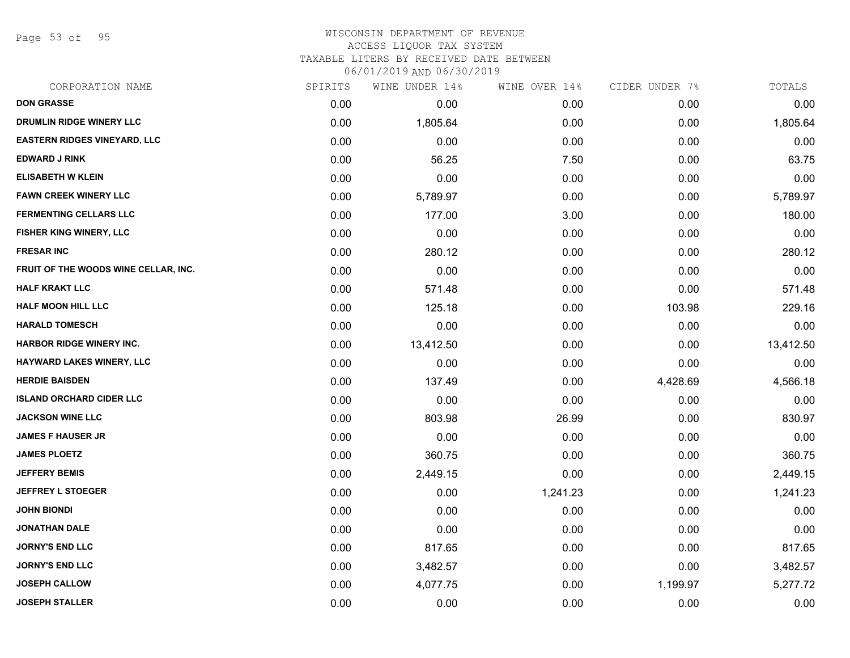Page 53 of 95

### WISCONSIN DEPARTMENT OF REVENUE ACCESS LIQUOR TAX SYSTEM TAXABLE LITERS BY RECEIVED DATE BETWEEN

| CORPORATION NAME                     | SPIRITS | WINE UNDER 14% | WINE OVER 14% | CIDER UNDER 7% | TOTALS    |
|--------------------------------------|---------|----------------|---------------|----------------|-----------|
| <b>DON GRASSE</b>                    | 0.00    | 0.00           | 0.00          | 0.00           | 0.00      |
| DRUMLIN RIDGE WINERY LLC             | 0.00    | 1,805.64       | 0.00          | 0.00           | 1,805.64  |
| <b>EASTERN RIDGES VINEYARD, LLC</b>  | 0.00    | 0.00           | 0.00          | 0.00           | 0.00      |
| <b>EDWARD J RINK</b>                 | 0.00    | 56.25          | 7.50          | 0.00           | 63.75     |
| <b>ELISABETH W KLEIN</b>             | 0.00    | 0.00           | 0.00          | 0.00           | 0.00      |
| <b>FAWN CREEK WINERY LLC</b>         | 0.00    | 5,789.97       | 0.00          | 0.00           | 5,789.97  |
| <b>FERMENTING CELLARS LLC</b>        | 0.00    | 177.00         | 3.00          | 0.00           | 180.00    |
| <b>FISHER KING WINERY, LLC</b>       | 0.00    | 0.00           | 0.00          | 0.00           | 0.00      |
| <b>FRESAR INC</b>                    | 0.00    | 280.12         | 0.00          | 0.00           | 280.12    |
| FRUIT OF THE WOODS WINE CELLAR, INC. | 0.00    | 0.00           | 0.00          | 0.00           | 0.00      |
| <b>HALF KRAKT LLC</b>                | 0.00    | 571.48         | 0.00          | 0.00           | 571.48    |
| HALF MOON HILL LLC                   | 0.00    | 125.18         | 0.00          | 103.98         | 229.16    |
| <b>HARALD TOMESCH</b>                | 0.00    | 0.00           | 0.00          | 0.00           | 0.00      |
| <b>HARBOR RIDGE WINERY INC.</b>      | 0.00    | 13,412.50      | 0.00          | 0.00           | 13,412.50 |
| HAYWARD LAKES WINERY, LLC            | 0.00    | 0.00           | 0.00          | 0.00           | 0.00      |
| <b>HERDIE BAISDEN</b>                | 0.00    | 137.49         | 0.00          | 4,428.69       | 4,566.18  |
| <b>ISLAND ORCHARD CIDER LLC</b>      | 0.00    | 0.00           | 0.00          | 0.00           | 0.00      |
| <b>JACKSON WINE LLC</b>              | 0.00    | 803.98         | 26.99         | 0.00           | 830.97    |
| <b>JAMES F HAUSER JR</b>             | 0.00    | 0.00           | 0.00          | 0.00           | 0.00      |
| <b>JAMES PLOETZ</b>                  | 0.00    | 360.75         | 0.00          | 0.00           | 360.75    |
| <b>JEFFERY BEMIS</b>                 | 0.00    | 2,449.15       | 0.00          | 0.00           | 2,449.15  |
| <b>JEFFREY L STOEGER</b>             | 0.00    | 0.00           | 1,241.23      | 0.00           | 1,241.23  |
| <b>JOHN BIONDI</b>                   | 0.00    | 0.00           | 0.00          | 0.00           | 0.00      |
| <b>JONATHAN DALE</b>                 | 0.00    | 0.00           | 0.00          | 0.00           | 0.00      |
| <b>JORNY'S END LLC</b>               | 0.00    | 817.65         | 0.00          | 0.00           | 817.65    |
| <b>JORNY'S END LLC</b>               | 0.00    | 3,482.57       | 0.00          | 0.00           | 3,482.57  |
| <b>JOSEPH CALLOW</b>                 | 0.00    | 4,077.75       | 0.00          | 1,199.97       | 5,277.72  |
| <b>JOSEPH STALLER</b>                | 0.00    | 0.00           | 0.00          | 0.00           | 0.00      |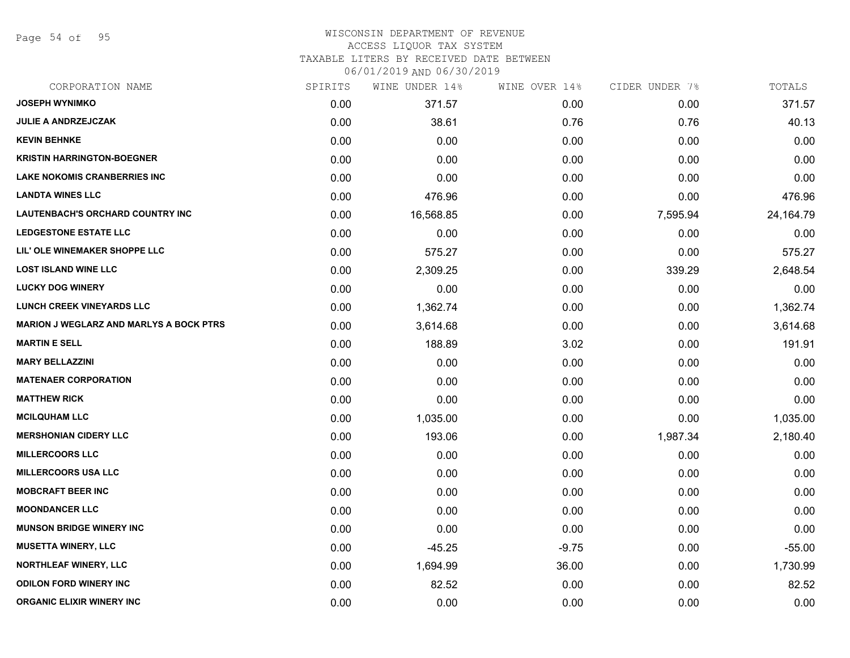Page 54 of 95

| CORPORATION NAME                               | SPIRITS | WINE UNDER 14% | WINE OVER 14% | CIDER UNDER 7% | TOTALS    |
|------------------------------------------------|---------|----------------|---------------|----------------|-----------|
| <b>JOSEPH WYNIMKO</b>                          | 0.00    | 371.57         | 0.00          | 0.00           | 371.57    |
| <b>JULIE A ANDRZEJCZAK</b>                     | 0.00    | 38.61          | 0.76          | 0.76           | 40.13     |
| <b>KEVIN BEHNKE</b>                            | 0.00    | 0.00           | 0.00          | 0.00           | 0.00      |
| <b>KRISTIN HARRINGTON-BOEGNER</b>              | 0.00    | 0.00           | 0.00          | 0.00           | 0.00      |
| <b>LAKE NOKOMIS CRANBERRIES INC</b>            | 0.00    | 0.00           | 0.00          | 0.00           | 0.00      |
| <b>LANDTA WINES LLC</b>                        | 0.00    | 476.96         | 0.00          | 0.00           | 476.96    |
| <b>LAUTENBACH'S ORCHARD COUNTRY INC</b>        | 0.00    | 16,568.85      | 0.00          | 7,595.94       | 24,164.79 |
| <b>LEDGESTONE ESTATE LLC</b>                   | 0.00    | 0.00           | 0.00          | 0.00           | 0.00      |
| LIL' OLE WINEMAKER SHOPPE LLC                  | 0.00    | 575.27         | 0.00          | 0.00           | 575.27    |
| <b>LOST ISLAND WINE LLC</b>                    | 0.00    | 2,309.25       | 0.00          | 339.29         | 2,648.54  |
| <b>LUCKY DOG WINERY</b>                        | 0.00    | 0.00           | 0.00          | 0.00           | 0.00      |
| <b>LUNCH CREEK VINEYARDS LLC</b>               | 0.00    | 1,362.74       | 0.00          | 0.00           | 1,362.74  |
| <b>MARION J WEGLARZ AND MARLYS A BOCK PTRS</b> | 0.00    | 3,614.68       | 0.00          | 0.00           | 3,614.68  |
| <b>MARTIN E SELL</b>                           | 0.00    | 188.89         | 3.02          | 0.00           | 191.91    |
| <b>MARY BELLAZZINI</b>                         | 0.00    | 0.00           | 0.00          | 0.00           | 0.00      |
| <b>MATENAER CORPORATION</b>                    | 0.00    | 0.00           | 0.00          | 0.00           | 0.00      |
| <b>MATTHEW RICK</b>                            | 0.00    | 0.00           | 0.00          | 0.00           | 0.00      |
| <b>MCILQUHAM LLC</b>                           | 0.00    | 1,035.00       | 0.00          | 0.00           | 1,035.00  |
| <b>MERSHONIAN CIDERY LLC</b>                   | 0.00    | 193.06         | 0.00          | 1,987.34       | 2,180.40  |
| <b>MILLERCOORS LLC</b>                         | 0.00    | 0.00           | 0.00          | 0.00           | 0.00      |
| <b>MILLERCOORS USA LLC</b>                     | 0.00    | 0.00           | 0.00          | 0.00           | 0.00      |
| <b>MOBCRAFT BEER INC</b>                       | 0.00    | 0.00           | 0.00          | 0.00           | 0.00      |
| <b>MOONDANCER LLC</b>                          | 0.00    | 0.00           | 0.00          | 0.00           | 0.00      |
| <b>MUNSON BRIDGE WINERY INC</b>                | 0.00    | 0.00           | 0.00          | 0.00           | 0.00      |
| <b>MUSETTA WINERY, LLC</b>                     | 0.00    | $-45.25$       | $-9.75$       | 0.00           | $-55.00$  |
| <b>NORTHLEAF WINERY, LLC</b>                   | 0.00    | 1,694.99       | 36.00         | 0.00           | 1,730.99  |
| <b>ODILON FORD WINERY INC</b>                  | 0.00    | 82.52          | 0.00          | 0.00           | 82.52     |
| ORGANIC ELIXIR WINERY INC                      | 0.00    | 0.00           | 0.00          | 0.00           | 0.00      |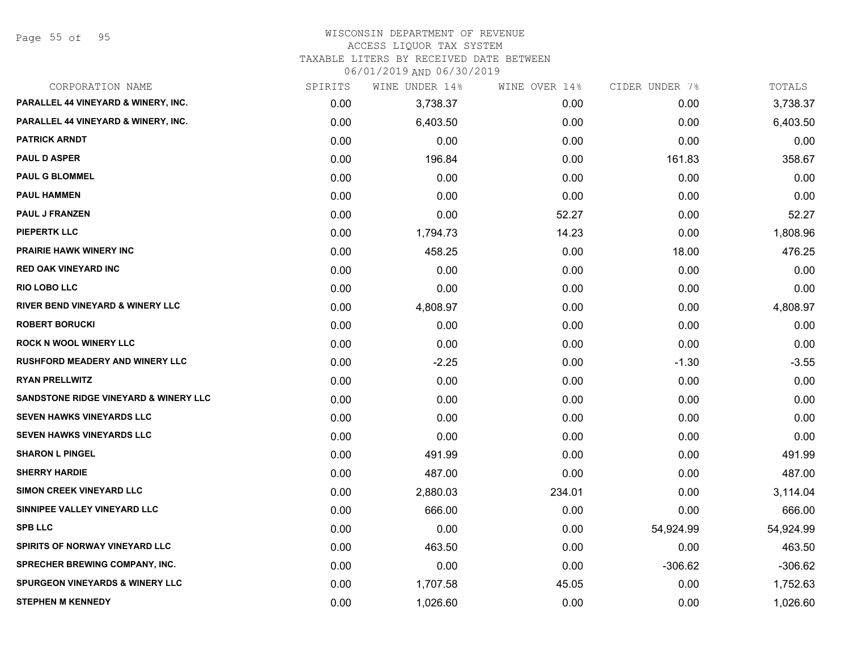Page 55 of 95

#### WISCONSIN DEPARTMENT OF REVENUE ACCESS LIQUOR TAX SYSTEM

TAXABLE LITERS BY RECEIVED DATE BETWEEN

| CORPORATION NAME                                 | SPIRITS | WINE UNDER 14% | WINE OVER 14% | CIDER UNDER 7% | TOTALS    |
|--------------------------------------------------|---------|----------------|---------------|----------------|-----------|
| PARALLEL 44 VINEYARD & WINERY, INC.              | 0.00    | 3,738.37       | 0.00          | 0.00           | 3,738.37  |
| PARALLEL 44 VINEYARD & WINERY, INC.              | 0.00    | 6,403.50       | 0.00          | 0.00           | 6,403.50  |
| <b>PATRICK ARNDT</b>                             | 0.00    | 0.00           | 0.00          | 0.00           | 0.00      |
| <b>PAUL D ASPER</b>                              | 0.00    | 196.84         | 0.00          | 161.83         | 358.67    |
| <b>PAUL G BLOMMEL</b>                            | 0.00    | 0.00           | 0.00          | 0.00           | 0.00      |
| <b>PAUL HAMMEN</b>                               | 0.00    | 0.00           | 0.00          | 0.00           | 0.00      |
| <b>PAUL J FRANZEN</b>                            | 0.00    | 0.00           | 52.27         | 0.00           | 52.27     |
| <b>PIEPERTK LLC</b>                              | 0.00    | 1,794.73       | 14.23         | 0.00           | 1,808.96  |
| <b>PRAIRIE HAWK WINERY INC</b>                   | 0.00    | 458.25         | 0.00          | 18.00          | 476.25    |
| <b>RED OAK VINEYARD INC</b>                      | 0.00    | 0.00           | 0.00          | 0.00           | 0.00      |
| <b>RIO LOBO LLC</b>                              | 0.00    | 0.00           | 0.00          | 0.00           | 0.00      |
| <b>RIVER BEND VINEYARD &amp; WINERY LLC</b>      | 0.00    | 4,808.97       | 0.00          | 0.00           | 4,808.97  |
| <b>ROBERT BORUCKI</b>                            | 0.00    | 0.00           | 0.00          | 0.00           | 0.00      |
| <b>ROCK N WOOL WINERY LLC</b>                    | 0.00    | 0.00           | 0.00          | 0.00           | 0.00      |
| <b>RUSHFORD MEADERY AND WINERY LLC</b>           | 0.00    | $-2.25$        | 0.00          | $-1.30$        | $-3.55$   |
| <b>RYAN PRELLWITZ</b>                            | 0.00    | 0.00           | 0.00          | 0.00           | 0.00      |
| <b>SANDSTONE RIDGE VINEYARD &amp; WINERY LLC</b> | 0.00    | 0.00           | 0.00          | 0.00           | 0.00      |
| <b>SEVEN HAWKS VINEYARDS LLC</b>                 | 0.00    | 0.00           | 0.00          | 0.00           | 0.00      |
| <b>SEVEN HAWKS VINEYARDS LLC</b>                 | 0.00    | 0.00           | 0.00          | 0.00           | 0.00      |
| <b>SHARON L PINGEL</b>                           | 0.00    | 491.99         | 0.00          | 0.00           | 491.99    |
| <b>SHERRY HARDIE</b>                             | 0.00    | 487.00         | 0.00          | 0.00           | 487.00    |
| SIMON CREEK VINEYARD LLC                         | 0.00    | 2,880.03       | 234.01        | 0.00           | 3,114.04  |
| SINNIPEE VALLEY VINEYARD LLC                     | 0.00    | 666.00         | 0.00          | 0.00           | 666.00    |
| <b>SPB LLC</b>                                   | 0.00    | 0.00           | 0.00          | 54,924.99      | 54,924.99 |
| SPIRITS OF NORWAY VINEYARD LLC                   | 0.00    | 463.50         | 0.00          | 0.00           | 463.50    |
| <b>SPRECHER BREWING COMPANY, INC.</b>            | 0.00    | 0.00           | 0.00          | $-306.62$      | $-306.62$ |
| <b>SPURGEON VINEYARDS &amp; WINERY LLC</b>       | 0.00    | 1,707.58       | 45.05         | 0.00           | 1,752.63  |
| <b>STEPHEN M KENNEDY</b>                         | 0.00    | 1,026.60       | 0.00          | 0.00           | 1,026.60  |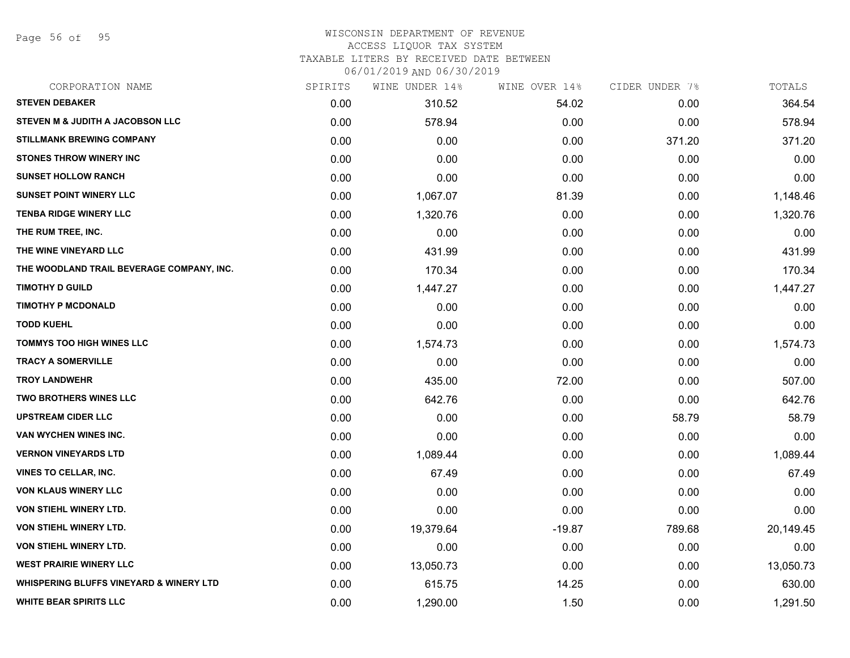Page 56 of 95

# WISCONSIN DEPARTMENT OF REVENUE ACCESS LIQUOR TAX SYSTEM

TAXABLE LITERS BY RECEIVED DATE BETWEEN

| CORPORATION NAME                                   | SPIRITS | WINE UNDER 14% | WINE OVER 14% | CIDER UNDER 7% | TOTALS    |
|----------------------------------------------------|---------|----------------|---------------|----------------|-----------|
| <b>STEVEN DEBAKER</b>                              | 0.00    | 310.52         | 54.02         | 0.00           | 364.54    |
| <b>STEVEN M &amp; JUDITH A JACOBSON LLC</b>        | 0.00    | 578.94         | 0.00          | 0.00           | 578.94    |
| <b>STILLMANK BREWING COMPANY</b>                   | 0.00    | 0.00           | 0.00          | 371.20         | 371.20    |
| <b>STONES THROW WINERY INC</b>                     | 0.00    | 0.00           | 0.00          | 0.00           | 0.00      |
| <b>SUNSET HOLLOW RANCH</b>                         | 0.00    | 0.00           | 0.00          | 0.00           | 0.00      |
| <b>SUNSET POINT WINERY LLC</b>                     | 0.00    | 1,067.07       | 81.39         | 0.00           | 1,148.46  |
| <b>TENBA RIDGE WINERY LLC</b>                      | 0.00    | 1,320.76       | 0.00          | 0.00           | 1,320.76  |
| THE RUM TREE, INC.                                 | 0.00    | 0.00           | 0.00          | 0.00           | 0.00      |
| THE WINE VINEYARD LLC                              | 0.00    | 431.99         | 0.00          | 0.00           | 431.99    |
| THE WOODLAND TRAIL BEVERAGE COMPANY, INC.          | 0.00    | 170.34         | 0.00          | 0.00           | 170.34    |
| <b>TIMOTHY D GUILD</b>                             | 0.00    | 1,447.27       | 0.00          | 0.00           | 1,447.27  |
| <b>TIMOTHY P MCDONALD</b>                          | 0.00    | 0.00           | 0.00          | 0.00           | 0.00      |
| <b>TODD KUEHL</b>                                  | 0.00    | 0.00           | 0.00          | 0.00           | 0.00      |
| <b>TOMMYS TOO HIGH WINES LLC</b>                   | 0.00    | 1,574.73       | 0.00          | 0.00           | 1,574.73  |
| <b>TRACY A SOMERVILLE</b>                          | 0.00    | 0.00           | 0.00          | 0.00           | 0.00      |
| <b>TROY LANDWEHR</b>                               | 0.00    | 435.00         | 72.00         | 0.00           | 507.00    |
| <b>TWO BROTHERS WINES LLC</b>                      | 0.00    | 642.76         | 0.00          | 0.00           | 642.76    |
| <b>UPSTREAM CIDER LLC</b>                          | 0.00    | 0.00           | 0.00          | 58.79          | 58.79     |
| VAN WYCHEN WINES INC.                              | 0.00    | 0.00           | 0.00          | 0.00           | 0.00      |
| <b>VERNON VINEYARDS LTD</b>                        | 0.00    | 1,089.44       | 0.00          | 0.00           | 1,089.44  |
| <b>VINES TO CELLAR, INC.</b>                       | 0.00    | 67.49          | 0.00          | 0.00           | 67.49     |
| <b>VON KLAUS WINERY LLC</b>                        | 0.00    | 0.00           | 0.00          | 0.00           | 0.00      |
| VON STIEHL WINERY LTD.                             | 0.00    | 0.00           | 0.00          | 0.00           | 0.00      |
| VON STIEHL WINERY LTD.                             | 0.00    | 19,379.64      | $-19.87$      | 789.68         | 20,149.45 |
| <b>VON STIEHL WINERY LTD.</b>                      | 0.00    | 0.00           | 0.00          | 0.00           | 0.00      |
| <b>WEST PRAIRIE WINERY LLC</b>                     | 0.00    | 13,050.73      | 0.00          | 0.00           | 13,050.73 |
| <b>WHISPERING BLUFFS VINEYARD &amp; WINERY LTD</b> | 0.00    | 615.75         | 14.25         | 0.00           | 630.00    |
| <b>WHITE BEAR SPIRITS LLC</b>                      | 0.00    | 1,290.00       | 1.50          | 0.00           | 1,291.50  |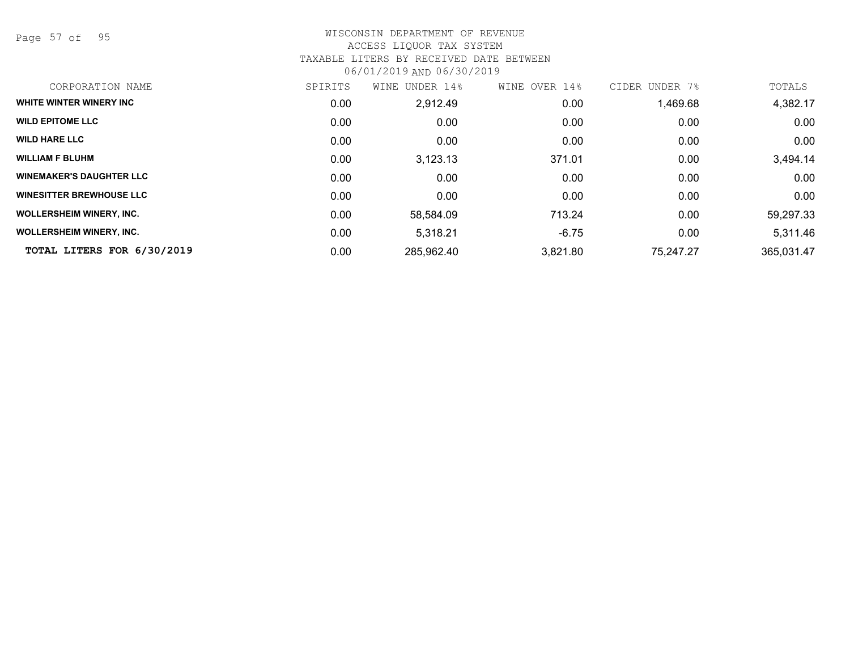Page 57 of 95

| CORPORATION NAME                | SPIRITS | UNDER 14%<br>WINE | WINE OVER 14% | CIDER UNDER<br>7% | TOTALS     |
|---------------------------------|---------|-------------------|---------------|-------------------|------------|
| WHITE WINTER WINERY INC         | 0.00    | 2,912.49          | 0.00          | 1,469.68          | 4,382.17   |
| <b>WILD EPITOME LLC</b>         | 0.00    | 0.00              | 0.00          | 0.00              | 0.00       |
| <b>WILD HARE LLC</b>            | 0.00    | 0.00              | 0.00          | 0.00              | 0.00       |
| <b>WILLIAM F BLUHM</b>          | 0.00    | 3,123.13          | 371.01        | 0.00              | 3,494.14   |
| <b>WINEMAKER'S DAUGHTER LLC</b> | 0.00    | 0.00              | 0.00          | 0.00              | 0.00       |
| <b>WINESITTER BREWHOUSE LLC</b> | 0.00    | 0.00              | 0.00          | 0.00              | 0.00       |
| <b>WOLLERSHEIM WINERY, INC.</b> | 0.00    | 58,584.09         | 713.24        | 0.00              | 59,297.33  |
| <b>WOLLERSHEIM WINERY, INC.</b> | 0.00    | 5,318.21          | $-6.75$       | 0.00              | 5,311.46   |
| TOTAL LITERS FOR 6/30/2019      | 0.00    | 285,962.40        | 3,821.80      | 75,247.27         | 365,031.47 |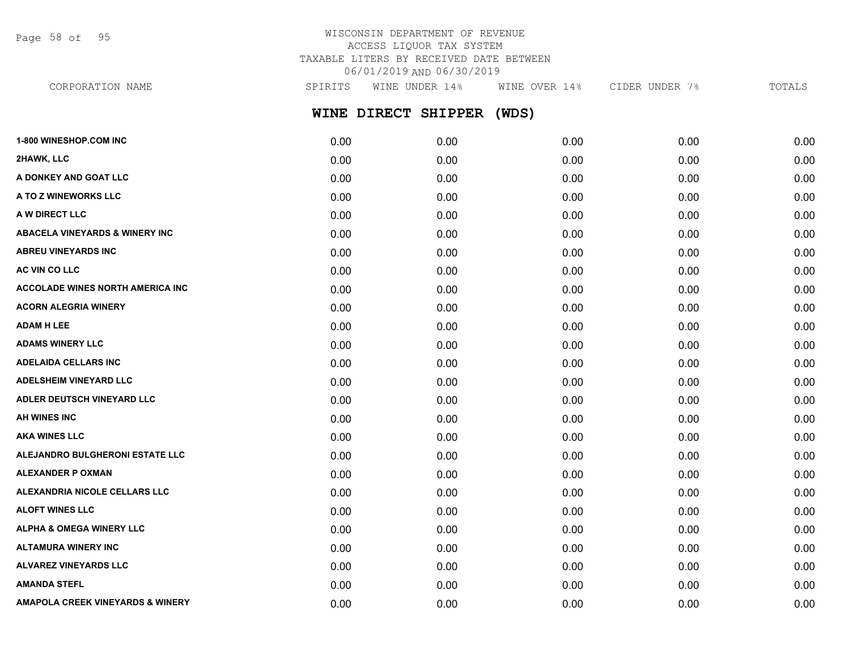Page 58 of 95

| CORPORATION NAME                          | SPIRITS | WINE UNDER 14%<br>WINE OVER 14% |       | CIDER UNDER 7% | TOTALS |
|-------------------------------------------|---------|---------------------------------|-------|----------------|--------|
|                                           |         | WINE DIRECT SHIPPER             | (WDS) |                |        |
| <b>1-800 WINESHOP.COM INC</b>             | 0.00    | 0.00                            | 0.00  | 0.00           | 0.00   |
| 2HAWK, LLC                                | 0.00    | 0.00                            | 0.00  | 0.00           | 0.00   |
| A DONKEY AND GOAT LLC                     | 0.00    | 0.00                            | 0.00  | 0.00           | 0.00   |
| A TO Z WINEWORKS LLC                      | 0.00    | 0.00                            | 0.00  | 0.00           | 0.00   |
| A W DIRECT LLC                            | 0.00    | 0.00                            | 0.00  | 0.00           | 0.00   |
| <b>ABACELA VINEYARDS &amp; WINERY INC</b> | 0.00    | 0.00                            | 0.00  | 0.00           | 0.00   |
| <b>ABREU VINEYARDS INC</b>                | 0.00    | 0.00                            | 0.00  | 0.00           | 0.00   |
| <b>AC VIN CO LLC</b>                      | 0.00    | 0.00                            | 0.00  | 0.00           | 0.00   |
| <b>ACCOLADE WINES NORTH AMERICA INC.</b>  | 0.00    | 0.00                            | 0.00  | 0.00           | 0.00   |
| <b>ACORN ALEGRIA WINERY</b>               | 0.00    | 0.00                            | 0.00  | 0.00           | 0.00   |
| <b>ADAM H LEE</b>                         | 0.00    | 0.00                            | 0.00  | 0.00           | 0.00   |
| <b>ADAMS WINERY LLC</b>                   | 0.00    | 0.00                            | 0.00  | 0.00           | 0.00   |
| <b>ADELAIDA CELLARS INC</b>               | 0.00    | 0.00                            | 0.00  | 0.00           | 0.00   |
| <b>ADELSHEIM VINEYARD LLC</b>             | 0.00    | 0.00                            | 0.00  | 0.00           | 0.00   |
| <b>ADLER DEUTSCH VINEYARD LLC</b>         | 0.00    | 0.00                            | 0.00  | 0.00           | 0.00   |

| AH WINES INC                        | 0.00 | 0.00 | 0.00 | 0.00 | 0.00 |
|-------------------------------------|------|------|------|------|------|
| <b>AKA WINES LLC</b>                | 0.00 | 0.00 | 0.00 | 0.00 | 0.00 |
| ALEJANDRO BULGHERONI ESTATE LLC     | 0.00 | 0.00 | 0.00 | 0.00 | 0.00 |
| <b>ALEXANDER P OXMAN</b>            | 0.00 | 0.00 | 0.00 | 0.00 | 0.00 |
| ALEXANDRIA NICOLE CELLARS LLC       | 0.00 | 0.00 | 0.00 | 0.00 | 0.00 |
| <b>ALOFT WINES LLC</b>              | 0.00 | 0.00 | 0.00 | 0.00 | 0.00 |
| <b>ALPHA &amp; OMEGA WINERY LLC</b> | 0.00 | 0.00 | 0.00 | 0.00 | 0.00 |
| <b>ALTAMURA WINERY INC</b>          | 0.00 | 0.00 | 0.00 | 0.00 | 0.00 |
| <b>ALVAREZ VINEYARDS LLC</b>        | 0.00 | 0.00 | 0.00 | 0.00 | 0.00 |
| <b>AMANDA STEFL</b>                 | 0.00 | 0.00 | 0.00 | 0.00 | 0.00 |
| AMAPOLA CREEK VINEYARDS & WINERY    | 0.00 | 0.00 | 0.00 | 0.00 | 0.00 |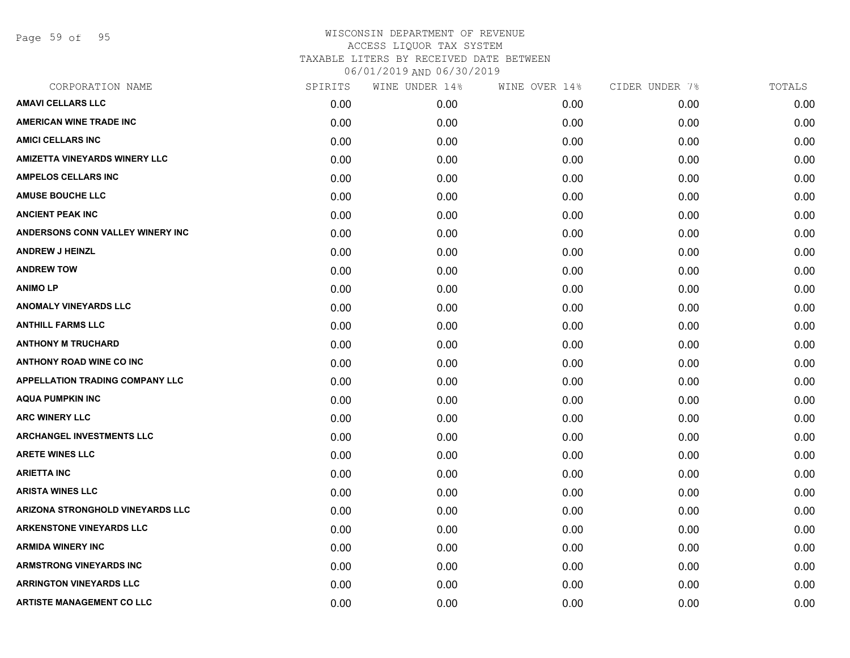Page 59 of 95

| CORPORATION NAME                        | SPIRITS | WINE UNDER 14% | WINE OVER 14% | CIDER UNDER 7% | TOTALS |
|-----------------------------------------|---------|----------------|---------------|----------------|--------|
| <b>AMAVI CELLARS LLC</b>                | 0.00    | 0.00           | 0.00          | 0.00           | 0.00   |
| <b>AMERICAN WINE TRADE INC</b>          | 0.00    | 0.00           | 0.00          | 0.00           | 0.00   |
| <b>AMICI CELLARS INC</b>                | 0.00    | 0.00           | 0.00          | 0.00           | 0.00   |
| AMIZETTA VINEYARDS WINERY LLC           | 0.00    | 0.00           | 0.00          | 0.00           | 0.00   |
| <b>AMPELOS CELLARS INC</b>              | 0.00    | 0.00           | 0.00          | 0.00           | 0.00   |
| <b>AMUSE BOUCHE LLC</b>                 | 0.00    | 0.00           | 0.00          | 0.00           | 0.00   |
| <b>ANCIENT PEAK INC</b>                 | 0.00    | 0.00           | 0.00          | 0.00           | 0.00   |
| ANDERSONS CONN VALLEY WINERY INC        | 0.00    | 0.00           | 0.00          | 0.00           | 0.00   |
| <b>ANDREW J HEINZL</b>                  | 0.00    | 0.00           | 0.00          | 0.00           | 0.00   |
| <b>ANDREW TOW</b>                       | 0.00    | 0.00           | 0.00          | 0.00           | 0.00   |
| <b>ANIMO LP</b>                         | 0.00    | 0.00           | 0.00          | 0.00           | 0.00   |
| <b>ANOMALY VINEYARDS LLC</b>            | 0.00    | 0.00           | 0.00          | 0.00           | 0.00   |
| <b>ANTHILL FARMS LLC</b>                | 0.00    | 0.00           | 0.00          | 0.00           | 0.00   |
| <b>ANTHONY M TRUCHARD</b>               | 0.00    | 0.00           | 0.00          | 0.00           | 0.00   |
| <b>ANTHONY ROAD WINE CO INC</b>         | 0.00    | 0.00           | 0.00          | 0.00           | 0.00   |
| APPELLATION TRADING COMPANY LLC         | 0.00    | 0.00           | 0.00          | 0.00           | 0.00   |
| <b>AQUA PUMPKIN INC</b>                 | 0.00    | 0.00           | 0.00          | 0.00           | 0.00   |
| <b>ARC WINERY LLC</b>                   | 0.00    | 0.00           | 0.00          | 0.00           | 0.00   |
| <b>ARCHANGEL INVESTMENTS LLC</b>        | 0.00    | 0.00           | 0.00          | 0.00           | 0.00   |
| <b>ARETE WINES LLC</b>                  | 0.00    | 0.00           | 0.00          | 0.00           | 0.00   |
| <b>ARIETTA INC</b>                      | 0.00    | 0.00           | 0.00          | 0.00           | 0.00   |
| <b>ARISTA WINES LLC</b>                 | 0.00    | 0.00           | 0.00          | 0.00           | 0.00   |
| <b>ARIZONA STRONGHOLD VINEYARDS LLC</b> | 0.00    | 0.00           | 0.00          | 0.00           | 0.00   |
| <b>ARKENSTONE VINEYARDS LLC</b>         | 0.00    | 0.00           | 0.00          | 0.00           | 0.00   |
| <b>ARMIDA WINERY INC</b>                | 0.00    | 0.00           | 0.00          | 0.00           | 0.00   |
| <b>ARMSTRONG VINEYARDS INC</b>          | 0.00    | 0.00           | 0.00          | 0.00           | 0.00   |
| <b>ARRINGTON VINEYARDS LLC</b>          | 0.00    | 0.00           | 0.00          | 0.00           | 0.00   |
| <b>ARTISTE MANAGEMENT CO LLC</b>        | 0.00    | 0.00           | 0.00          | 0.00           | 0.00   |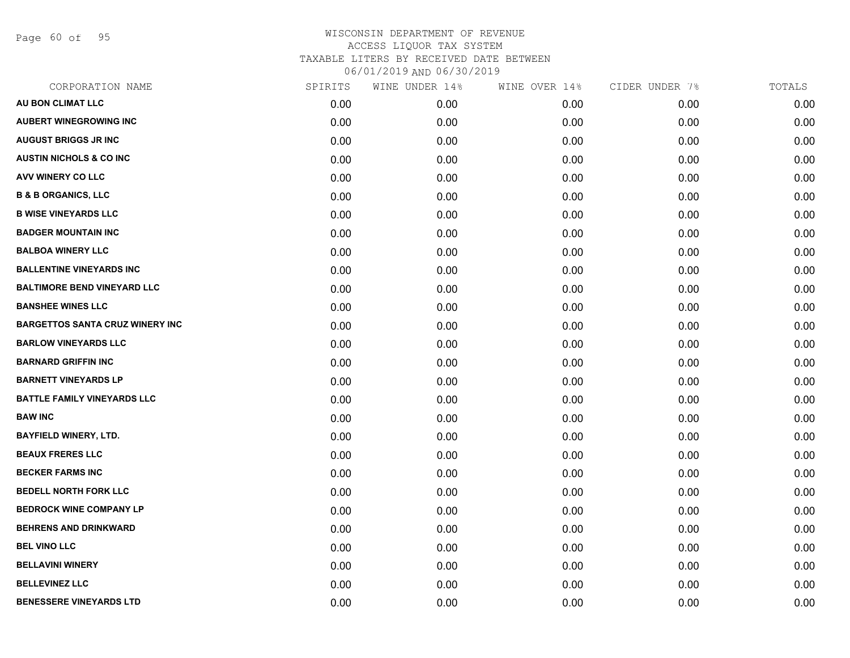Page 60 of 95

| CORPORATION NAME                       | SPIRITS | WINE UNDER 14% | WINE OVER 14% | CIDER UNDER 7% | TOTALS |
|----------------------------------------|---------|----------------|---------------|----------------|--------|
| AU BON CLIMAT LLC                      | 0.00    | 0.00           | 0.00          | 0.00           | 0.00   |
| <b>AUBERT WINEGROWING INC</b>          | 0.00    | 0.00           | 0.00          | 0.00           | 0.00   |
| <b>AUGUST BRIGGS JR INC</b>            | 0.00    | 0.00           | 0.00          | 0.00           | 0.00   |
| <b>AUSTIN NICHOLS &amp; CO INC.</b>    | 0.00    | 0.00           | 0.00          | 0.00           | 0.00   |
| AVV WINERY CO LLC                      | 0.00    | 0.00           | 0.00          | 0.00           | 0.00   |
| <b>B &amp; B ORGANICS, LLC</b>         | 0.00    | 0.00           | 0.00          | 0.00           | 0.00   |
| <b>B WISE VINEYARDS LLC</b>            | 0.00    | 0.00           | 0.00          | 0.00           | 0.00   |
| <b>BADGER MOUNTAIN INC</b>             | 0.00    | 0.00           | 0.00          | 0.00           | 0.00   |
| <b>BALBOA WINERY LLC</b>               | 0.00    | 0.00           | 0.00          | 0.00           | 0.00   |
| <b>BALLENTINE VINEYARDS INC</b>        | 0.00    | 0.00           | 0.00          | 0.00           | 0.00   |
| <b>BALTIMORE BEND VINEYARD LLC</b>     | 0.00    | 0.00           | 0.00          | 0.00           | 0.00   |
| <b>BANSHEE WINES LLC</b>               | 0.00    | 0.00           | 0.00          | 0.00           | 0.00   |
| <b>BARGETTOS SANTA CRUZ WINERY INC</b> | 0.00    | 0.00           | 0.00          | 0.00           | 0.00   |
| <b>BARLOW VINEYARDS LLC</b>            | 0.00    | 0.00           | 0.00          | 0.00           | 0.00   |
| <b>BARNARD GRIFFIN INC</b>             | 0.00    | 0.00           | 0.00          | 0.00           | 0.00   |
| <b>BARNETT VINEYARDS LP</b>            | 0.00    | 0.00           | 0.00          | 0.00           | 0.00   |
| <b>BATTLE FAMILY VINEYARDS LLC</b>     | 0.00    | 0.00           | 0.00          | 0.00           | 0.00   |
| <b>BAW INC</b>                         | 0.00    | 0.00           | 0.00          | 0.00           | 0.00   |
| <b>BAYFIELD WINERY, LTD.</b>           | 0.00    | 0.00           | 0.00          | 0.00           | 0.00   |
| <b>BEAUX FRERES LLC</b>                | 0.00    | 0.00           | 0.00          | 0.00           | 0.00   |
| <b>BECKER FARMS INC</b>                | 0.00    | 0.00           | 0.00          | 0.00           | 0.00   |
| <b>BEDELL NORTH FORK LLC</b>           | 0.00    | 0.00           | 0.00          | 0.00           | 0.00   |
| <b>BEDROCK WINE COMPANY LP</b>         | 0.00    | 0.00           | 0.00          | 0.00           | 0.00   |
| <b>BEHRENS AND DRINKWARD</b>           | 0.00    | 0.00           | 0.00          | 0.00           | 0.00   |
| <b>BEL VINO LLC</b>                    | 0.00    | 0.00           | 0.00          | 0.00           | 0.00   |
| <b>BELLAVINI WINERY</b>                | 0.00    | 0.00           | 0.00          | 0.00           | 0.00   |
| <b>BELLEVINEZ LLC</b>                  | 0.00    | 0.00           | 0.00          | 0.00           | 0.00   |
| <b>BENESSERE VINEYARDS LTD</b>         | 0.00    | 0.00           | 0.00          | 0.00           | 0.00   |
|                                        |         |                |               |                |        |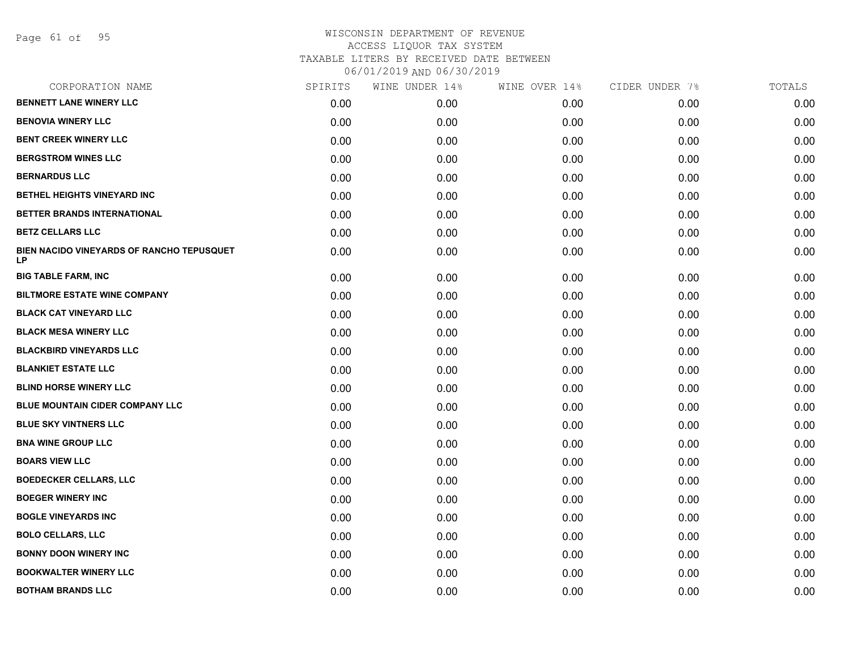Page 61 of 95

| CORPORATION NAME                                | SPIRITS | WINE UNDER 14% | WINE OVER 14% | CIDER UNDER 7% | TOTALS |
|-------------------------------------------------|---------|----------------|---------------|----------------|--------|
| <b>BENNETT LANE WINERY LLC</b>                  | 0.00    | 0.00           | 0.00          | 0.00           | 0.00   |
| <b>BENOVIA WINERY LLC</b>                       | 0.00    | 0.00           | 0.00          | 0.00           | 0.00   |
| <b>BENT CREEK WINERY LLC</b>                    | 0.00    | 0.00           | 0.00          | 0.00           | 0.00   |
| <b>BERGSTROM WINES LLC</b>                      | 0.00    | 0.00           | 0.00          | 0.00           | 0.00   |
| <b>BERNARDUS LLC</b>                            | 0.00    | 0.00           | 0.00          | 0.00           | 0.00   |
| BETHEL HEIGHTS VINEYARD INC                     | 0.00    | 0.00           | 0.00          | 0.00           | 0.00   |
| BETTER BRANDS INTERNATIONAL                     | 0.00    | 0.00           | 0.00          | 0.00           | 0.00   |
| <b>BETZ CELLARS LLC</b>                         | 0.00    | 0.00           | 0.00          | 0.00           | 0.00   |
| BIEN NACIDO VINEYARDS OF RANCHO TEPUSQUET<br>LP | 0.00    | 0.00           | 0.00          | 0.00           | 0.00   |
| <b>BIG TABLE FARM, INC</b>                      | 0.00    | 0.00           | 0.00          | 0.00           | 0.00   |
| <b>BILTMORE ESTATE WINE COMPANY</b>             | 0.00    | 0.00           | 0.00          | 0.00           | 0.00   |
| <b>BLACK CAT VINEYARD LLC</b>                   | 0.00    | 0.00           | 0.00          | 0.00           | 0.00   |
| <b>BLACK MESA WINERY LLC</b>                    | 0.00    | 0.00           | 0.00          | 0.00           | 0.00   |
| <b>BLACKBIRD VINEYARDS LLC</b>                  | 0.00    | 0.00           | 0.00          | 0.00           | 0.00   |
| <b>BLANKIET ESTATE LLC</b>                      | 0.00    | 0.00           | 0.00          | 0.00           | 0.00   |
| <b>BLIND HORSE WINERY LLC</b>                   | 0.00    | 0.00           | 0.00          | 0.00           | 0.00   |
| BLUE MOUNTAIN CIDER COMPANY LLC                 | 0.00    | 0.00           | 0.00          | 0.00           | 0.00   |
| <b>BLUE SKY VINTNERS LLC</b>                    | 0.00    | 0.00           | 0.00          | 0.00           | 0.00   |
| <b>BNA WINE GROUP LLC</b>                       | 0.00    | 0.00           | 0.00          | 0.00           | 0.00   |
| <b>BOARS VIEW LLC</b>                           | 0.00    | 0.00           | 0.00          | 0.00           | 0.00   |
| <b>BOEDECKER CELLARS, LLC</b>                   | 0.00    | 0.00           | 0.00          | 0.00           | 0.00   |
| <b>BOEGER WINERY INC</b>                        | 0.00    | 0.00           | 0.00          | 0.00           | 0.00   |
| <b>BOGLE VINEYARDS INC</b>                      | 0.00    | 0.00           | 0.00          | 0.00           | 0.00   |
| <b>BOLO CELLARS, LLC</b>                        | 0.00    | 0.00           | 0.00          | 0.00           | 0.00   |
| <b>BONNY DOON WINERY INC</b>                    | 0.00    | 0.00           | 0.00          | 0.00           | 0.00   |
| <b>BOOKWALTER WINERY LLC</b>                    | 0.00    | 0.00           | 0.00          | 0.00           | 0.00   |
| <b>BOTHAM BRANDS LLC</b>                        | 0.00    | 0.00           | 0.00          | 0.00           | 0.00   |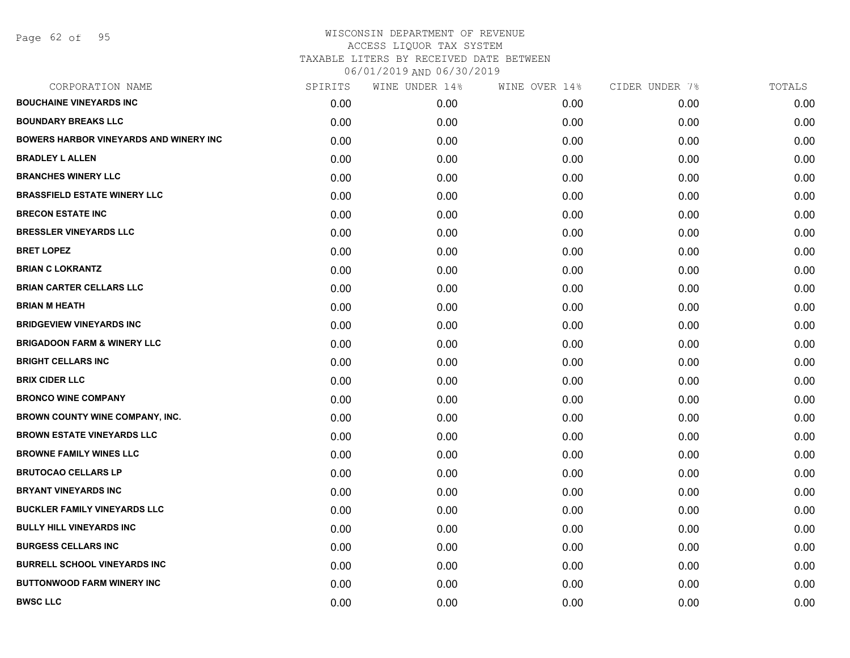Page 62 of 95

| CORPORATION NAME                              | SPIRITS | WINE UNDER 14% | WINE OVER 14% | CIDER UNDER 7% | TOTALS |
|-----------------------------------------------|---------|----------------|---------------|----------------|--------|
| <b>BOUCHAINE VINEYARDS INC</b>                | 0.00    | 0.00           | 0.00          | 0.00           | 0.00   |
| <b>BOUNDARY BREAKS LLC</b>                    | 0.00    | 0.00           | 0.00          | 0.00           | 0.00   |
| <b>BOWERS HARBOR VINEYARDS AND WINERY INC</b> | 0.00    | 0.00           | 0.00          | 0.00           | 0.00   |
| <b>BRADLEY L ALLEN</b>                        | 0.00    | 0.00           | 0.00          | 0.00           | 0.00   |
| <b>BRANCHES WINERY LLC</b>                    | 0.00    | 0.00           | 0.00          | 0.00           | 0.00   |
| <b>BRASSFIELD ESTATE WINERY LLC</b>           | 0.00    | 0.00           | 0.00          | 0.00           | 0.00   |
| <b>BRECON ESTATE INC</b>                      | 0.00    | 0.00           | 0.00          | 0.00           | 0.00   |
| <b>BRESSLER VINEYARDS LLC</b>                 | 0.00    | 0.00           | 0.00          | 0.00           | 0.00   |
| <b>BRET LOPEZ</b>                             | 0.00    | 0.00           | 0.00          | 0.00           | 0.00   |
| <b>BRIAN C LOKRANTZ</b>                       | 0.00    | 0.00           | 0.00          | 0.00           | 0.00   |
| <b>BRIAN CARTER CELLARS LLC</b>               | 0.00    | 0.00           | 0.00          | 0.00           | 0.00   |
| <b>BRIAN M HEATH</b>                          | 0.00    | 0.00           | 0.00          | 0.00           | 0.00   |
| <b>BRIDGEVIEW VINEYARDS INC</b>               | 0.00    | 0.00           | 0.00          | 0.00           | 0.00   |
| <b>BRIGADOON FARM &amp; WINERY LLC</b>        | 0.00    | 0.00           | 0.00          | 0.00           | 0.00   |
| <b>BRIGHT CELLARS INC</b>                     | 0.00    | 0.00           | 0.00          | 0.00           | 0.00   |
| <b>BRIX CIDER LLC</b>                         | 0.00    | 0.00           | 0.00          | 0.00           | 0.00   |
| <b>BRONCO WINE COMPANY</b>                    | 0.00    | 0.00           | 0.00          | 0.00           | 0.00   |
| <b>BROWN COUNTY WINE COMPANY, INC.</b>        | 0.00    | 0.00           | 0.00          | 0.00           | 0.00   |
| <b>BROWN ESTATE VINEYARDS LLC</b>             | 0.00    | 0.00           | 0.00          | 0.00           | 0.00   |
| <b>BROWNE FAMILY WINES LLC</b>                | 0.00    | 0.00           | 0.00          | 0.00           | 0.00   |
| <b>BRUTOCAO CELLARS LP</b>                    | 0.00    | 0.00           | 0.00          | 0.00           | 0.00   |
| <b>BRYANT VINEYARDS INC</b>                   | 0.00    | 0.00           | 0.00          | 0.00           | 0.00   |
| <b>BUCKLER FAMILY VINEYARDS LLC</b>           | 0.00    | 0.00           | 0.00          | 0.00           | 0.00   |
| <b>BULLY HILL VINEYARDS INC</b>               | 0.00    | 0.00           | 0.00          | 0.00           | 0.00   |
| <b>BURGESS CELLARS INC</b>                    | 0.00    | 0.00           | 0.00          | 0.00           | 0.00   |
| <b>BURRELL SCHOOL VINEYARDS INC</b>           | 0.00    | 0.00           | 0.00          | 0.00           | 0.00   |
| <b>BUTTONWOOD FARM WINERY INC</b>             | 0.00    | 0.00           | 0.00          | 0.00           | 0.00   |
| <b>BWSC LLC</b>                               | 0.00    | 0.00           | 0.00          | 0.00           | 0.00   |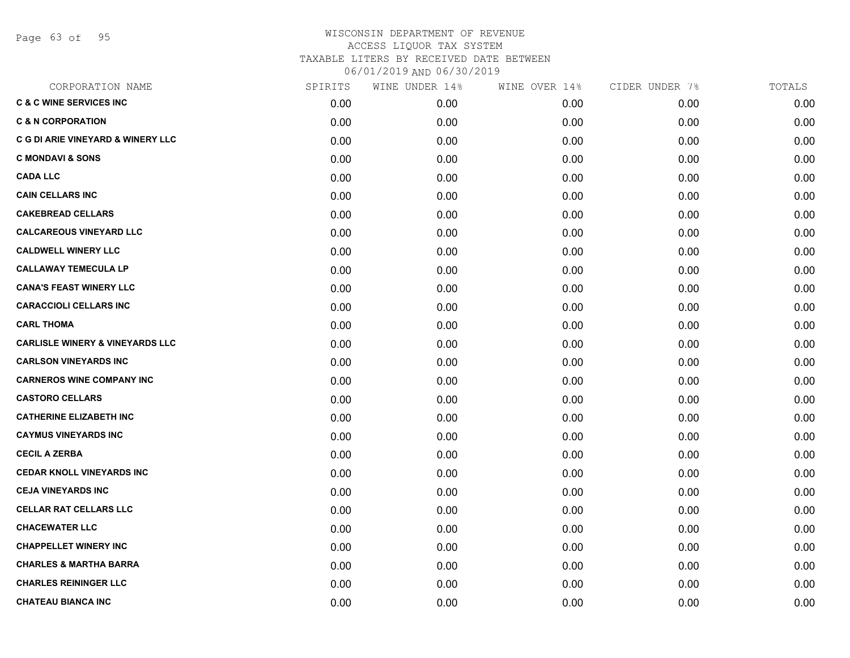Page 63 of 95

| CORPORATION NAME                           | SPIRITS | WINE UNDER 14% | WINE OVER 14% | CIDER UNDER 7% | TOTALS |
|--------------------------------------------|---------|----------------|---------------|----------------|--------|
| <b>C &amp; C WINE SERVICES INC</b>         | 0.00    | 0.00           | 0.00          | 0.00           | 0.00   |
| <b>C &amp; N CORPORATION</b>               | 0.00    | 0.00           | 0.00          | 0.00           | 0.00   |
| C G DI ARIE VINEYARD & WINERY LLC          | 0.00    | 0.00           | 0.00          | 0.00           | 0.00   |
| <b>C MONDAVI &amp; SONS</b>                | 0.00    | 0.00           | 0.00          | 0.00           | 0.00   |
| <b>CADA LLC</b>                            | 0.00    | 0.00           | 0.00          | 0.00           | 0.00   |
| <b>CAIN CELLARS INC</b>                    | 0.00    | 0.00           | 0.00          | 0.00           | 0.00   |
| <b>CAKEBREAD CELLARS</b>                   | 0.00    | 0.00           | 0.00          | 0.00           | 0.00   |
| <b>CALCAREOUS VINEYARD LLC</b>             | 0.00    | 0.00           | 0.00          | 0.00           | 0.00   |
| <b>CALDWELL WINERY LLC</b>                 | 0.00    | 0.00           | 0.00          | 0.00           | 0.00   |
| <b>CALLAWAY TEMECULA LP</b>                | 0.00    | 0.00           | 0.00          | 0.00           | 0.00   |
| <b>CANA'S FEAST WINERY LLC</b>             | 0.00    | 0.00           | 0.00          | 0.00           | 0.00   |
| <b>CARACCIOLI CELLARS INC</b>              | 0.00    | 0.00           | 0.00          | 0.00           | 0.00   |
| <b>CARL THOMA</b>                          | 0.00    | 0.00           | 0.00          | 0.00           | 0.00   |
| <b>CARLISLE WINERY &amp; VINEYARDS LLC</b> | 0.00    | 0.00           | 0.00          | 0.00           | 0.00   |
| <b>CARLSON VINEYARDS INC</b>               | 0.00    | 0.00           | 0.00          | 0.00           | 0.00   |
| <b>CARNEROS WINE COMPANY INC</b>           | 0.00    | 0.00           | 0.00          | 0.00           | 0.00   |
| <b>CASTORO CELLARS</b>                     | 0.00    | 0.00           | 0.00          | 0.00           | 0.00   |
| <b>CATHERINE ELIZABETH INC</b>             | 0.00    | 0.00           | 0.00          | 0.00           | 0.00   |
| <b>CAYMUS VINEYARDS INC</b>                | 0.00    | 0.00           | 0.00          | 0.00           | 0.00   |
| <b>CECIL A ZERBA</b>                       | 0.00    | 0.00           | 0.00          | 0.00           | 0.00   |
| <b>CEDAR KNOLL VINEYARDS INC</b>           | 0.00    | 0.00           | 0.00          | 0.00           | 0.00   |
| <b>CEJA VINEYARDS INC</b>                  | 0.00    | 0.00           | 0.00          | 0.00           | 0.00   |
| <b>CELLAR RAT CELLARS LLC</b>              | 0.00    | 0.00           | 0.00          | 0.00           | 0.00   |
| <b>CHACEWATER LLC</b>                      | 0.00    | 0.00           | 0.00          | 0.00           | 0.00   |
| <b>CHAPPELLET WINERY INC</b>               | 0.00    | 0.00           | 0.00          | 0.00           | 0.00   |
| <b>CHARLES &amp; MARTHA BARRA</b>          | 0.00    | 0.00           | 0.00          | 0.00           | 0.00   |
| <b>CHARLES REININGER LLC</b>               | 0.00    | 0.00           | 0.00          | 0.00           | 0.00   |
| <b>CHATEAU BIANCA INC</b>                  | 0.00    | 0.00           | 0.00          | 0.00           | 0.00   |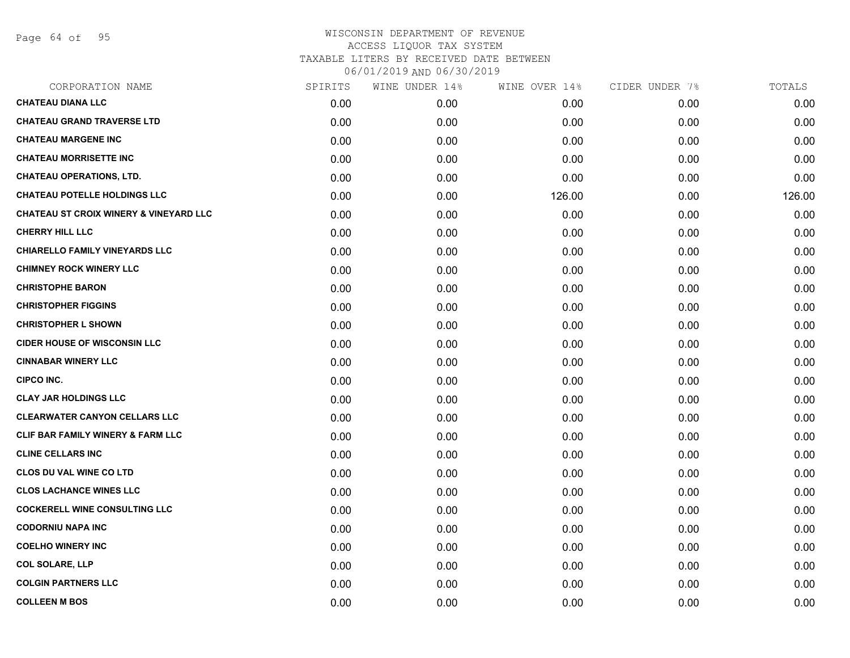Page 64 of 95

| CORPORATION NAME                                  | SPIRITS | WINE UNDER 14% | WINE OVER 14% | CIDER UNDER 7% | TOTALS |
|---------------------------------------------------|---------|----------------|---------------|----------------|--------|
| <b>CHATEAU DIANA LLC</b>                          | 0.00    | 0.00           | 0.00          | 0.00           | 0.00   |
| <b>CHATEAU GRAND TRAVERSE LTD</b>                 | 0.00    | 0.00           | 0.00          | 0.00           | 0.00   |
| <b>CHATEAU MARGENE INC</b>                        | 0.00    | 0.00           | 0.00          | 0.00           | 0.00   |
| <b>CHATEAU MORRISETTE INC</b>                     | 0.00    | 0.00           | 0.00          | 0.00           | 0.00   |
| <b>CHATEAU OPERATIONS, LTD.</b>                   | 0.00    | 0.00           | 0.00          | 0.00           | 0.00   |
| <b>CHATEAU POTELLE HOLDINGS LLC</b>               | 0.00    | 0.00           | 126.00        | 0.00           | 126.00 |
| <b>CHATEAU ST CROIX WINERY &amp; VINEYARD LLC</b> | 0.00    | 0.00           | 0.00          | 0.00           | 0.00   |
| <b>CHERRY HILL LLC</b>                            | 0.00    | 0.00           | 0.00          | 0.00           | 0.00   |
| <b>CHIARELLO FAMILY VINEYARDS LLC</b>             | 0.00    | 0.00           | 0.00          | 0.00           | 0.00   |
| <b>CHIMNEY ROCK WINERY LLC</b>                    | 0.00    | 0.00           | 0.00          | 0.00           | 0.00   |
| <b>CHRISTOPHE BARON</b>                           | 0.00    | 0.00           | 0.00          | 0.00           | 0.00   |
| <b>CHRISTOPHER FIGGINS</b>                        | 0.00    | 0.00           | 0.00          | 0.00           | 0.00   |
| <b>CHRISTOPHER L SHOWN</b>                        | 0.00    | 0.00           | 0.00          | 0.00           | 0.00   |
| <b>CIDER HOUSE OF WISCONSIN LLC</b>               | 0.00    | 0.00           | 0.00          | 0.00           | 0.00   |
| <b>CINNABAR WINERY LLC</b>                        | 0.00    | 0.00           | 0.00          | 0.00           | 0.00   |
| <b>CIPCO INC.</b>                                 | 0.00    | 0.00           | 0.00          | 0.00           | 0.00   |
| <b>CLAY JAR HOLDINGS LLC</b>                      | 0.00    | 0.00           | 0.00          | 0.00           | 0.00   |
| <b>CLEARWATER CANYON CELLARS LLC</b>              | 0.00    | 0.00           | 0.00          | 0.00           | 0.00   |
| CLIF BAR FAMILY WINERY & FARM LLC                 | 0.00    | 0.00           | 0.00          | 0.00           | 0.00   |
| <b>CLINE CELLARS INC</b>                          | 0.00    | 0.00           | 0.00          | 0.00           | 0.00   |
| <b>CLOS DU VAL WINE CO LTD</b>                    | 0.00    | 0.00           | 0.00          | 0.00           | 0.00   |
| <b>CLOS LACHANCE WINES LLC</b>                    | 0.00    | 0.00           | 0.00          | 0.00           | 0.00   |
| <b>COCKERELL WINE CONSULTING LLC</b>              | 0.00    | 0.00           | 0.00          | 0.00           | 0.00   |
| <b>CODORNIU NAPA INC</b>                          | 0.00    | 0.00           | 0.00          | 0.00           | 0.00   |
| <b>COELHO WINERY INC</b>                          | 0.00    | 0.00           | 0.00          | 0.00           | 0.00   |
| <b>COL SOLARE, LLP</b>                            | 0.00    | 0.00           | 0.00          | 0.00           | 0.00   |
| <b>COLGIN PARTNERS LLC</b>                        | 0.00    | 0.00           | 0.00          | 0.00           | 0.00   |
| <b>COLLEEN M BOS</b>                              | 0.00    | 0.00           | 0.00          | 0.00           | 0.00   |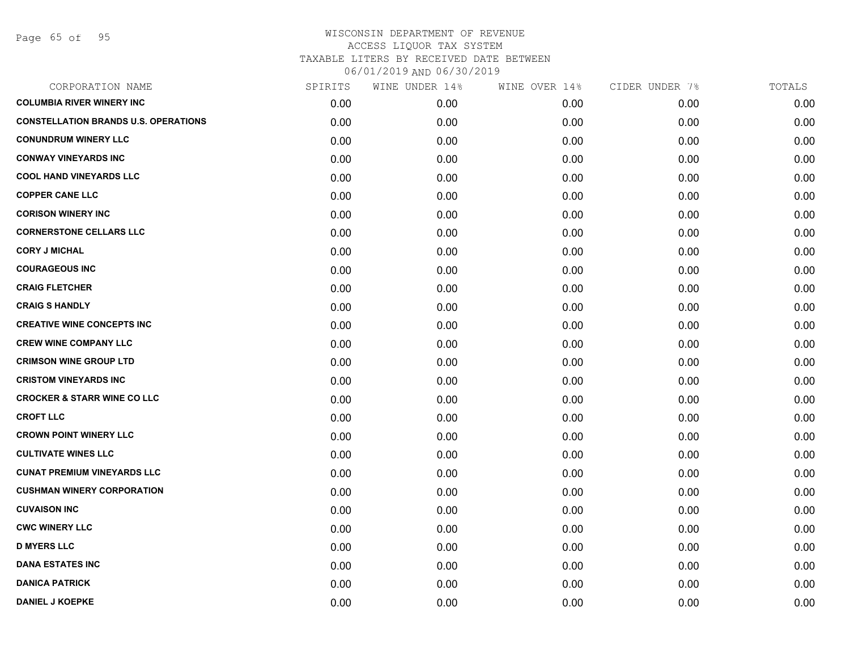| CORPORATION NAME                            | SPIRITS | WINE UNDER 14% | WINE OVER 14% | CIDER UNDER 7% | TOTALS |
|---------------------------------------------|---------|----------------|---------------|----------------|--------|
| <b>COLUMBIA RIVER WINERY INC</b>            | 0.00    | 0.00           | 0.00          | 0.00           | 0.00   |
| <b>CONSTELLATION BRANDS U.S. OPERATIONS</b> | 0.00    | 0.00           | 0.00          | 0.00           | 0.00   |
| <b>CONUNDRUM WINERY LLC</b>                 | 0.00    | 0.00           | 0.00          | 0.00           | 0.00   |
| <b>CONWAY VINEYARDS INC</b>                 | 0.00    | 0.00           | 0.00          | 0.00           | 0.00   |
| <b>COOL HAND VINEYARDS LLC</b>              | 0.00    | 0.00           | 0.00          | 0.00           | 0.00   |
| <b>COPPER CANE LLC</b>                      | 0.00    | 0.00           | 0.00          | 0.00           | 0.00   |
| <b>CORISON WINERY INC</b>                   | 0.00    | 0.00           | 0.00          | 0.00           | 0.00   |
| <b>CORNERSTONE CELLARS LLC</b>              | 0.00    | 0.00           | 0.00          | 0.00           | 0.00   |
| <b>CORY J MICHAL</b>                        | 0.00    | 0.00           | 0.00          | 0.00           | 0.00   |
| <b>COURAGEOUS INC</b>                       | 0.00    | 0.00           | 0.00          | 0.00           | 0.00   |
| <b>CRAIG FLETCHER</b>                       | 0.00    | 0.00           | 0.00          | 0.00           | 0.00   |
| <b>CRAIG S HANDLY</b>                       | 0.00    | 0.00           | 0.00          | 0.00           | 0.00   |
| <b>CREATIVE WINE CONCEPTS INC</b>           | 0.00    | 0.00           | 0.00          | 0.00           | 0.00   |
| <b>CREW WINE COMPANY LLC</b>                | 0.00    | 0.00           | 0.00          | 0.00           | 0.00   |
| <b>CRIMSON WINE GROUP LTD</b>               | 0.00    | 0.00           | 0.00          | 0.00           | 0.00   |
| <b>CRISTOM VINEYARDS INC</b>                | 0.00    | 0.00           | 0.00          | 0.00           | 0.00   |
| <b>CROCKER &amp; STARR WINE CO LLC</b>      | 0.00    | 0.00           | 0.00          | 0.00           | 0.00   |
| <b>CROFT LLC</b>                            | 0.00    | 0.00           | 0.00          | 0.00           | 0.00   |
| <b>CROWN POINT WINERY LLC</b>               | 0.00    | 0.00           | 0.00          | 0.00           | 0.00   |
| <b>CULTIVATE WINES LLC</b>                  | 0.00    | 0.00           | 0.00          | 0.00           | 0.00   |
| <b>CUNAT PREMIUM VINEYARDS LLC</b>          | 0.00    | 0.00           | 0.00          | 0.00           | 0.00   |
| <b>CUSHMAN WINERY CORPORATION</b>           | 0.00    | 0.00           | 0.00          | 0.00           | 0.00   |
| <b>CUVAISON INC</b>                         | 0.00    | 0.00           | 0.00          | 0.00           | 0.00   |
| <b>CWC WINERY LLC</b>                       | 0.00    | 0.00           | 0.00          | 0.00           | 0.00   |
| <b>D MYERS LLC</b>                          | 0.00    | 0.00           | 0.00          | 0.00           | 0.00   |
| <b>DANA ESTATES INC</b>                     | 0.00    | 0.00           | 0.00          | 0.00           | 0.00   |
| <b>DANICA PATRICK</b>                       | 0.00    | 0.00           | 0.00          | 0.00           | 0.00   |
| <b>DANIEL J KOEPKE</b>                      | 0.00    | 0.00           | 0.00          | 0.00           | 0.00   |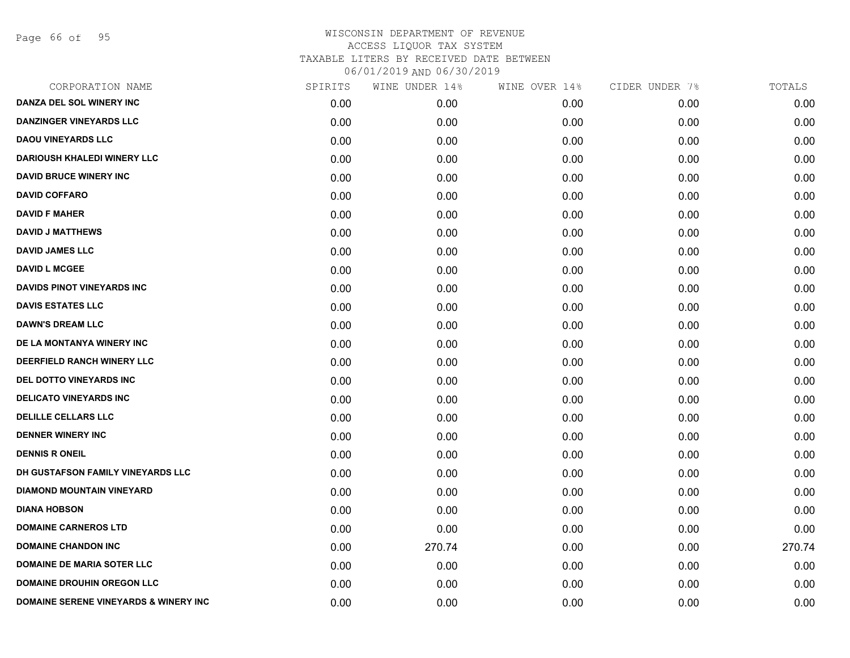Page 66 of 95

| CORPORATION NAME                                 | SPIRITS | WINE UNDER 14% | WINE OVER 14% | CIDER UNDER 7% | TOTALS |
|--------------------------------------------------|---------|----------------|---------------|----------------|--------|
| DANZA DEL SOL WINERY INC                         | 0.00    | 0.00           | 0.00          | 0.00           | 0.00   |
| <b>DANZINGER VINEYARDS LLC</b>                   | 0.00    | 0.00           | 0.00          | 0.00           | 0.00   |
| <b>DAOU VINEYARDS LLC</b>                        | 0.00    | 0.00           | 0.00          | 0.00           | 0.00   |
| <b>DARIOUSH KHALEDI WINERY LLC</b>               | 0.00    | 0.00           | 0.00          | 0.00           | 0.00   |
| <b>DAVID BRUCE WINERY INC</b>                    | 0.00    | 0.00           | 0.00          | 0.00           | 0.00   |
| <b>DAVID COFFARO</b>                             | 0.00    | 0.00           | 0.00          | 0.00           | 0.00   |
| <b>DAVID F MAHER</b>                             | 0.00    | 0.00           | 0.00          | 0.00           | 0.00   |
| <b>DAVID J MATTHEWS</b>                          | 0.00    | 0.00           | 0.00          | 0.00           | 0.00   |
| <b>DAVID JAMES LLC</b>                           | 0.00    | 0.00           | 0.00          | 0.00           | 0.00   |
| <b>DAVID L MCGEE</b>                             | 0.00    | 0.00           | 0.00          | 0.00           | 0.00   |
| <b>DAVIDS PINOT VINEYARDS INC</b>                | 0.00    | 0.00           | 0.00          | 0.00           | 0.00   |
| <b>DAVIS ESTATES LLC</b>                         | 0.00    | 0.00           | 0.00          | 0.00           | 0.00   |
| <b>DAWN'S DREAM LLC</b>                          | 0.00    | 0.00           | 0.00          | 0.00           | 0.00   |
| DE LA MONTANYA WINERY INC                        | 0.00    | 0.00           | 0.00          | 0.00           | 0.00   |
| DEERFIELD RANCH WINERY LLC                       | 0.00    | 0.00           | 0.00          | 0.00           | 0.00   |
| DEL DOTTO VINEYARDS INC                          | 0.00    | 0.00           | 0.00          | 0.00           | 0.00   |
| <b>DELICATO VINEYARDS INC</b>                    | 0.00    | 0.00           | 0.00          | 0.00           | 0.00   |
| <b>DELILLE CELLARS LLC</b>                       | 0.00    | 0.00           | 0.00          | 0.00           | 0.00   |
| <b>DENNER WINERY INC</b>                         | 0.00    | 0.00           | 0.00          | 0.00           | 0.00   |
| <b>DENNIS R ONEIL</b>                            | 0.00    | 0.00           | 0.00          | 0.00           | 0.00   |
| DH GUSTAFSON FAMILY VINEYARDS LLC                | 0.00    | 0.00           | 0.00          | 0.00           | 0.00   |
| <b>DIAMOND MOUNTAIN VINEYARD</b>                 | 0.00    | 0.00           | 0.00          | 0.00           | 0.00   |
| <b>DIANA HOBSON</b>                              | 0.00    | 0.00           | 0.00          | 0.00           | 0.00   |
| <b>DOMAINE CARNEROS LTD</b>                      | 0.00    | 0.00           | 0.00          | 0.00           | 0.00   |
| <b>DOMAINE CHANDON INC</b>                       | 0.00    | 270.74         | 0.00          | 0.00           | 270.74 |
| <b>DOMAINE DE MARIA SOTER LLC</b>                | 0.00    | 0.00           | 0.00          | 0.00           | 0.00   |
| <b>DOMAINE DROUHIN OREGON LLC</b>                | 0.00    | 0.00           | 0.00          | 0.00           | 0.00   |
| <b>DOMAINE SERENE VINEYARDS &amp; WINERY INC</b> | 0.00    | 0.00           | 0.00          | 0.00           | 0.00   |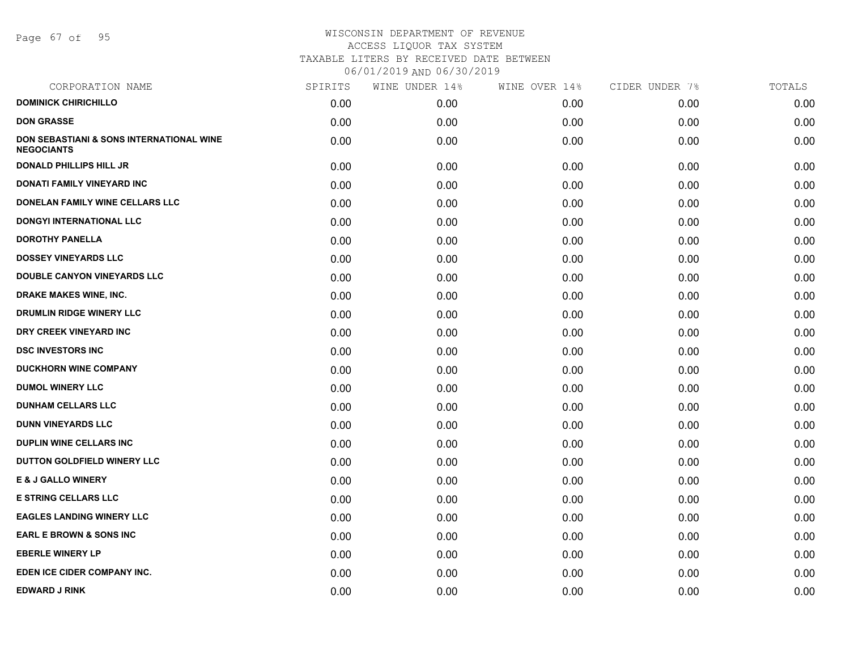Page 67 of 95

| SPIRITS | WINE UNDER 14% | WINE OVER 14% | CIDER UNDER 7% | TOTALS |
|---------|----------------|---------------|----------------|--------|
| 0.00    | 0.00           | 0.00          | 0.00           | 0.00   |
| 0.00    | 0.00           | 0.00          | 0.00           | 0.00   |
| 0.00    | 0.00           | 0.00          | 0.00           | 0.00   |
| 0.00    | 0.00           | 0.00          | 0.00           | 0.00   |
| 0.00    | 0.00           | 0.00          | 0.00           | 0.00   |
| 0.00    | 0.00           | 0.00          | 0.00           | 0.00   |
| 0.00    | 0.00           | 0.00          | 0.00           | 0.00   |
| 0.00    | 0.00           | 0.00          | 0.00           | 0.00   |
| 0.00    | 0.00           | 0.00          | 0.00           | 0.00   |
| 0.00    | 0.00           | 0.00          | 0.00           | 0.00   |
| 0.00    | 0.00           | 0.00          | 0.00           | 0.00   |
| 0.00    | 0.00           | 0.00          | 0.00           | 0.00   |
| 0.00    | 0.00           | 0.00          | 0.00           | 0.00   |
| 0.00    | 0.00           | 0.00          | 0.00           | 0.00   |
| 0.00    | 0.00           | 0.00          | 0.00           | 0.00   |
| 0.00    | 0.00           | 0.00          | 0.00           | 0.00   |
| 0.00    | 0.00           | 0.00          | 0.00           | 0.00   |
| 0.00    | 0.00           | 0.00          | 0.00           | 0.00   |
| 0.00    | 0.00           | 0.00          | 0.00           | 0.00   |
| 0.00    | 0.00           | 0.00          | 0.00           | 0.00   |
| 0.00    | 0.00           | 0.00          | 0.00           | 0.00   |
| 0.00    | 0.00           | 0.00          | 0.00           | 0.00   |
| 0.00    | 0.00           | 0.00          | 0.00           | 0.00   |
| 0.00    | 0.00           | 0.00          | 0.00           | 0.00   |
| 0.00    | 0.00           | 0.00          | 0.00           | 0.00   |
| 0.00    | 0.00           | 0.00          | 0.00           | 0.00   |
| 0.00    | 0.00           | 0.00          | 0.00           | 0.00   |
|         |                |               |                |        |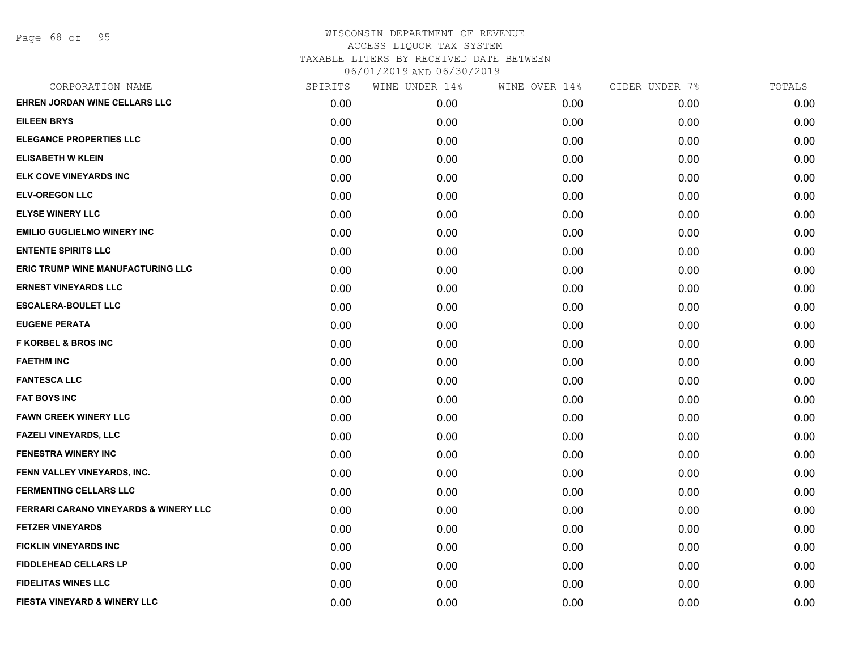Page 68 of 95

|      | WINE UNDER 14% |      | CIDER UNDER 7% | TOTALS |
|------|----------------|------|----------------|--------|
| 0.00 | 0.00           | 0.00 | 0.00           | 0.00   |
| 0.00 | 0.00           | 0.00 | 0.00           | 0.00   |
| 0.00 | 0.00           | 0.00 | 0.00           | 0.00   |
| 0.00 | 0.00           | 0.00 | 0.00           | 0.00   |
| 0.00 | 0.00           | 0.00 | 0.00           | 0.00   |
| 0.00 | 0.00           | 0.00 | 0.00           | 0.00   |
| 0.00 | 0.00           | 0.00 | 0.00           | 0.00   |
| 0.00 | 0.00           | 0.00 | 0.00           | 0.00   |
| 0.00 | 0.00           | 0.00 | 0.00           | 0.00   |
| 0.00 | 0.00           | 0.00 | 0.00           | 0.00   |
| 0.00 | 0.00           | 0.00 | 0.00           | 0.00   |
| 0.00 | 0.00           | 0.00 | 0.00           | 0.00   |
| 0.00 | 0.00           | 0.00 | 0.00           | 0.00   |
| 0.00 | 0.00           | 0.00 | 0.00           | 0.00   |
| 0.00 | 0.00           | 0.00 | 0.00           | 0.00   |
| 0.00 | 0.00           | 0.00 | 0.00           | 0.00   |
| 0.00 | 0.00           | 0.00 | 0.00           | 0.00   |
| 0.00 | 0.00           | 0.00 | 0.00           | 0.00   |
| 0.00 | 0.00           | 0.00 | 0.00           | 0.00   |
| 0.00 | 0.00           | 0.00 | 0.00           | 0.00   |
| 0.00 | 0.00           | 0.00 | 0.00           | 0.00   |
| 0.00 | 0.00           | 0.00 | 0.00           | 0.00   |
| 0.00 | 0.00           | 0.00 | 0.00           | 0.00   |
| 0.00 | 0.00           | 0.00 | 0.00           | 0.00   |
| 0.00 | 0.00           | 0.00 | 0.00           | 0.00   |
| 0.00 | 0.00           | 0.00 | 0.00           | 0.00   |
| 0.00 | 0.00           | 0.00 | 0.00           | 0.00   |
| 0.00 | 0.00           | 0.00 | 0.00           | 0.00   |
|      | SPIRITS        |      | WINE OVER 14%  |        |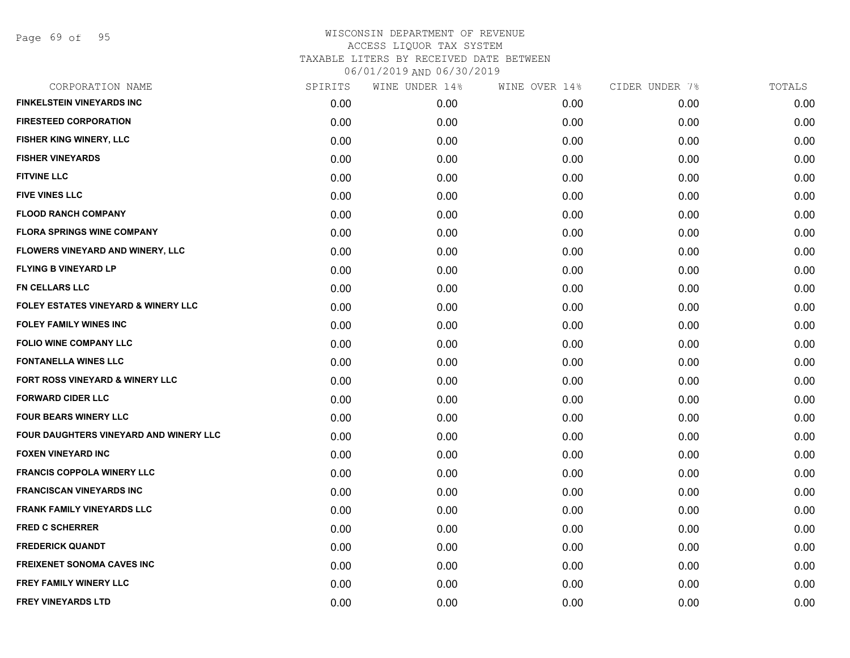Page 69 of 95

| CORPORATION NAME                               | SPIRITS | WINE UNDER 14% | WINE OVER 14% | CIDER UNDER 7% | TOTALS |
|------------------------------------------------|---------|----------------|---------------|----------------|--------|
| <b>FINKELSTEIN VINEYARDS INC</b>               | 0.00    | 0.00           | 0.00          | 0.00           | 0.00   |
| <b>FIRESTEED CORPORATION</b>                   | 0.00    | 0.00           | 0.00          | 0.00           | 0.00   |
| FISHER KING WINERY, LLC                        | 0.00    | 0.00           | 0.00          | 0.00           | 0.00   |
| <b>FISHER VINEYARDS</b>                        | 0.00    | 0.00           | 0.00          | 0.00           | 0.00   |
| <b>FITVINE LLC</b>                             | 0.00    | 0.00           | 0.00          | 0.00           | 0.00   |
| <b>FIVE VINES LLC</b>                          | 0.00    | 0.00           | 0.00          | 0.00           | 0.00   |
| <b>FLOOD RANCH COMPANY</b>                     | 0.00    | 0.00           | 0.00          | 0.00           | 0.00   |
| <b>FLORA SPRINGS WINE COMPANY</b>              | 0.00    | 0.00           | 0.00          | 0.00           | 0.00   |
| FLOWERS VINEYARD AND WINERY, LLC               | 0.00    | 0.00           | 0.00          | 0.00           | 0.00   |
| <b>FLYING B VINEYARD LP</b>                    | 0.00    | 0.00           | 0.00          | 0.00           | 0.00   |
| <b>FN CELLARS LLC</b>                          | 0.00    | 0.00           | 0.00          | 0.00           | 0.00   |
| <b>FOLEY ESTATES VINEYARD &amp; WINERY LLC</b> | 0.00    | 0.00           | 0.00          | 0.00           | 0.00   |
| <b>FOLEY FAMILY WINES INC</b>                  | 0.00    | 0.00           | 0.00          | 0.00           | 0.00   |
| <b>FOLIO WINE COMPANY LLC</b>                  | 0.00    | 0.00           | 0.00          | 0.00           | 0.00   |
| <b>FONTANELLA WINES LLC</b>                    | 0.00    | 0.00           | 0.00          | 0.00           | 0.00   |
| FORT ROSS VINEYARD & WINERY LLC                | 0.00    | 0.00           | 0.00          | 0.00           | 0.00   |
| <b>FORWARD CIDER LLC</b>                       | 0.00    | 0.00           | 0.00          | 0.00           | 0.00   |
| <b>FOUR BEARS WINERY LLC</b>                   | 0.00    | 0.00           | 0.00          | 0.00           | 0.00   |
| FOUR DAUGHTERS VINEYARD AND WINERY LLC         | 0.00    | 0.00           | 0.00          | 0.00           | 0.00   |
| <b>FOXEN VINEYARD INC</b>                      | 0.00    | 0.00           | 0.00          | 0.00           | 0.00   |
| <b>FRANCIS COPPOLA WINERY LLC</b>              | 0.00    | 0.00           | 0.00          | 0.00           | 0.00   |
| <b>FRANCISCAN VINEYARDS INC</b>                | 0.00    | 0.00           | 0.00          | 0.00           | 0.00   |
| FRANK FAMILY VINEYARDS LLC                     | 0.00    | 0.00           | 0.00          | 0.00           | 0.00   |
| <b>FRED C SCHERRER</b>                         | 0.00    | 0.00           | 0.00          | 0.00           | 0.00   |
| <b>FREDERICK QUANDT</b>                        | 0.00    | 0.00           | 0.00          | 0.00           | 0.00   |
| <b>FREIXENET SONOMA CAVES INC</b>              | 0.00    | 0.00           | 0.00          | 0.00           | 0.00   |
| <b>FREY FAMILY WINERY LLC</b>                  | 0.00    | 0.00           | 0.00          | 0.00           | 0.00   |
| <b>FREY VINEYARDS LTD</b>                      | 0.00    | 0.00           | 0.00          | 0.00           | 0.00   |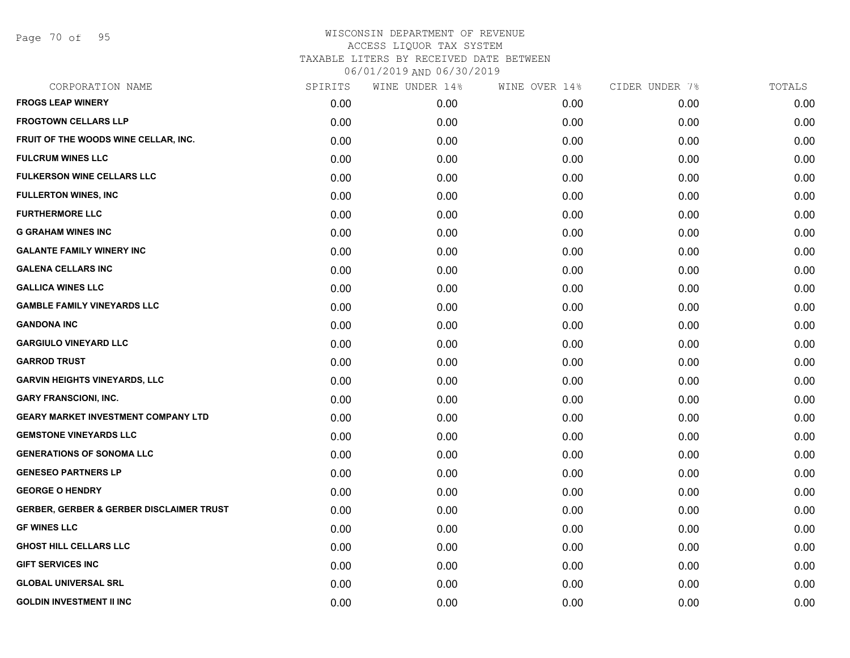Page 70 of 95

| CORPORATION NAME                                    | SPIRITS | WINE UNDER 14% | WINE OVER 14% | CIDER UNDER 7% | TOTALS |
|-----------------------------------------------------|---------|----------------|---------------|----------------|--------|
| <b>FROGS LEAP WINERY</b>                            | 0.00    | 0.00           | 0.00          | 0.00           | 0.00   |
| <b>FROGTOWN CELLARS LLP</b>                         | 0.00    | 0.00           | 0.00          | 0.00           | 0.00   |
| FRUIT OF THE WOODS WINE CELLAR, INC.                | 0.00    | 0.00           | 0.00          | 0.00           | 0.00   |
| <b>FULCRUM WINES LLC</b>                            | 0.00    | 0.00           | 0.00          | 0.00           | 0.00   |
| <b>FULKERSON WINE CELLARS LLC</b>                   | 0.00    | 0.00           | 0.00          | 0.00           | 0.00   |
| <b>FULLERTON WINES, INC</b>                         | 0.00    | 0.00           | 0.00          | 0.00           | 0.00   |
| <b>FURTHERMORE LLC</b>                              | 0.00    | 0.00           | 0.00          | 0.00           | 0.00   |
| <b>G GRAHAM WINES INC</b>                           | 0.00    | 0.00           | 0.00          | 0.00           | 0.00   |
| <b>GALANTE FAMILY WINERY INC</b>                    | 0.00    | 0.00           | 0.00          | 0.00           | 0.00   |
| <b>GALENA CELLARS INC</b>                           | 0.00    | 0.00           | 0.00          | 0.00           | 0.00   |
| <b>GALLICA WINES LLC</b>                            | 0.00    | 0.00           | 0.00          | 0.00           | 0.00   |
| <b>GAMBLE FAMILY VINEYARDS LLC</b>                  | 0.00    | 0.00           | 0.00          | 0.00           | 0.00   |
| <b>GANDONA INC</b>                                  | 0.00    | 0.00           | 0.00          | 0.00           | 0.00   |
| <b>GARGIULO VINEYARD LLC</b>                        | 0.00    | 0.00           | 0.00          | 0.00           | 0.00   |
| <b>GARROD TRUST</b>                                 | 0.00    | 0.00           | 0.00          | 0.00           | 0.00   |
| <b>GARVIN HEIGHTS VINEYARDS, LLC</b>                | 0.00    | 0.00           | 0.00          | 0.00           | 0.00   |
| <b>GARY FRANSCIONI, INC.</b>                        | 0.00    | 0.00           | 0.00          | 0.00           | 0.00   |
| <b>GEARY MARKET INVESTMENT COMPANY LTD</b>          | 0.00    | 0.00           | 0.00          | 0.00           | 0.00   |
| <b>GEMSTONE VINEYARDS LLC</b>                       | 0.00    | 0.00           | 0.00          | 0.00           | 0.00   |
| <b>GENERATIONS OF SONOMA LLC</b>                    | 0.00    | 0.00           | 0.00          | 0.00           | 0.00   |
| <b>GENESEO PARTNERS LP</b>                          | 0.00    | 0.00           | 0.00          | 0.00           | 0.00   |
| <b>GEORGE O HENDRY</b>                              | 0.00    | 0.00           | 0.00          | 0.00           | 0.00   |
| <b>GERBER, GERBER &amp; GERBER DISCLAIMER TRUST</b> | 0.00    | 0.00           | 0.00          | 0.00           | 0.00   |
| <b>GF WINES LLC</b>                                 | 0.00    | 0.00           | 0.00          | 0.00           | 0.00   |
| <b>GHOST HILL CELLARS LLC</b>                       | 0.00    | 0.00           | 0.00          | 0.00           | 0.00   |
| <b>GIFT SERVICES INC</b>                            | 0.00    | 0.00           | 0.00          | 0.00           | 0.00   |
| <b>GLOBAL UNIVERSAL SRL</b>                         | 0.00    | 0.00           | 0.00          | 0.00           | 0.00   |
| <b>GOLDIN INVESTMENT II INC</b>                     | 0.00    | 0.00           | 0.00          | 0.00           | 0.00   |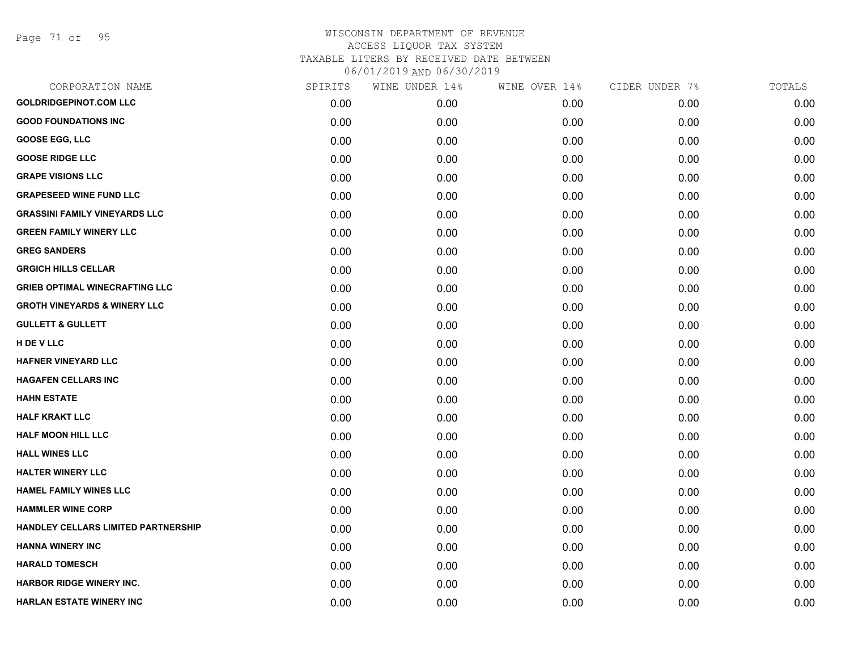Page 71 of 95

| CORPORATION NAME                        | SPIRITS | WINE UNDER 14% | WINE OVER 14% | CIDER UNDER 7% | TOTALS |
|-----------------------------------------|---------|----------------|---------------|----------------|--------|
| <b>GOLDRIDGEPINOT.COM LLC</b>           | 0.00    | 0.00           | 0.00          | 0.00           | 0.00   |
| <b>GOOD FOUNDATIONS INC</b>             | 0.00    | 0.00           | 0.00          | 0.00           | 0.00   |
| <b>GOOSE EGG, LLC</b>                   | 0.00    | 0.00           | 0.00          | 0.00           | 0.00   |
| <b>GOOSE RIDGE LLC</b>                  | 0.00    | 0.00           | 0.00          | 0.00           | 0.00   |
| <b>GRAPE VISIONS LLC</b>                | 0.00    | 0.00           | 0.00          | 0.00           | 0.00   |
| <b>GRAPESEED WINE FUND LLC</b>          | 0.00    | 0.00           | 0.00          | 0.00           | 0.00   |
| <b>GRASSINI FAMILY VINEYARDS LLC</b>    | 0.00    | 0.00           | 0.00          | 0.00           | 0.00   |
| <b>GREEN FAMILY WINERY LLC</b>          | 0.00    | 0.00           | 0.00          | 0.00           | 0.00   |
| <b>GREG SANDERS</b>                     | 0.00    | 0.00           | 0.00          | 0.00           | 0.00   |
| <b>GRGICH HILLS CELLAR</b>              | 0.00    | 0.00           | 0.00          | 0.00           | 0.00   |
| <b>GRIEB OPTIMAL WINECRAFTING LLC</b>   | 0.00    | 0.00           | 0.00          | 0.00           | 0.00   |
| <b>GROTH VINEYARDS &amp; WINERY LLC</b> | 0.00    | 0.00           | 0.00          | 0.00           | 0.00   |
| <b>GULLETT &amp; GULLETT</b>            | 0.00    | 0.00           | 0.00          | 0.00           | 0.00   |
| H DE V LLC                              | 0.00    | 0.00           | 0.00          | 0.00           | 0.00   |
| <b>HAFNER VINEYARD LLC</b>              | 0.00    | 0.00           | 0.00          | 0.00           | 0.00   |
| <b>HAGAFEN CELLARS INC</b>              | 0.00    | 0.00           | 0.00          | 0.00           | 0.00   |
| <b>HAHN ESTATE</b>                      | 0.00    | 0.00           | 0.00          | 0.00           | 0.00   |
| <b>HALF KRAKT LLC</b>                   | 0.00    | 0.00           | 0.00          | 0.00           | 0.00   |
| <b>HALF MOON HILL LLC</b>               | 0.00    | 0.00           | 0.00          | 0.00           | 0.00   |
| <b>HALL WINES LLC</b>                   | 0.00    | 0.00           | 0.00          | 0.00           | 0.00   |
| <b>HALTER WINERY LLC</b>                | 0.00    | 0.00           | 0.00          | 0.00           | 0.00   |
| <b>HAMEL FAMILY WINES LLC</b>           | 0.00    | 0.00           | 0.00          | 0.00           | 0.00   |
| <b>HAMMLER WINE CORP</b>                | 0.00    | 0.00           | 0.00          | 0.00           | 0.00   |
| HANDLEY CELLARS LIMITED PARTNERSHIP     | 0.00    | 0.00           | 0.00          | 0.00           | 0.00   |
| <b>HANNA WINERY INC</b>                 | 0.00    | 0.00           | 0.00          | 0.00           | 0.00   |
| <b>HARALD TOMESCH</b>                   | 0.00    | 0.00           | 0.00          | 0.00           | 0.00   |
| HARBOR RIDGE WINERY INC.                | 0.00    | 0.00           | 0.00          | 0.00           | 0.00   |
| <b>HARLAN ESTATE WINERY INC</b>         | 0.00    | 0.00           | 0.00          | 0.00           | 0.00   |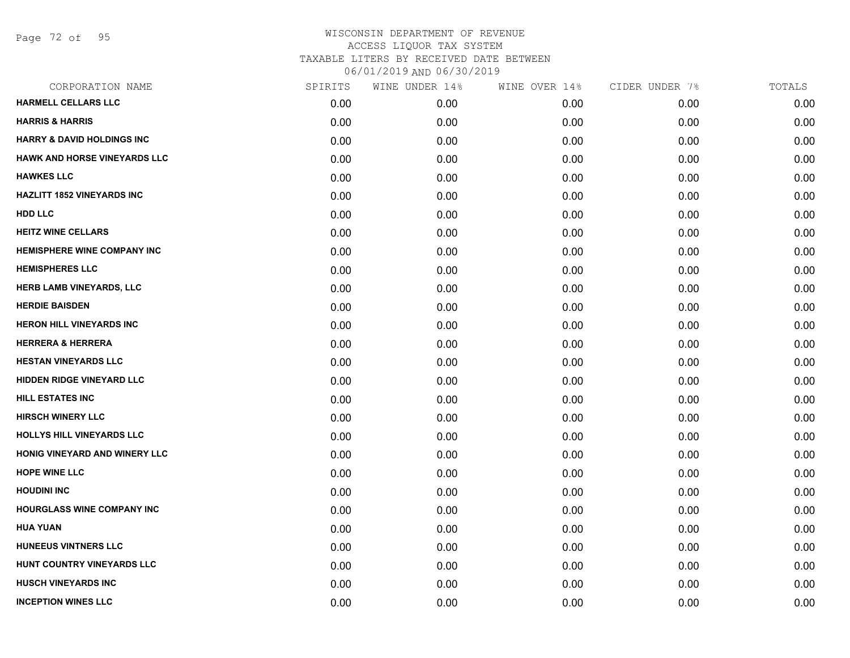Page 72 of 95

| SPIRITS | WINE UNDER 14% | WINE OVER 14% | CIDER UNDER 7% | TOTALS |
|---------|----------------|---------------|----------------|--------|
| 0.00    | 0.00           | 0.00          | 0.00           | 0.00   |
| 0.00    | 0.00           | 0.00          | 0.00           | 0.00   |
| 0.00    | 0.00           | 0.00          | 0.00           | 0.00   |
| 0.00    | 0.00           | 0.00          | 0.00           | 0.00   |
| 0.00    | 0.00           | 0.00          | 0.00           | 0.00   |
| 0.00    | 0.00           | 0.00          | 0.00           | 0.00   |
| 0.00    | 0.00           | 0.00          | 0.00           | 0.00   |
| 0.00    | 0.00           | 0.00          | 0.00           | 0.00   |
| 0.00    | 0.00           | 0.00          | 0.00           | 0.00   |
| 0.00    | 0.00           | 0.00          | 0.00           | 0.00   |
| 0.00    | 0.00           | 0.00          | 0.00           | 0.00   |
| 0.00    | 0.00           | 0.00          | 0.00           | 0.00   |
| 0.00    | 0.00           | 0.00          | 0.00           | 0.00   |
| 0.00    | 0.00           | 0.00          | 0.00           | 0.00   |
| 0.00    | 0.00           | 0.00          | 0.00           | 0.00   |
| 0.00    | 0.00           | 0.00          | 0.00           | 0.00   |
| 0.00    | 0.00           | 0.00          | 0.00           | 0.00   |
| 0.00    | 0.00           | 0.00          | 0.00           | 0.00   |
| 0.00    | 0.00           | 0.00          | 0.00           | 0.00   |
| 0.00    | 0.00           | 0.00          | 0.00           | 0.00   |
| 0.00    | 0.00           | 0.00          | 0.00           | 0.00   |
| 0.00    | 0.00           | 0.00          | 0.00           | 0.00   |
| 0.00    | 0.00           | 0.00          | 0.00           | 0.00   |
| 0.00    | 0.00           | 0.00          | 0.00           | 0.00   |
| 0.00    | 0.00           | 0.00          | 0.00           | 0.00   |
| 0.00    | 0.00           | 0.00          | 0.00           | 0.00   |
| 0.00    | 0.00           | 0.00          | 0.00           | 0.00   |
| 0.00    | 0.00           | 0.00          | 0.00           | 0.00   |
|         |                |               |                |        |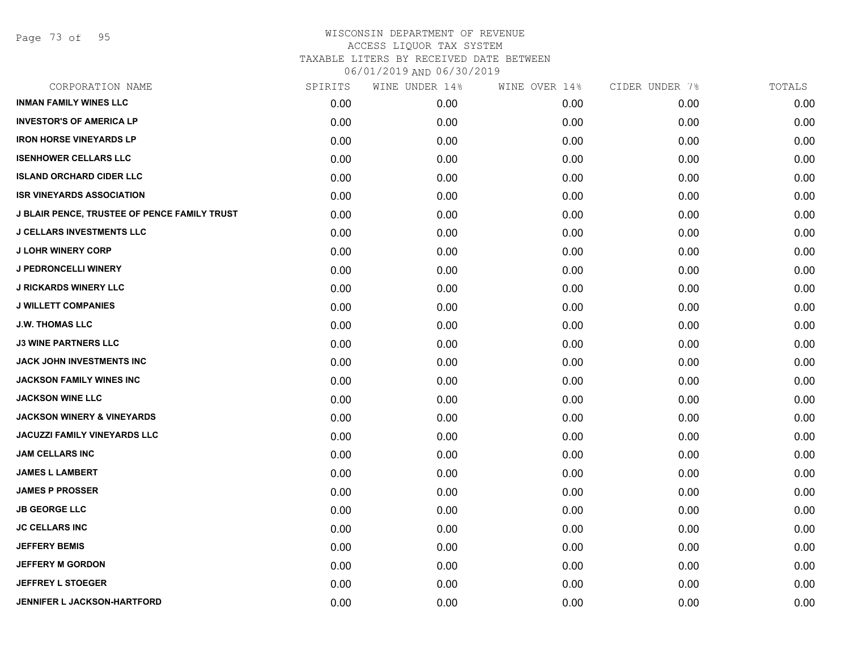Page 73 of 95

| CORPORATION NAME                                    | SPIRITS | WINE UNDER 14% | WINE OVER 14% | CIDER UNDER 7% | TOTALS |
|-----------------------------------------------------|---------|----------------|---------------|----------------|--------|
| <b>INMAN FAMILY WINES LLC</b>                       | 0.00    | 0.00           | 0.00          | 0.00           | 0.00   |
| <b>INVESTOR'S OF AMERICA LP</b>                     | 0.00    | 0.00           | 0.00          | 0.00           | 0.00   |
| <b>IRON HORSE VINEYARDS LP</b>                      | 0.00    | 0.00           | 0.00          | 0.00           | 0.00   |
| <b>ISENHOWER CELLARS LLC</b>                        | 0.00    | 0.00           | 0.00          | 0.00           | 0.00   |
| <b>ISLAND ORCHARD CIDER LLC</b>                     | 0.00    | 0.00           | 0.00          | 0.00           | 0.00   |
| <b>ISR VINEYARDS ASSOCIATION</b>                    | 0.00    | 0.00           | 0.00          | 0.00           | 0.00   |
| <b>J BLAIR PENCE, TRUSTEE OF PENCE FAMILY TRUST</b> | 0.00    | 0.00           | 0.00          | 0.00           | 0.00   |
| <b>J CELLARS INVESTMENTS LLC</b>                    | 0.00    | 0.00           | 0.00          | 0.00           | 0.00   |
| <b>J LOHR WINERY CORP</b>                           | 0.00    | 0.00           | 0.00          | 0.00           | 0.00   |
| <b>J PEDRONCELLI WINERY</b>                         | 0.00    | 0.00           | 0.00          | 0.00           | 0.00   |
| <b>J RICKARDS WINERY LLC</b>                        | 0.00    | 0.00           | 0.00          | 0.00           | 0.00   |
| <b>J WILLETT COMPANIES</b>                          | 0.00    | 0.00           | 0.00          | 0.00           | 0.00   |
| <b>J.W. THOMAS LLC</b>                              | 0.00    | 0.00           | 0.00          | 0.00           | 0.00   |
| <b>J3 WINE PARTNERS LLC</b>                         | 0.00    | 0.00           | 0.00          | 0.00           | 0.00   |
| JACK JOHN INVESTMENTS INC                           | 0.00    | 0.00           | 0.00          | 0.00           | 0.00   |
| <b>JACKSON FAMILY WINES INC</b>                     | 0.00    | 0.00           | 0.00          | 0.00           | 0.00   |
| <b>JACKSON WINE LLC</b>                             | 0.00    | 0.00           | 0.00          | 0.00           | 0.00   |
| <b>JACKSON WINERY &amp; VINEYARDS</b>               | 0.00    | 0.00           | 0.00          | 0.00           | 0.00   |
| <b>JACUZZI FAMILY VINEYARDS LLC</b>                 | 0.00    | 0.00           | 0.00          | 0.00           | 0.00   |
| <b>JAM CELLARS INC</b>                              | 0.00    | 0.00           | 0.00          | 0.00           | 0.00   |
| <b>JAMES L LAMBERT</b>                              | 0.00    | 0.00           | 0.00          | 0.00           | 0.00   |
| <b>JAMES P PROSSER</b>                              | 0.00    | 0.00           | 0.00          | 0.00           | 0.00   |
| <b>JB GEORGE LLC</b>                                | 0.00    | 0.00           | 0.00          | 0.00           | 0.00   |
| <b>JC CELLARS INC</b>                               | 0.00    | 0.00           | 0.00          | 0.00           | 0.00   |
| <b>JEFFERY BEMIS</b>                                | 0.00    | 0.00           | 0.00          | 0.00           | 0.00   |
| <b>JEFFERY M GORDON</b>                             | 0.00    | 0.00           | 0.00          | 0.00           | 0.00   |
| <b>JEFFREY L STOEGER</b>                            | 0.00    | 0.00           | 0.00          | 0.00           | 0.00   |
| <b>JENNIFER L JACKSON-HARTFORD</b>                  | 0.00    | 0.00           | 0.00          | 0.00           | 0.00   |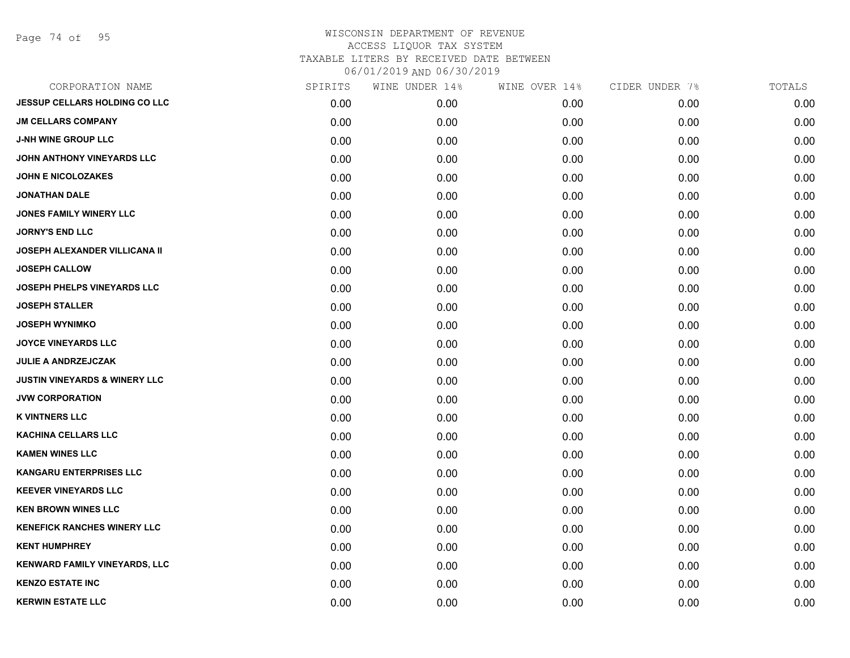Page 74 of 95

| CORPORATION NAME                         | SPIRITS | WINE UNDER 14% | WINE OVER 14% | CIDER UNDER 7% | TOTALS |
|------------------------------------------|---------|----------------|---------------|----------------|--------|
| <b>JESSUP CELLARS HOLDING CO LLC</b>     | 0.00    | 0.00           | 0.00          | 0.00           | 0.00   |
| <b>JM CELLARS COMPANY</b>                | 0.00    | 0.00           | 0.00          | 0.00           | 0.00   |
| <b>J-NH WINE GROUP LLC</b>               | 0.00    | 0.00           | 0.00          | 0.00           | 0.00   |
| JOHN ANTHONY VINEYARDS LLC               | 0.00    | 0.00           | 0.00          | 0.00           | 0.00   |
| <b>JOHN E NICOLOZAKES</b>                | 0.00    | 0.00           | 0.00          | 0.00           | 0.00   |
| <b>JONATHAN DALE</b>                     | 0.00    | 0.00           | 0.00          | 0.00           | 0.00   |
| <b>JONES FAMILY WINERY LLC</b>           | 0.00    | 0.00           | 0.00          | 0.00           | 0.00   |
| <b>JORNY'S END LLC</b>                   | 0.00    | 0.00           | 0.00          | 0.00           | 0.00   |
| <b>JOSEPH ALEXANDER VILLICANA II</b>     | 0.00    | 0.00           | 0.00          | 0.00           | 0.00   |
| <b>JOSEPH CALLOW</b>                     | 0.00    | 0.00           | 0.00          | 0.00           | 0.00   |
| <b>JOSEPH PHELPS VINEYARDS LLC</b>       | 0.00    | 0.00           | 0.00          | 0.00           | 0.00   |
| <b>JOSEPH STALLER</b>                    | 0.00    | 0.00           | 0.00          | 0.00           | 0.00   |
| <b>JOSEPH WYNIMKO</b>                    | 0.00    | 0.00           | 0.00          | 0.00           | 0.00   |
| <b>JOYCE VINEYARDS LLC</b>               | 0.00    | 0.00           | 0.00          | 0.00           | 0.00   |
| JULIE A ANDRZEJCZAK                      | 0.00    | 0.00           | 0.00          | 0.00           | 0.00   |
| <b>JUSTIN VINEYARDS &amp; WINERY LLC</b> | 0.00    | 0.00           | 0.00          | 0.00           | 0.00   |
| <b>JVW CORPORATION</b>                   | 0.00    | 0.00           | 0.00          | 0.00           | 0.00   |
| <b>K VINTNERS LLC</b>                    | 0.00    | 0.00           | 0.00          | 0.00           | 0.00   |
| <b>KACHINA CELLARS LLC</b>               | 0.00    | 0.00           | 0.00          | 0.00           | 0.00   |
| <b>KAMEN WINES LLC</b>                   | 0.00    | 0.00           | 0.00          | 0.00           | 0.00   |
| <b>KANGARU ENTERPRISES LLC</b>           | 0.00    | 0.00           | 0.00          | 0.00           | 0.00   |
| <b>KEEVER VINEYARDS LLC</b>              | 0.00    | 0.00           | 0.00          | 0.00           | 0.00   |
| <b>KEN BROWN WINES LLC</b>               | 0.00    | 0.00           | 0.00          | 0.00           | 0.00   |
| <b>KENEFICK RANCHES WINERY LLC</b>       | 0.00    | 0.00           | 0.00          | 0.00           | 0.00   |
| <b>KENT HUMPHREY</b>                     | 0.00    | 0.00           | 0.00          | 0.00           | 0.00   |
| <b>KENWARD FAMILY VINEYARDS, LLC</b>     | 0.00    | 0.00           | 0.00          | 0.00           | 0.00   |
| <b>KENZO ESTATE INC</b>                  | 0.00    | 0.00           | 0.00          | 0.00           | 0.00   |
| <b>KERWIN ESTATE LLC</b>                 | 0.00    | 0.00           | 0.00          | 0.00           | 0.00   |
|                                          |         |                |               |                |        |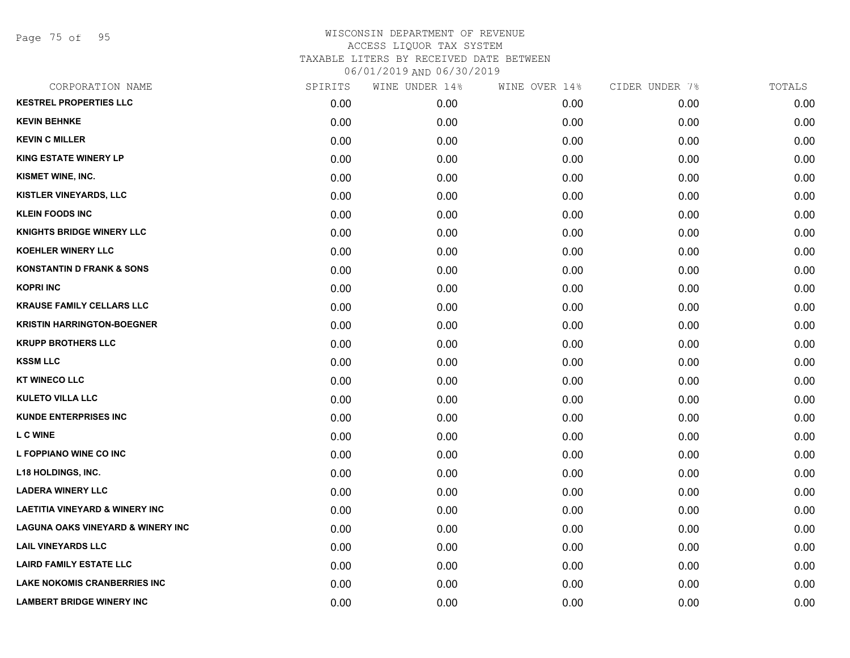Page 75 of 95

| CORPORATION NAME                             | SPIRITS | WINE UNDER 14% | WINE OVER 14% | CIDER UNDER 7% | TOTALS |
|----------------------------------------------|---------|----------------|---------------|----------------|--------|
| <b>KESTREL PROPERTIES LLC</b>                | 0.00    | 0.00           | 0.00          | 0.00           | 0.00   |
| <b>KEVIN BEHNKE</b>                          | 0.00    | 0.00           | 0.00          | 0.00           | 0.00   |
| <b>KEVIN C MILLER</b>                        | 0.00    | 0.00           | 0.00          | 0.00           | 0.00   |
| <b>KING ESTATE WINERY LP</b>                 | 0.00    | 0.00           | 0.00          | 0.00           | 0.00   |
| KISMET WINE, INC.                            | 0.00    | 0.00           | 0.00          | 0.00           | 0.00   |
| KISTLER VINEYARDS, LLC                       | 0.00    | 0.00           | 0.00          | 0.00           | 0.00   |
| <b>KLEIN FOODS INC</b>                       | 0.00    | 0.00           | 0.00          | 0.00           | 0.00   |
| <b>KNIGHTS BRIDGE WINERY LLC</b>             | 0.00    | 0.00           | 0.00          | 0.00           | 0.00   |
| <b>KOEHLER WINERY LLC</b>                    | 0.00    | 0.00           | 0.00          | 0.00           | 0.00   |
| <b>KONSTANTIN D FRANK &amp; SONS</b>         | 0.00    | 0.00           | 0.00          | 0.00           | 0.00   |
| <b>KOPRI INC</b>                             | 0.00    | 0.00           | 0.00          | 0.00           | 0.00   |
| <b>KRAUSE FAMILY CELLARS LLC</b>             | 0.00    | 0.00           | 0.00          | 0.00           | 0.00   |
| <b>KRISTIN HARRINGTON-BOEGNER</b>            | 0.00    | 0.00           | 0.00          | 0.00           | 0.00   |
| <b>KRUPP BROTHERS LLC</b>                    | 0.00    | 0.00           | 0.00          | 0.00           | 0.00   |
| <b>KSSM LLC</b>                              | 0.00    | 0.00           | 0.00          | 0.00           | 0.00   |
| <b>KT WINECO LLC</b>                         | 0.00    | 0.00           | 0.00          | 0.00           | 0.00   |
| <b>KULETO VILLA LLC</b>                      | 0.00    | 0.00           | 0.00          | 0.00           | 0.00   |
| <b>KUNDE ENTERPRISES INC</b>                 | 0.00    | 0.00           | 0.00          | 0.00           | 0.00   |
| <b>LC WINE</b>                               | 0.00    | 0.00           | 0.00          | 0.00           | 0.00   |
| L FOPPIANO WINE CO INC                       | 0.00    | 0.00           | 0.00          | 0.00           | 0.00   |
| <b>L18 HOLDINGS, INC.</b>                    | 0.00    | 0.00           | 0.00          | 0.00           | 0.00   |
| <b>LADERA WINERY LLC</b>                     | 0.00    | 0.00           | 0.00          | 0.00           | 0.00   |
| <b>LAETITIA VINEYARD &amp; WINERY INC</b>    | 0.00    | 0.00           | 0.00          | 0.00           | 0.00   |
| <b>LAGUNA OAKS VINEYARD &amp; WINERY INC</b> | 0.00    | 0.00           | 0.00          | 0.00           | 0.00   |
| <b>LAIL VINEYARDS LLC</b>                    | 0.00    | 0.00           | 0.00          | 0.00           | 0.00   |
| <b>LAIRD FAMILY ESTATE LLC</b>               | 0.00    | 0.00           | 0.00          | 0.00           | 0.00   |
| <b>LAKE NOKOMIS CRANBERRIES INC</b>          | 0.00    | 0.00           | 0.00          | 0.00           | 0.00   |
| <b>LAMBERT BRIDGE WINERY INC</b>             | 0.00    | 0.00           | 0.00          | 0.00           | 0.00   |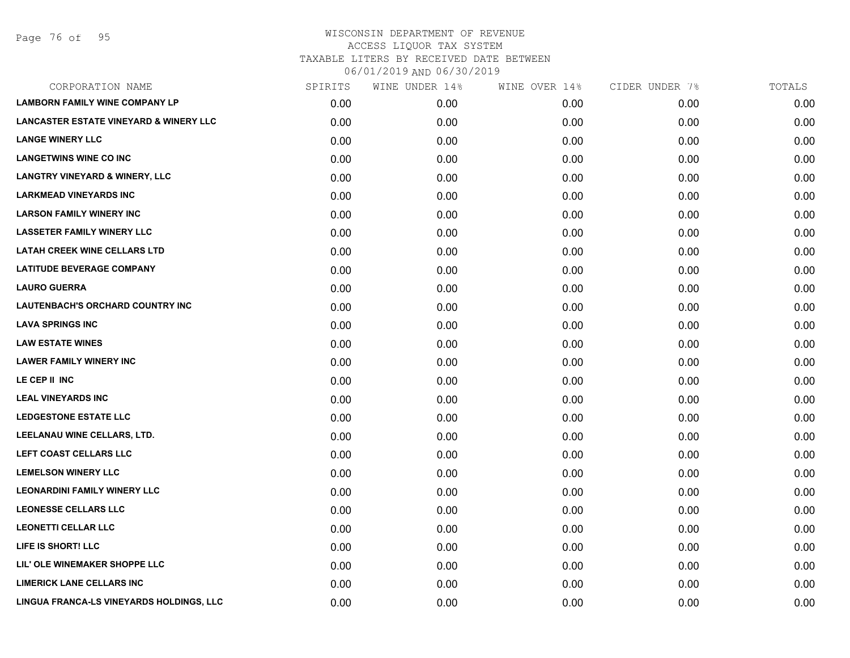Page 76 of 95

| CORPORATION NAME                                  | SPIRITS | WINE UNDER 14% | WINE OVER 14% | CIDER UNDER 7% | TOTALS |
|---------------------------------------------------|---------|----------------|---------------|----------------|--------|
| <b>LAMBORN FAMILY WINE COMPANY LP</b>             | 0.00    | 0.00           | 0.00          | 0.00           | 0.00   |
| <b>LANCASTER ESTATE VINEYARD &amp; WINERY LLC</b> | 0.00    | 0.00           | 0.00          | 0.00           | 0.00   |
| <b>LANGE WINERY LLC</b>                           | 0.00    | 0.00           | 0.00          | 0.00           | 0.00   |
| <b>LANGETWINS WINE CO INC</b>                     | 0.00    | 0.00           | 0.00          | 0.00           | 0.00   |
| <b>LANGTRY VINEYARD &amp; WINERY, LLC</b>         | 0.00    | 0.00           | 0.00          | 0.00           | 0.00   |
| <b>LARKMEAD VINEYARDS INC</b>                     | 0.00    | 0.00           | 0.00          | 0.00           | 0.00   |
| <b>LARSON FAMILY WINERY INC</b>                   | 0.00    | 0.00           | 0.00          | 0.00           | 0.00   |
| <b>LASSETER FAMILY WINERY LLC</b>                 | 0.00    | 0.00           | 0.00          | 0.00           | 0.00   |
| <b>LATAH CREEK WINE CELLARS LTD</b>               | 0.00    | 0.00           | 0.00          | 0.00           | 0.00   |
| <b>LATITUDE BEVERAGE COMPANY</b>                  | 0.00    | 0.00           | 0.00          | 0.00           | 0.00   |
| <b>LAURO GUERRA</b>                               | 0.00    | 0.00           | 0.00          | 0.00           | 0.00   |
| <b>LAUTENBACH'S ORCHARD COUNTRY INC</b>           | 0.00    | 0.00           | 0.00          | 0.00           | 0.00   |
| <b>LAVA SPRINGS INC</b>                           | 0.00    | 0.00           | 0.00          | 0.00           | 0.00   |
| <b>LAW ESTATE WINES</b>                           | 0.00    | 0.00           | 0.00          | 0.00           | 0.00   |
| <b>LAWER FAMILY WINERY INC</b>                    | 0.00    | 0.00           | 0.00          | 0.00           | 0.00   |
| LE CEP II INC                                     | 0.00    | 0.00           | 0.00          | 0.00           | 0.00   |
| <b>LEAL VINEYARDS INC</b>                         | 0.00    | 0.00           | 0.00          | 0.00           | 0.00   |
| <b>LEDGESTONE ESTATE LLC</b>                      | 0.00    | 0.00           | 0.00          | 0.00           | 0.00   |
| LEELANAU WINE CELLARS, LTD.                       | 0.00    | 0.00           | 0.00          | 0.00           | 0.00   |
| LEFT COAST CELLARS LLC                            | 0.00    | 0.00           | 0.00          | 0.00           | 0.00   |
| <b>LEMELSON WINERY LLC</b>                        | 0.00    | 0.00           | 0.00          | 0.00           | 0.00   |
| <b>LEONARDINI FAMILY WINERY LLC</b>               | 0.00    | 0.00           | 0.00          | 0.00           | 0.00   |
| <b>LEONESSE CELLARS LLC</b>                       | 0.00    | 0.00           | 0.00          | 0.00           | 0.00   |
| <b>LEONETTI CELLAR LLC</b>                        | 0.00    | 0.00           | 0.00          | 0.00           | 0.00   |
| LIFE IS SHORT! LLC                                | 0.00    | 0.00           | 0.00          | 0.00           | 0.00   |
| LIL' OLE WINEMAKER SHOPPE LLC                     | 0.00    | 0.00           | 0.00          | 0.00           | 0.00   |
| <b>LIMERICK LANE CELLARS INC</b>                  | 0.00    | 0.00           | 0.00          | 0.00           | 0.00   |
| LINGUA FRANCA-LS VINEYARDS HOLDINGS, LLC          | 0.00    | 0.00           | 0.00          | 0.00           | 0.00   |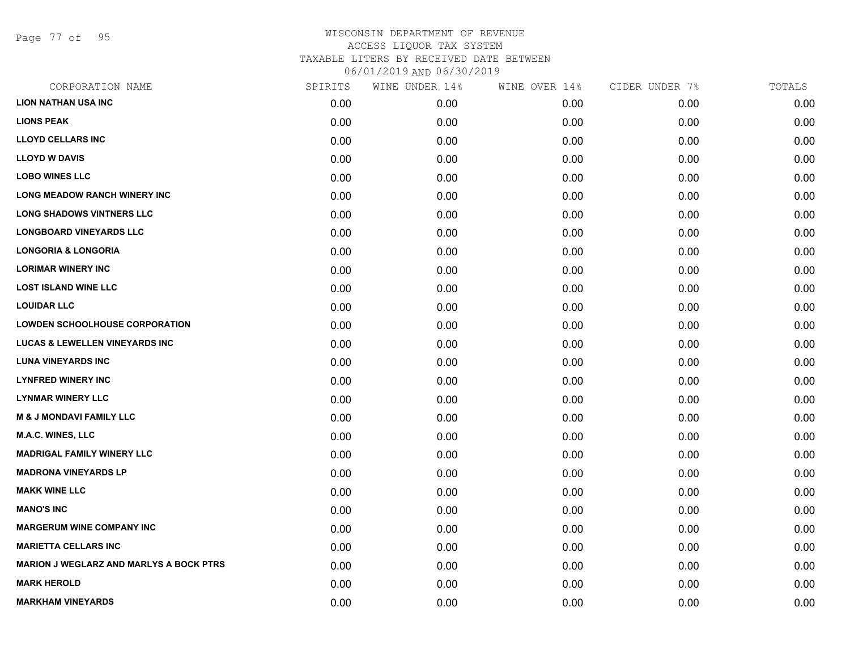Page 77 of 95

| SPIRITS | WINE UNDER 14% | WINE OVER 14% | CIDER UNDER 7% | TOTALS |
|---------|----------------|---------------|----------------|--------|
| 0.00    | 0.00           | 0.00          | 0.00           | 0.00   |
| 0.00    | 0.00           | 0.00          | 0.00           | 0.00   |
| 0.00    | 0.00           | 0.00          | 0.00           | 0.00   |
| 0.00    | 0.00           | 0.00          | 0.00           | 0.00   |
| 0.00    | 0.00           | 0.00          | 0.00           | 0.00   |
| 0.00    | 0.00           | 0.00          | 0.00           | 0.00   |
| 0.00    | 0.00           | 0.00          | 0.00           | 0.00   |
| 0.00    | 0.00           | 0.00          | 0.00           | 0.00   |
| 0.00    | 0.00           | 0.00          | 0.00           | 0.00   |
| 0.00    | 0.00           | 0.00          | 0.00           | 0.00   |
| 0.00    | 0.00           | 0.00          | 0.00           | 0.00   |
| 0.00    | 0.00           | 0.00          | 0.00           | 0.00   |
| 0.00    | 0.00           | 0.00          | 0.00           | 0.00   |
| 0.00    | 0.00           | 0.00          | 0.00           | 0.00   |
| 0.00    | 0.00           | 0.00          | 0.00           | 0.00   |
| 0.00    | 0.00           | 0.00          | 0.00           | 0.00   |
| 0.00    | 0.00           | 0.00          | 0.00           | 0.00   |
| 0.00    | 0.00           | 0.00          | 0.00           | 0.00   |
| 0.00    | 0.00           | 0.00          | 0.00           | 0.00   |
| 0.00    | 0.00           | 0.00          | 0.00           | 0.00   |
| 0.00    | 0.00           | 0.00          | 0.00           | 0.00   |
| 0.00    | 0.00           | 0.00          | 0.00           | 0.00   |
| 0.00    | 0.00           | 0.00          | 0.00           | 0.00   |
| 0.00    | 0.00           | 0.00          | 0.00           | 0.00   |
| 0.00    | 0.00           | 0.00          | 0.00           | 0.00   |
| 0.00    | 0.00           | 0.00          | 0.00           | 0.00   |
| 0.00    | 0.00           | 0.00          | 0.00           | 0.00   |
| 0.00    | 0.00           | 0.00          | 0.00           | 0.00   |
|         |                |               |                |        |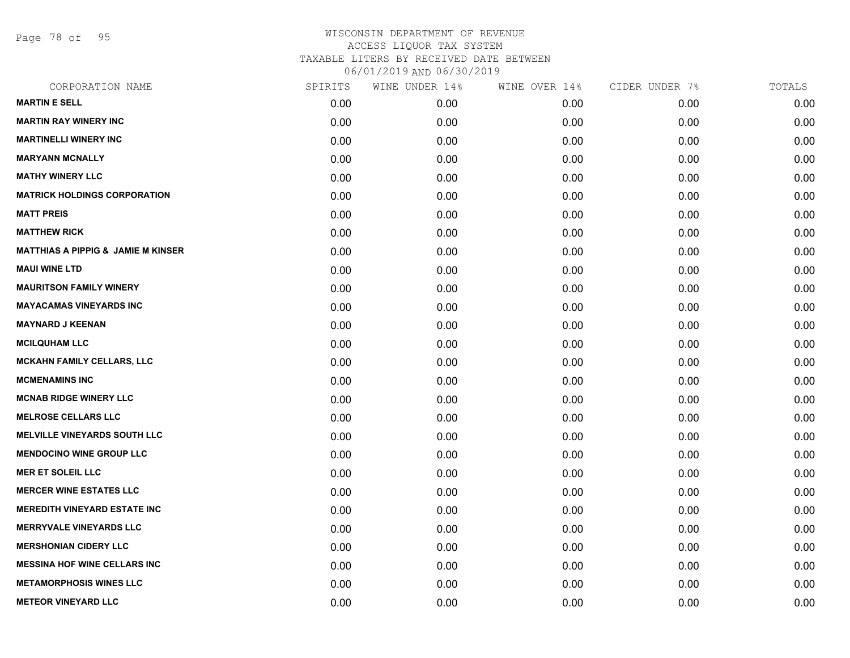Page 78 of 95

| SPIRITS | WINE UNDER 14% | WINE OVER 14% | CIDER UNDER 7% | TOTALS |
|---------|----------------|---------------|----------------|--------|
| 0.00    | 0.00           | 0.00          | 0.00           | 0.00   |
| 0.00    | 0.00           | 0.00          | 0.00           | 0.00   |
| 0.00    | 0.00           | 0.00          | 0.00           | 0.00   |
| 0.00    | 0.00           | 0.00          | 0.00           | 0.00   |
| 0.00    | 0.00           | 0.00          | 0.00           | 0.00   |
| 0.00    | 0.00           | 0.00          | 0.00           | 0.00   |
| 0.00    | 0.00           | 0.00          | 0.00           | 0.00   |
| 0.00    | 0.00           | 0.00          | 0.00           | 0.00   |
| 0.00    | 0.00           | 0.00          | 0.00           | 0.00   |
| 0.00    | 0.00           | 0.00          | 0.00           | 0.00   |
| 0.00    | 0.00           | 0.00          | 0.00           | 0.00   |
| 0.00    | 0.00           | 0.00          | 0.00           | 0.00   |
| 0.00    | 0.00           | 0.00          | 0.00           | 0.00   |
| 0.00    | 0.00           | 0.00          | 0.00           | 0.00   |
| 0.00    | 0.00           | 0.00          | 0.00           | 0.00   |
| 0.00    | 0.00           | 0.00          | 0.00           | 0.00   |
| 0.00    | 0.00           | 0.00          | 0.00           | 0.00   |
| 0.00    | 0.00           | 0.00          | 0.00           | 0.00   |
| 0.00    | 0.00           | 0.00          | 0.00           | 0.00   |
| 0.00    | 0.00           | 0.00          | 0.00           | 0.00   |
| 0.00    | 0.00           | 0.00          | 0.00           | 0.00   |
| 0.00    | 0.00           | 0.00          | 0.00           | 0.00   |
| 0.00    | 0.00           | 0.00          | 0.00           | 0.00   |
| 0.00    | 0.00           | 0.00          | 0.00           | 0.00   |
| 0.00    | 0.00           | 0.00          | 0.00           | 0.00   |
| 0.00    | 0.00           | 0.00          | 0.00           | 0.00   |
| 0.00    | 0.00           | 0.00          | 0.00           | 0.00   |
| 0.00    | 0.00           | 0.00          | 0.00           | 0.00   |
|         |                |               |                |        |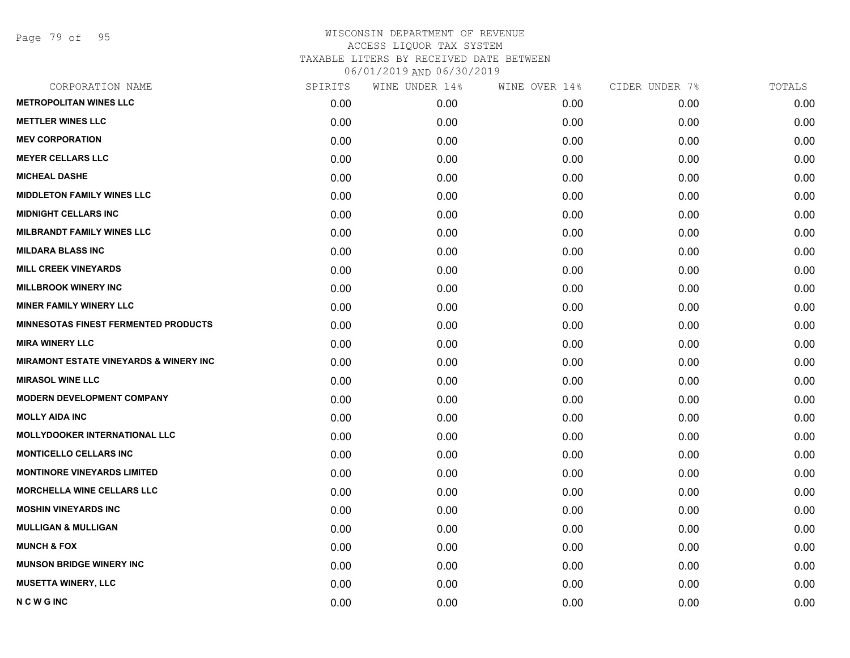Page 79 of 95

| CORPORATION NAME                                   | SPIRITS | WINE UNDER 14% | WINE OVER 14% | CIDER UNDER 7% | TOTALS |
|----------------------------------------------------|---------|----------------|---------------|----------------|--------|
| <b>METROPOLITAN WINES LLC</b>                      | 0.00    | 0.00           | 0.00          | 0.00           | 0.00   |
| <b>METTLER WINES LLC</b>                           | 0.00    | 0.00           | 0.00          | 0.00           | 0.00   |
| <b>MEV CORPORATION</b>                             | 0.00    | 0.00           | 0.00          | 0.00           | 0.00   |
| <b>MEYER CELLARS LLC</b>                           | 0.00    | 0.00           | 0.00          | 0.00           | 0.00   |
| <b>MICHEAL DASHE</b>                               | 0.00    | 0.00           | 0.00          | 0.00           | 0.00   |
| <b>MIDDLETON FAMILY WINES LLC</b>                  | 0.00    | 0.00           | 0.00          | 0.00           | 0.00   |
| <b>MIDNIGHT CELLARS INC</b>                        | 0.00    | 0.00           | 0.00          | 0.00           | 0.00   |
| <b>MILBRANDT FAMILY WINES LLC</b>                  | 0.00    | 0.00           | 0.00          | 0.00           | 0.00   |
| <b>MILDARA BLASS INC</b>                           | 0.00    | 0.00           | 0.00          | 0.00           | 0.00   |
| <b>MILL CREEK VINEYARDS</b>                        | 0.00    | 0.00           | 0.00          | 0.00           | 0.00   |
| <b>MILLBROOK WINERY INC</b>                        | 0.00    | 0.00           | 0.00          | 0.00           | 0.00   |
| <b>MINER FAMILY WINERY LLC</b>                     | 0.00    | 0.00           | 0.00          | 0.00           | 0.00   |
| <b>MINNESOTAS FINEST FERMENTED PRODUCTS</b>        | 0.00    | 0.00           | 0.00          | 0.00           | 0.00   |
| <b>MIRA WINERY LLC</b>                             | 0.00    | 0.00           | 0.00          | 0.00           | 0.00   |
| <b>MIRAMONT ESTATE VINEYARDS &amp; WINERY INC.</b> | 0.00    | 0.00           | 0.00          | 0.00           | 0.00   |
| <b>MIRASOL WINE LLC</b>                            | 0.00    | 0.00           | 0.00          | 0.00           | 0.00   |
| <b>MODERN DEVELOPMENT COMPANY</b>                  | 0.00    | 0.00           | 0.00          | 0.00           | 0.00   |
| <b>MOLLY AIDA INC</b>                              | 0.00    | 0.00           | 0.00          | 0.00           | 0.00   |
| <b>MOLLYDOOKER INTERNATIONAL LLC</b>               | 0.00    | 0.00           | 0.00          | 0.00           | 0.00   |
| <b>MONTICELLO CELLARS INC</b>                      | 0.00    | 0.00           | 0.00          | 0.00           | 0.00   |
| <b>MONTINORE VINEYARDS LIMITED</b>                 | 0.00    | 0.00           | 0.00          | 0.00           | 0.00   |
| MORCHELLA WINE CELLARS LLC                         | 0.00    | 0.00           | 0.00          | 0.00           | 0.00   |
| <b>MOSHIN VINEYARDS INC</b>                        | 0.00    | 0.00           | 0.00          | 0.00           | 0.00   |
| <b>MULLIGAN &amp; MULLIGAN</b>                     | 0.00    | 0.00           | 0.00          | 0.00           | 0.00   |
| <b>MUNCH &amp; FOX</b>                             | 0.00    | 0.00           | 0.00          | 0.00           | 0.00   |
| <b>MUNSON BRIDGE WINERY INC</b>                    | 0.00    | 0.00           | 0.00          | 0.00           | 0.00   |
| <b>MUSETTA WINERY, LLC</b>                         | 0.00    | 0.00           | 0.00          | 0.00           | 0.00   |
| <b>NCWGINC</b>                                     | 0.00    | 0.00           | 0.00          | 0.00           | 0.00   |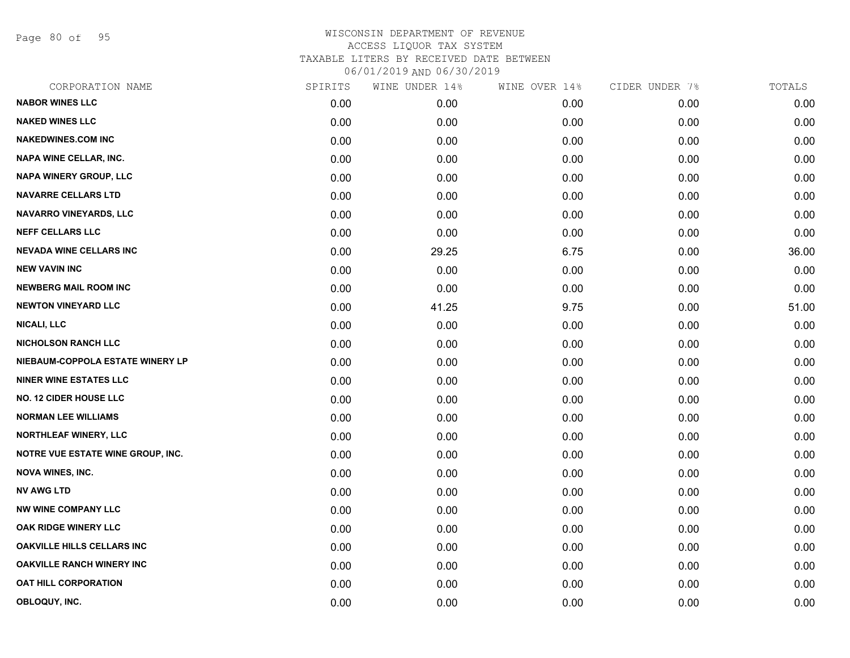Page 80 of 95

| CORPORATION NAME                         | SPIRITS | WINE UNDER 14% | WINE OVER 14% | CIDER UNDER 7% | TOTALS |
|------------------------------------------|---------|----------------|---------------|----------------|--------|
| <b>NABOR WINES LLC</b>                   | 0.00    | 0.00           | 0.00          | 0.00           | 0.00   |
| <b>NAKED WINES LLC</b>                   | 0.00    | 0.00           | 0.00          | 0.00           | 0.00   |
| <b>NAKEDWINES.COM INC</b>                | 0.00    | 0.00           | 0.00          | 0.00           | 0.00   |
| NAPA WINE CELLAR, INC.                   | 0.00    | 0.00           | 0.00          | 0.00           | 0.00   |
| NAPA WINERY GROUP, LLC                   | 0.00    | 0.00           | 0.00          | 0.00           | 0.00   |
| <b>NAVARRE CELLARS LTD</b>               | 0.00    | 0.00           | 0.00          | 0.00           | 0.00   |
| <b>NAVARRO VINEYARDS, LLC</b>            | 0.00    | 0.00           | 0.00          | 0.00           | 0.00   |
| <b>NEFF CELLARS LLC</b>                  | 0.00    | 0.00           | 0.00          | 0.00           | 0.00   |
| <b>NEVADA WINE CELLARS INC</b>           | 0.00    | 29.25          | 6.75          | 0.00           | 36.00  |
| <b>NEW VAVIN INC</b>                     | 0.00    | 0.00           | 0.00          | 0.00           | 0.00   |
| <b>NEWBERG MAIL ROOM INC</b>             | 0.00    | 0.00           | 0.00          | 0.00           | 0.00   |
| <b>NEWTON VINEYARD LLC</b>               | 0.00    | 41.25          | 9.75          | 0.00           | 51.00  |
| <b>NICALI, LLC</b>                       | 0.00    | 0.00           | 0.00          | 0.00           | 0.00   |
| <b>NICHOLSON RANCH LLC</b>               | 0.00    | 0.00           | 0.00          | 0.00           | 0.00   |
| NIEBAUM-COPPOLA ESTATE WINERY LP         | 0.00    | 0.00           | 0.00          | 0.00           | 0.00   |
| <b>NINER WINE ESTATES LLC</b>            | 0.00    | 0.00           | 0.00          | 0.00           | 0.00   |
| <b>NO. 12 CIDER HOUSE LLC</b>            | 0.00    | 0.00           | 0.00          | 0.00           | 0.00   |
| <b>NORMAN LEE WILLIAMS</b>               | 0.00    | 0.00           | 0.00          | 0.00           | 0.00   |
| NORTHLEAF WINERY, LLC                    | 0.00    | 0.00           | 0.00          | 0.00           | 0.00   |
| <b>NOTRE VUE ESTATE WINE GROUP, INC.</b> | 0.00    | 0.00           | 0.00          | 0.00           | 0.00   |
| <b>NOVA WINES, INC.</b>                  | 0.00    | 0.00           | 0.00          | 0.00           | 0.00   |
| <b>NV AWG LTD</b>                        | 0.00    | 0.00           | 0.00          | 0.00           | 0.00   |
| <b>NW WINE COMPANY LLC</b>               | 0.00    | 0.00           | 0.00          | 0.00           | 0.00   |
| OAK RIDGE WINERY LLC                     | 0.00    | 0.00           | 0.00          | 0.00           | 0.00   |
| <b>OAKVILLE HILLS CELLARS INC</b>        | 0.00    | 0.00           | 0.00          | 0.00           | 0.00   |
| <b>OAKVILLE RANCH WINERY INC</b>         | 0.00    | 0.00           | 0.00          | 0.00           | 0.00   |
| <b>OAT HILL CORPORATION</b>              | 0.00    | 0.00           | 0.00          | 0.00           | 0.00   |
| OBLOQUY, INC.                            | 0.00    | 0.00           | 0.00          | 0.00           | 0.00   |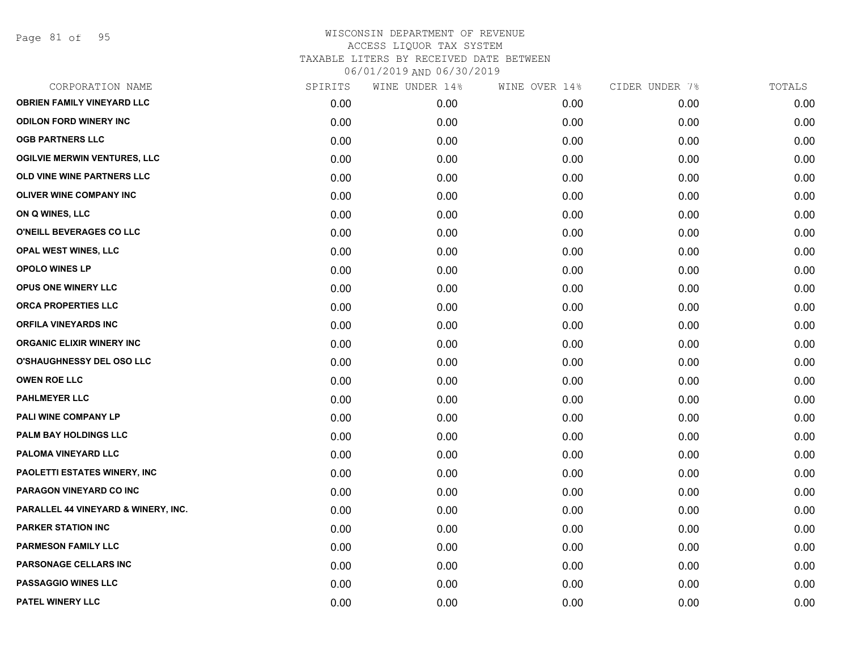Page 81 of 95

| CORPORATION NAME                    | SPIRITS | WINE UNDER 14% | WINE OVER 14% | CIDER UNDER 7% | TOTALS |
|-------------------------------------|---------|----------------|---------------|----------------|--------|
| <b>OBRIEN FAMILY VINEYARD LLC</b>   | 0.00    | 0.00           | 0.00          | 0.00           | 0.00   |
| <b>ODILON FORD WINERY INC</b>       | 0.00    | 0.00           | 0.00          | 0.00           | 0.00   |
| <b>OGB PARTNERS LLC</b>             | 0.00    | 0.00           | 0.00          | 0.00           | 0.00   |
| <b>OGILVIE MERWIN VENTURES, LLC</b> | 0.00    | 0.00           | 0.00          | 0.00           | 0.00   |
| OLD VINE WINE PARTNERS LLC          | 0.00    | 0.00           | 0.00          | 0.00           | 0.00   |
| <b>OLIVER WINE COMPANY INC</b>      | 0.00    | 0.00           | 0.00          | 0.00           | 0.00   |
| ON Q WINES, LLC                     | 0.00    | 0.00           | 0.00          | 0.00           | 0.00   |
| O'NEILL BEVERAGES CO LLC            | 0.00    | 0.00           | 0.00          | 0.00           | 0.00   |
| <b>OPAL WEST WINES, LLC</b>         | 0.00    | 0.00           | 0.00          | 0.00           | 0.00   |
| <b>OPOLO WINES LP</b>               | 0.00    | 0.00           | 0.00          | 0.00           | 0.00   |
| OPUS ONE WINERY LLC                 | 0.00    | 0.00           | 0.00          | 0.00           | 0.00   |
| ORCA PROPERTIES LLC                 | 0.00    | 0.00           | 0.00          | 0.00           | 0.00   |
| <b>ORFILA VINEYARDS INC</b>         | 0.00    | 0.00           | 0.00          | 0.00           | 0.00   |
| <b>ORGANIC ELIXIR WINERY INC</b>    | 0.00    | 0.00           | 0.00          | 0.00           | 0.00   |
| O'SHAUGHNESSY DEL OSO LLC           | 0.00    | 0.00           | 0.00          | 0.00           | 0.00   |
| <b>OWEN ROE LLC</b>                 | 0.00    | 0.00           | 0.00          | 0.00           | 0.00   |
| <b>PAHLMEYER LLC</b>                | 0.00    | 0.00           | 0.00          | 0.00           | 0.00   |
| PALI WINE COMPANY LP                | 0.00    | 0.00           | 0.00          | 0.00           | 0.00   |
| PALM BAY HOLDINGS LLC               | 0.00    | 0.00           | 0.00          | 0.00           | 0.00   |
| PALOMA VINEYARD LLC                 | 0.00    | 0.00           | 0.00          | 0.00           | 0.00   |
| PAOLETTI ESTATES WINERY, INC        | 0.00    | 0.00           | 0.00          | 0.00           | 0.00   |
| PARAGON VINEYARD CO INC             | 0.00    | 0.00           | 0.00          | 0.00           | 0.00   |
| PARALLEL 44 VINEYARD & WINERY, INC. | 0.00    | 0.00           | 0.00          | 0.00           | 0.00   |
| <b>PARKER STATION INC</b>           | 0.00    | 0.00           | 0.00          | 0.00           | 0.00   |
| PARMESON FAMILY LLC                 | 0.00    | 0.00           | 0.00          | 0.00           | 0.00   |
| PARSONAGE CELLARS INC               | 0.00    | 0.00           | 0.00          | 0.00           | 0.00   |
| <b>PASSAGGIO WINES LLC</b>          | 0.00    | 0.00           | 0.00          | 0.00           | 0.00   |
| PATEL WINERY LLC                    | 0.00    | 0.00           | 0.00          | 0.00           | 0.00   |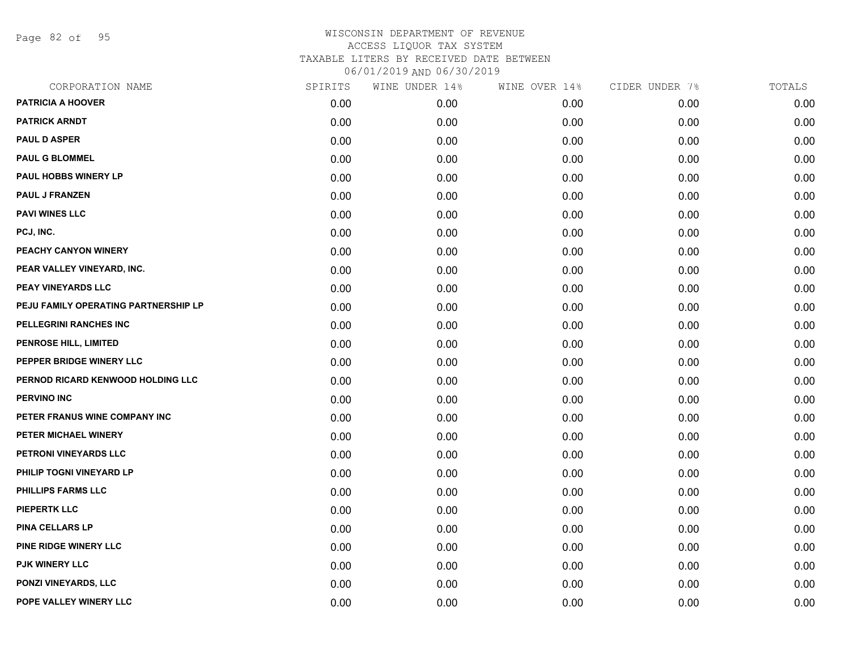Page 82 of 95

| CORPORATION NAME                     | SPIRITS | WINE UNDER 14% | WINE OVER 14% | CIDER UNDER 7% | TOTALS |
|--------------------------------------|---------|----------------|---------------|----------------|--------|
| <b>PATRICIA A HOOVER</b>             | 0.00    | 0.00           | 0.00          | 0.00           | 0.00   |
| <b>PATRICK ARNDT</b>                 | 0.00    | 0.00           | 0.00          | 0.00           | 0.00   |
| <b>PAUL D ASPER</b>                  | 0.00    | 0.00           | 0.00          | 0.00           | 0.00   |
| <b>PAUL G BLOMMEL</b>                | 0.00    | 0.00           | 0.00          | 0.00           | 0.00   |
| <b>PAUL HOBBS WINERY LP</b>          | 0.00    | 0.00           | 0.00          | 0.00           | 0.00   |
| <b>PAUL J FRANZEN</b>                | 0.00    | 0.00           | 0.00          | 0.00           | 0.00   |
| <b>PAVI WINES LLC</b>                | 0.00    | 0.00           | 0.00          | 0.00           | 0.00   |
| PCJ, INC.                            | 0.00    | 0.00           | 0.00          | 0.00           | 0.00   |
| PEACHY CANYON WINERY                 | 0.00    | 0.00           | 0.00          | 0.00           | 0.00   |
| PEAR VALLEY VINEYARD, INC.           | 0.00    | 0.00           | 0.00          | 0.00           | 0.00   |
| <b>PEAY VINEYARDS LLC</b>            | 0.00    | 0.00           | 0.00          | 0.00           | 0.00   |
| PEJU FAMILY OPERATING PARTNERSHIP LP | 0.00    | 0.00           | 0.00          | 0.00           | 0.00   |
| PELLEGRINI RANCHES INC               | 0.00    | 0.00           | 0.00          | 0.00           | 0.00   |
| <b>PENROSE HILL, LIMITED</b>         | 0.00    | 0.00           | 0.00          | 0.00           | 0.00   |
| PEPPER BRIDGE WINERY LLC             | 0.00    | 0.00           | 0.00          | 0.00           | 0.00   |
| PERNOD RICARD KENWOOD HOLDING LLC    | 0.00    | 0.00           | 0.00          | 0.00           | 0.00   |
| <b>PERVINO INC</b>                   | 0.00    | 0.00           | 0.00          | 0.00           | 0.00   |
| PETER FRANUS WINE COMPANY INC        | 0.00    | 0.00           | 0.00          | 0.00           | 0.00   |
| PETER MICHAEL WINERY                 | 0.00    | 0.00           | 0.00          | 0.00           | 0.00   |
| PETRONI VINEYARDS LLC                | 0.00    | 0.00           | 0.00          | 0.00           | 0.00   |
| PHILIP TOGNI VINEYARD LP             | 0.00    | 0.00           | 0.00          | 0.00           | 0.00   |
| PHILLIPS FARMS LLC                   | 0.00    | 0.00           | 0.00          | 0.00           | 0.00   |
| <b>PIEPERTK LLC</b>                  | 0.00    | 0.00           | 0.00          | 0.00           | 0.00   |
| <b>PINA CELLARS LP</b>               | 0.00    | 0.00           | 0.00          | 0.00           | 0.00   |
| PINE RIDGE WINERY LLC                | 0.00    | 0.00           | 0.00          | 0.00           | 0.00   |
| PJK WINERY LLC                       | 0.00    | 0.00           | 0.00          | 0.00           | 0.00   |
| <b>PONZI VINEYARDS, LLC</b>          | 0.00    | 0.00           | 0.00          | 0.00           | 0.00   |
| POPE VALLEY WINERY LLC               | 0.00    | 0.00           | 0.00          | 0.00           | 0.00   |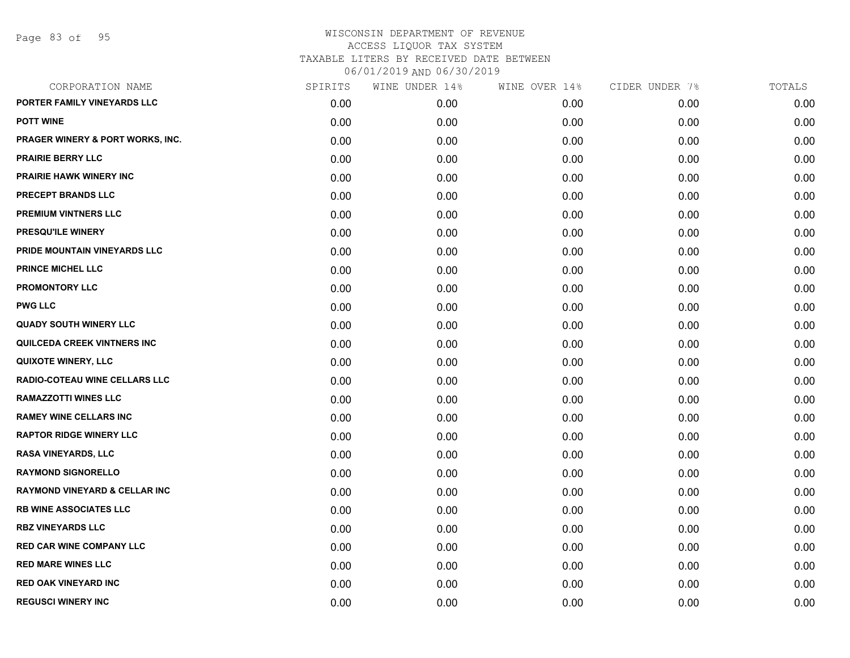| CORPORATION NAME                         | SPIRITS | WINE UNDER 14% | WINE OVER 14% | CIDER UNDER 7% | TOTALS |
|------------------------------------------|---------|----------------|---------------|----------------|--------|
| PORTER FAMILY VINEYARDS LLC              | 0.00    | 0.00           | 0.00          | 0.00           | 0.00   |
| <b>POTT WINE</b>                         | 0.00    | 0.00           | 0.00          | 0.00           | 0.00   |
| PRAGER WINERY & PORT WORKS, INC.         | 0.00    | 0.00           | 0.00          | 0.00           | 0.00   |
| <b>PRAIRIE BERRY LLC</b>                 | 0.00    | 0.00           | 0.00          | 0.00           | 0.00   |
| <b>PRAIRIE HAWK WINERY INC</b>           | 0.00    | 0.00           | 0.00          | 0.00           | 0.00   |
| PRECEPT BRANDS LLC                       | 0.00    | 0.00           | 0.00          | 0.00           | 0.00   |
| <b>PREMIUM VINTNERS LLC</b>              | 0.00    | 0.00           | 0.00          | 0.00           | 0.00   |
| PRESQU'ILE WINERY                        | 0.00    | 0.00           | 0.00          | 0.00           | 0.00   |
| PRIDE MOUNTAIN VINEYARDS LLC             | 0.00    | 0.00           | 0.00          | 0.00           | 0.00   |
| <b>PRINCE MICHEL LLC</b>                 | 0.00    | 0.00           | 0.00          | 0.00           | 0.00   |
| <b>PROMONTORY LLC</b>                    | 0.00    | 0.00           | 0.00          | 0.00           | 0.00   |
| <b>PWG LLC</b>                           | 0.00    | 0.00           | 0.00          | 0.00           | 0.00   |
| <b>QUADY SOUTH WINERY LLC</b>            | 0.00    | 0.00           | 0.00          | 0.00           | 0.00   |
| QUILCEDA CREEK VINTNERS INC              | 0.00    | 0.00           | 0.00          | 0.00           | 0.00   |
| <b>QUIXOTE WINERY, LLC</b>               | 0.00    | 0.00           | 0.00          | 0.00           | 0.00   |
| RADIO-COTEAU WINE CELLARS LLC            | 0.00    | 0.00           | 0.00          | 0.00           | 0.00   |
| <b>RAMAZZOTTI WINES LLC</b>              | 0.00    | 0.00           | 0.00          | 0.00           | 0.00   |
| <b>RAMEY WINE CELLARS INC</b>            | 0.00    | 0.00           | 0.00          | 0.00           | 0.00   |
| <b>RAPTOR RIDGE WINERY LLC</b>           | 0.00    | 0.00           | 0.00          | 0.00           | 0.00   |
| RASA VINEYARDS, LLC                      | 0.00    | 0.00           | 0.00          | 0.00           | 0.00   |
| <b>RAYMOND SIGNORELLO</b>                | 0.00    | 0.00           | 0.00          | 0.00           | 0.00   |
| <b>RAYMOND VINEYARD &amp; CELLAR INC</b> | 0.00    | 0.00           | 0.00          | 0.00           | 0.00   |
| <b>RB WINE ASSOCIATES LLC</b>            | 0.00    | 0.00           | 0.00          | 0.00           | 0.00   |
| <b>RBZ VINEYARDS LLC</b>                 | 0.00    | 0.00           | 0.00          | 0.00           | 0.00   |
| <b>RED CAR WINE COMPANY LLC</b>          | 0.00    | 0.00           | 0.00          | 0.00           | 0.00   |
| <b>RED MARE WINES LLC</b>                | 0.00    | 0.00           | 0.00          | 0.00           | 0.00   |
| <b>RED OAK VINEYARD INC</b>              | 0.00    | 0.00           | 0.00          | 0.00           | 0.00   |
| <b>REGUSCI WINERY INC</b>                | 0.00    | 0.00           | 0.00          | 0.00           | 0.00   |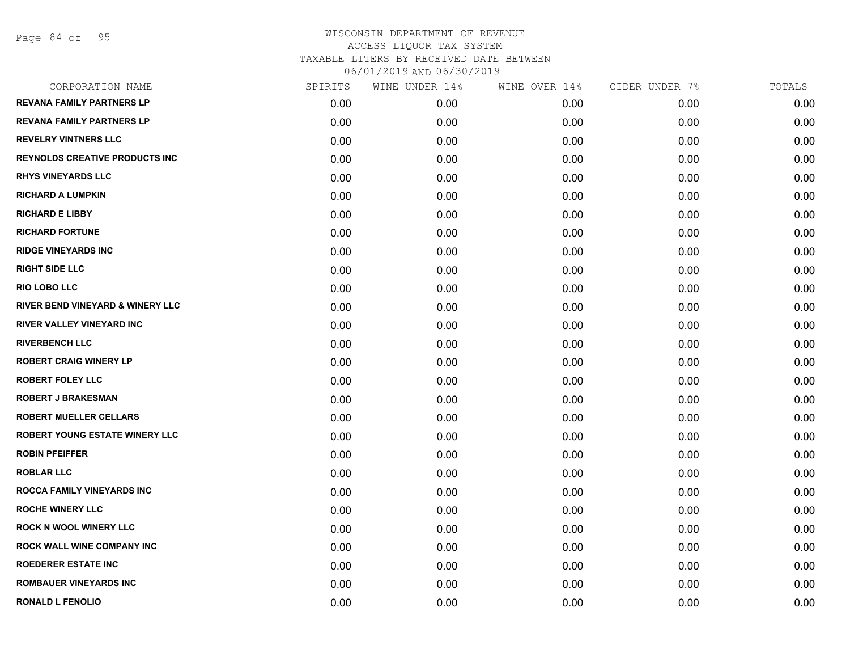| CORPORATION NAME                            | SPIRITS | WINE UNDER 14% | WINE OVER 14% | CIDER UNDER 7% | TOTALS |
|---------------------------------------------|---------|----------------|---------------|----------------|--------|
| <b>REVANA FAMILY PARTNERS LP</b>            | 0.00    | 0.00           | 0.00          | 0.00           | 0.00   |
| <b>REVANA FAMILY PARTNERS LP</b>            | 0.00    | 0.00           | 0.00          | 0.00           | 0.00   |
| <b>REVELRY VINTNERS LLC</b>                 | 0.00    | 0.00           | 0.00          | 0.00           | 0.00   |
| <b>REYNOLDS CREATIVE PRODUCTS INC</b>       | 0.00    | 0.00           | 0.00          | 0.00           | 0.00   |
| <b>RHYS VINEYARDS LLC</b>                   | 0.00    | 0.00           | 0.00          | 0.00           | 0.00   |
| <b>RICHARD A LUMPKIN</b>                    | 0.00    | 0.00           | 0.00          | 0.00           | 0.00   |
| <b>RICHARD E LIBBY</b>                      | 0.00    | 0.00           | 0.00          | 0.00           | 0.00   |
| <b>RICHARD FORTUNE</b>                      | 0.00    | 0.00           | 0.00          | 0.00           | 0.00   |
| <b>RIDGE VINEYARDS INC</b>                  | 0.00    | 0.00           | 0.00          | 0.00           | 0.00   |
| <b>RIGHT SIDE LLC</b>                       | 0.00    | 0.00           | 0.00          | 0.00           | 0.00   |
| <b>RIO LOBO LLC</b>                         | 0.00    | 0.00           | 0.00          | 0.00           | 0.00   |
| <b>RIVER BEND VINEYARD &amp; WINERY LLC</b> | 0.00    | 0.00           | 0.00          | 0.00           | 0.00   |
| RIVER VALLEY VINEYARD INC                   | 0.00    | 0.00           | 0.00          | 0.00           | 0.00   |
| <b>RIVERBENCH LLC</b>                       | 0.00    | 0.00           | 0.00          | 0.00           | 0.00   |
| <b>ROBERT CRAIG WINERY LP</b>               | 0.00    | 0.00           | 0.00          | 0.00           | 0.00   |
| <b>ROBERT FOLEY LLC</b>                     | 0.00    | 0.00           | 0.00          | 0.00           | 0.00   |
| <b>ROBERT J BRAKESMAN</b>                   | 0.00    | 0.00           | 0.00          | 0.00           | 0.00   |
| <b>ROBERT MUELLER CELLARS</b>               | 0.00    | 0.00           | 0.00          | 0.00           | 0.00   |
| <b>ROBERT YOUNG ESTATE WINERY LLC</b>       | 0.00    | 0.00           | 0.00          | 0.00           | 0.00   |
| <b>ROBIN PFEIFFER</b>                       | 0.00    | 0.00           | 0.00          | 0.00           | 0.00   |
| <b>ROBLAR LLC</b>                           | 0.00    | 0.00           | 0.00          | 0.00           | 0.00   |
| ROCCA FAMILY VINEYARDS INC                  | 0.00    | 0.00           | 0.00          | 0.00           | 0.00   |
| <b>ROCHE WINERY LLC</b>                     | 0.00    | 0.00           | 0.00          | 0.00           | 0.00   |
| <b>ROCK N WOOL WINERY LLC</b>               | 0.00    | 0.00           | 0.00          | 0.00           | 0.00   |
| ROCK WALL WINE COMPANY INC                  | 0.00    | 0.00           | 0.00          | 0.00           | 0.00   |
| <b>ROEDERER ESTATE INC</b>                  | 0.00    | 0.00           | 0.00          | 0.00           | 0.00   |
| <b>ROMBAUER VINEYARDS INC</b>               | 0.00    | 0.00           | 0.00          | 0.00           | 0.00   |
| <b>RONALD L FENOLIO</b>                     | 0.00    | 0.00           | 0.00          | 0.00           | 0.00   |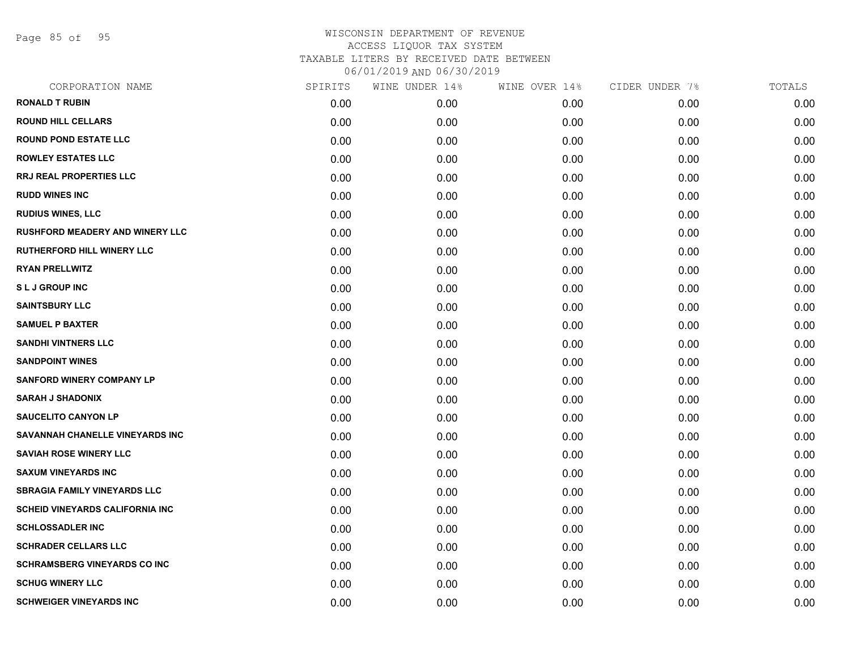Page 85 of 95

| SPIRITS | WINE UNDER 14% | WINE OVER 14% | CIDER UNDER 7% | TOTALS |
|---------|----------------|---------------|----------------|--------|
| 0.00    | 0.00           | 0.00          | 0.00           | 0.00   |
| 0.00    | 0.00           | 0.00          | 0.00           | 0.00   |
| 0.00    | 0.00           | 0.00          | 0.00           | 0.00   |
| 0.00    | 0.00           | 0.00          | 0.00           | 0.00   |
| 0.00    | 0.00           | 0.00          | 0.00           | 0.00   |
| 0.00    | 0.00           | 0.00          | 0.00           | 0.00   |
| 0.00    | 0.00           | 0.00          | 0.00           | 0.00   |
| 0.00    | 0.00           | 0.00          | 0.00           | 0.00   |
| 0.00    | 0.00           | 0.00          | 0.00           | 0.00   |
| 0.00    | 0.00           | 0.00          | 0.00           | 0.00   |
| 0.00    | 0.00           | 0.00          | 0.00           | 0.00   |
| 0.00    | 0.00           | 0.00          | 0.00           | 0.00   |
| 0.00    | 0.00           | 0.00          | 0.00           | 0.00   |
| 0.00    | 0.00           | 0.00          | 0.00           | 0.00   |
| 0.00    | 0.00           | 0.00          | 0.00           | 0.00   |
| 0.00    | 0.00           | 0.00          | 0.00           | 0.00   |
| 0.00    | 0.00           | 0.00          | 0.00           | 0.00   |
| 0.00    | 0.00           | 0.00          | 0.00           | 0.00   |
| 0.00    | 0.00           | 0.00          | 0.00           | 0.00   |
| 0.00    | 0.00           | 0.00          | 0.00           | 0.00   |
| 0.00    | 0.00           | 0.00          | 0.00           | 0.00   |
| 0.00    | 0.00           | 0.00          | 0.00           | 0.00   |
| 0.00    | 0.00           | 0.00          | 0.00           | 0.00   |
| 0.00    | 0.00           | 0.00          | 0.00           | 0.00   |
| 0.00    | 0.00           | 0.00          | 0.00           | 0.00   |
| 0.00    | 0.00           | 0.00          | 0.00           | 0.00   |
| 0.00    | 0.00           | 0.00          | 0.00           | 0.00   |
| 0.00    | 0.00           | 0.00          | 0.00           | 0.00   |
|         |                |               |                |        |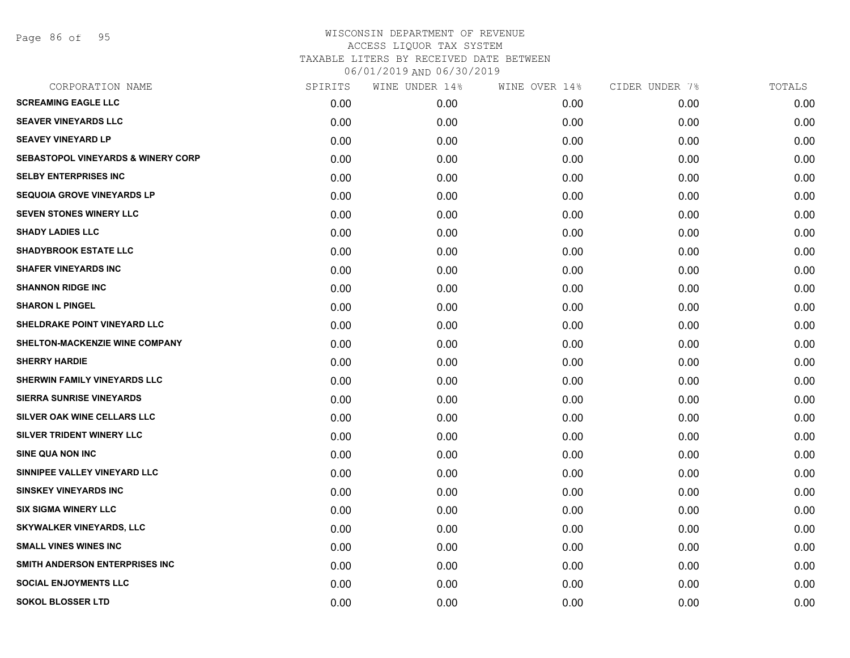Page 86 of 95

| CORPORATION NAME                              | SPIRITS | WINE UNDER 14% | WINE OVER 14% | CIDER UNDER 7% | TOTALS |
|-----------------------------------------------|---------|----------------|---------------|----------------|--------|
| <b>SCREAMING EAGLE LLC</b>                    | 0.00    | 0.00           | 0.00          | 0.00           | 0.00   |
| <b>SEAVER VINEYARDS LLC</b>                   | 0.00    | 0.00           | 0.00          | 0.00           | 0.00   |
| <b>SEAVEY VINEYARD LP</b>                     | 0.00    | 0.00           | 0.00          | 0.00           | 0.00   |
| <b>SEBASTOPOL VINEYARDS &amp; WINERY CORP</b> | 0.00    | 0.00           | 0.00          | 0.00           | 0.00   |
| <b>SELBY ENTERPRISES INC</b>                  | 0.00    | 0.00           | 0.00          | 0.00           | 0.00   |
| <b>SEQUOIA GROVE VINEYARDS LP</b>             | 0.00    | 0.00           | 0.00          | 0.00           | 0.00   |
| <b>SEVEN STONES WINERY LLC</b>                | 0.00    | 0.00           | 0.00          | 0.00           | 0.00   |
| <b>SHADY LADIES LLC</b>                       | 0.00    | 0.00           | 0.00          | 0.00           | 0.00   |
| <b>SHADYBROOK ESTATE LLC</b>                  | 0.00    | 0.00           | 0.00          | 0.00           | 0.00   |
| <b>SHAFER VINEYARDS INC</b>                   | 0.00    | 0.00           | 0.00          | 0.00           | 0.00   |
| <b>SHANNON RIDGE INC</b>                      | 0.00    | 0.00           | 0.00          | 0.00           | 0.00   |
| <b>SHARON L PINGEL</b>                        | 0.00    | 0.00           | 0.00          | 0.00           | 0.00   |
| SHELDRAKE POINT VINEYARD LLC                  | 0.00    | 0.00           | 0.00          | 0.00           | 0.00   |
| SHELTON-MACKENZIE WINE COMPANY                | 0.00    | 0.00           | 0.00          | 0.00           | 0.00   |
| <b>SHERRY HARDIE</b>                          | 0.00    | 0.00           | 0.00          | 0.00           | 0.00   |
| SHERWIN FAMILY VINEYARDS LLC                  | 0.00    | 0.00           | 0.00          | 0.00           | 0.00   |
| <b>SIERRA SUNRISE VINEYARDS</b>               | 0.00    | 0.00           | 0.00          | 0.00           | 0.00   |
| SILVER OAK WINE CELLARS LLC                   | 0.00    | 0.00           | 0.00          | 0.00           | 0.00   |
| SILVER TRIDENT WINERY LLC                     | 0.00    | 0.00           | 0.00          | 0.00           | 0.00   |
| <b>SINE QUA NON INC</b>                       | 0.00    | 0.00           | 0.00          | 0.00           | 0.00   |
| SINNIPEE VALLEY VINEYARD LLC                  | 0.00    | 0.00           | 0.00          | 0.00           | 0.00   |
| <b>SINSKEY VINEYARDS INC</b>                  | 0.00    | 0.00           | 0.00          | 0.00           | 0.00   |
| <b>SIX SIGMA WINERY LLC</b>                   | 0.00    | 0.00           | 0.00          | 0.00           | 0.00   |
| <b>SKYWALKER VINEYARDS, LLC</b>               | 0.00    | 0.00           | 0.00          | 0.00           | 0.00   |
| <b>SMALL VINES WINES INC</b>                  | 0.00    | 0.00           | 0.00          | 0.00           | 0.00   |
| SMITH ANDERSON ENTERPRISES INC                | 0.00    | 0.00           | 0.00          | 0.00           | 0.00   |
| <b>SOCIAL ENJOYMENTS LLC</b>                  | 0.00    | 0.00           | 0.00          | 0.00           | 0.00   |
| <b>SOKOL BLOSSER LTD</b>                      | 0.00    | 0.00           | 0.00          | 0.00           | 0.00   |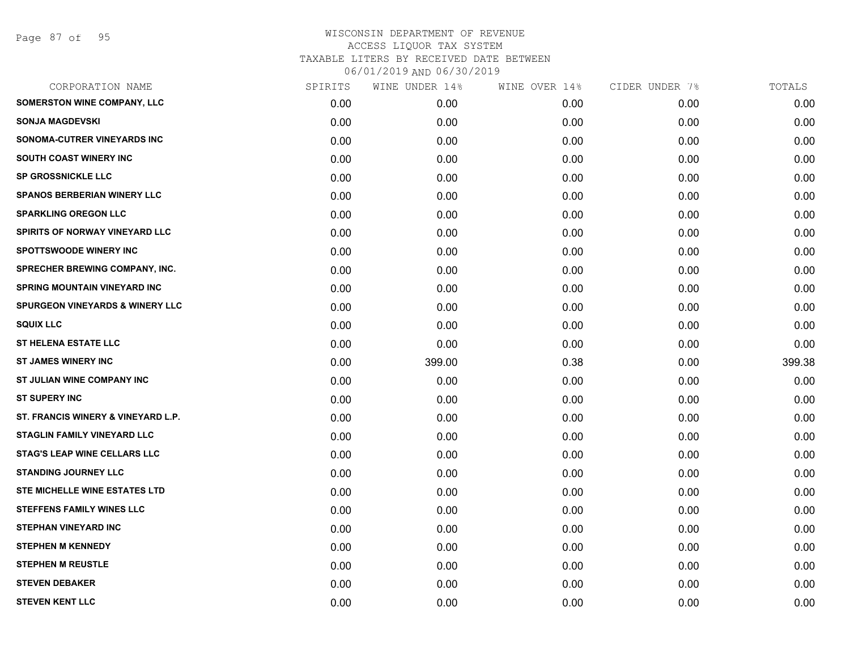| SPIRITS | WINE UNDER 14% | WINE OVER 14% | CIDER UNDER 7% | TOTALS |
|---------|----------------|---------------|----------------|--------|
| 0.00    | 0.00           | 0.00          | 0.00           | 0.00   |
| 0.00    | 0.00           | 0.00          | 0.00           | 0.00   |
| 0.00    | 0.00           | 0.00          | 0.00           | 0.00   |
| 0.00    | 0.00           | 0.00          | 0.00           | 0.00   |
| 0.00    | 0.00           | 0.00          | 0.00           | 0.00   |
| 0.00    | 0.00           | 0.00          | 0.00           | 0.00   |
| 0.00    | 0.00           | 0.00          | 0.00           | 0.00   |
| 0.00    | 0.00           | 0.00          | 0.00           | 0.00   |
| 0.00    | 0.00           | 0.00          | 0.00           | 0.00   |
| 0.00    | 0.00           | 0.00          | 0.00           | 0.00   |
| 0.00    | 0.00           | 0.00          | 0.00           | 0.00   |
| 0.00    | 0.00           | 0.00          | 0.00           | 0.00   |
| 0.00    | 0.00           | 0.00          | 0.00           | 0.00   |
| 0.00    | 0.00           | 0.00          | 0.00           | 0.00   |
| 0.00    | 399.00         | 0.38          | 0.00           | 399.38 |
| 0.00    | 0.00           | 0.00          | 0.00           | 0.00   |
| 0.00    | 0.00           | 0.00          | 0.00           | 0.00   |
| 0.00    | 0.00           | 0.00          | 0.00           | 0.00   |
| 0.00    | 0.00           | 0.00          | 0.00           | 0.00   |
| 0.00    | 0.00           | 0.00          | 0.00           | 0.00   |
| 0.00    | 0.00           | 0.00          | 0.00           | 0.00   |
| 0.00    | 0.00           | 0.00          | 0.00           | 0.00   |
| 0.00    | 0.00           | 0.00          | 0.00           | 0.00   |
| 0.00    | 0.00           | 0.00          | 0.00           | 0.00   |
| 0.00    | 0.00           | 0.00          | 0.00           | 0.00   |
| 0.00    | 0.00           | 0.00          | 0.00           | 0.00   |
| 0.00    | 0.00           | 0.00          | 0.00           | 0.00   |
| 0.00    | 0.00           | 0.00          | 0.00           | 0.00   |
|         |                |               |                |        |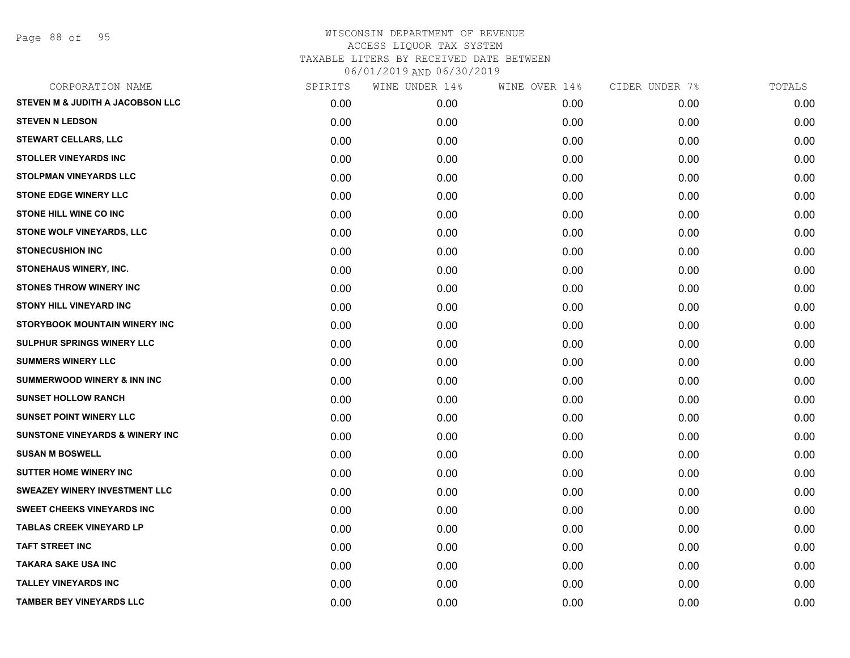Page 88 of 95

| CORPORATION NAME                           | SPIRITS | WINE UNDER 14% | WINE OVER 14% | CIDER UNDER 7% | TOTALS |
|--------------------------------------------|---------|----------------|---------------|----------------|--------|
| STEVEN M & JUDITH A JACOBSON LLC           | 0.00    | 0.00           | 0.00          | 0.00           | 0.00   |
| <b>STEVEN N LEDSON</b>                     | 0.00    | 0.00           | 0.00          | 0.00           | 0.00   |
| <b>STEWART CELLARS, LLC</b>                | 0.00    | 0.00           | 0.00          | 0.00           | 0.00   |
| <b>STOLLER VINEYARDS INC</b>               | 0.00    | 0.00           | 0.00          | 0.00           | 0.00   |
| <b>STOLPMAN VINEYARDS LLC</b>              | 0.00    | 0.00           | 0.00          | 0.00           | 0.00   |
| <b>STONE EDGE WINERY LLC</b>               | 0.00    | 0.00           | 0.00          | 0.00           | 0.00   |
| <b>STONE HILL WINE CO INC</b>              | 0.00    | 0.00           | 0.00          | 0.00           | 0.00   |
| STONE WOLF VINEYARDS, LLC                  | 0.00    | 0.00           | 0.00          | 0.00           | 0.00   |
| <b>STONECUSHION INC</b>                    | 0.00    | 0.00           | 0.00          | 0.00           | 0.00   |
| STONEHAUS WINERY, INC.                     | 0.00    | 0.00           | 0.00          | 0.00           | 0.00   |
| <b>STONES THROW WINERY INC</b>             | 0.00    | 0.00           | 0.00          | 0.00           | 0.00   |
| STONY HILL VINEYARD INC                    | 0.00    | 0.00           | 0.00          | 0.00           | 0.00   |
| STORYBOOK MOUNTAIN WINERY INC              | 0.00    | 0.00           | 0.00          | 0.00           | 0.00   |
| SULPHUR SPRINGS WINERY LLC                 | 0.00    | 0.00           | 0.00          | 0.00           | 0.00   |
| <b>SUMMERS WINERY LLC</b>                  | 0.00    | 0.00           | 0.00          | 0.00           | 0.00   |
| <b>SUMMERWOOD WINERY &amp; INN INC</b>     | 0.00    | 0.00           | 0.00          | 0.00           | 0.00   |
| <b>SUNSET HOLLOW RANCH</b>                 | 0.00    | 0.00           | 0.00          | 0.00           | 0.00   |
| <b>SUNSET POINT WINERY LLC</b>             | 0.00    | 0.00           | 0.00          | 0.00           | 0.00   |
| <b>SUNSTONE VINEYARDS &amp; WINERY INC</b> | 0.00    | 0.00           | 0.00          | 0.00           | 0.00   |
| <b>SUSAN M BOSWELL</b>                     | 0.00    | 0.00           | 0.00          | 0.00           | 0.00   |
| <b>SUTTER HOME WINERY INC</b>              | 0.00    | 0.00           | 0.00          | 0.00           | 0.00   |
| <b>SWEAZEY WINERY INVESTMENT LLC</b>       | 0.00    | 0.00           | 0.00          | 0.00           | 0.00   |
| <b>SWEET CHEEKS VINEYARDS INC</b>          | 0.00    | 0.00           | 0.00          | 0.00           | 0.00   |
| <b>TABLAS CREEK VINEYARD LP</b>            | 0.00    | 0.00           | 0.00          | 0.00           | 0.00   |
| <b>TAFT STREET INC</b>                     | 0.00    | 0.00           | 0.00          | 0.00           | 0.00   |
| <b>TAKARA SAKE USA INC</b>                 | 0.00    | 0.00           | 0.00          | 0.00           | 0.00   |
| <b>TALLEY VINEYARDS INC</b>                | 0.00    | 0.00           | 0.00          | 0.00           | 0.00   |
| <b>TAMBER BEY VINEYARDS LLC</b>            | 0.00    | 0.00           | 0.00          | 0.00           | 0.00   |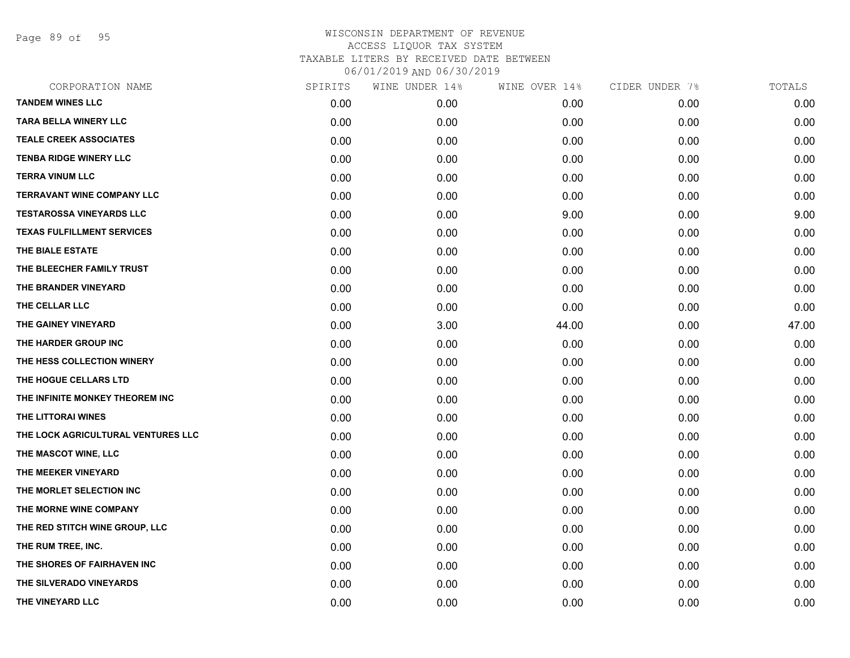Page 89 of 95

| CORPORATION NAME                   | SPIRITS | WINE UNDER 14% | WINE OVER 14% | CIDER UNDER 7% | TOTALS |
|------------------------------------|---------|----------------|---------------|----------------|--------|
| <b>TANDEM WINES LLC</b>            | 0.00    | 0.00           | 0.00          | 0.00           | 0.00   |
| <b>TARA BELLA WINERY LLC</b>       | 0.00    | 0.00           | 0.00          | 0.00           | 0.00   |
| <b>TEALE CREEK ASSOCIATES</b>      | 0.00    | 0.00           | 0.00          | 0.00           | 0.00   |
| <b>TENBA RIDGE WINERY LLC</b>      | 0.00    | 0.00           | 0.00          | 0.00           | 0.00   |
| <b>TERRA VINUM LLC</b>             | 0.00    | 0.00           | 0.00          | 0.00           | 0.00   |
| <b>TERRAVANT WINE COMPANY LLC</b>  | 0.00    | 0.00           | 0.00          | 0.00           | 0.00   |
| <b>TESTAROSSA VINEYARDS LLC</b>    | 0.00    | 0.00           | 9.00          | 0.00           | 9.00   |
| <b>TEXAS FULFILLMENT SERVICES</b>  | 0.00    | 0.00           | 0.00          | 0.00           | 0.00   |
| THE BIALE ESTATE                   | 0.00    | 0.00           | 0.00          | 0.00           | 0.00   |
| THE BLEECHER FAMILY TRUST          | 0.00    | 0.00           | 0.00          | 0.00           | 0.00   |
| THE BRANDER VINEYARD               | 0.00    | 0.00           | 0.00          | 0.00           | 0.00   |
| THE CELLAR LLC                     | 0.00    | 0.00           | 0.00          | 0.00           | 0.00   |
| THE GAINEY VINEYARD                | 0.00    | 3.00           | 44.00         | 0.00           | 47.00  |
| THE HARDER GROUP INC               | 0.00    | 0.00           | 0.00          | 0.00           | 0.00   |
| THE HESS COLLECTION WINERY         | 0.00    | 0.00           | 0.00          | 0.00           | 0.00   |
| THE HOGUE CELLARS LTD              | 0.00    | 0.00           | 0.00          | 0.00           | 0.00   |
| THE INFINITE MONKEY THEOREM INC    | 0.00    | 0.00           | 0.00          | 0.00           | 0.00   |
| THE LITTORAI WINES                 | 0.00    | 0.00           | 0.00          | 0.00           | 0.00   |
| THE LOCK AGRICULTURAL VENTURES LLC | 0.00    | 0.00           | 0.00          | 0.00           | 0.00   |
| THE MASCOT WINE, LLC               | 0.00    | 0.00           | 0.00          | 0.00           | 0.00   |
| THE MEEKER VINEYARD                | 0.00    | 0.00           | 0.00          | 0.00           | 0.00   |
| THE MORLET SELECTION INC           | 0.00    | 0.00           | 0.00          | 0.00           | 0.00   |
| THE MORNE WINE COMPANY             | 0.00    | 0.00           | 0.00          | 0.00           | 0.00   |
| THE RED STITCH WINE GROUP, LLC     | 0.00    | 0.00           | 0.00          | 0.00           | 0.00   |
| THE RUM TREE, INC.                 | 0.00    | 0.00           | 0.00          | 0.00           | 0.00   |
| THE SHORES OF FAIRHAVEN INC        | 0.00    | 0.00           | 0.00          | 0.00           | 0.00   |
| THE SILVERADO VINEYARDS            | 0.00    | 0.00           | 0.00          | 0.00           | 0.00   |
| THE VINEYARD LLC                   | 0.00    | 0.00           | 0.00          | 0.00           | 0.00   |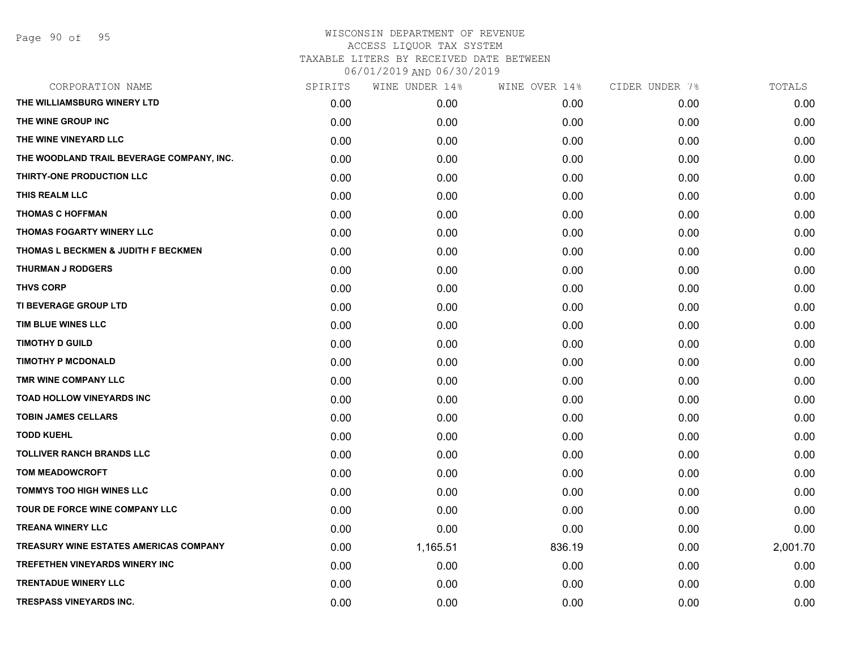| CORPORATION NAME                              | SPIRITS | WINE UNDER 14% | WINE OVER 14% | CIDER UNDER 7% | TOTALS   |
|-----------------------------------------------|---------|----------------|---------------|----------------|----------|
| THE WILLIAMSBURG WINERY LTD                   | 0.00    | 0.00           | 0.00          | 0.00           | 0.00     |
| THE WINE GROUP INC                            | 0.00    | 0.00           | 0.00          | 0.00           | 0.00     |
| THE WINE VINEYARD LLC                         | 0.00    | 0.00           | 0.00          | 0.00           | 0.00     |
| THE WOODLAND TRAIL BEVERAGE COMPANY, INC.     | 0.00    | 0.00           | 0.00          | 0.00           | 0.00     |
| THIRTY-ONE PRODUCTION LLC                     | 0.00    | 0.00           | 0.00          | 0.00           | 0.00     |
| THIS REALM LLC                                | 0.00    | 0.00           | 0.00          | 0.00           | 0.00     |
| <b>THOMAS C HOFFMAN</b>                       | 0.00    | 0.00           | 0.00          | 0.00           | 0.00     |
| THOMAS FOGARTY WINERY LLC                     | 0.00    | 0.00           | 0.00          | 0.00           | 0.00     |
| THOMAS L BECKMEN & JUDITH F BECKMEN           | 0.00    | 0.00           | 0.00          | 0.00           | 0.00     |
| <b>THURMAN J RODGERS</b>                      | 0.00    | 0.00           | 0.00          | 0.00           | 0.00     |
| <b>THVS CORP</b>                              | 0.00    | 0.00           | 0.00          | 0.00           | 0.00     |
| TI BEVERAGE GROUP LTD                         | 0.00    | 0.00           | 0.00          | 0.00           | 0.00     |
| TIM BLUE WINES LLC                            | 0.00    | 0.00           | 0.00          | 0.00           | 0.00     |
| <b>TIMOTHY D GUILD</b>                        | 0.00    | 0.00           | 0.00          | 0.00           | 0.00     |
| <b>TIMOTHY P MCDONALD</b>                     | 0.00    | 0.00           | 0.00          | 0.00           | 0.00     |
| TMR WINE COMPANY LLC                          | 0.00    | 0.00           | 0.00          | 0.00           | 0.00     |
| <b>TOAD HOLLOW VINEYARDS INC</b>              | 0.00    | 0.00           | 0.00          | 0.00           | 0.00     |
| <b>TOBIN JAMES CELLARS</b>                    | 0.00    | 0.00           | 0.00          | 0.00           | 0.00     |
| <b>TODD KUEHL</b>                             | 0.00    | 0.00           | 0.00          | 0.00           | 0.00     |
| <b>TOLLIVER RANCH BRANDS LLC</b>              | 0.00    | 0.00           | 0.00          | 0.00           | 0.00     |
| <b>TOM MEADOWCROFT</b>                        | 0.00    | 0.00           | 0.00          | 0.00           | 0.00     |
| TOMMYS TOO HIGH WINES LLC                     | 0.00    | 0.00           | 0.00          | 0.00           | 0.00     |
| TOUR DE FORCE WINE COMPANY LLC                | 0.00    | 0.00           | 0.00          | 0.00           | 0.00     |
| <b>TREANA WINERY LLC</b>                      | 0.00    | 0.00           | 0.00          | 0.00           | 0.00     |
| <b>TREASURY WINE ESTATES AMERICAS COMPANY</b> | 0.00    | 1,165.51       | 836.19        | 0.00           | 2,001.70 |
| <b>TREFETHEN VINEYARDS WINERY INC</b>         | 0.00    | 0.00           | 0.00          | 0.00           | 0.00     |
| <b>TRENTADUE WINERY LLC</b>                   | 0.00    | 0.00           | 0.00          | 0.00           | 0.00     |
| <b>TRESPASS VINEYARDS INC.</b>                | 0.00    | 0.00           | 0.00          | 0.00           | 0.00     |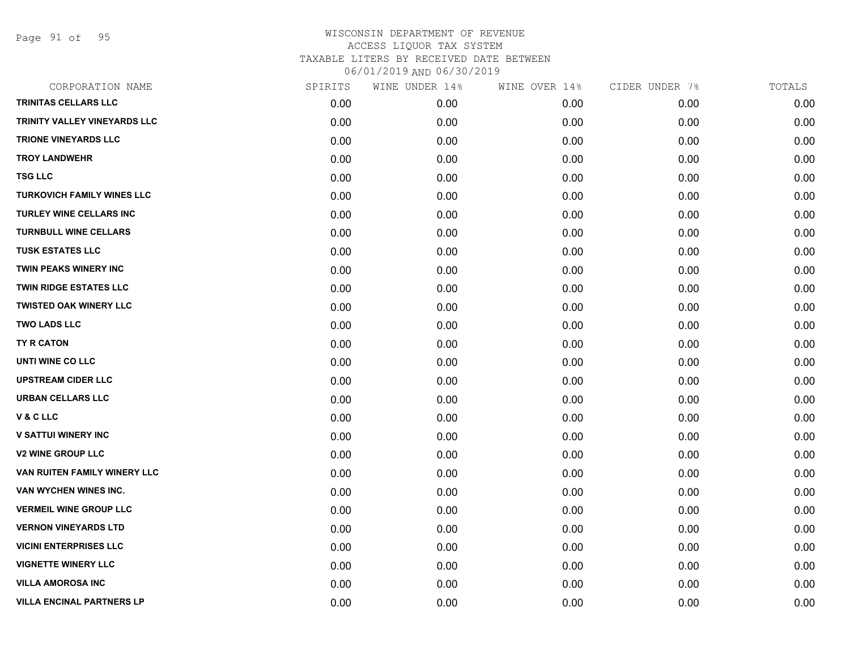Page 91 of 95

| CORPORATION NAME                  | SPIRITS | WINE UNDER 14% | WINE OVER 14% | CIDER UNDER 7% | TOTALS |
|-----------------------------------|---------|----------------|---------------|----------------|--------|
| TRINITAS CELLARS LLC              | 0.00    | 0.00           | 0.00          | 0.00           | 0.00   |
| TRINITY VALLEY VINEYARDS LLC      | 0.00    | 0.00           | 0.00          | 0.00           | 0.00   |
| <b>TRIONE VINEYARDS LLC</b>       | 0.00    | 0.00           | 0.00          | 0.00           | 0.00   |
| <b>TROY LANDWEHR</b>              | 0.00    | 0.00           | 0.00          | 0.00           | 0.00   |
| <b>TSG LLC</b>                    | 0.00    | 0.00           | 0.00          | 0.00           | 0.00   |
| <b>TURKOVICH FAMILY WINES LLC</b> | 0.00    | 0.00           | 0.00          | 0.00           | 0.00   |
| TURLEY WINE CELLARS INC           | 0.00    | 0.00           | 0.00          | 0.00           | 0.00   |
| <b>TURNBULL WINE CELLARS</b>      | 0.00    | 0.00           | 0.00          | 0.00           | 0.00   |
| <b>TUSK ESTATES LLC</b>           | 0.00    | 0.00           | 0.00          | 0.00           | 0.00   |
| <b>TWIN PEAKS WINERY INC</b>      | 0.00    | 0.00           | 0.00          | 0.00           | 0.00   |
| TWIN RIDGE ESTATES LLC            | 0.00    | 0.00           | 0.00          | 0.00           | 0.00   |
| <b>TWISTED OAK WINERY LLC</b>     | 0.00    | 0.00           | 0.00          | 0.00           | 0.00   |
| <b>TWO LADS LLC</b>               | 0.00    | 0.00           | 0.00          | 0.00           | 0.00   |
| TY R CATON                        | 0.00    | 0.00           | 0.00          | 0.00           | 0.00   |
| UNTI WINE CO LLC                  | 0.00    | 0.00           | 0.00          | 0.00           | 0.00   |
| <b>UPSTREAM CIDER LLC</b>         | 0.00    | 0.00           | 0.00          | 0.00           | 0.00   |
| <b>URBAN CELLARS LLC</b>          | 0.00    | 0.00           | 0.00          | 0.00           | 0.00   |
| <b>V&amp;CLLC</b>                 | 0.00    | 0.00           | 0.00          | 0.00           | 0.00   |
| <b>V SATTUI WINERY INC</b>        | 0.00    | 0.00           | 0.00          | 0.00           | 0.00   |
| <b>V2 WINE GROUP LLC</b>          | 0.00    | 0.00           | 0.00          | 0.00           | 0.00   |
| VAN RUITEN FAMILY WINERY LLC      | 0.00    | 0.00           | 0.00          | 0.00           | 0.00   |
| VAN WYCHEN WINES INC.             | 0.00    | 0.00           | 0.00          | 0.00           | 0.00   |
| <b>VERMEIL WINE GROUP LLC</b>     | 0.00    | 0.00           | 0.00          | 0.00           | 0.00   |
| <b>VERNON VINEYARDS LTD</b>       | 0.00    | 0.00           | 0.00          | 0.00           | 0.00   |
| <b>VICINI ENTERPRISES LLC</b>     | 0.00    | 0.00           | 0.00          | 0.00           | 0.00   |
| <b>VIGNETTE WINERY LLC</b>        | 0.00    | 0.00           | 0.00          | 0.00           | 0.00   |
| <b>VILLA AMOROSA INC</b>          | 0.00    | 0.00           | 0.00          | 0.00           | 0.00   |
| <b>VILLA ENCINAL PARTNERS LP</b>  | 0.00    | 0.00           | 0.00          | 0.00           | 0.00   |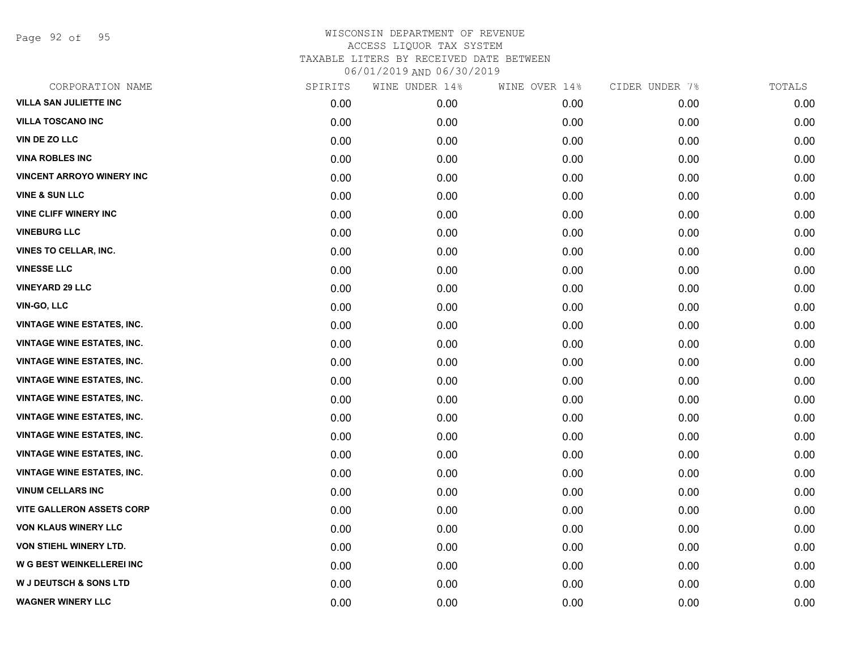Page 92 of 95

| CORPORATION NAME                  | SPIRITS | WINE UNDER 14% | WINE OVER 14% | CIDER UNDER 7% | TOTALS |
|-----------------------------------|---------|----------------|---------------|----------------|--------|
| <b>VILLA SAN JULIETTE INC</b>     | 0.00    | 0.00           | 0.00          | 0.00           | 0.00   |
| <b>VILLA TOSCANO INC</b>          | 0.00    | 0.00           | 0.00          | 0.00           | 0.00   |
| <b>VIN DE ZO LLC</b>              | 0.00    | 0.00           | 0.00          | 0.00           | 0.00   |
| <b>VINA ROBLES INC</b>            | 0.00    | 0.00           | 0.00          | 0.00           | 0.00   |
| <b>VINCENT ARROYO WINERY INC</b>  | 0.00    | 0.00           | 0.00          | 0.00           | 0.00   |
| <b>VINE &amp; SUN LLC</b>         | 0.00    | 0.00           | 0.00          | 0.00           | 0.00   |
| <b>VINE CLIFF WINERY INC</b>      | 0.00    | 0.00           | 0.00          | 0.00           | 0.00   |
| <b>VINEBURG LLC</b>               | 0.00    | 0.00           | 0.00          | 0.00           | 0.00   |
| VINES TO CELLAR, INC.             | 0.00    | 0.00           | 0.00          | 0.00           | 0.00   |
| <b>VINESSE LLC</b>                | 0.00    | 0.00           | 0.00          | 0.00           | 0.00   |
| <b>VINEYARD 29 LLC</b>            | 0.00    | 0.00           | 0.00          | 0.00           | 0.00   |
| VIN-GO, LLC                       | 0.00    | 0.00           | 0.00          | 0.00           | 0.00   |
| <b>VINTAGE WINE ESTATES, INC.</b> | 0.00    | 0.00           | 0.00          | 0.00           | 0.00   |
| <b>VINTAGE WINE ESTATES, INC.</b> | 0.00    | 0.00           | 0.00          | 0.00           | 0.00   |
| <b>VINTAGE WINE ESTATES, INC.</b> | 0.00    | 0.00           | 0.00          | 0.00           | 0.00   |
| <b>VINTAGE WINE ESTATES, INC.</b> | 0.00    | 0.00           | 0.00          | 0.00           | 0.00   |
| <b>VINTAGE WINE ESTATES, INC.</b> | 0.00    | 0.00           | 0.00          | 0.00           | 0.00   |
| <b>VINTAGE WINE ESTATES, INC.</b> | 0.00    | 0.00           | 0.00          | 0.00           | 0.00   |
| <b>VINTAGE WINE ESTATES, INC.</b> | 0.00    | 0.00           | 0.00          | 0.00           | 0.00   |
| <b>VINTAGE WINE ESTATES, INC.</b> | 0.00    | 0.00           | 0.00          | 0.00           | 0.00   |
| <b>VINTAGE WINE ESTATES, INC.</b> | 0.00    | 0.00           | 0.00          | 0.00           | 0.00   |
| <b>VINUM CELLARS INC</b>          | 0.00    | 0.00           | 0.00          | 0.00           | 0.00   |
| <b>VITE GALLERON ASSETS CORP</b>  | 0.00    | 0.00           | 0.00          | 0.00           | 0.00   |
| <b>VON KLAUS WINERY LLC</b>       | 0.00    | 0.00           | 0.00          | 0.00           | 0.00   |
| <b>VON STIEHL WINERY LTD.</b>     | 0.00    | 0.00           | 0.00          | 0.00           | 0.00   |
| W G BEST WEINKELLEREI INC         | 0.00    | 0.00           | 0.00          | 0.00           | 0.00   |
| <b>W J DEUTSCH &amp; SONS LTD</b> | 0.00    | 0.00           | 0.00          | 0.00           | 0.00   |
| <b>WAGNER WINERY LLC</b>          | 0.00    | 0.00           | 0.00          | 0.00           | 0.00   |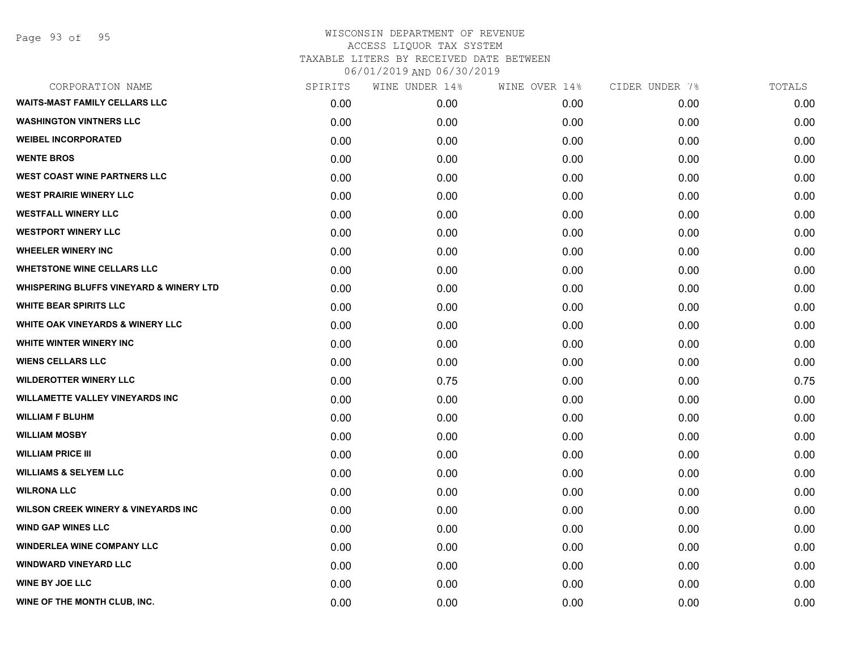Page 93 of 95

| CORPORATION NAME                                   | SPIRITS | WINE UNDER 14% | WINE OVER 14% | CIDER UNDER 7% | TOTALS |
|----------------------------------------------------|---------|----------------|---------------|----------------|--------|
| <b>WAITS-MAST FAMILY CELLARS LLC</b>               | 0.00    | 0.00           | 0.00          | 0.00           | 0.00   |
| <b>WASHINGTON VINTNERS LLC</b>                     | 0.00    | 0.00           | 0.00          | 0.00           | 0.00   |
| <b>WEIBEL INCORPORATED</b>                         | 0.00    | 0.00           | 0.00          | 0.00           | 0.00   |
| <b>WENTE BROS</b>                                  | 0.00    | 0.00           | 0.00          | 0.00           | 0.00   |
| <b>WEST COAST WINE PARTNERS LLC</b>                | 0.00    | 0.00           | 0.00          | 0.00           | 0.00   |
| <b>WEST PRAIRIE WINERY LLC</b>                     | 0.00    | 0.00           | 0.00          | 0.00           | 0.00   |
| <b>WESTFALL WINERY LLC</b>                         | 0.00    | 0.00           | 0.00          | 0.00           | 0.00   |
| <b>WESTPORT WINERY LLC</b>                         | 0.00    | 0.00           | 0.00          | 0.00           | 0.00   |
| <b>WHEELER WINERY INC</b>                          | 0.00    | 0.00           | 0.00          | 0.00           | 0.00   |
| <b>WHETSTONE WINE CELLARS LLC</b>                  | 0.00    | 0.00           | 0.00          | 0.00           | 0.00   |
| <b>WHISPERING BLUFFS VINEYARD &amp; WINERY LTD</b> | 0.00    | 0.00           | 0.00          | 0.00           | 0.00   |
| <b>WHITE BEAR SPIRITS LLC</b>                      | 0.00    | 0.00           | 0.00          | 0.00           | 0.00   |
| <b>WHITE OAK VINEYARDS &amp; WINERY LLC</b>        | 0.00    | 0.00           | 0.00          | 0.00           | 0.00   |
| <b>WHITE WINTER WINERY INC</b>                     | 0.00    | 0.00           | 0.00          | 0.00           | 0.00   |
| <b>WIENS CELLARS LLC</b>                           | 0.00    | 0.00           | 0.00          | 0.00           | 0.00   |
| <b>WILDEROTTER WINERY LLC</b>                      | 0.00    | 0.75           | 0.00          | 0.00           | 0.75   |
| <b>WILLAMETTE VALLEY VINEYARDS INC</b>             | 0.00    | 0.00           | 0.00          | 0.00           | 0.00   |
| <b>WILLIAM F BLUHM</b>                             | 0.00    | 0.00           | 0.00          | 0.00           | 0.00   |
| <b>WILLIAM MOSBY</b>                               | 0.00    | 0.00           | 0.00          | 0.00           | 0.00   |
| <b>WILLIAM PRICE III</b>                           | 0.00    | 0.00           | 0.00          | 0.00           | 0.00   |
| <b>WILLIAMS &amp; SELYEM LLC</b>                   | 0.00    | 0.00           | 0.00          | 0.00           | 0.00   |
| <b>WILRONA LLC</b>                                 | 0.00    | 0.00           | 0.00          | 0.00           | 0.00   |
| <b>WILSON CREEK WINERY &amp; VINEYARDS INC</b>     | 0.00    | 0.00           | 0.00          | 0.00           | 0.00   |
| <b>WIND GAP WINES LLC</b>                          | 0.00    | 0.00           | 0.00          | 0.00           | 0.00   |
| <b>WINDERLEA WINE COMPANY LLC</b>                  | 0.00    | 0.00           | 0.00          | 0.00           | 0.00   |
| <b>WINDWARD VINEYARD LLC</b>                       | 0.00    | 0.00           | 0.00          | 0.00           | 0.00   |
| <b>WINE BY JOE LLC</b>                             | 0.00    | 0.00           | 0.00          | 0.00           | 0.00   |
| WINE OF THE MONTH CLUB, INC.                       | 0.00    | 0.00           | 0.00          | 0.00           | 0.00   |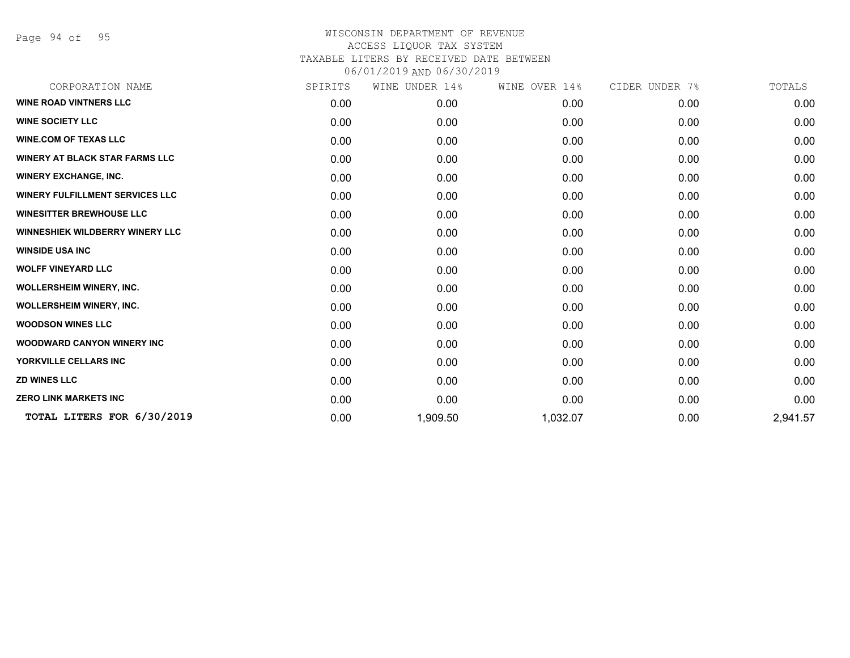Page 94 of 95

| CORPORATION NAME                       | SPIRITS | WINE UNDER 14% | WINE OVER 14% | CIDER UNDER 7% | TOTALS   |
|----------------------------------------|---------|----------------|---------------|----------------|----------|
| <b>WINE ROAD VINTNERS LLC</b>          | 0.00    | 0.00           | 0.00          | 0.00           | 0.00     |
| <b>WINE SOCIETY LLC</b>                | 0.00    | 0.00           | 0.00          | 0.00           | 0.00     |
| <b>WINE.COM OF TEXAS LLC</b>           | 0.00    | 0.00           | 0.00          | 0.00           | 0.00     |
| <b>WINERY AT BLACK STAR FARMS LLC</b>  | 0.00    | 0.00           | 0.00          | 0.00           | 0.00     |
| <b>WINERY EXCHANGE, INC.</b>           | 0.00    | 0.00           | 0.00          | 0.00           | 0.00     |
| <b>WINERY FULFILLMENT SERVICES LLC</b> | 0.00    | 0.00           | 0.00          | 0.00           | 0.00     |
| <b>WINESITTER BREWHOUSE LLC</b>        | 0.00    | 0.00           | 0.00          | 0.00           | 0.00     |
| <b>WINNESHIEK WILDBERRY WINERY LLC</b> | 0.00    | 0.00           | 0.00          | 0.00           | 0.00     |
| <b>WINSIDE USA INC</b>                 | 0.00    | 0.00           | 0.00          | 0.00           | 0.00     |
| <b>WOLFF VINEYARD LLC</b>              | 0.00    | 0.00           | 0.00          | 0.00           | 0.00     |
| <b>WOLLERSHEIM WINERY, INC.</b>        | 0.00    | 0.00           | 0.00          | 0.00           | 0.00     |
| <b>WOLLERSHEIM WINERY, INC.</b>        | 0.00    | 0.00           | 0.00          | 0.00           | 0.00     |
| <b>WOODSON WINES LLC</b>               | 0.00    | 0.00           | 0.00          | 0.00           | 0.00     |
| <b>WOODWARD CANYON WINERY INC</b>      | 0.00    | 0.00           | 0.00          | 0.00           | 0.00     |
| YORKVILLE CELLARS INC                  | 0.00    | 0.00           | 0.00          | 0.00           | 0.00     |
| <b>ZD WINES LLC</b>                    | 0.00    | 0.00           | 0.00          | 0.00           | 0.00     |
| <b>ZERO LINK MARKETS INC</b>           | 0.00    | 0.00           | 0.00          | 0.00           | 0.00     |
| TOTAL LITERS FOR 6/30/2019             | 0.00    | 1,909.50       | 1,032.07      | 0.00           | 2,941.57 |